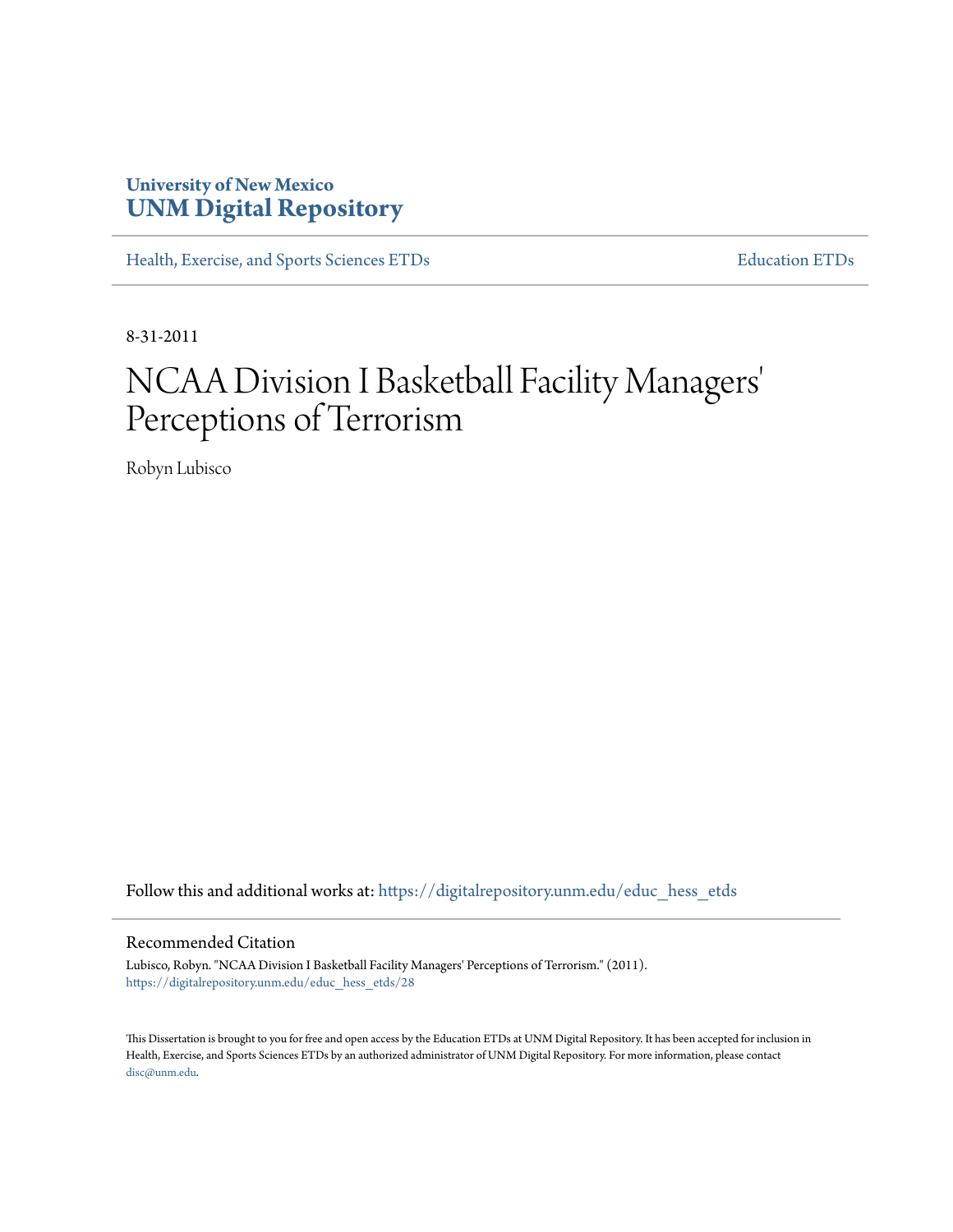# **University of New Mexico [UNM Digital Repository](https://digitalrepository.unm.edu?utm_source=digitalrepository.unm.edu%2Feduc_hess_etds%2F28&utm_medium=PDF&utm_campaign=PDFCoverPages)**

[Health, Exercise, and Sports Sciences ETDs](https://digitalrepository.unm.edu/educ_hess_etds?utm_source=digitalrepository.unm.edu%2Feduc_hess_etds%2F28&utm_medium=PDF&utm_campaign=PDFCoverPages) [Education ETDs](https://digitalrepository.unm.edu/educ_etds?utm_source=digitalrepository.unm.edu%2Feduc_hess_etds%2F28&utm_medium=PDF&utm_campaign=PDFCoverPages)

8-31-2011

# NCAA Division I Basketball Facility Managers 'Perceptions of Terrorism

Robyn Lubisco

Follow this and additional works at: [https://digitalrepository.unm.edu/educ\\_hess\\_etds](https://digitalrepository.unm.edu/educ_hess_etds?utm_source=digitalrepository.unm.edu%2Feduc_hess_etds%2F28&utm_medium=PDF&utm_campaign=PDFCoverPages)

#### Recommended Citation

Lubisco, Robyn. "NCAA Division I Basketball Facility Managers' Perceptions of Terrorism." (2011). [https://digitalrepository.unm.edu/educ\\_hess\\_etds/28](https://digitalrepository.unm.edu/educ_hess_etds/28?utm_source=digitalrepository.unm.edu%2Feduc_hess_etds%2F28&utm_medium=PDF&utm_campaign=PDFCoverPages)

This Dissertation is brought to you for free and open access by the Education ETDs at UNM Digital Repository. It has been accepted for inclusion in Health, Exercise, and Sports Sciences ETDs by an authorized administrator of UNM Digital Repository. For more information, please contact [disc@unm.edu](mailto:disc@unm.edu).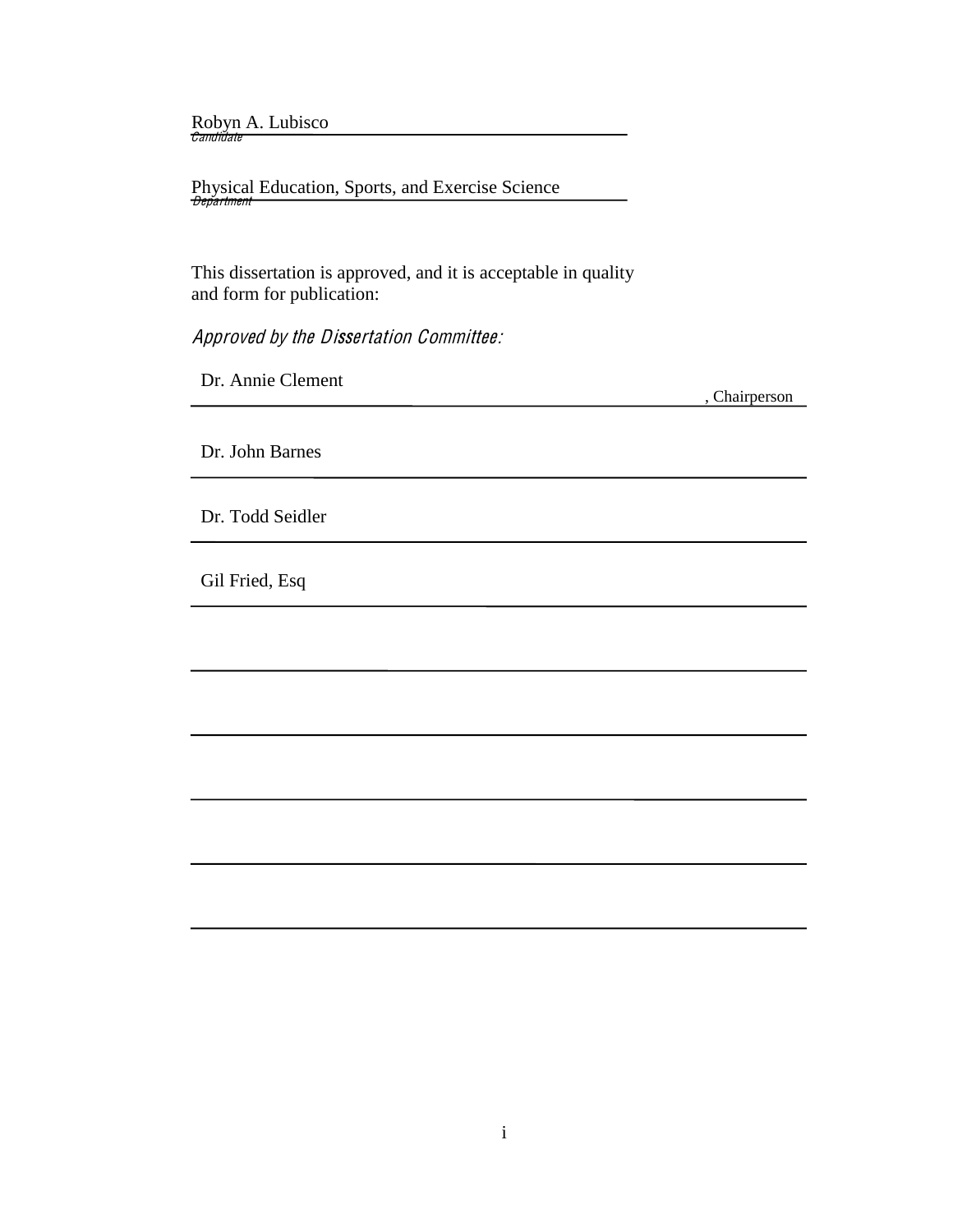Robyn A. Lubisco<br>*Candidate* 

 Physical Education, Sports, and Exercise Science <del>Department</del>

 This dissertation is approved, and it is acceptable in quality and form for publication:

Approved by the Dissertation Committee:

Dr. Annie Clement

, Chairperson

Dr. John Barnes

Dr. Todd Seidler

Gil Fried, Esq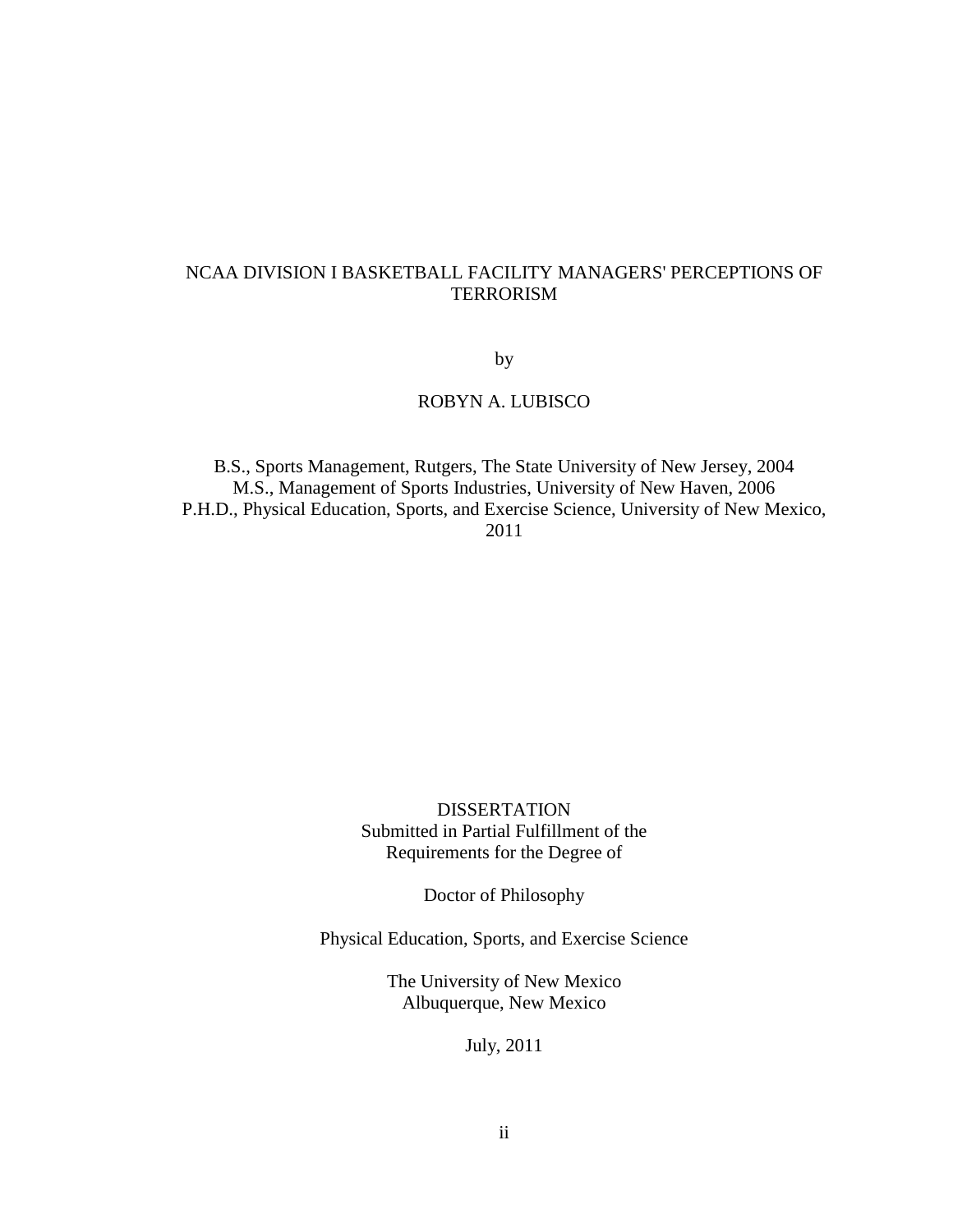# NCAA DIVISION I BASKETBALL FACILITY MANAGERS' PERCEPTIONS OF TERRORISM

by

# ROBYN A. LUBISCO

B.S., Sports Management, Rutgers, The State University of New Jersey, 2004 M.S., Management of Sports Industries, University of New Haven, 2006 P.H.D., Physical Education, Sports, and Exercise Science, University of New Mexico, 2011

> DISSERTATION Submitted in Partial Fulfillment of the Requirements for the Degree of

> > Doctor of Philosophy

Physical Education, Sports, and Exercise Science

The University of New Mexico Albuquerque, New Mexico

July, 2011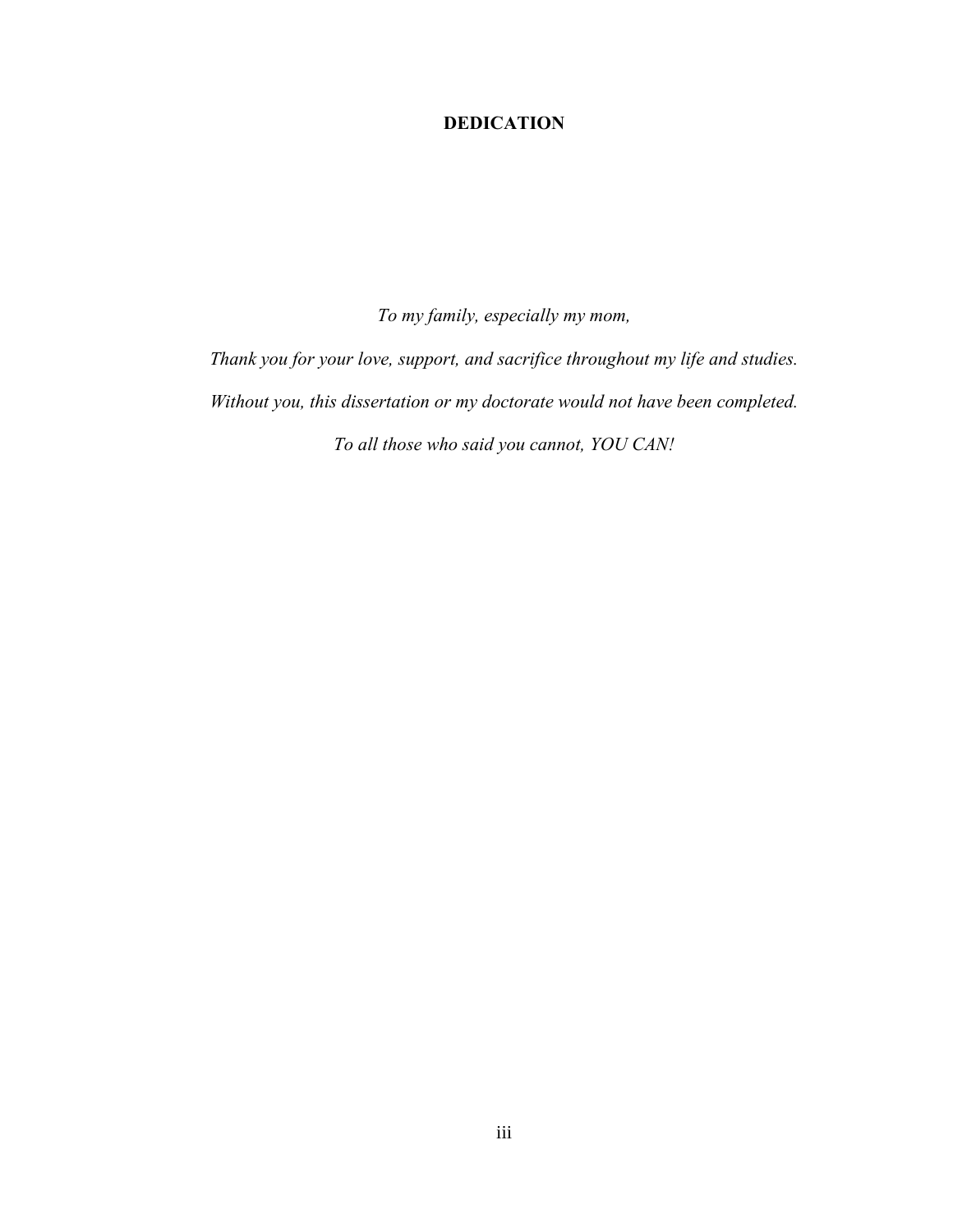# **DEDICATION!**

*To my family, especially my mom,* 

*Thank you for your love, support, and sacrifice throughout my life and studies. Without you, this dissertation or my doctorate would not have been completed. To all those who said you cannot, YOU CAN!*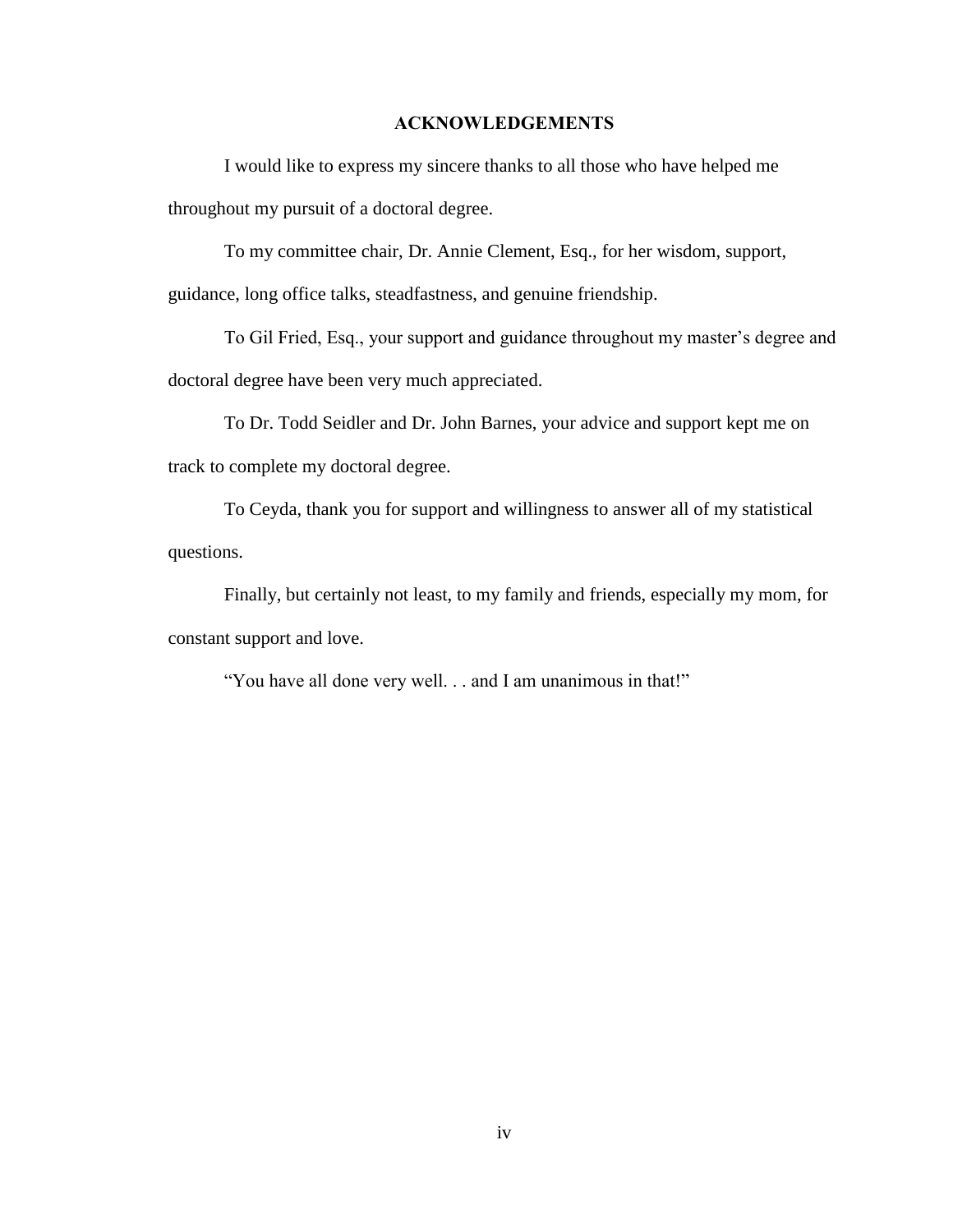# **ACKNOWLEDGEMENTS!**

I would like to express my sincere thanks to all those who have helped me throughout my pursuit of a doctoral degree.

To my committee chair, Dr. Annie Clement, Esq., for her wisdom, support,

guidance, long office talks, steadfastness, and genuine friendship.

To Gil Fried, Esq., your support and guidance throughout my master's degree and doctoral degree have been very much appreciated.

 To Dr. Todd Seidler and Dr. John Barnes, your advice and support kept me on track to complete my doctoral degree.

 To Ceyda, thank you for support and willingness to answer all of my statistical questions.

 Finally, but certainly not least, to my family and friends, especially my mom, for constant support and love.

"You have all done very well. . . and I am unanimous in that!"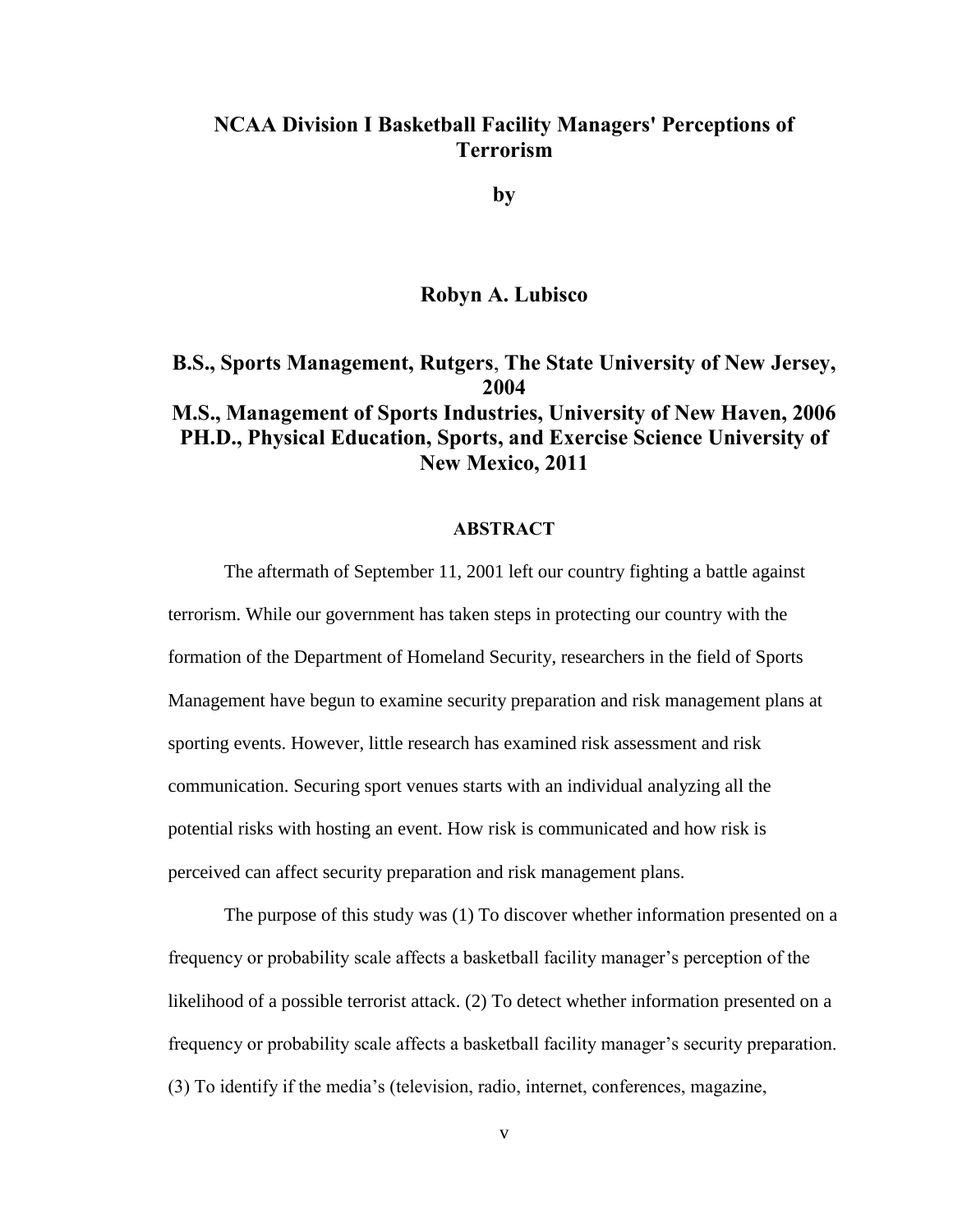# **NCAA Division I Basketball Facility Managers' Perceptions of Terrorism\$**

**by**

# **Robyn A. Lubisco**

**B.S., Sports Management, Rutgers, The State University of New Jersey, 2004 M.S., Management of Sports Industries, University of New Haven, 2006 PH.D., Physical Education, Sports, and Exercise Science University of New Mexico, 2011** 

#### **ABSTRACT!**

The aftermath of September 11, 2001 left our country fighting a battle against terrorism. While our government has taken steps in protecting our country with the formation of the Department of Homeland Security, researchers in the field of Sports Management have begun to examine security preparation and risk management plans at sporting events. However, little research has examined risk assessment and risk communication. Securing sport venues starts with an individual analyzing all the potential risks with hosting an event. How risk is communicated and how risk is perceived can affect security preparation and risk management plans.

The purpose of this study was (1) To discover whether information presented on a frequency or probability scale affects a basketball facility manager's perception of the likelihood of a possible terrorist attack. (2) To detect whether information presented on a It frequency or probability scale affects a basketball facility manager's security preparation.  $(3)$  To identify if the media's (television, radio, internet, conferences, magazine,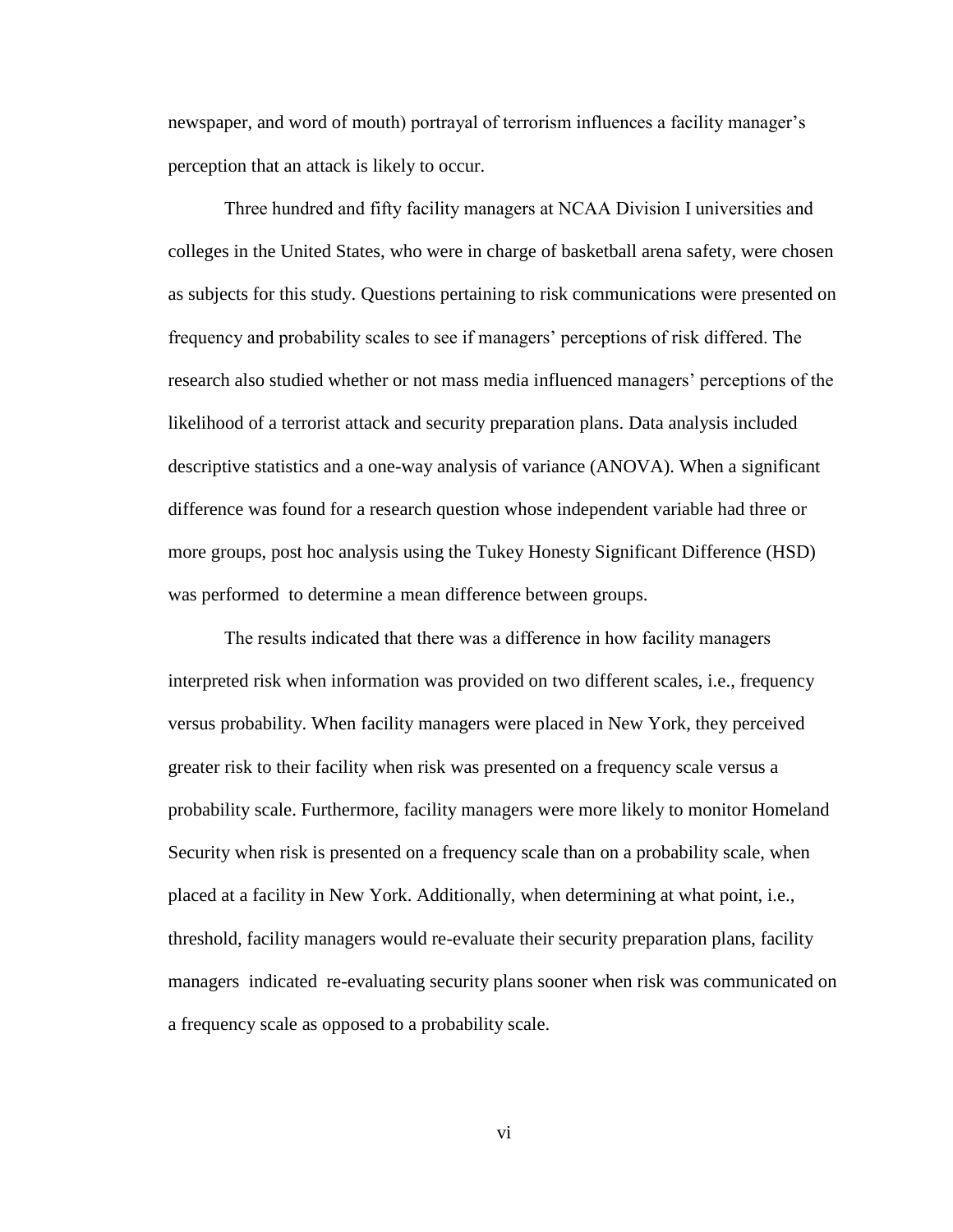newspaper, and word of mouth) portrayal of terrorism influences a facility manager's perception that an attack is likely to occur.

Three hundred and fifty facility managers at NCAA Division I universities and colleges in the United States, who were in charge of basketball arena safety, were chosen as subjects for this study. Questions pertaining to risk communications were presented on Integral frequency and probability scales to see if managers' perceptions of risk differed. The research also studied whether or not mass media influenced managers' perceptions of the likelihood of a terrorist attack and security preparation plans. Data analysis included descriptive statistics and a one-way analysis of variance (ANOVA). When a significant difference was found for a research question whose independent variable had three or more groups, post hoc analysis using the Tukey Honesty Significant Difference (HSD) was performed to determine a mean difference between groups.

The results indicated that there was a difference in how facility managers interpreted risk when information was provided on two different scales, i.e., frequency versus probability. When facility managers were placed in New York, they perceived greater risk to their facility when risk was presented on a frequency scale versus a probability scale. Furthermore, facility managers were more likely to monitor Homeland Security when risk is presented on a frequency scale than on a probability scale, when placed at a facility in New York. Additionally, when determining at what point, i.e., threshold, facility managers would re-evaluate their security preparation plans, facility managers indicated re-evaluating security plans sooner when risk was communicated on a frequency scale as opposed to a probability scale.

vi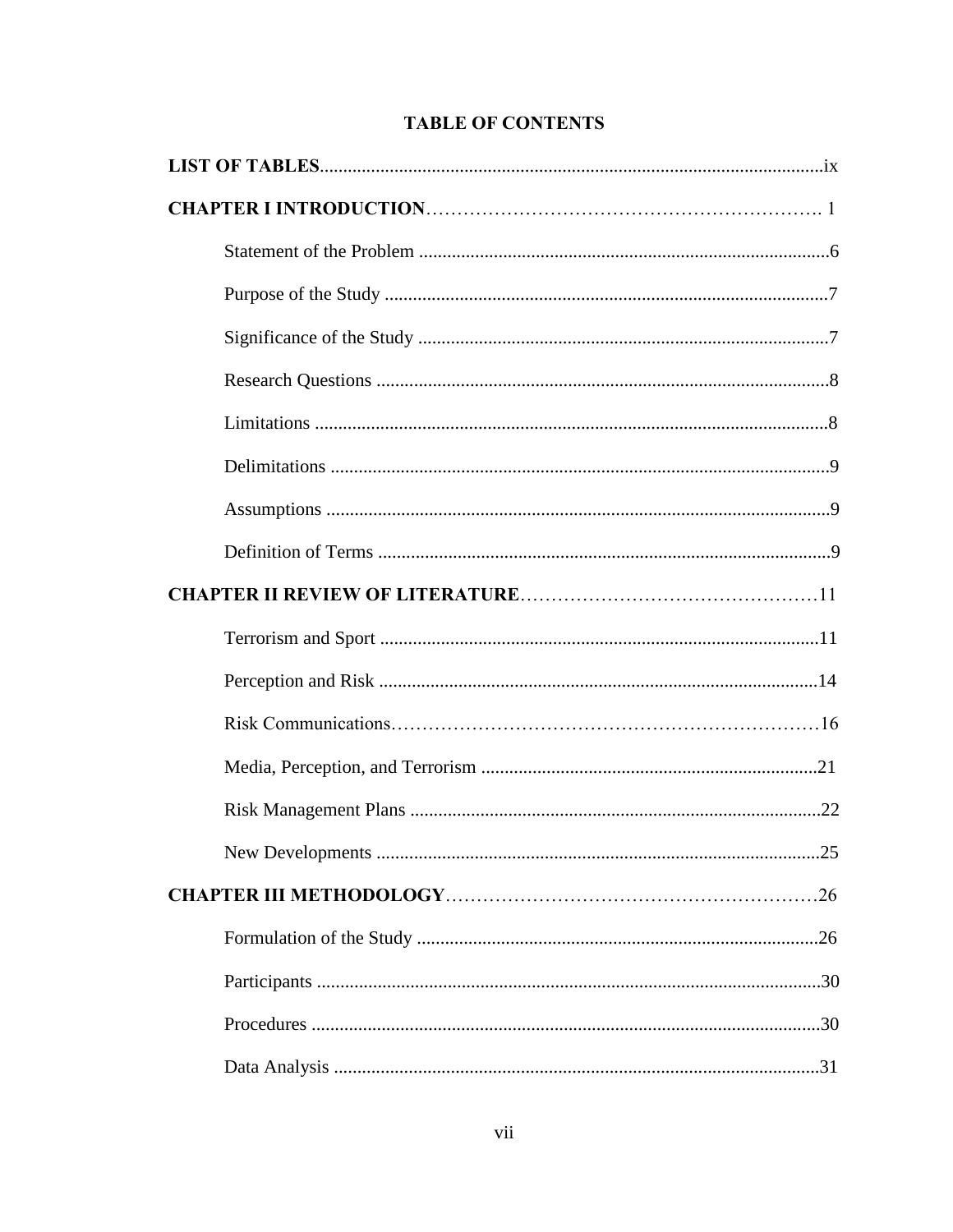# **TABLE OF CONTENTS**

| .25 |
|-----|
|     |
|     |
|     |
|     |
|     |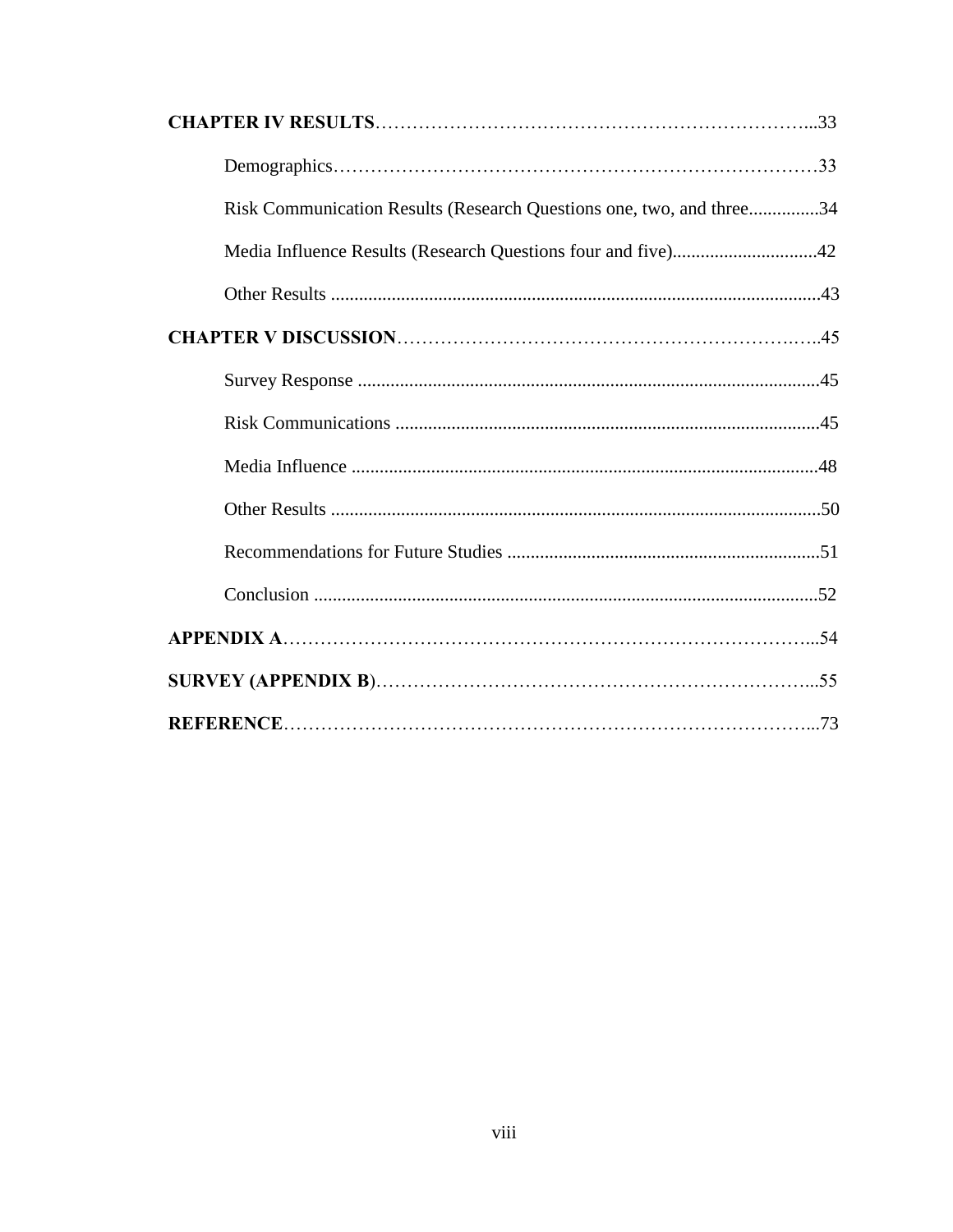| Risk Communication Results (Research Questions one, two, and three34 |  |
|----------------------------------------------------------------------|--|
|                                                                      |  |
|                                                                      |  |
|                                                                      |  |
|                                                                      |  |
|                                                                      |  |
|                                                                      |  |
|                                                                      |  |
|                                                                      |  |
|                                                                      |  |
|                                                                      |  |
|                                                                      |  |
|                                                                      |  |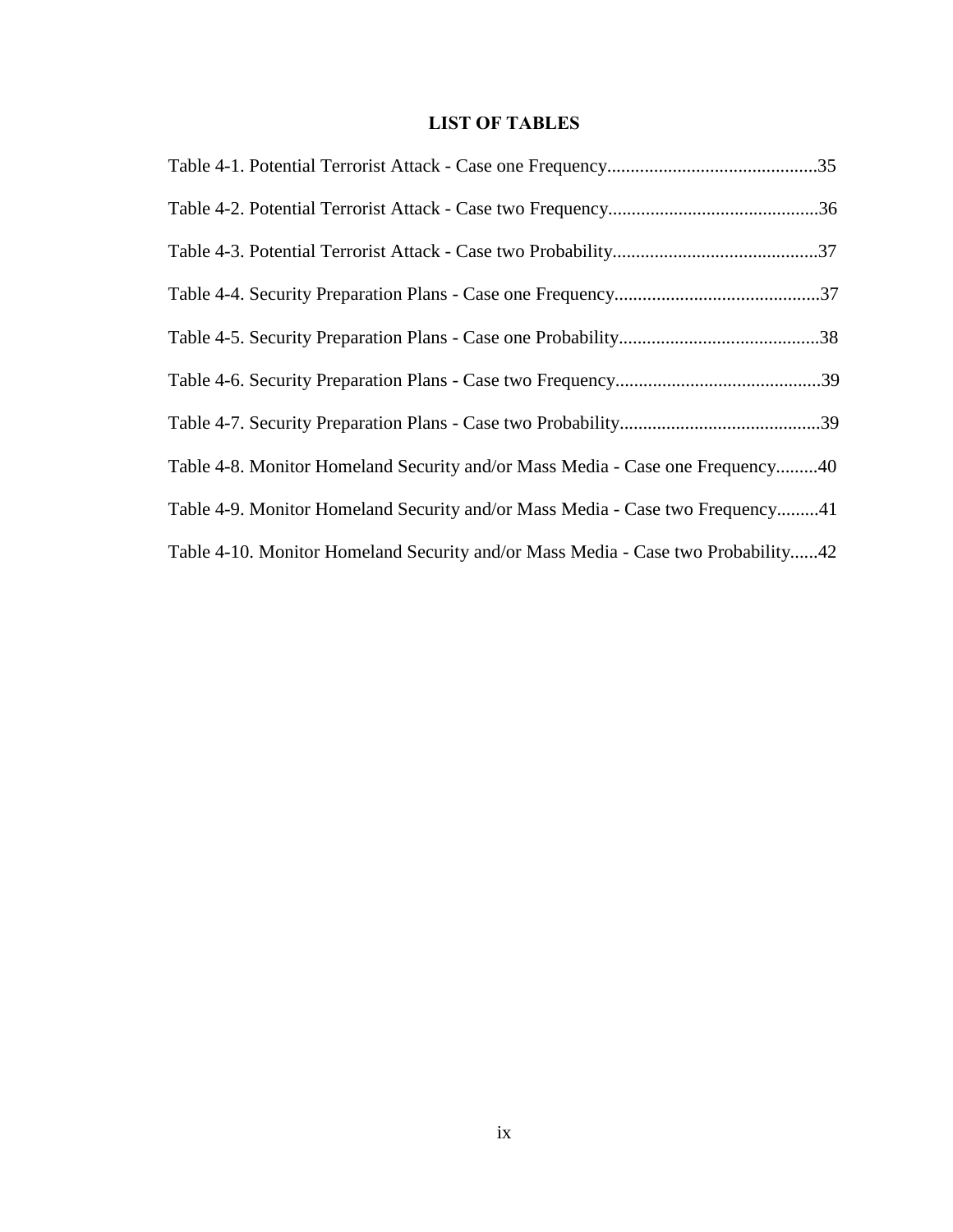# **LIST OF TABLES**

| Table 4-8. Monitor Homeland Security and/or Mass Media - Case one Frequency40    |
|----------------------------------------------------------------------------------|
| Table 4-9. Monitor Homeland Security and/or Mass Media - Case two Frequency41    |
| Table 4-10. Monitor Homeland Security and/or Mass Media - Case two Probability42 |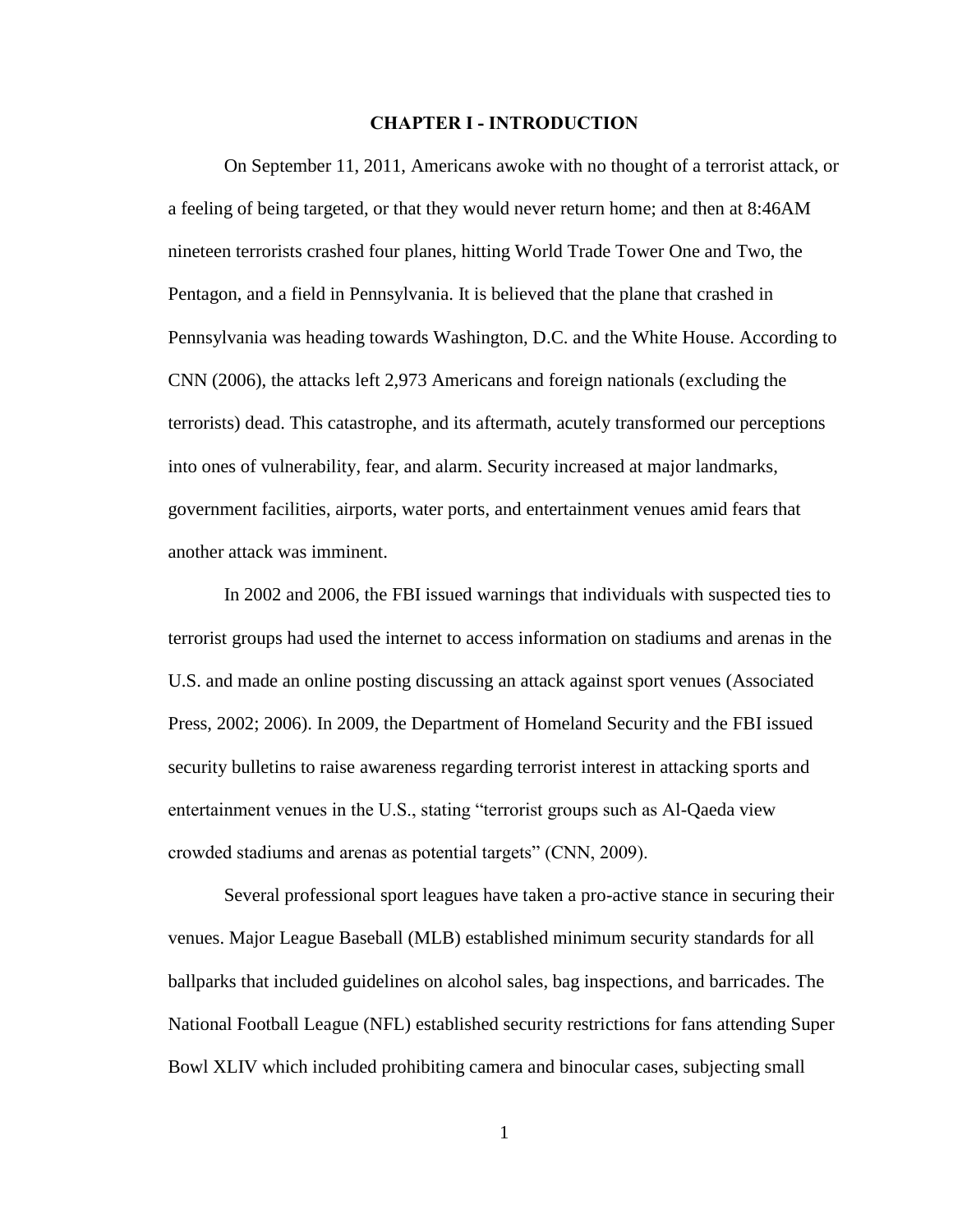#### **CHAPTER I - INTRODUCTION**

 On September 11, 2011, Americans awoke with no thought of a terrorist attack, or a feeling of being targeted, or that they would never return home; and then at 8:46AM nineteen terrorists crashed four planes, hitting World Trade Tower One and Two, the Pentagon, and a field in Pennsylvania. It is believed that the plane that crashed in Pennsylvania was heading towards Washington, D.C. and the White House. According to CNN (2006), the attacks left 2,973 Americans and foreign nationals (excluding the terrorists) dead. This catastrophe, and its aftermath, acutely transformed our perceptions into ones of vulnerability, fear, and alarm. Security increased at major landmarks, government facilities, airports, water ports, and entertainment venues amid fears that another attack was imminent.

 In 2002 and 2006, the FBI issued warnings that individuals with suspected ties to terrorist groups had used the internet to access information on stadiums and arenas in the U.S. and made an online posting discussing an attack against sport venues (Associated Press, 2002; 2006). In 2009, the Department of Homeland Security and the FBI issued security bulletins to raise awareness regarding terrorist interest in attacking sports and entertainment venues in the U.S., stating "terrorist groups such as Al-Qaeda view crowded stadiums and arenas as potential targets"  $(CNN, 2009)$ .

 Several professional sport leagues have taken a pro-active stance in securing their venues. Major League Baseball (MLB) established minimum security standards for all ballparks that included guidelines on alcohol sales, bag inspections, and barricades. The National Football League (NFL) established security restrictions for fans attending Super Bowl XLIV which included prohibiting camera and binocular cases, subjecting small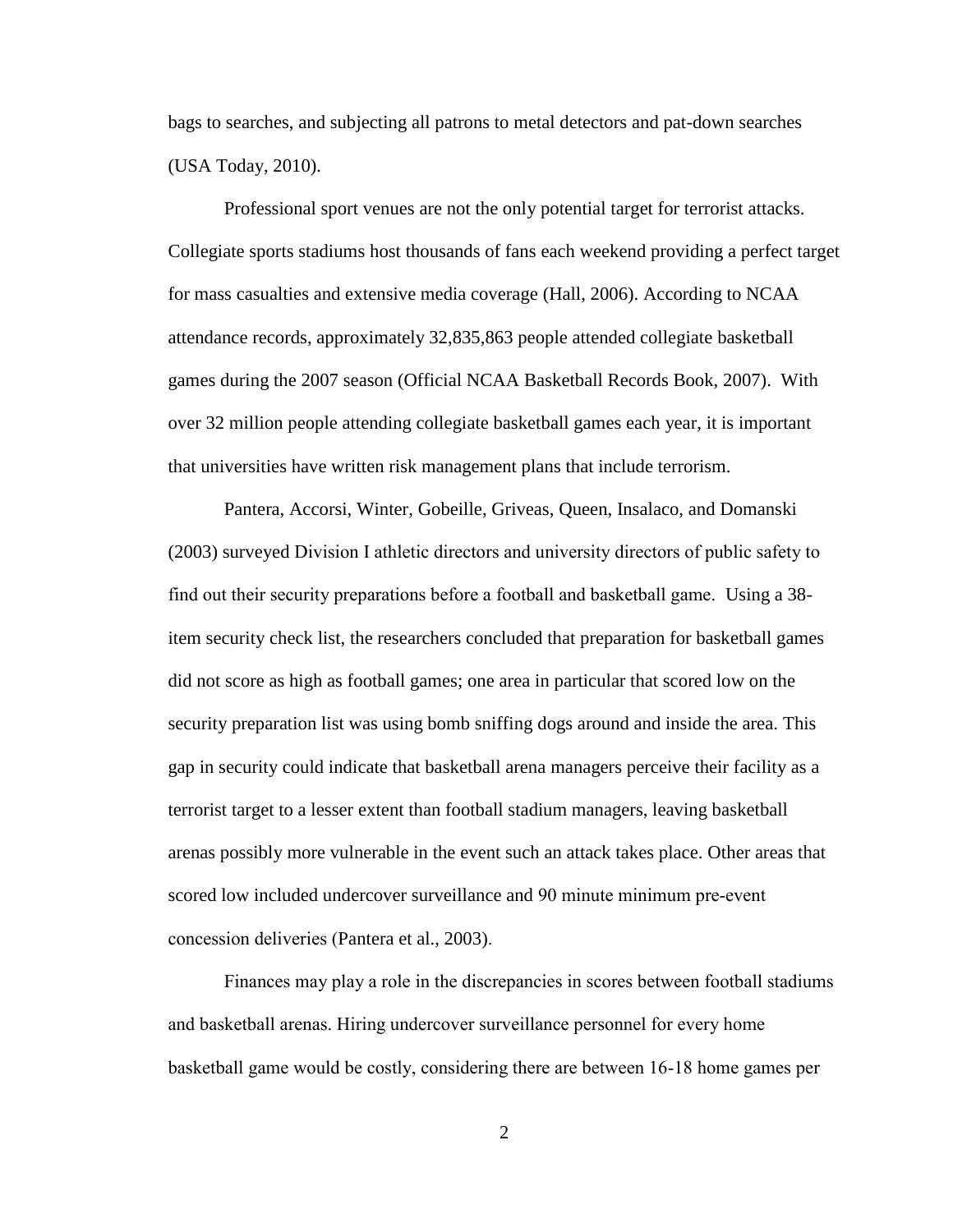bags to searches, and subjecting all patrons to metal detectors and pat-down searches (USA Today, 2010).

 Professional sport venues are not the only potential target for terrorist attacks. Collegiate sports stadiums host thousands of fans each weekend providing a perfect target for mass casualties and extensive media coverage (Hall, 2006). According to NCAA attendance records, approximately 32,835,863 people attended collegiate basketball games during the 2007 season (Official NCAA Basketball Records Book, 2007). With over 32 million people attending collegiate basketball games each year, it is important that universities have written risk management plans that include terrorism.

Pantera, Accorsi, Winter, Gobeille, Griveas, Queen, Insalaco, and Domanski (2003) surveyed Division I athletic directors and university directors of public safety to find out their security preparations before a football and basketball game. Using a 38item security check list, the researchers concluded that preparation for basketball games did not score as high as football games; one area in particular that scored low on the security preparation list was using bomb sniffing dogs around and inside the area. This gap in security could indicate that basketball arena managers perceive their facility as a terrorist target to a lesser extent than football stadium managers, leaving basketball arenas possibly more vulnerable in the event such an attack takes place. Other areas that scored low included undercover surveillance and 90 minute minimum pre-event concession deliveries (Pantera et al., 2003).

Finances may play a role in the discrepancies in scores between football stadiums and basketball arenas. Hiring undercover surveillance personnel for every home basketball game would be costly, considering there are between 16-18 home games per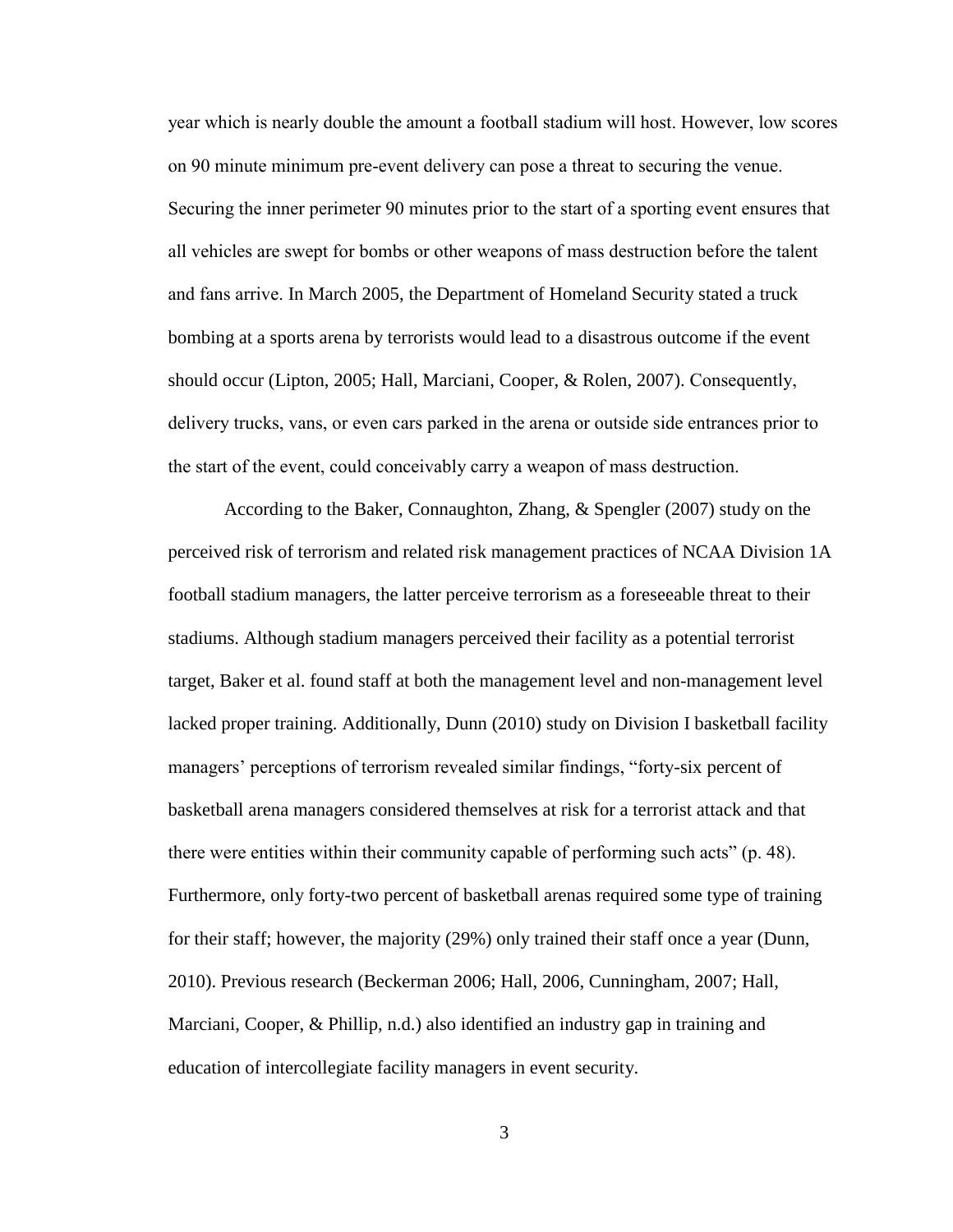year which is nearly double the amount a football stadium will host. However, low scores on 90 minute minimum pre-event delivery can pose a threat to securing the venue. Securing the inner perimeter 90 minutes prior to the start of a sporting event ensures that all vehicles are swept for bombs or other weapons of mass destruction before the talent and fans arrive. In March 2005, the Department of Homeland Security stated a truck bombing at a sports arena by terrorists would lead to a disastrous outcome if the event should occur (Lipton, 2005; Hall, Marciani, Cooper, & Rolen, 2007). Consequently, delivery trucks, vans, or even cars parked in the arena or outside side entrances prior to the start of the event, could conceivably carry a weapon of mass destruction.

 According to the Baker, Connaughton, Zhang, & Spengler (2007) study on the perceived risk of terrorism and related risk management practices of NCAA Division 1A football stadium managers, the latter perceive terrorism as a foreseeable threat to their stadiums. Although stadium managers perceived their facility as a potential terrorist target, Baker et al. found staff at both the management level and non-management level lacked proper training. Additionally, Dunn (2010) study on Division I basketball facility managers' perceptions of terrorism revealed similar findings, "forty-six percent of basketball arena managers considered themselves at risk for a terrorist attack and that there were entities within their community capable of performing such acts" (p. 48). Furthermore, only forty-two percent of basketball arenas required some type of training for their staff; however, the majority (29%) only trained their staff once a year (Dunn, 2010). Previous research (Beckerman 2006; Hall, 2006, Cunningham, 2007; Hall, Marciani, Cooper, & Phillip, n.d.) also identified an industry gap in training and education of intercollegiate facility managers in event security.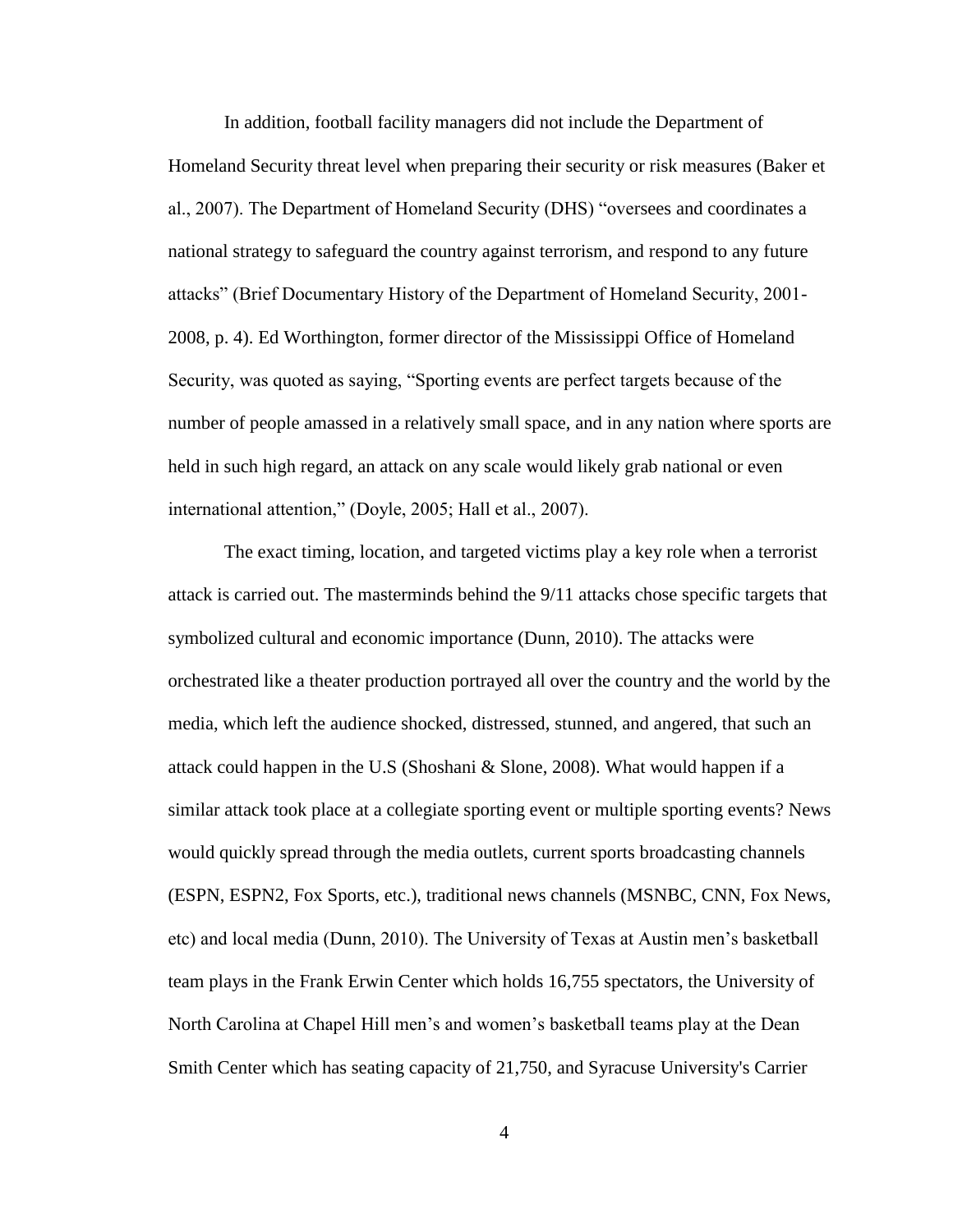In addition, football facility managers did not include the Department of Homeland Security threat level when preparing their security or risk measures (Baker et al., 2007). The Department of Homeland Security (DHS) "oversees and coordinates a national strategy to safeguard the country against terrorism, and respond to any future attacks" (Brief Documentary History of the Department of Homeland Security, 2001– 2008, p. 4). Ed Worthington, former director of the Mississippi Office of Homeland Security, was quoted as saying, "Sporting events are perfect targets because of the number of people amassed in a relatively small space, and in any nation where sports are held in such high regard, an attack on any scale would likely grab national or even international attention," (Doyle, 2005; Hall et al., 2007).

 The exact timing, location, and targeted victims play a key role when a terrorist attack is carried out. The masterminds behind the 9/11 attacks chose specific targets that symbolized cultural and economic importance (Dunn, 2010). The attacks were orchestrated like a theater production portrayed all over the country and the world by the media, which left the audience shocked, distressed, stunned, and angered, that such an attack could happen in the U.S (Shoshani & Slone, 2008). What would happen if a similar attack took place at a collegiate sporting event or multiple sporting events? News would quickly spread through the media outlets, current sports broadcasting channels (ESPN, ESPN2, Fox Sports, etc.), traditional news channels (MSNBC, CNN, Fox News, etc) and local media (Dunn, 2010). The University of Texas at Austin men's basketball team plays in the Frank Erwin Center which holds 16,755 spectators, the University of North Carolina at Chapel Hill men's and women's basketball teams play at the Dean Smith Center which has seating capacity of 21,750, and Syracuse University's Carrier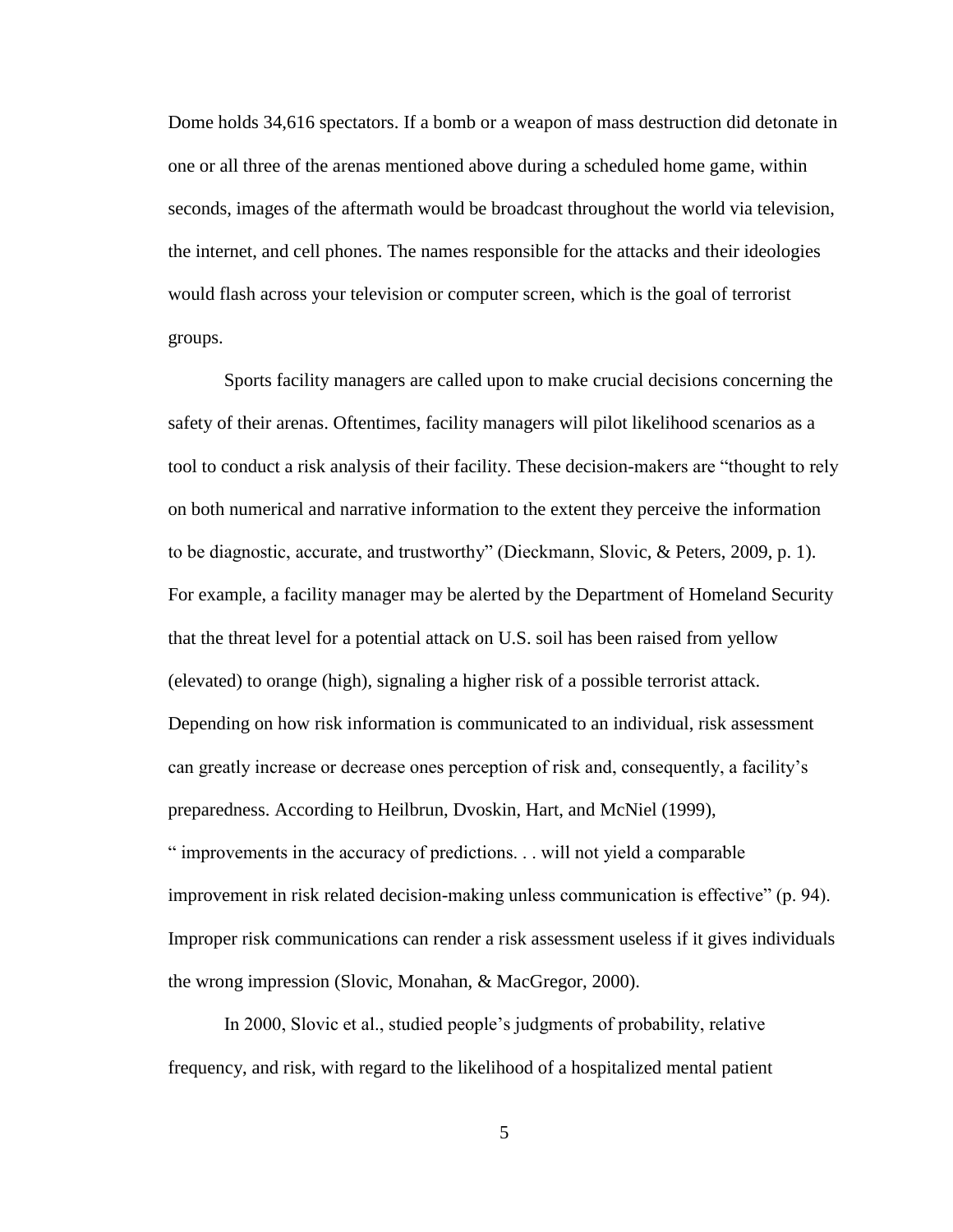Dome holds 34,616 spectators. If a bomb or a weapon of mass destruction did detonate in one or all three of the arenas mentioned above during a scheduled home game, within seconds, images of the aftermath would be broadcast throughout the world via television, the internet, and cell phones. The names responsible for the attacks and their ideologies would flash across your television or computer screen, which is the goal of terrorist groups.

 Sports facility managers are called upon to make crucial decisions concerning the safety of their arenas. Oftentimes, facility managers will pilot likelihood scenarios as a tool to conduct a risk analysis of their facility. These decision-makers are "thought to rely on both numerical and narrative information to the extent they perceive the information to be diagnostic, accurate, and trustworthy" (Dieckmann, Slovic, & Peters, 2009, p. 1). For example, a facility manager may be alerted by the Department of Homeland Security that the threat level for a potential attack on U.S. soil has been raised from yellow (elevated) to orange (high), signaling a higher risk of a possible terrorist attack. Depending on how risk information is communicated to an individual, risk assessment can greatly increase or decrease ones perception of risk and, consequently, a facility's preparedness. According to Heilbrun, Dvoskin, Hart, and McNiel (1999), " improvements in the accuracy of predictions. . . will not yield a comparable improvement in risk related decision-making unless communication is effective" (p. 94). Improper risk communications can render a risk assessment useless if it gives individuals the wrong impression (Slovic, Monahan, & MacGregor, 2000).

In 2000, Slovic et al., studied people's judgments of probability, relative frequency, and risk, with regard to the likelihood of a hospitalized mental patient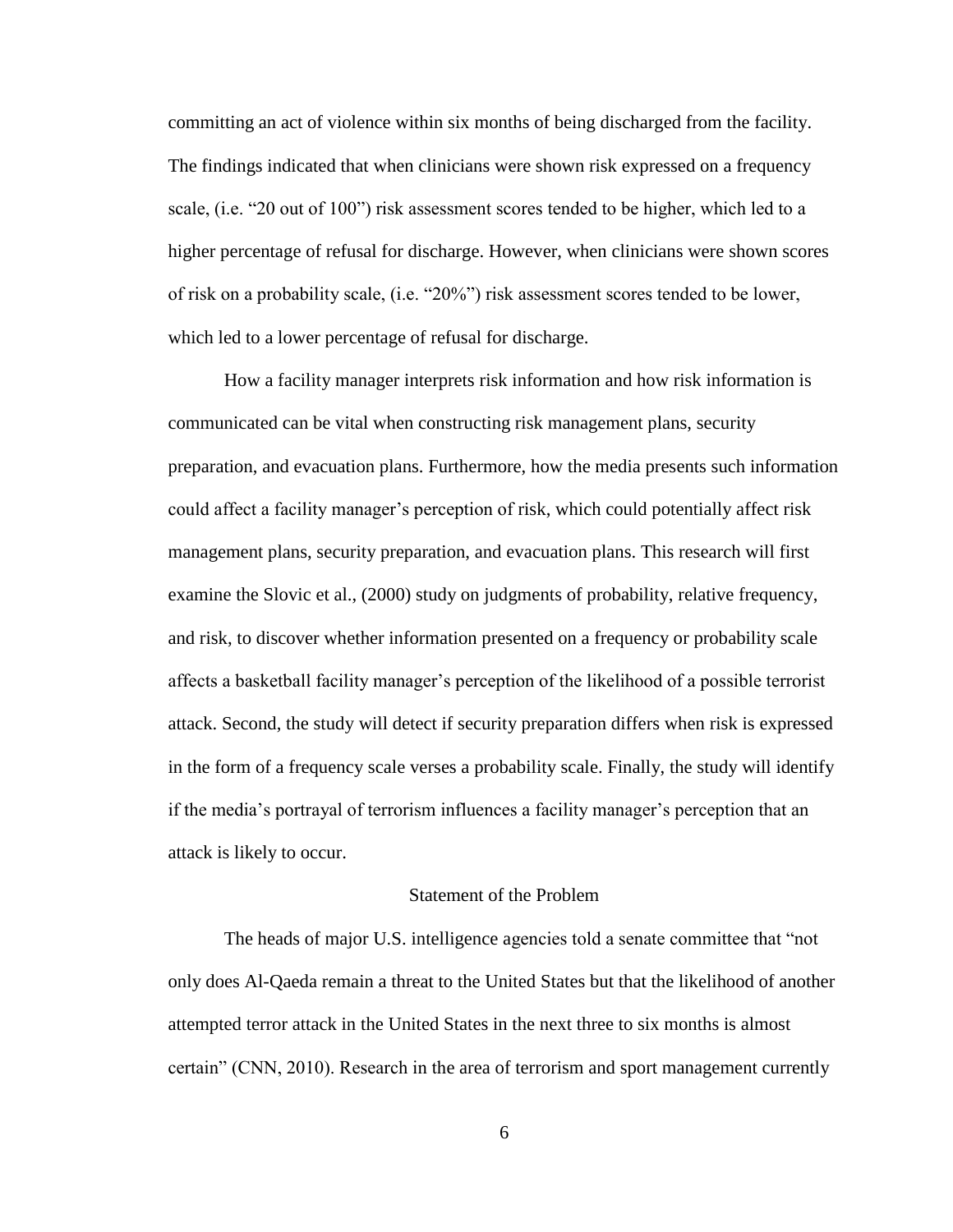committing an act of violence within six months of being discharged from the facility. The findings indicated that when clinicians were shown risk expressed on a frequency scale, (i.e. "20 out of 100") risk assessment scores tended to be higher, which led to a higher percentage of refusal for discharge. However, when clinicians were shown scores of risk on a probability scale, (i.e. "20%") risk assessment scores tended to be lower, which led to a lower percentage of refusal for discharge.

 How a facility manager interprets risk information and how risk information is communicated can be vital when constructing risk management plans, security preparation, and evacuation plans. Furthermore, how the media presents such information could affect a facility manager's perception of risk, which could potentially affect risk management plans, security preparation, and evacuation plans. This research will first examine the Slovic et al., (2000) study on judgments of probability, relative frequency, and risk, to discover whether information presented on a frequency or probability scale affects a basketball facility manager's perception of the likelihood of a possible terrorist attack. Second, the study will detect if security preparation differs when risk is expressed in the form of a frequency scale verses a probability scale. Finally, the study will identify If the media's portrayal of terrorism influences a facility manager's perception that an attack is likely to occur.

## Statement of the Problem

The heads of major U.S. intelligence agencies told a senate committee that "not only does Al-Qaeda remain a threat to the United States but that the likelihood of another attempted terror attack in the United States in the next three to six months is almost certain" (CNN, 2010). Research in the area of terrorism and sport management currently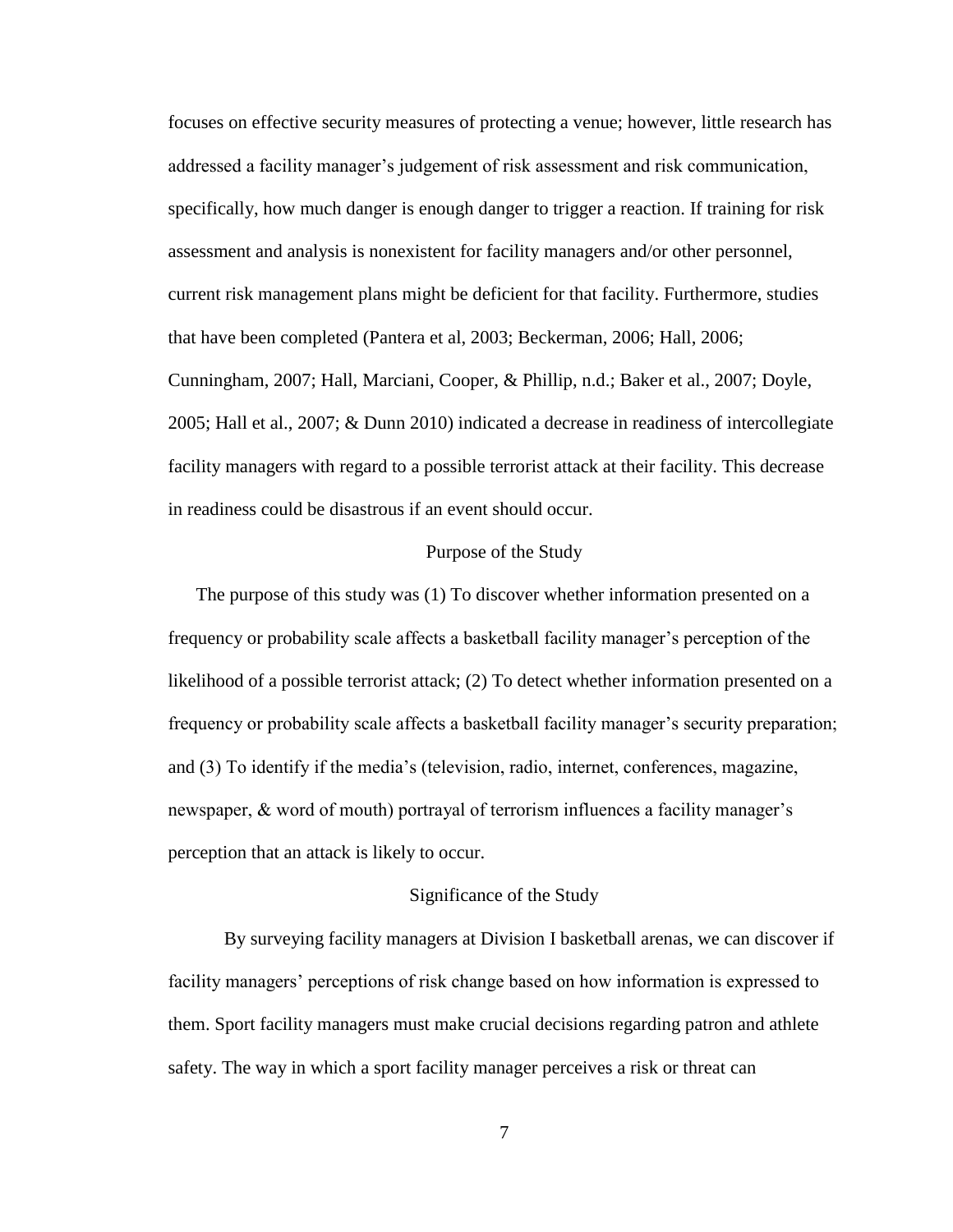focuses on effective security measures of protecting a venue; however, little research has addressed a facility manager's judgement of risk assessment and risk communication, specifically, how much danger is enough danger to trigger a reaction. If training for risk assessment and analysis is nonexistent for facility managers and/or other personnel, current risk management plans might be deficient for that facility. Furthermore, studies that have been completed (Pantera et al, 2003; Beckerman, 2006; Hall, 2006; Cunningham, 2007; Hall, Marciani, Cooper, & Phillip, n.d.; Baker et al., 2007; Doyle, 2005; Hall et al., 2007; & Dunn 2010) indicated a decrease in readiness of intercollegiate facility managers with regard to a possible terrorist attack at their facility. This decrease in readiness could be disastrous if an event should occur.

#### Purpose of the Study

The purpose of this study was (1) To discover whether information presented on a frequency or probability scale affects a basketball facility manager's perception of the likelihood of a possible terrorist attack; (2) To detect whether information presented on a Integral frequency or probability scale affects a basket ball facility manager's security preparation; and  $(3)$  To identify if the media's (television, radio, internet, conferences, magazine, newspaper, & word of mouth) portrayal of terrorism influences a facility manager's perception that an attack is likely to occur.

#### Significance of the Study

 By surveying facility managers at Division I basketball arenas, we can discover if facility managers' perceptions of risk change based on how information is expressed to them. Sport facility managers must make crucial decisions regarding patron and athlete safety. The way in which a sport facility manager perceives a risk or threat can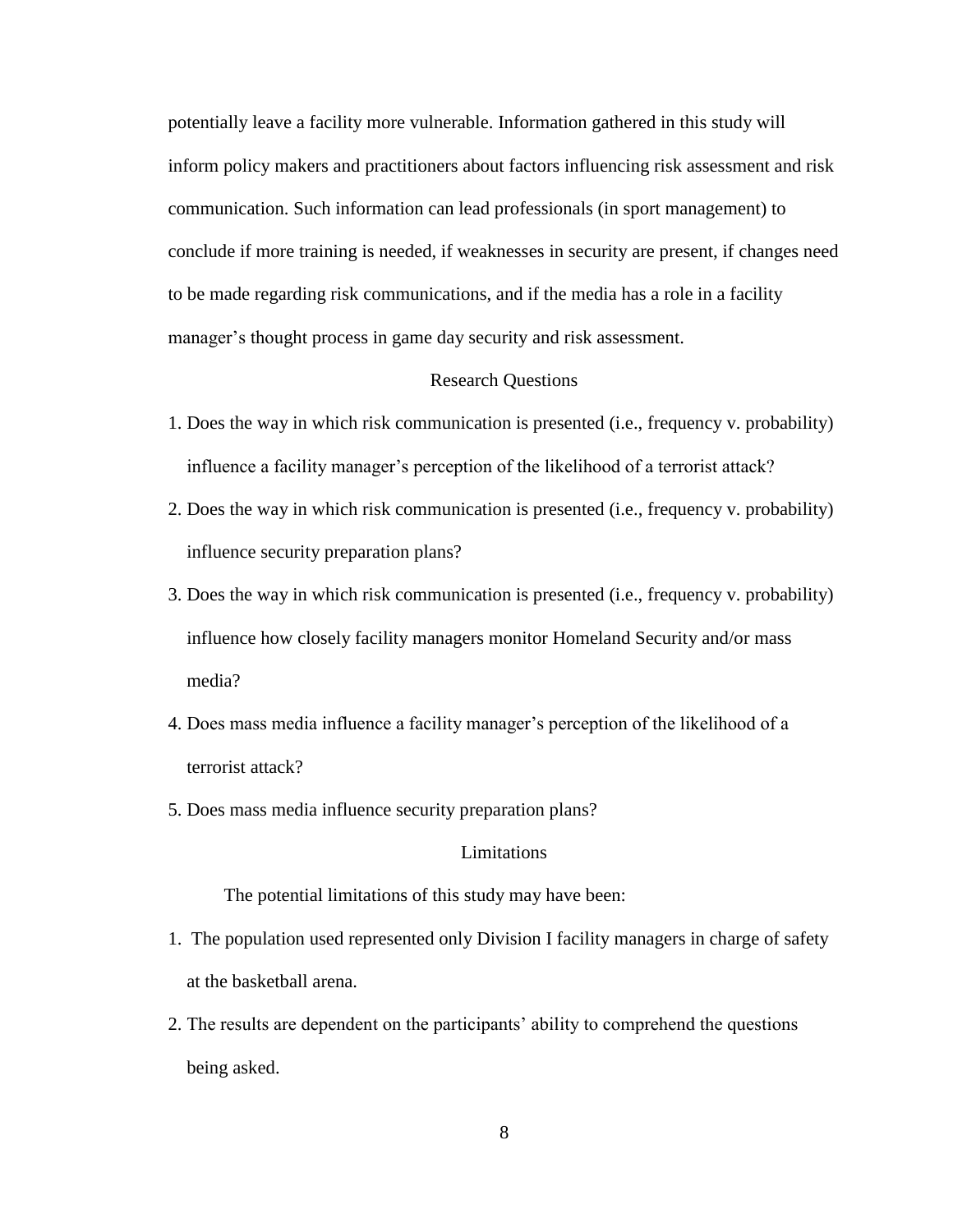potentially leave a facility more vulnerable. Information gathered in this study will inform policy makers and practitioners about factors influencing risk assessment and risk communication. Such information can lead professionals (in sport management) to conclude if more training is needed, if weaknesses in security are present, if changes need to be made regarding risk communications, and if the media has a role in a facility manager's thought process in game day security and risk assessment.

## Research Questions

- 1. Does the way in which risk communication is presented (i.e., frequency v. probability) influence a facility manager's perception of the likelihood of a terrorist attack?
- 2. Does the way in which risk communication is presented (i.e., frequency v. probability) influence security preparation plans?
- 3. Does the way in which risk communication is presented (i.e., frequency v. probability) influence how closely facility managers monitor Homeland Security and/or mass media?
- 4. Does mass media influence a facility manager's perception of the likelihood of a terrorist attack?
- 5. Does mass media influence security preparation plans?

## Limitations

The potential limitations of this study may have been:

- 1. The population used represented only Division I facility managers in charge of safety at the basketball arena.
- 2. The results are dependent on the participants' ability to comprehend the questions being asked.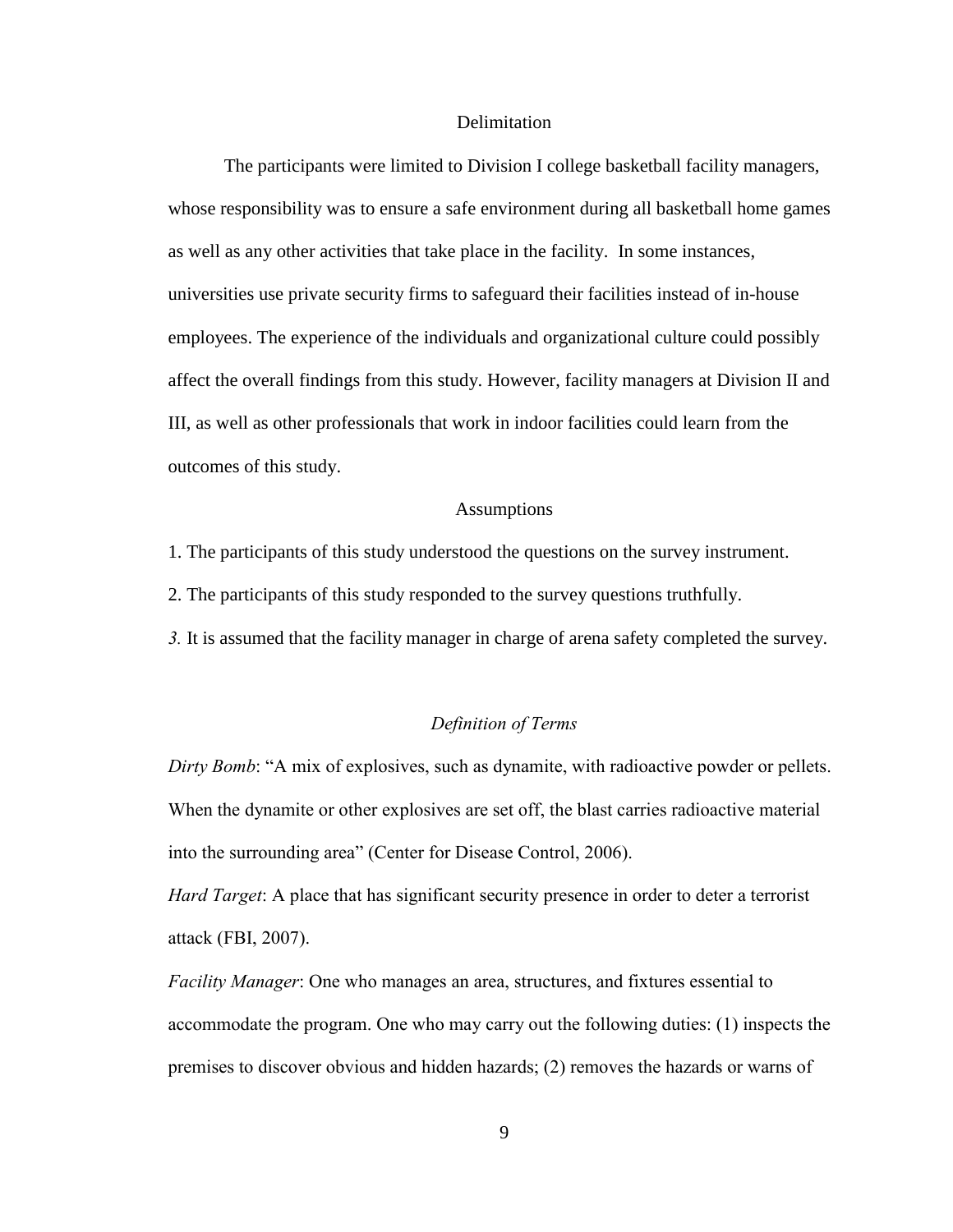#### **Delimitation**

 The participants were limited to Division I college basketball facility managers, whose responsibility was to ensure a safe environment during all basketball home games as well as any other activities that take place in the facility. In some instances, universities use private security firms to safeguard their facilities instead of in-house employees. The experience of the individuals and organizational culture could possibly affect the overall findings from this study. However, facility managers at Division II and III, as well as other professionals that work in indoor facilities could learn from the outcomes of this study.

## Assumptions

1. The participants of this study understood the questions on the survey instrument.

2. The participants of this study responded to the survey questions truthfully.

*3.* It is assumed that the facility manager in charge of arena safety completed the survey.

## *Definition of Terms*

*Dirty Bomb*: "A mix of explosives, such as dynamite, with radioactive powder or pellets. When the dynamite or other explosives are set off, the blast carries radioactive material into the surrounding area" (Center for Disease Control, 2006).

*Hard Target*: A place that has significant security presence in order to deter a terrorist attack (FBI, 2007).

*Facility Manager*: One who manages an area, structures, and fixtures essential to accommodate the program. One who may carry out the following duties: (1) inspects the premises to discover obvious and hidden hazards;  $(2)$  removes the hazards or warns of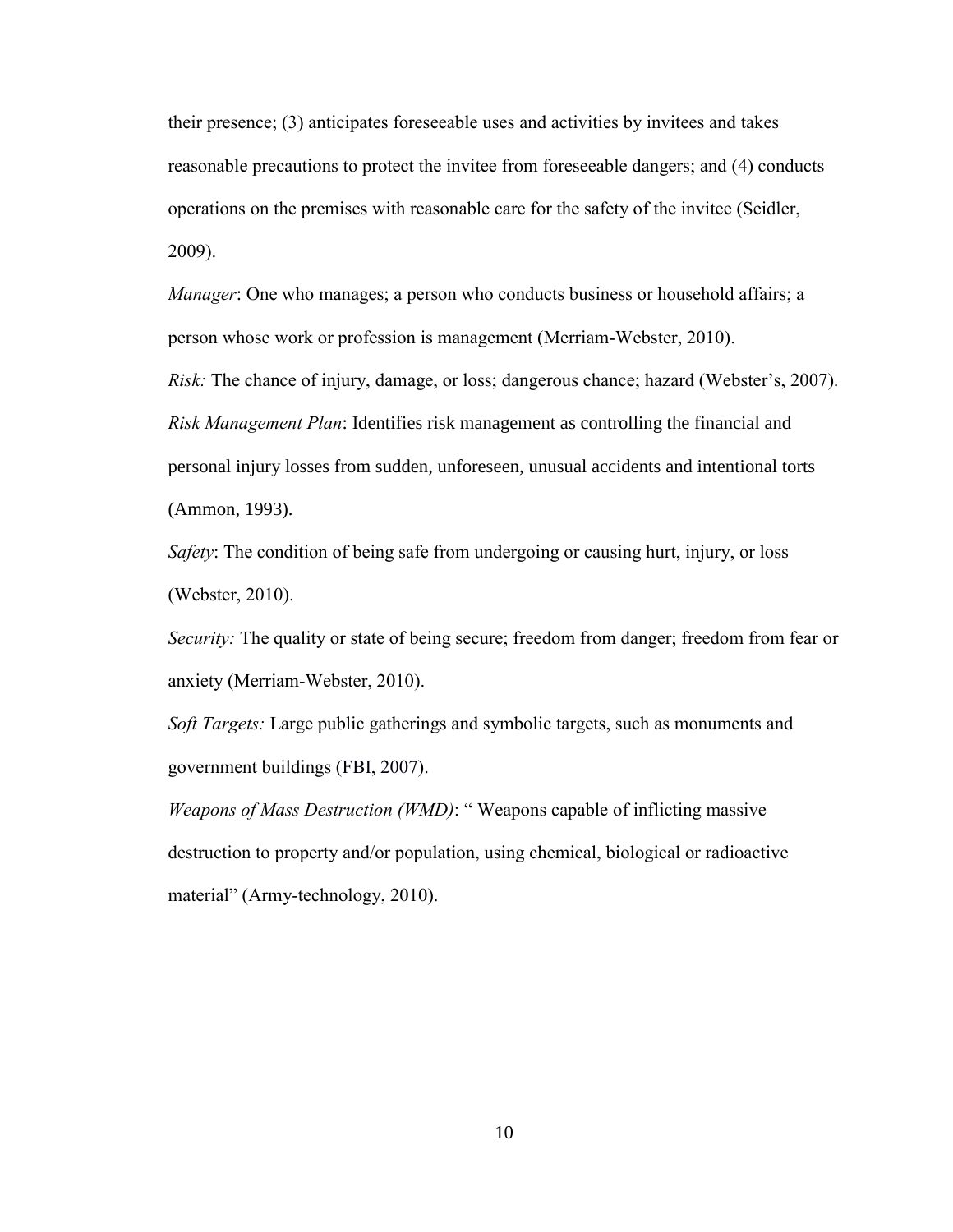their presence;  $(3)$  anticipates foreseeable uses and activities by invitees and takes reasonable precautions to protect the invitee from foreseeable dangers; and (4) conducts operations on the premises with reasonable care for the safety of the invitee (Seidler,  $2009$ ).

*Manager*: One who manages; a person who conducts business or household affairs; a person whose work or profession is management (Merriam-Webster, 2010).

*Risk:* The chance of injury, damage, or loss; dangerous chance; hazard (Webster's, 2007). *Risk Management Plan*: Identifies risk management as controlling the financial and personal injury losses from sudden, unforeseen, unusual accidents and intentional torts (Ammon, 1993).

*Safety*: The condition of being safe from undergoing or causing hurt, injury, or loss (Webster, 2010).

*Security:* The quality or state of being secure; freedom from danger; freedom from fear or anxiety (Merriam-Webster, 2010).

*Soft Targets:* Large public gatherings and symbolic targets, such as monuments and government buildings (FBI, 2007).

*Weapons of Mass Destruction (WMD)*: "Weapons capable of inflicting massive destruction to property and/or population, using chemical, biological or radioactive material" (Army-technology, 2010).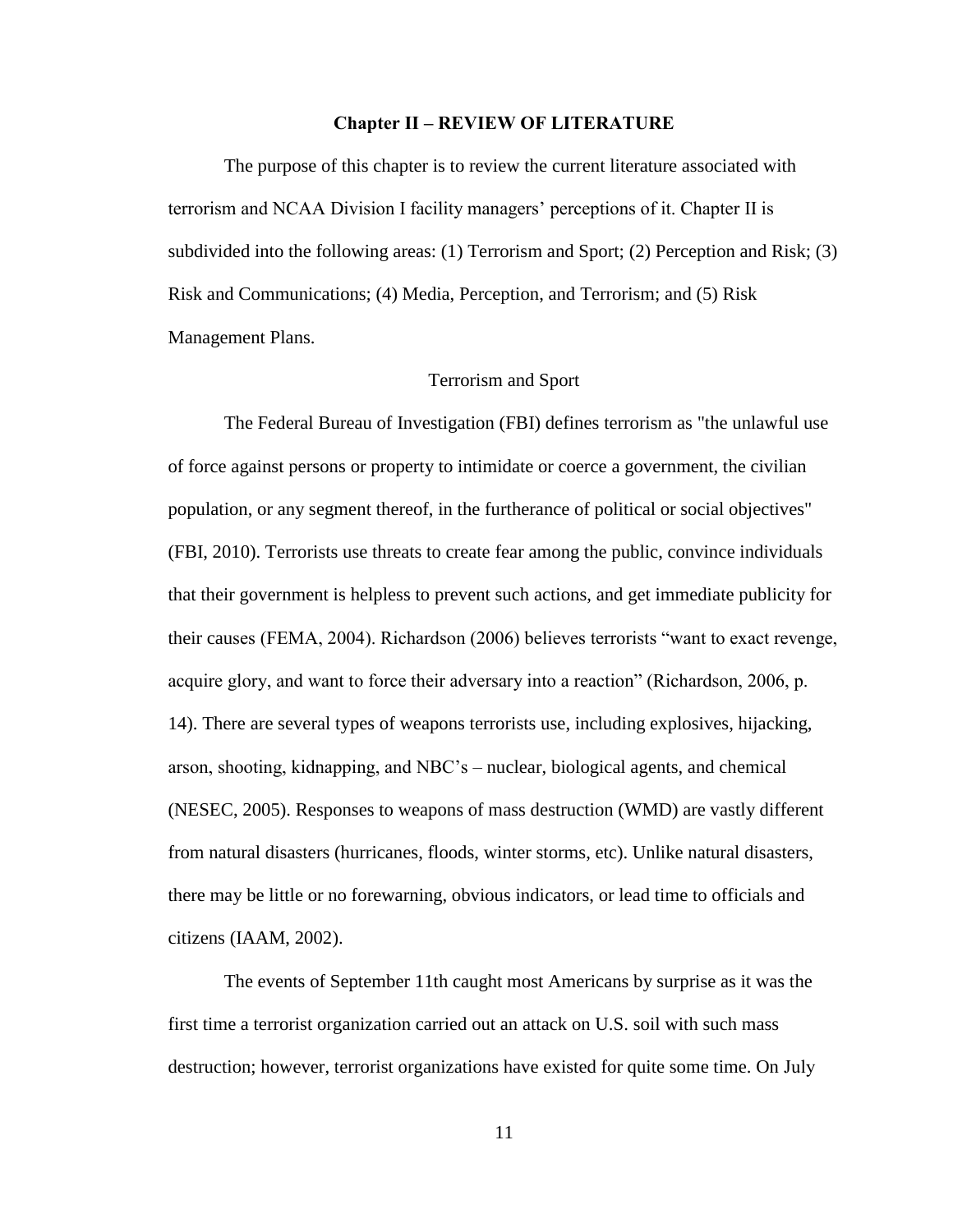## **Chapter II - REVIEW OF LITERATURE**

The purpose of this chapter is to review the current literature associated with terrorism and NCAA Division I facility managers' perceptions of it. Chapter II is subdivided into the following areas: (1) Terrorism and Sport; (2) Perception and Risk; (3) Risk and Communications; (4) Media, Perception, and Terrorism; and (5) Risk Management Plans.

#### Terrorism and Sport

 The Federal Bureau of Investigation (FBI) defines terrorism as "the unlawful use of force against persons or property to intimidate or coerce a government, the civilian population, or any segment thereof, in the furtherance of political or social objectives" (FBI, 2010). Terrorists use threats to create fear among the public, convince individuals that their government is helpless to prevent such actions, and get immediate publicity for their causes (FEMA, 2004). Richardson (2006) believes terrorists "want to exact revenge, acquire glory, and want to force their adversary into a reaction" (Richardson, 2006, p. 14). There are several types of weapons terrorists use, including explosives, hijacking, arson, shooting, kidnapping, and NBC's  $-$  nuclear, biological agents, and chemical (NESEC, 2005). Responses to weapons of mass destruction (WMD) are vastly different from natural disasters (hurricanes, floods, winter storms, etc). Unlike natural disasters, there may be little or no forewarning, obvious indicators, or lead time to officials and citizens (IAAM, 2002).

 The events of September 11th caught most Americans by surprise as it was the first time a terrorist organization carried out an attack on U.S. soil with such mass destruction; however, terrorist organizations have existed for quite some time. On July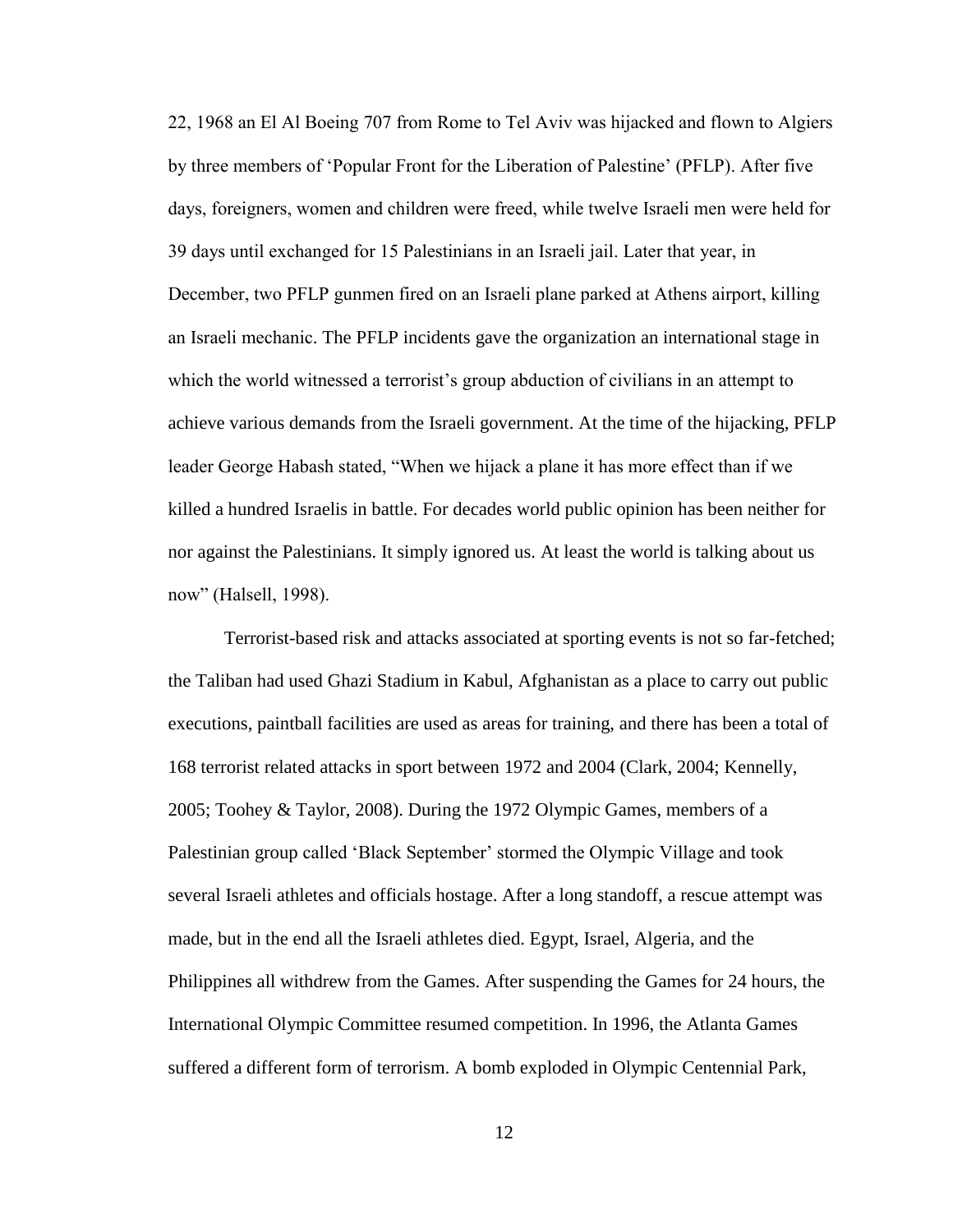22, 1968 an El Al Boeing 707 from Rome to Tel Aviv was hijacked and flown to Algiers by three members of 'Popular Front for the Liberation of Palestine' (PFLP). After five days, foreigners, women and children were freed, while twelve Israeli men were held for 39 days until exchanged for 15 Palestinians in an Israeli jail. Later that year, in December, two PFLP gunmen fired on an Israeli plane parked at Athens airport, killing an Israeli mechanic. The PFLP incidents gave the organization an international stage in which the world witnessed a terrorist's group abduction of civilians in an attempt to achieve various demands from the Israeli government. At the time of the hijacking, PFLP leader George Habash stated, "When we hijack a plane it has more effect than if we killed a hundred Israelis in battle. For decades world public opinion has been neither for nor against the Palestinians. It simply ignored us. At least the world is talking about us now" (Halsell, 1998).

 Terrorist-based risk and attacks associated at sporting events is not so far-fetched; the Taliban had used Ghazi Stadium in Kabul, Afghanistan as a place to carry out public executions, paintball facilities are used as areas for training, and there has been a total of 168 terrorist related attacks in sport between 1972 and 2004 (Clark, 2004; Kennelly, 2005; Toohey & Taylor, 2008). During the 1972 Olympic Games, members of a Palestinian group called 'Black September' stormed the Olympic Village and took several Israeli athletes and officials hostage. After a long standoff, a rescue attempt was made, but in the end all the Israeli athletes died. Egypt, Israel, Algeria, and the Philippines all withdrew from the Games. After suspending the Games for 24 hours, the International Olympic Committee resumed competition. In 1996, the Atlanta Games suffered a different form of terrorism. A bomb exploded in Olympic Centennial Park,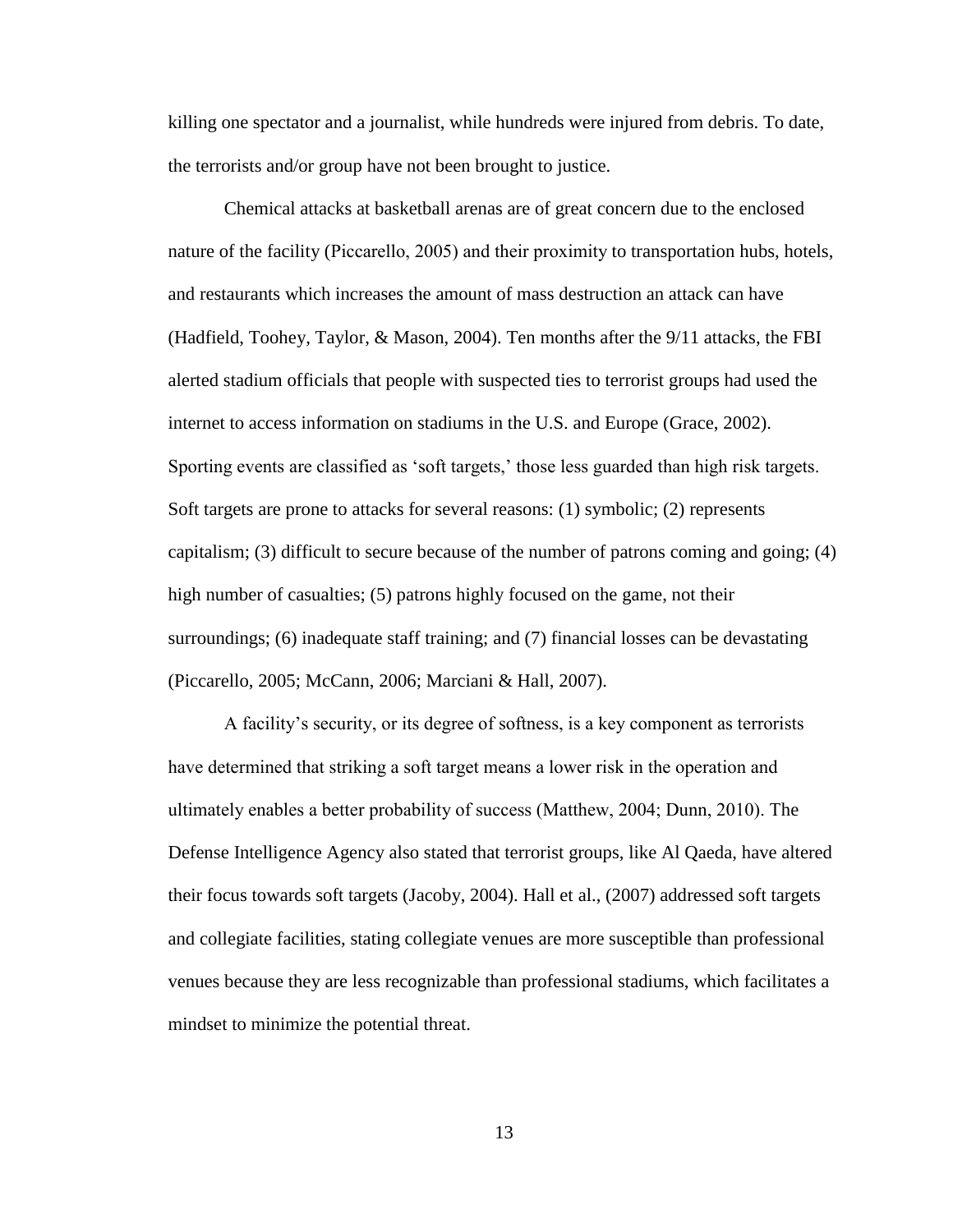killing one spectator and a journalist, while hundreds were injured from debris. To date, the terrorists and/or group have not been brought to justice.

 Chemical attacks at basketball arenas are of great concern due to the enclosed nature of the facility (Piccarello, 2005) and their proximity to transportation hubs, hotels, and restaurants which increases the amount of mass destruction an attack can have (Hadfield, Toohey, Taylor, & Mason, 2004). Ten months after the 9/11 attacks, the FBI alerted stadium officials that people with suspected ties to terrorist groups had used the internet to access information on stadiums in the U.S. and Europe (Grace, 2002). Sporting events are classified as 'soft targets,' those less guarded than high risk targets. Soft targets are prone to attacks for several reasons: (1) symbolic; (2) represents capitalism; (3) difficult to secure because of the number of patrons coming and going; (4) high number of casualties; (5) patrons highly focused on the game, not their surroundings; (6) inadequate staff training; and (7) financial losses can be devastating (Piccarello, 2005; McCann, 2006; Marciani & Hall, 2007).

A facility's security, or its degree of softness, is a key component as terrorists have determined that striking a soft target means a lower risk in the operation and ultimately enables a better probability of success (Matthew, 2004; Dunn, 2010). The Defense Intelligence Agency also stated that terrorist groups, like Al Qaeda, have altered their focus towards soft targets (Jacoby, 2004). Hall et al., (2007) addressed soft targets and collegiate facilities, stating collegiate venues are more susceptible than professional venues because they are less recognizable than professional stadiums, which facilitates a mindset to minimize the potential threat.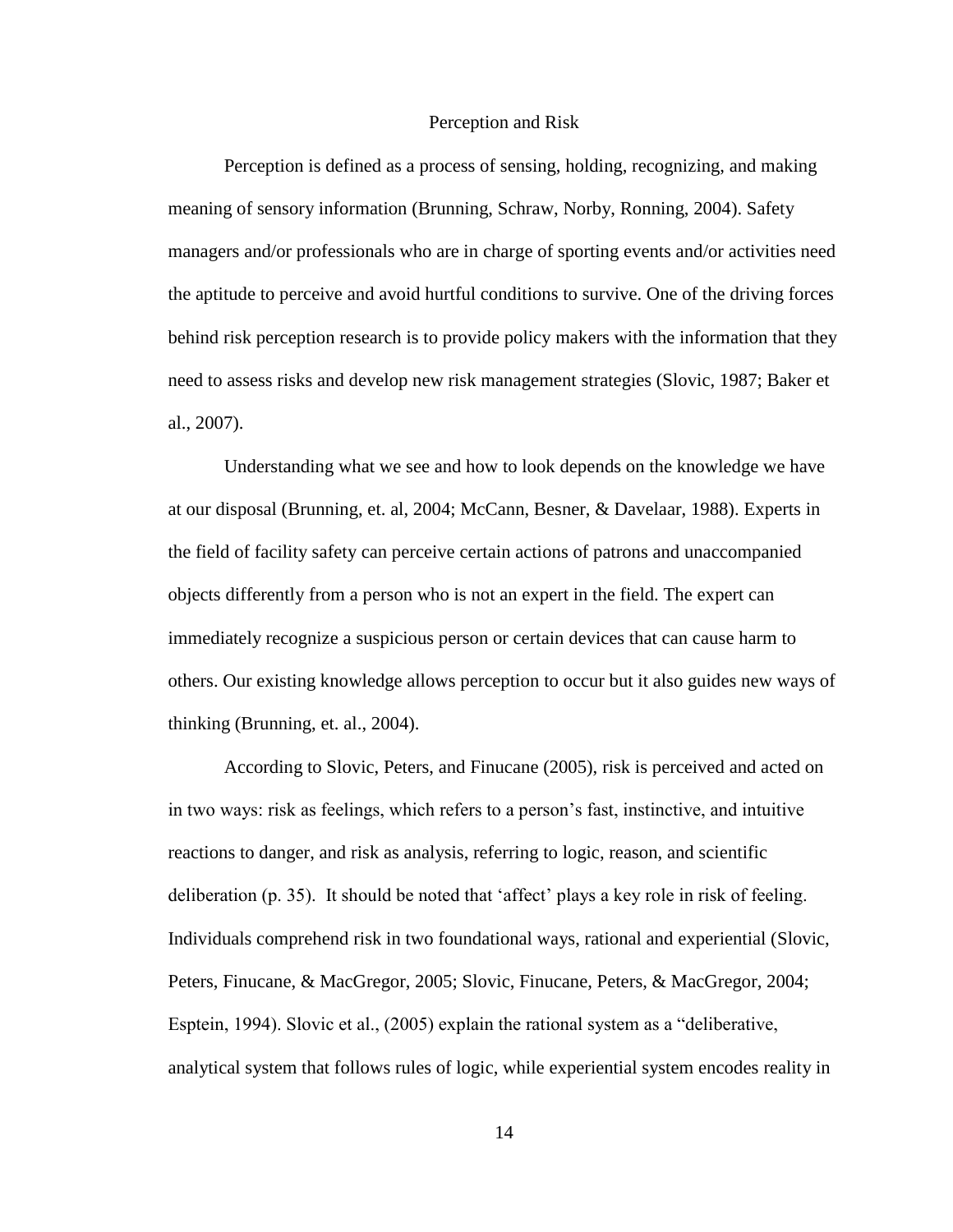#### Perception and Risk

 Perception is defined as a process of sensing, holding, recognizing, and making meaning of sensory information (Brunning, Schraw, Norby, Ronning, 2004). Safety managers and/or professionals who are in charge of sporting events and/or activities need the aptitude to perceive and avoid hurtful conditions to survive. One of the driving forces behind risk perception research is to provide policy makers with the information that they need to assess risks and develop new risk management strategies (Slovic, 1987; Baker et al., 2007).

 Understanding what we see and how to look depends on the knowledge we have at our disposal (Brunning, et. al, 2004; McCann, Besner, & Davelaar, 1988). Experts in the field of facility safety can perceive certain actions of patrons and unaccompanied objects differently from a person who is not an expert in the field. The expert can immediately recognize a suspicious person or certain devices that can cause harm to others. Our existing knowledge allows perception to occur but it also guides new ways of thinking (Brunning, et. al., 2004).

 According to Slovic, Peters, and Finucane (2005), risk is perceived and acted on in two ways: risk as feelings, which refers to a person's fast, instinctive, and intuitive reactions to danger, and risk as analysis, referring to logic, reason, and scientific deliberation (p. 35). It should be noted that 'affect' plays a key role in risk of feeling. Individuals comprehend risk in two foundational ways, rational and experiential (Slovic, Peters, Finucane, & MacGregor, 2005; Slovic, Finucane, Peters, & MacGregor, 2004; Esptein, 1994). Slovic et al.,  $(2005)$  explain the rational system as a "deliberative, analytical system that follows rules of logic, while experiential system encodes reality in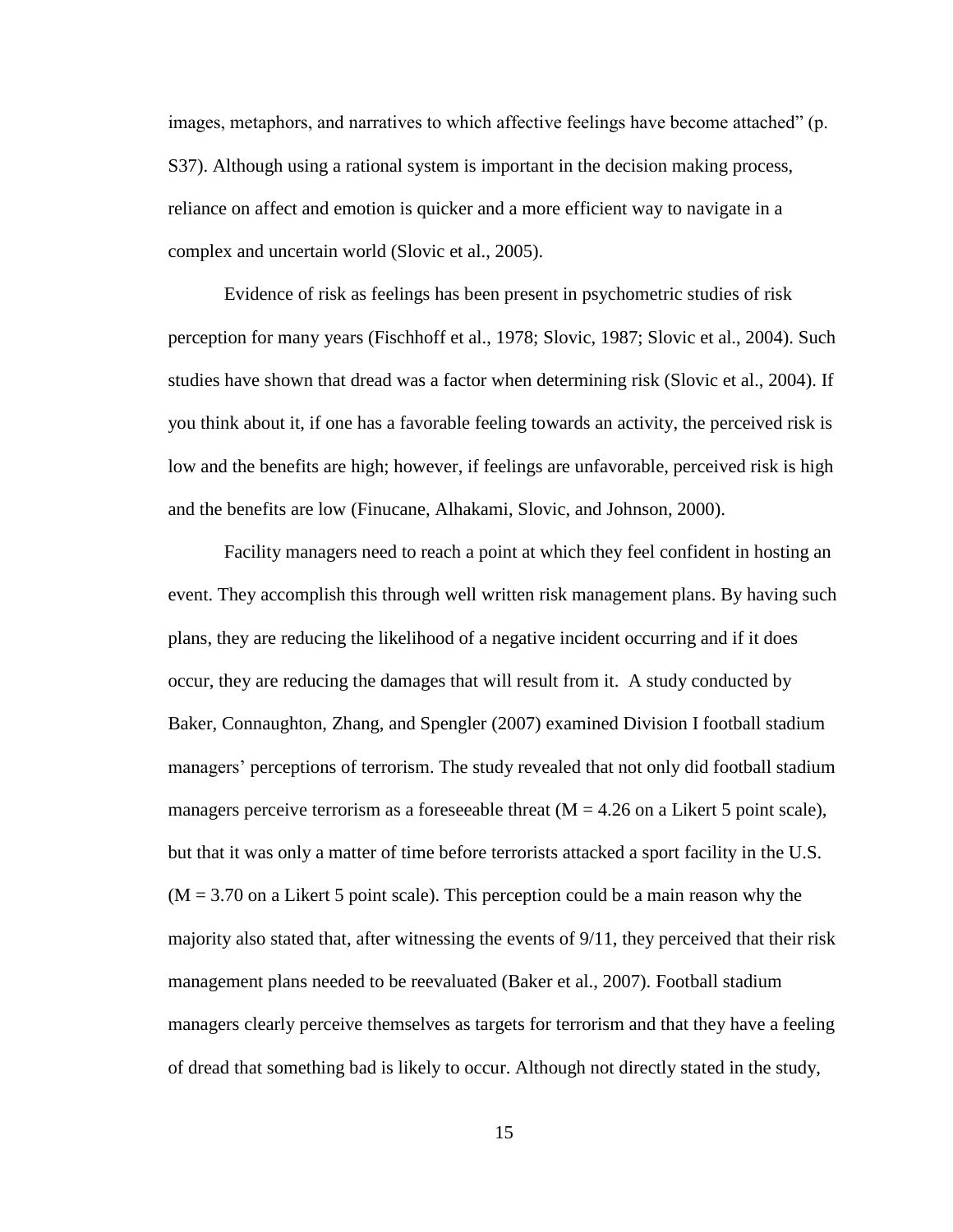images, metaphors, and narratives to which affective feelings have become attached" (p. S37). Although using a rational system is important in the decision making process, reliance on affect and emotion is quicker and a more efficient way to navigate in a complex and uncertain world (Slovic et al., 2005).

 Evidence of risk as feelings has been present in psychometric studies of risk perception for many years (Fischhoff et al., 1978; Slovic, 1987; Slovic et al., 2004). Such studies have shown that dread was a factor when determining risk (Slovic et al., 2004). If you think about it, if one has a favorable feeling towards an activity, the perceived risk is low and the benefits are high; however, if feelings are unfavorable, perceived risk is high and the benefits are low (Finucane, Alhakami, Slovic, and Johnson, 2000).

 Facility managers need to reach a point at which they feel confident in hosting an event. They accomplish this through well written risk management plans. By having such plans, they are reducing the likelihood of a negative incident occurring and if it does occur, they are reducing the damages that will result from it. A study conducted by Baker, Connaughton, Zhang, and Spengler (2007) examined Division I football stadium managers' perceptions of terrorism. The study revealed that not only did football stadium managers perceive terrorism as a foreseeable threat  $(M = 4.26$  on a Likert 5 point scale), but that it was only a matter of time before terrorists attacked a sport facility in the U.S.  $(M = 3.70)$  on a Likert 5 point scale). This perception could be a main reason why the majority also stated that, after witnessing the events of 9/11, they perceived that their risk management plans needed to be reevaluated (Baker et al., 2007). Football stadium managers clearly perceive themselves as targets for terrorism and that they have a feeling of dread that something bad is likely to occur. Although not directly stated in the study,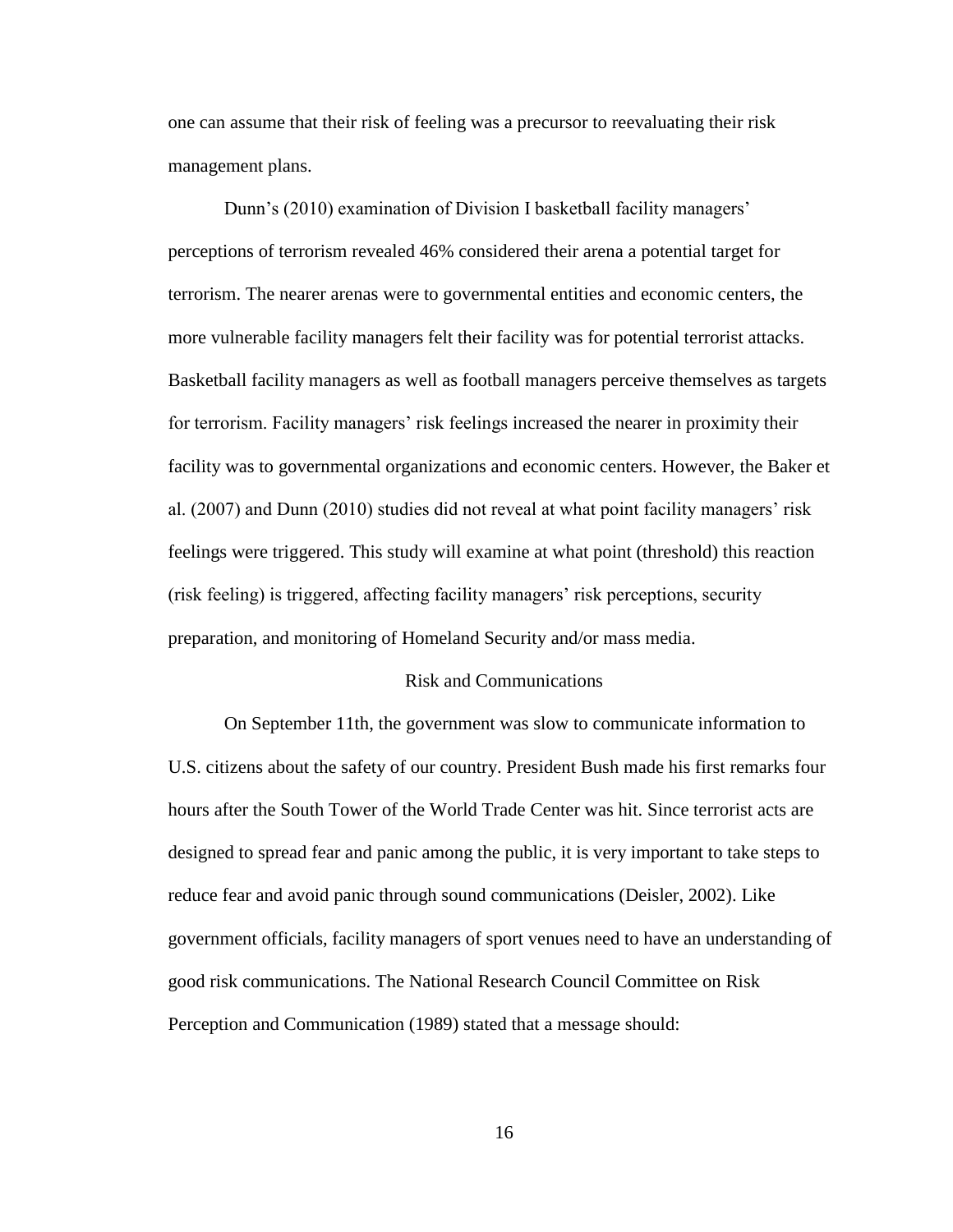one can assume that their risk of feeling was a precursor to reevaluating their risk management plans.

Dunn's (2010) examination of Division I basketball facility managers' perceptions of terrorism revealed 46% considered their arena a potential target for terrorism. The nearer arenas were to governmental entities and economic centers, the more vulnerable facility managers felt their facility was for potential terrorist attacks. Basketball facility managers as well as football managers perceive themselves as targets for terrorism. Facility managers' risk feelings increased the nearer in proximity their facility was to governmental organizations and economic centers. However, the Baker et al.  $(2007)$  and Dunn  $(2010)$  studies did not reveal at what point facility managers' risk feelings were triggered. This study will examine at what point (threshold) this reaction (risk feeling) is triggered, affecting facility managers' risk perceptions, security preparation, and monitoring of Homeland Security and/or mass media.

#### Risk and Communications

 On September 11th, the government was slow to communicate information to U.S. citizens about the safety of our country. President Bush made his first remarks four hours after the South Tower of the World Trade Center was hit. Since terrorist acts are designed to spread fear and panic among the public, it is very important to take steps to reduce fear and avoid panic through sound communications (Deisler, 2002). Like government officials, facility managers of sport venues need to have an understanding of good risk communications. The National Research Council Committee on Risk Perception and Communication (1989) stated that a message should: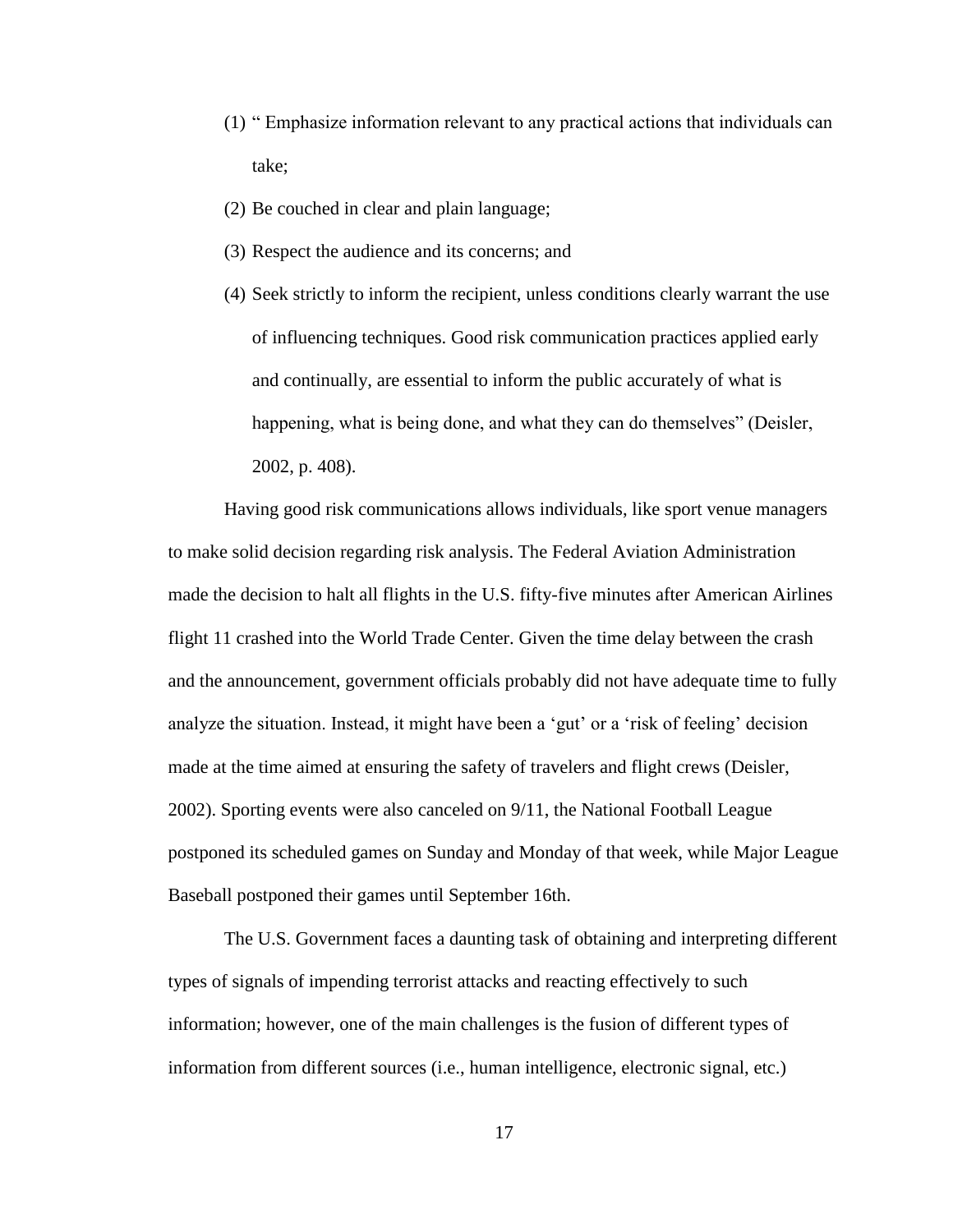- $(1)$  "Emphasize information relevant to any practical actions that individuals can take;
- (2) Be couched in clear and plain language;
- (3) Respect the audience and its concerns; and
- (4) Seek strictly to inform the recipient, unless conditions clearly warrant the use of influencing techniques. Good risk communication practices applied early and continually, are essential to inform the public accurately of what is happening, what is being done, and what they can do themselves" (Deisler, 2002, p. 408).

 Having good risk communications allows individuals, like sport venue managers to make solid decision regarding risk analysis. The Federal Aviation Administration made the decision to halt all flights in the U.S. fifty-five minutes after American Airlines flight 11 crashed into the World Trade Center. Given the time delay between the crash and the announcement, government officials probably did not have adequate time to fully analyze the situation. Instead, it might have been a 'gut' or a 'risk of feeling' decision made at the time aimed at ensuring the safety of travelers and flight crews (Deisler, 2002). Sporting events were also canceled on 9/11, the National Football League postponed its scheduled games on Sunday and Monday of that week, while Major League Baseball postponed their games until September 16th.

 The U.S. Government faces a daunting task of obtaining and interpreting different types of signals of impending terrorist attacks and reacting effectively to such information; however, one of the main challenges is the fusion of different types of information from different sources (i.e., human intelligence, electronic signal, etc.)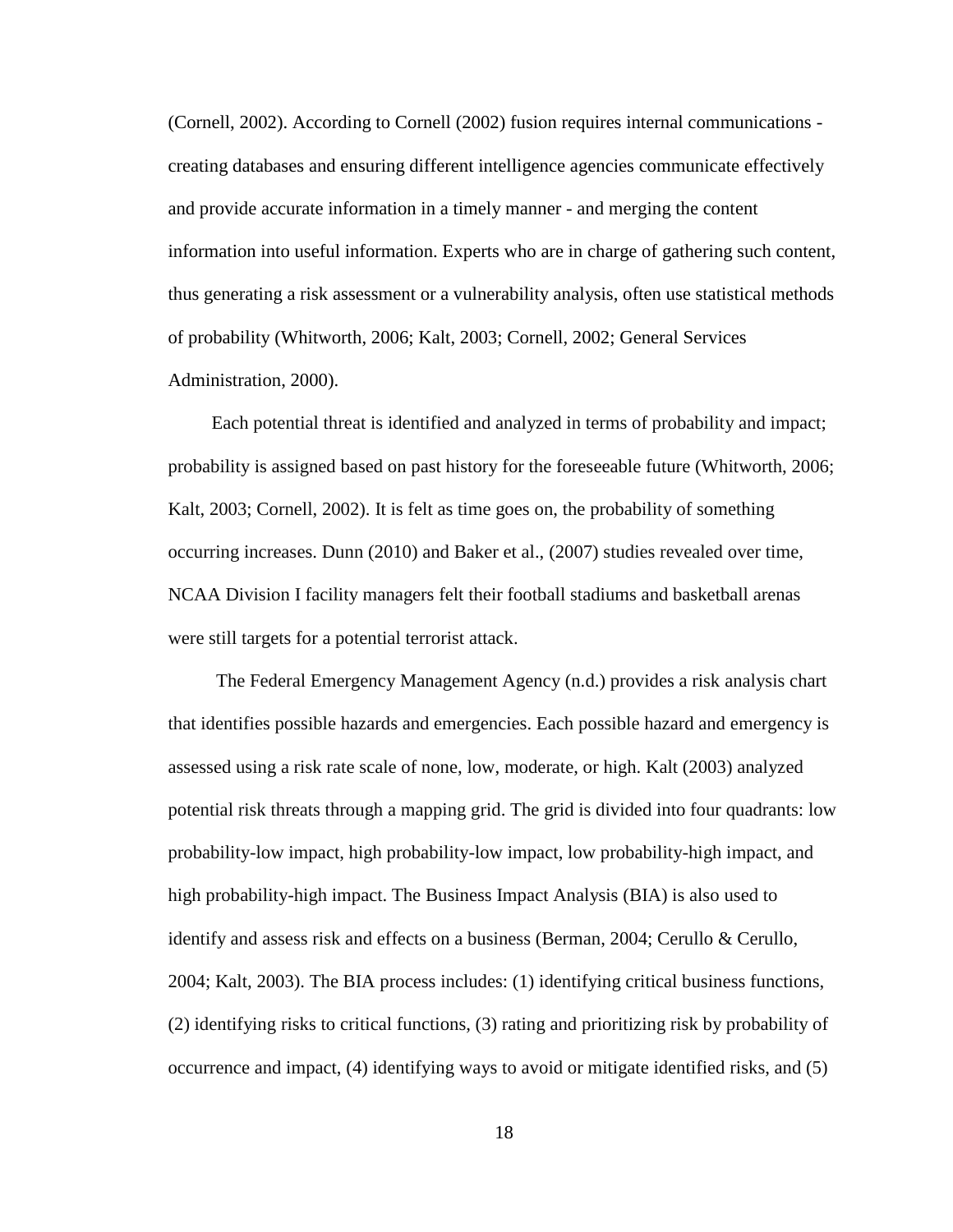(Cornell, 2002). According to Cornell (2002) fusion requires internal communications creating databases and ensuring different intelligence agencies communicate effectively and provide accurate information in a timely manner - and merging the content information into useful information. Experts who are in charge of gathering such content, thus generating a risk assessment or a vulnerability analysis, often use statistical methods of probability (Whitworth, 2006; Kalt, 2003; Cornell, 2002; General Services Administration, 2000).

 Each potential threat is identified and analyzed in terms of probability and impact; probability is assigned based on past history for the foreseeable future (Whitworth, 2006; Kalt, 2003; Cornell, 2002). It is felt as time goes on, the probability of something occurring increases. Dunn (2010) and Baker et al., (2007) studies revealed over time, NCAA Division I facility managers felt their football stadiums and basketball arenas were still targets for a potential terrorist attack.

 The Federal Emergency Management Agency (n.d.) provides a risk analysis chart that identifies possible hazards and emergencies. Each possible hazard and emergency is assessed using a risk rate scale of none, low, moderate, or high. Kalt (2003) analyzed potential risk threats through a mapping grid. The grid is divided into four quadrants: low probability-low impact, high probability-low impact, low probability-high impact, and high probability-high impact. The Business Impact Analysis (BIA) is also used to identify and assess risk and effects on a business (Berman, 2004; Cerullo & Cerullo, 2004; Kalt, 2003). The BIA process includes: (1) identifying critical business functions, (2) identifying risks to critical functions, (3) rating and prioritizing risk by probability of occurrence and impact, (4) identifying ways to avoid or mitigate identified risks, and (5)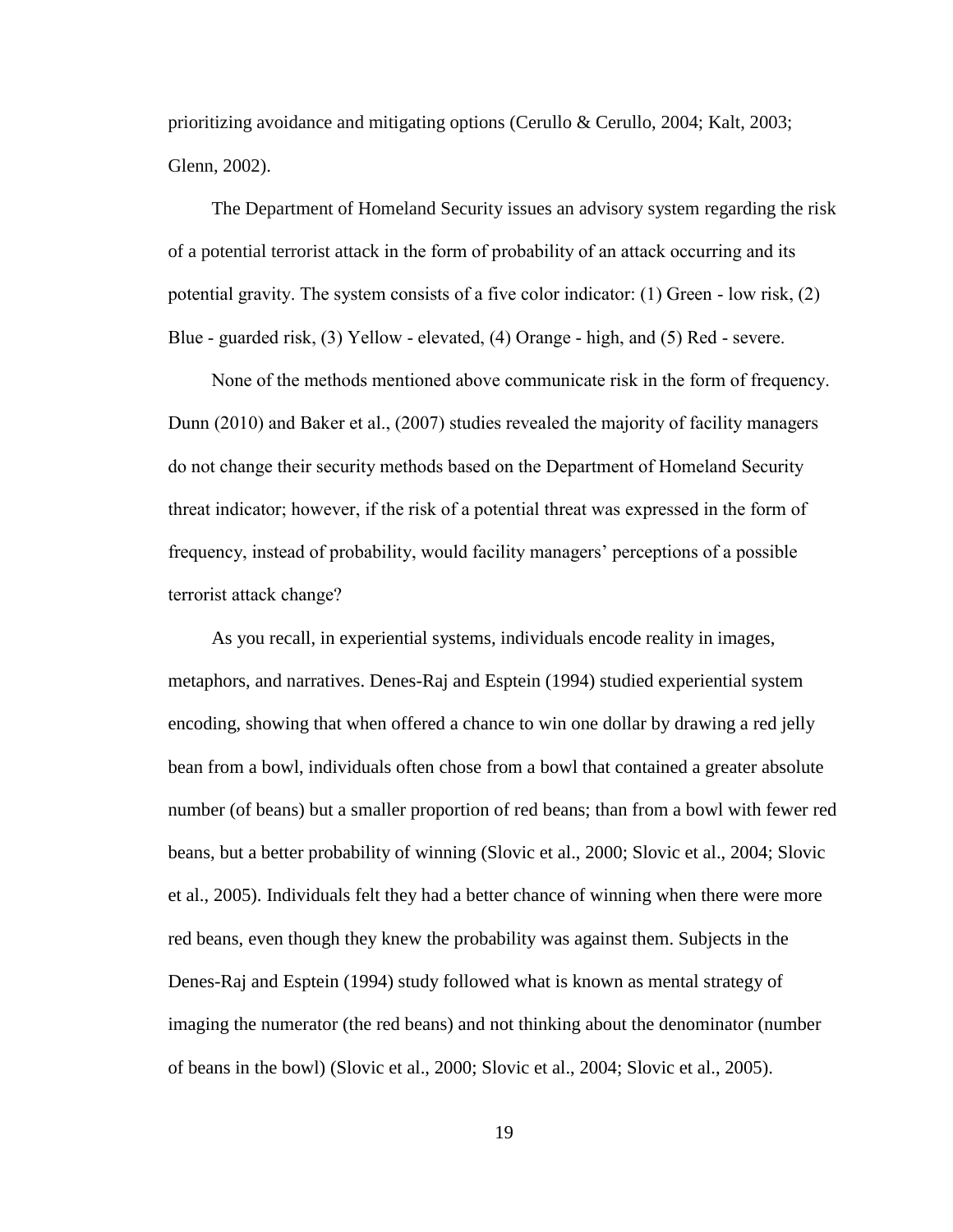prioritizing avoidance and mitigating options (Cerullo & Cerullo, 2004; Kalt, 2003; Glenn, 2002).

 The Department of Homeland Security issues an advisory system regarding the risk of a potential terrorist attack in the form of probability of an attack occurring and its potential gravity. The system consists of a five color indicator:  $(1)$  Green - low risk,  $(2)$ Blue - guarded risk,  $(3)$  Yellow - elevated,  $(4)$  Orange - high, and  $(5)$  Red - severe.

None of the methods mentioned above communicate risk in the form of frequency. Dunn (2010) and Baker et al., (2007) studies revealed the majority of facility managers do not change their security methods based on the Department of Homeland Security" threat indicator; however, if the risk of a potential threat was expressed in the form of frequency, instead of probability, would facility managers' perceptions of a possible terrorist attack change?

As you recall, in experiential systems, individuals encode reality in images, metaphors, and narratives. Denes-Raj and Esptein (1994) studied experiential system encoding, showing that when offered a chance to win one dollar by drawing a red jelly bean from a bowl, individuals often chose from a bowl that contained a greater absolute number (of beans) but a smaller proportion of red beans; than from a bowl with fewer red beans, but a better probability of winning (Slovic et al., 2000; Slovic et al., 2004; Slovic et al., 2005). Individuals felt they had a better chance of winning when there were more red beans, even though they knew the probability was against them. Subjects in the Denes-Raj and Esptein (1994) study followed what is known as mental strategy of imaging the numerator (the red beans) and not thinking about the denominator (number of beans in the bowl) (Slovic et al., 2000; Slovic et al., 2004; Slovic et al., 2005).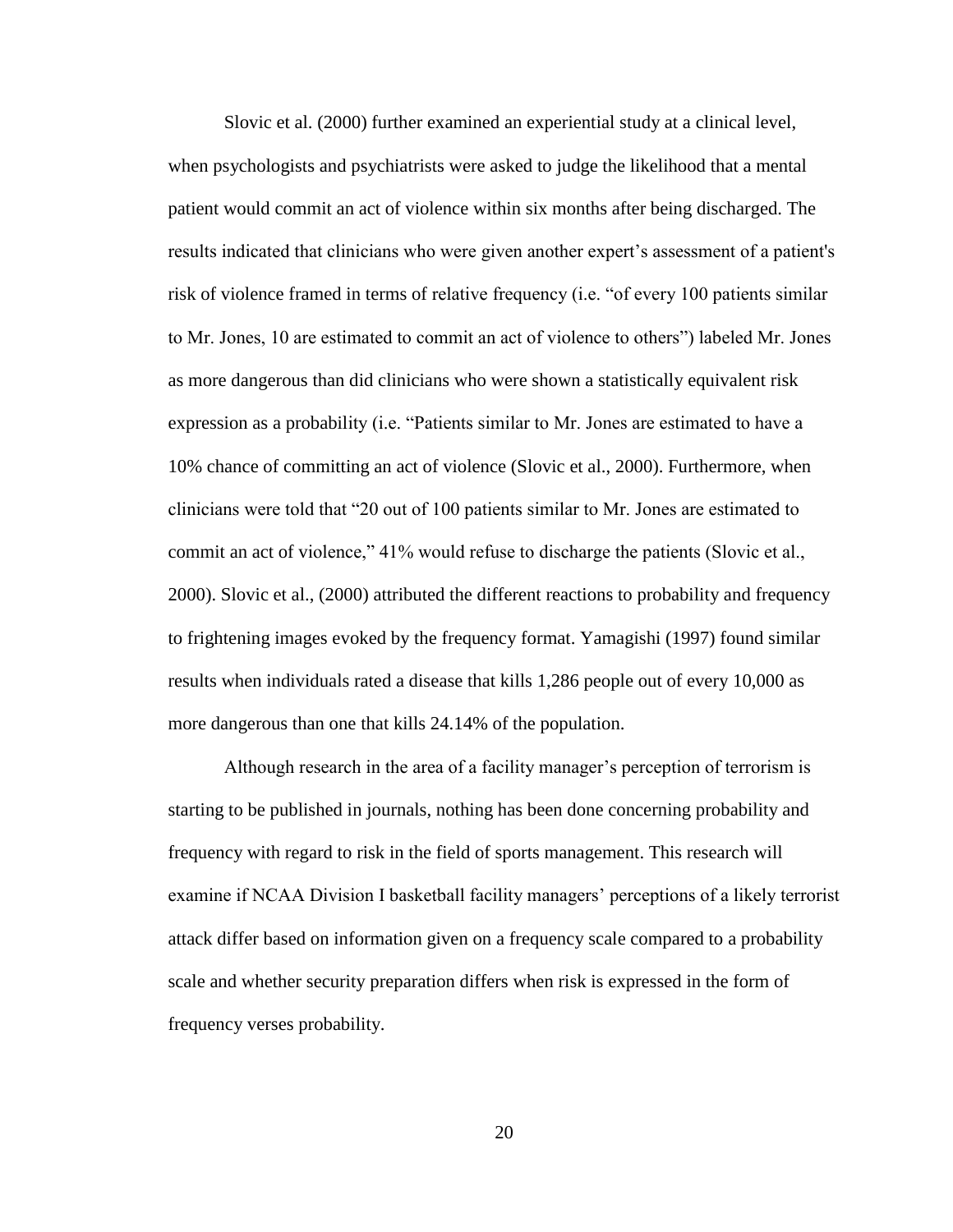Slovic et al. (2000) further examined an experiential study at a clinical level, when psychologists and psychiatrists were asked to judge the likelihood that a mental patient would commit an act of violence within six months after being discharged. The results indicated that clinicians who were given another expert's assessment of a patient's risk of violence framed in terms of relative frequency (i.e. "of every 100 patients similar to Mr. Jones, 10 are estimated to commit an act of violence to others") labeled Mr. Jones as more dangerous than did clinicians who were shown a statistically equivalent risk expression as a probability (i.e. "Patients similar to Mr. Jones are estimated to have a 10% chance of committing an act of violence (Slovic et al., 2000). Furthermore, when clinicians were told that "20 out of 100 patients similar to Mr. Jones are estimated to commit an act of violence," 41% would refuse to discharge the patients (Slovic et al., 2000). Slovic et al., (2000) attributed the different reactions to probability and frequency to frightening images evoked by the frequency format. Yamagishi (1997) found similar results when individuals rated a disease that kills 1,286 people out of every 10,000 as more dangerous than one that kills 24.14% of the population.

Although research in the area of a facility manager's perception of terrorism is starting to be published in journals, nothing has been done concerning probability and frequency with regard to risk in the field of sports management. This research will examine if NCAA Division I basketball facility managers' perceptions of a likely terrorist attack differ based on information given on a frequency scale compared to a probability scale and whether security preparation differs when risk is expressed in the form of frequency verses probability.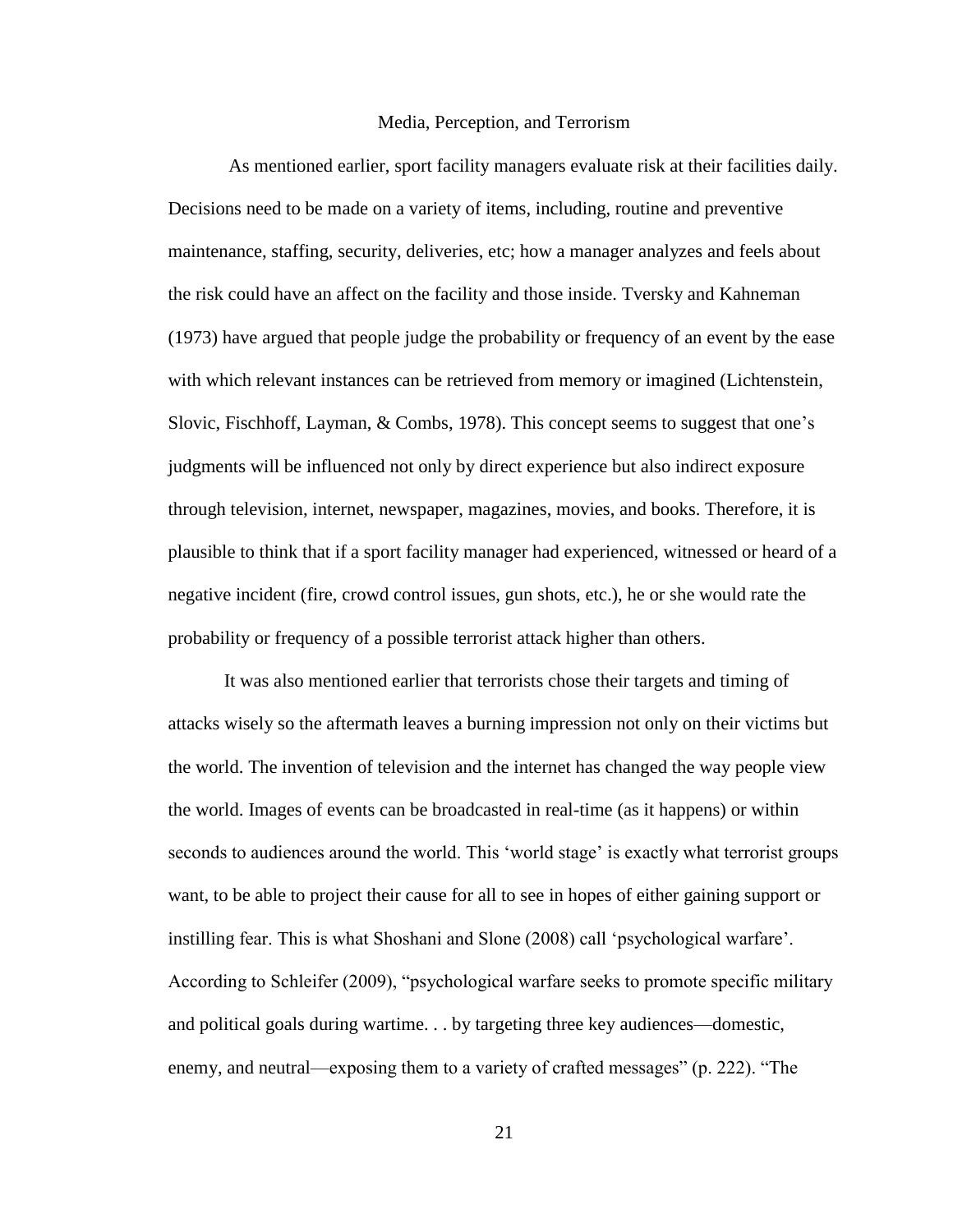#### Media, Perception, and Terrorism

 As mentioned earlier, sport facility managers evaluate risk at their facilities daily. Decisions need to be made on a variety of items, including, routine and preventive maintenance, staffing, security, deliveries, etc; how a manager analyzes and feels about the risk could have an affect on the facility and those inside. Tversky and Kahneman (1973) have argued that people judge the probability or frequency of an event by the ease with which relevant instances can be retrieved from memory or imagined (Lichtenstein, Slovic, Fischhoff, Layman,  $& Combs$ , 1978). This concept seems to suggest that one's judgments will be influenced not only by direct experience but also indirect exposure through television, internet, newspaper, magazines, movies, and books. Therefore, it is plausible to think that if a sport facility manager had experienced, witnessed or heard of a negative incident (fire, crowd control issues, gun shots, etc.), he or she would rate the probability or frequency of a possible terrorist attack higher than others.

 It was also mentioned earlier that terrorists chose their targets and timing of attacks wisely so the aftermath leaves a burning impression not only on their victims but the world. The invention of television and the internet has changed the way people view the world. Images of events can be broadcasted in real-time (as it happens) or within seconds to audiences around the world. This 'world stage' is exactly what terrorist groups want, to be able to project their cause for all to see in hopes of either gaining support or instilling fear. This is what Shoshani and Slone (2008) call 'psychological warfare'. According to Schleifer (2009), "psychological warfare seeks to promote specific military and political goals during wartime. . . by targeting three key audiences—domestic, enemy, and neutral—exposing them to a variety of crafted messages" (p. 222). "The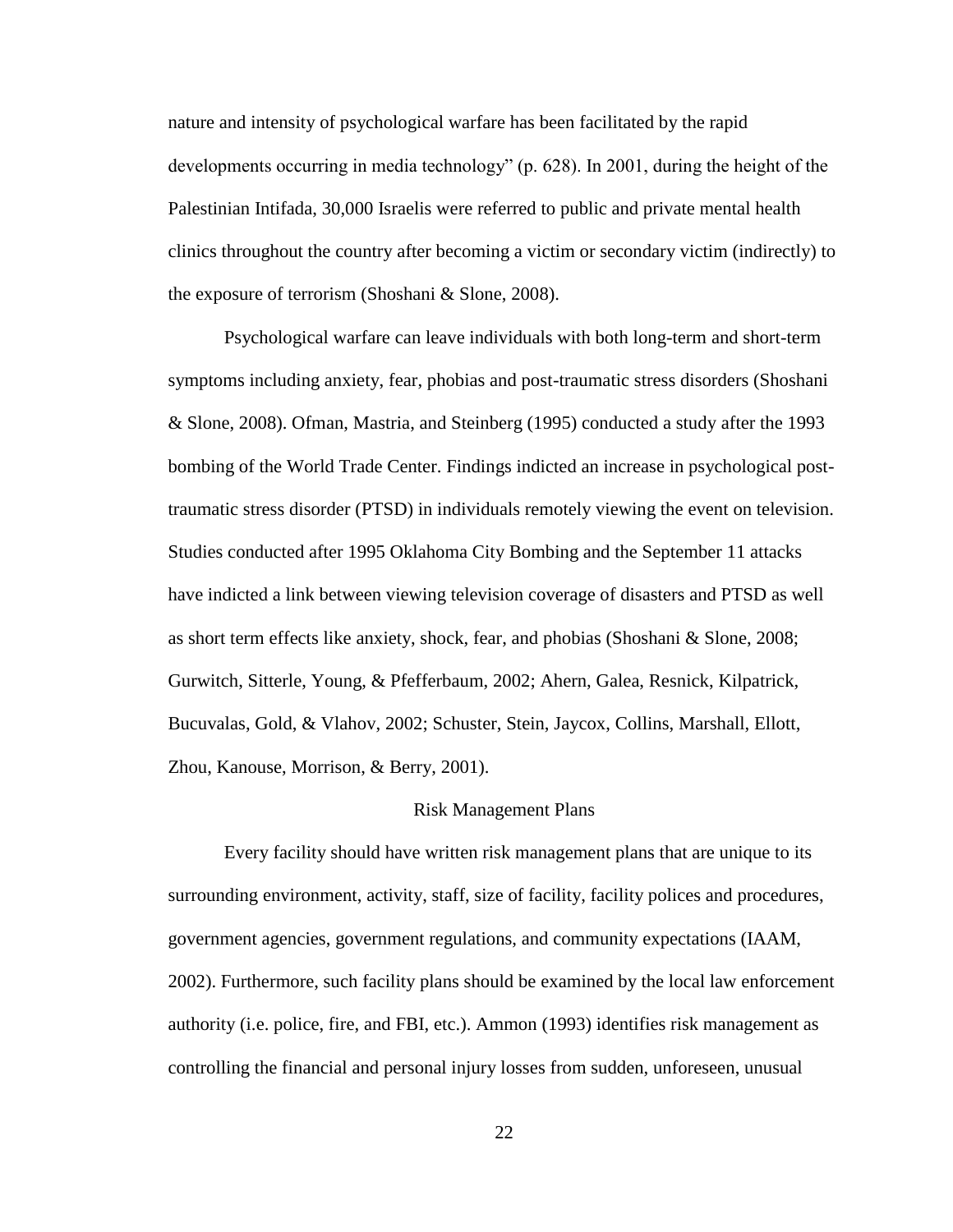nature and intensity of psychological warfare has been facilitated by the rapid developments occurring in media technology" (p. 628). In 2001, during the height of the Palestinian Intifada, 30,000 Israelis were referred to public and private mental health clinics throughout the country after becoming a victim or secondary victim (indirectly) to the exposure of terrorism (Shoshani & Slone, 2008).

 Psychological warfare can leave individuals with both long-term and short-term symptoms including anxiety, fear, phobias and post-traumatic stress disorders (Shoshani & Slone, 2008). Ofman, Mastria, and Steinberg (1995) conducted a study after the 1993 bombing of the World Trade Center. Findings indicted an increase in psychological posttraumatic stress disorder (PTSD) in individuals remotely viewing the event on television. Studies conducted after 1995 Oklahoma City Bombing and the September 11 attacks have indicted a link between viewing television coverage of disasters and PTSD as well as short term effects like anxiety, shock, fear, and phobias (Shoshani & Slone, 2008; Gurwitch, Sitterle, Young, & Pfefferbaum, 2002; Ahern, Galea, Resnick, Kilpatrick, Bucuvalas, Gold, & Vlahov, 2002; Schuster, Stein, Jaycox, Collins, Marshall, Ellott, Zhou, Kanouse, Morrison, & Berry, 2001).

#### Risk Management Plans

 Every facility should have written risk management plans that are unique to its surrounding environment, activity, staff, size of facility, facility polices and procedures, government agencies, government regulations, and community expectations (IAAM, 2002). Furthermore, such facility plans should be examined by the local law enforcement authority (i.e. police, fire, and FBI, etc.). Ammon (1993) identifies risk management as controlling the financial and personal injury losses from sudden, unforeseen, unusual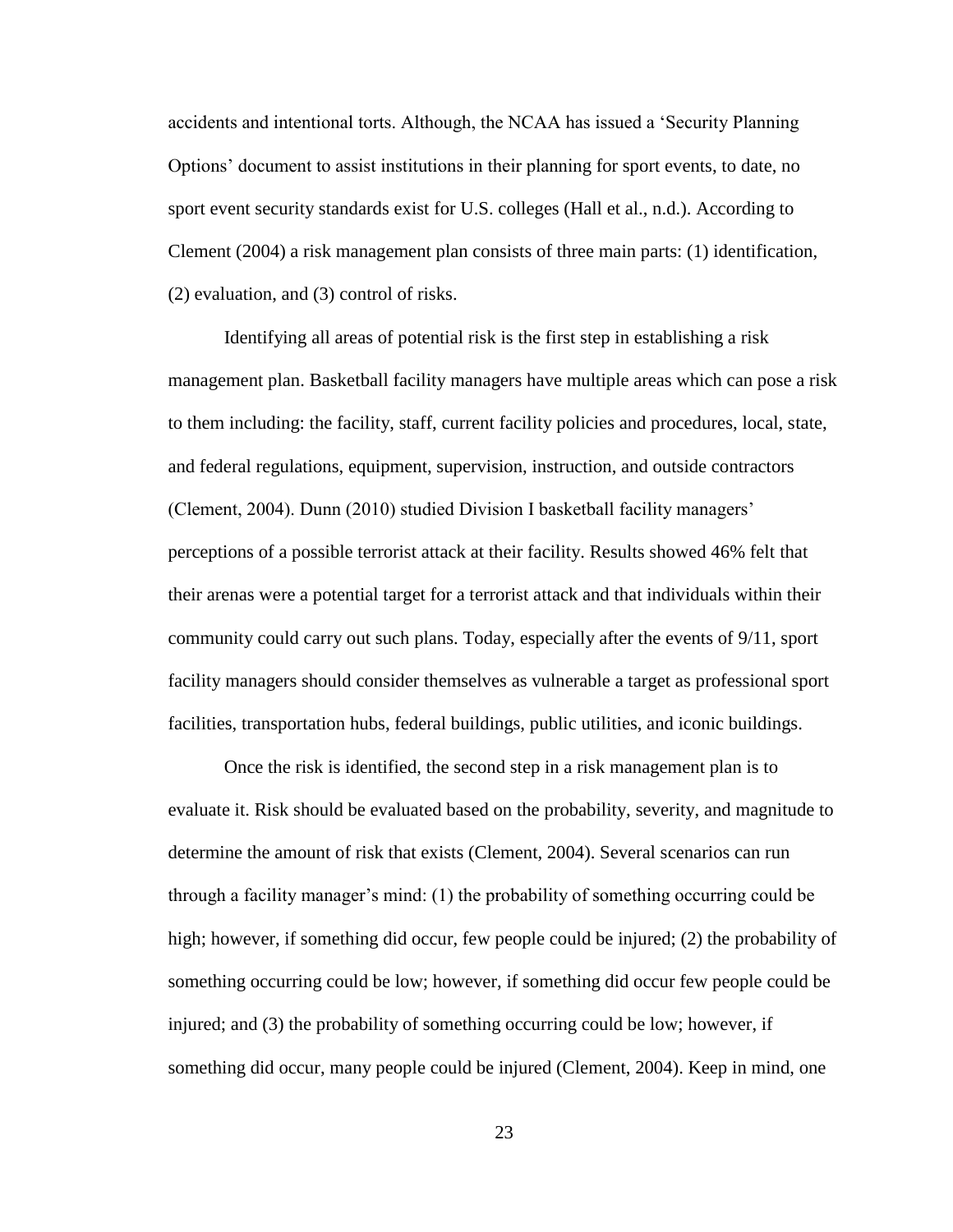accidents and intentional torts. Although, the NCAA has issued a 'Security Planning Options' document to assist institutions in their planning for sport events, to date, no sport event security standards exist for U.S. colleges (Hall et al., n.d.). According to Clement (2004) a risk management plan consists of three main parts: (1) identification, (2) evaluation, and (3) control of risks.

Identifying all areas of potential risk is the first step in establishing a risk management plan. Basketball facility managers have multiple areas which can pose a risk to them including: the facility, staff, current facility policies and procedures, local, state, and federal regulations, equipment, supervision, instruction, and outside contractors  $(Clement, 2004)$ . Dunn  $(2010)$  studied Division I basketball facility managers' perceptions of a possible terrorist attack at their facility. Results showed 46% felt that their arenas were a potential target for a terrorist attack and that individuals within their community could carry out such plans. Today, especially after the events of 9/11, sport facility managers should consider themselves as vulnerable a target as professional sport facilities, transportation hubs, federal buildings, public utilities, and iconic buildings.

 Once the risk is identified, the second step in a risk management plan is to evaluate it. Risk should be evaluated based on the probability, severity, and magnitude to determine the amount of risk that exists (Clement, 2004). Several scenarios can run through a facility manager's mind: (1) the probability of something occurring could be high; however, if something did occur, few people could be injured; (2) the probability of something occurring could be low; however, if something did occur few people could be injured; and (3) the probability of something occurring could be low; however, if something did occur, many people could be injured (Clement, 2004). Keep in mind, one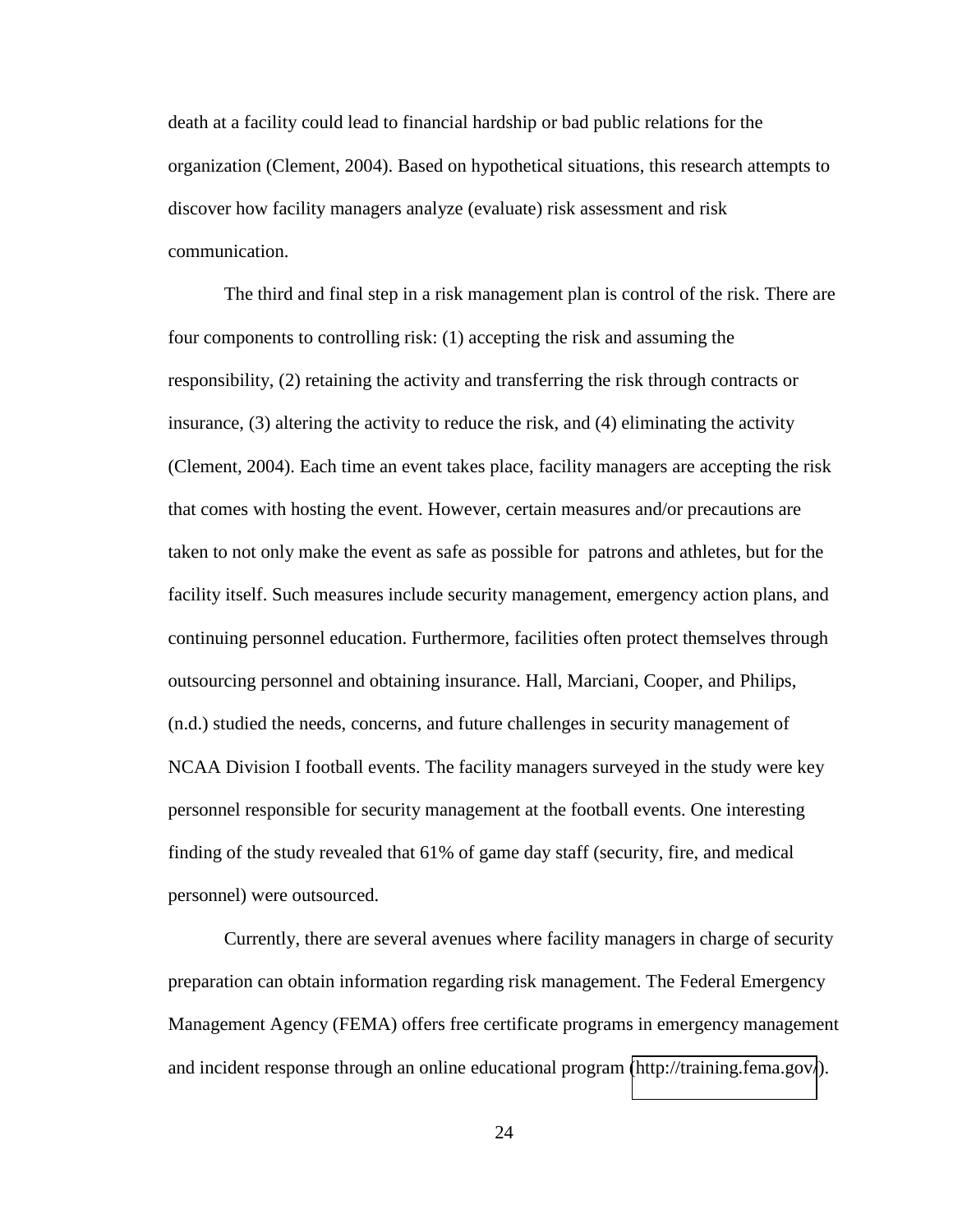death at a facility could lead to financial hardship or bad public relations for the organization (Clement, 2004). Based on hypothetical situations, this research attempts to discover how facility managers analyze (evaluate) risk assessment and risk communication.

 The third and final step in a risk management plan is control of the risk. There are four components to controlling risk: (1) accepting the risk and assuming the responsibility, (2) retaining the activity and transferring the risk through contracts or insurance, (3) altering the activity to reduce the risk, and (4) eliminating the activity (Clement, 2004). Each time an event takes place, facility managers are accepting the risk that comes with hosting the event. However, certain measures and/or precautions are taken to not only make the event as safe as possible for patrons and athletes, but for the facility itself. Such measures include security management, emergency action plans, and continuing personnel education. Furthermore, facilities often protect themselves through outsourcing personnel and obtaining insurance. Hall, Marciani, Cooper, and Philips, (n.d.) studied the needs, concerns, and future challenges in security management of NCAA Division I football events. The facility managers surveyed in the study were key personnel responsible for security management at the football events. One interesting finding of the study revealed that 61% of game day staff (security, fire, and medical personnel) were outsourced.

 Currently, there are several avenues where facility managers in charge of security preparation can obtain information regarding risk management. The Federal Emergency Management Agency (FEMA) offers free certificate programs in emergency management and incident response through an online educational program [\(http://training.fema.gov/](http://training.fema.gov/)).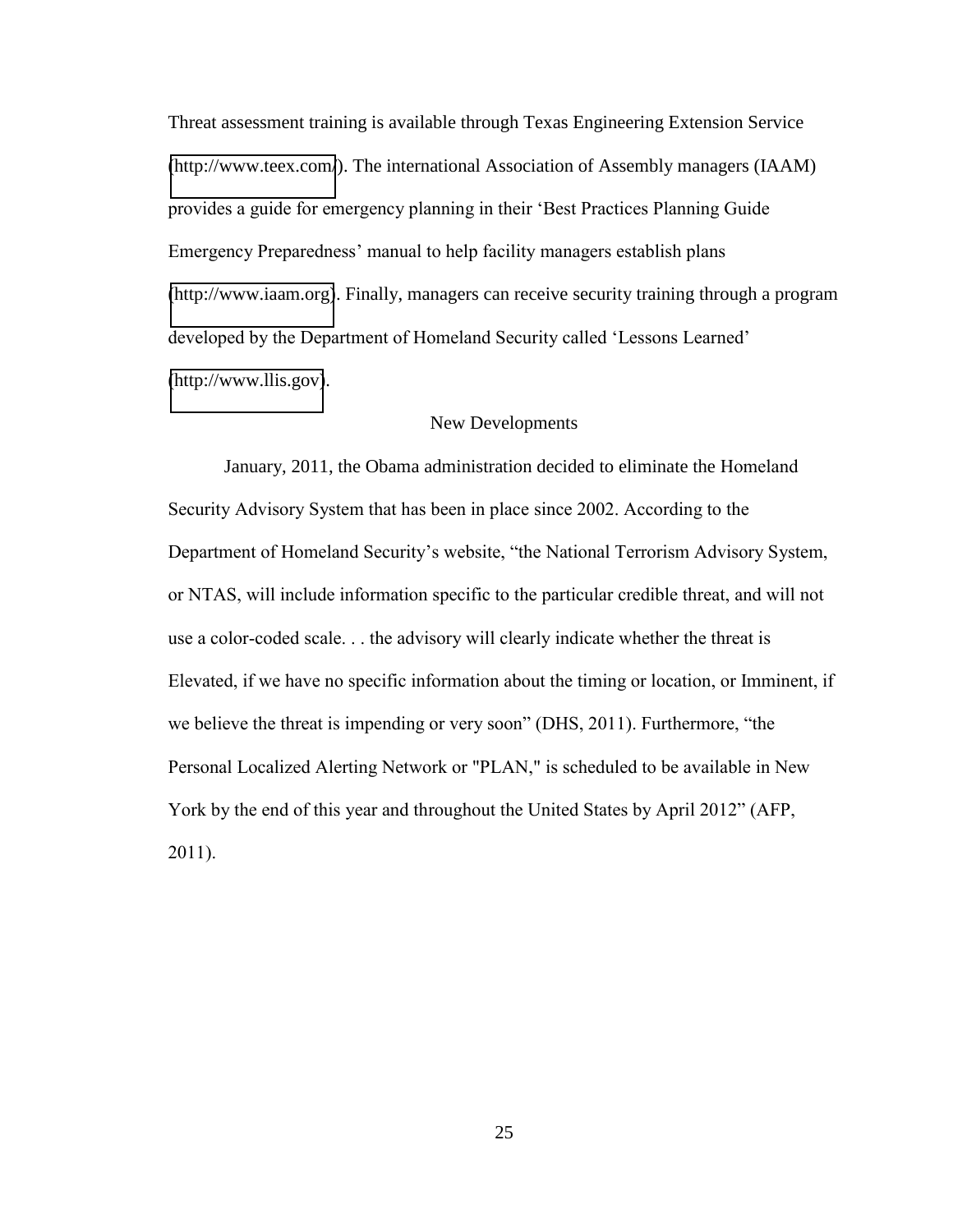Threat assessment training is available through Texas Engineering Extension Service [\(http://www.teex.com/](http://www.teex.com/)). The international Association of Assembly managers (IAAM) provides a guide for emergency planning in their 'Best Practices Planning Guide Emergency Preparedness' manual to help facility managers establish plans [\(http://www.iaam.org\)](http://www.iaam.org/). Finally, managers can receive security training through a program developed by the Department of Homeland Security called 'Lessons Learned' [\(http://www.llis.gov\)](http://www.llis.gov/).

## New Developments

 January, 2011, the Obama administration decided to eliminate the Homeland" Security Advisory System that has been in place since 2002. According to the Department of Homeland Security's website, "the National Terrorism Advisory System, or NTAS, will include information specific to the particular credible threat, and will not use a color-coded scale... the advisory will clearly indicate whether the threat is" Elevated, if we have no specific information about the timing or location, or Imminent, if we believe the threat is impending or very soon" (DHS, 2011). Furthermore, "the Personal Localized Alerting Network or "PLAN," is scheduled to be available in New" York by the end of this year and throughout the United States by April 2012" (AFP, 2011).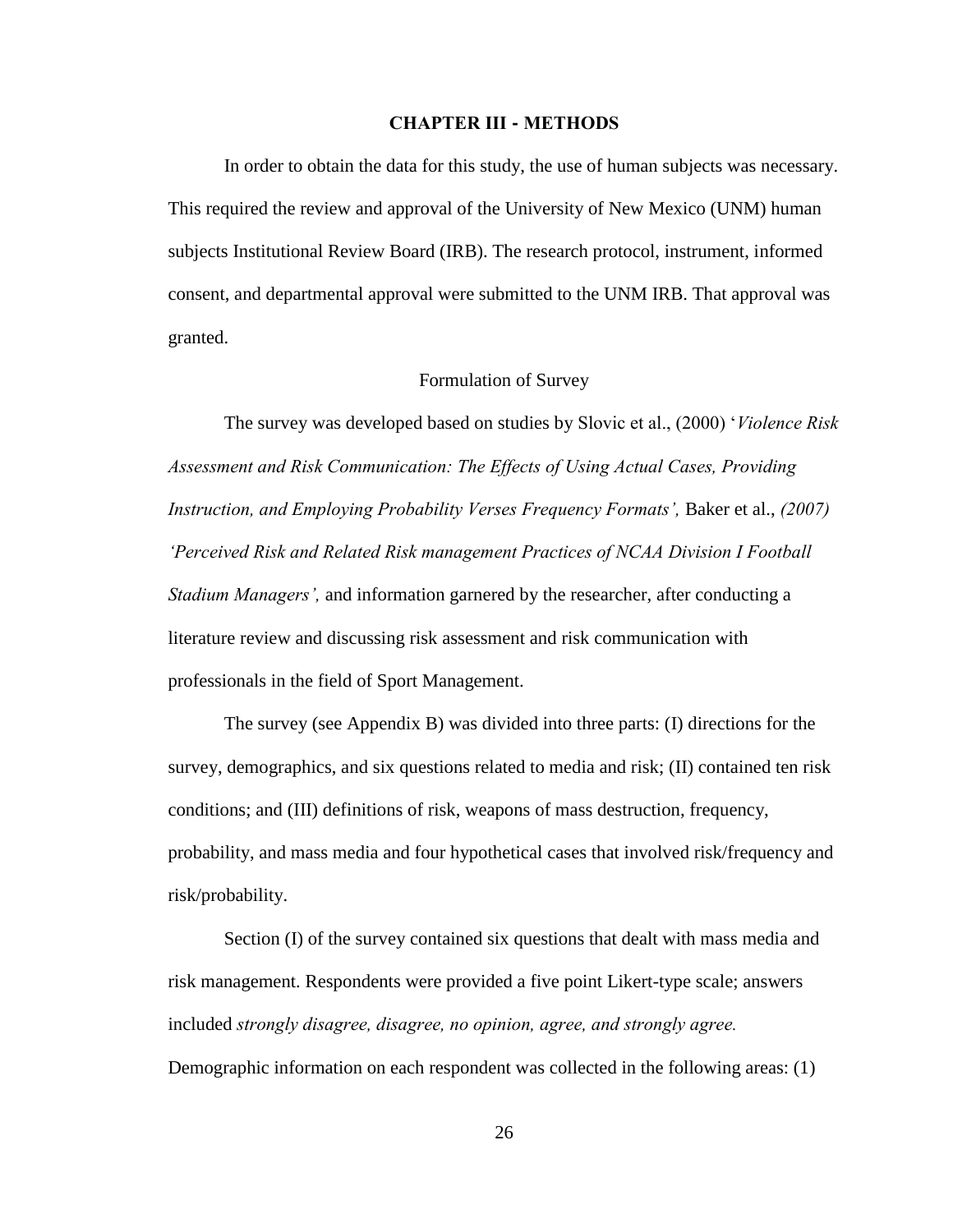#### **CHAPTER!III - METHODS**

In order to obtain the data for this study, the use of human subjects was necessary. This required the review and approval of the University of New Mexico (UNM) human subjects Institutional Review Board (IRB). The research protocol, instrument, informed consent, and departmental approval were submitted to the UNM IRB. That approval was granted.

# Formulation of Survey

The survey was developed based on studies by Slovic et al., (2000) *Violence Risk Assessment and Risk Communication: The Effects of Using Actual Cases, Providing Instruction, and Employing Probability Verses Frequency Formats', Baker et al., (2007) Perceived Risk and Related Risk management Practices of NCAA Division I Football Stadium Managers'*, and information garnered by the researcher, after conducting a literature review and discussing risk assessment and risk communication with professionals in the field of Sport Management.

 The survey (see Appendix B) was divided into three parts: (I) directions for the survey, demographics, and six questions related to media and risk; (II) contained ten risk conditions; and (III) definitions of risk, weapons of mass destruction, frequency, probability, and mass media and four hypothetical cases that involved risk/frequency and risk/probability.

 Section (I) of the survey contained six questions that dealt with mass media and risk management. Respondents were provided a five point Likert-type scale; answers included *strongly disagree, disagree, no opinion, agree, and strongly agree.* Demographic information on each respondent was collected in the following areas: (1)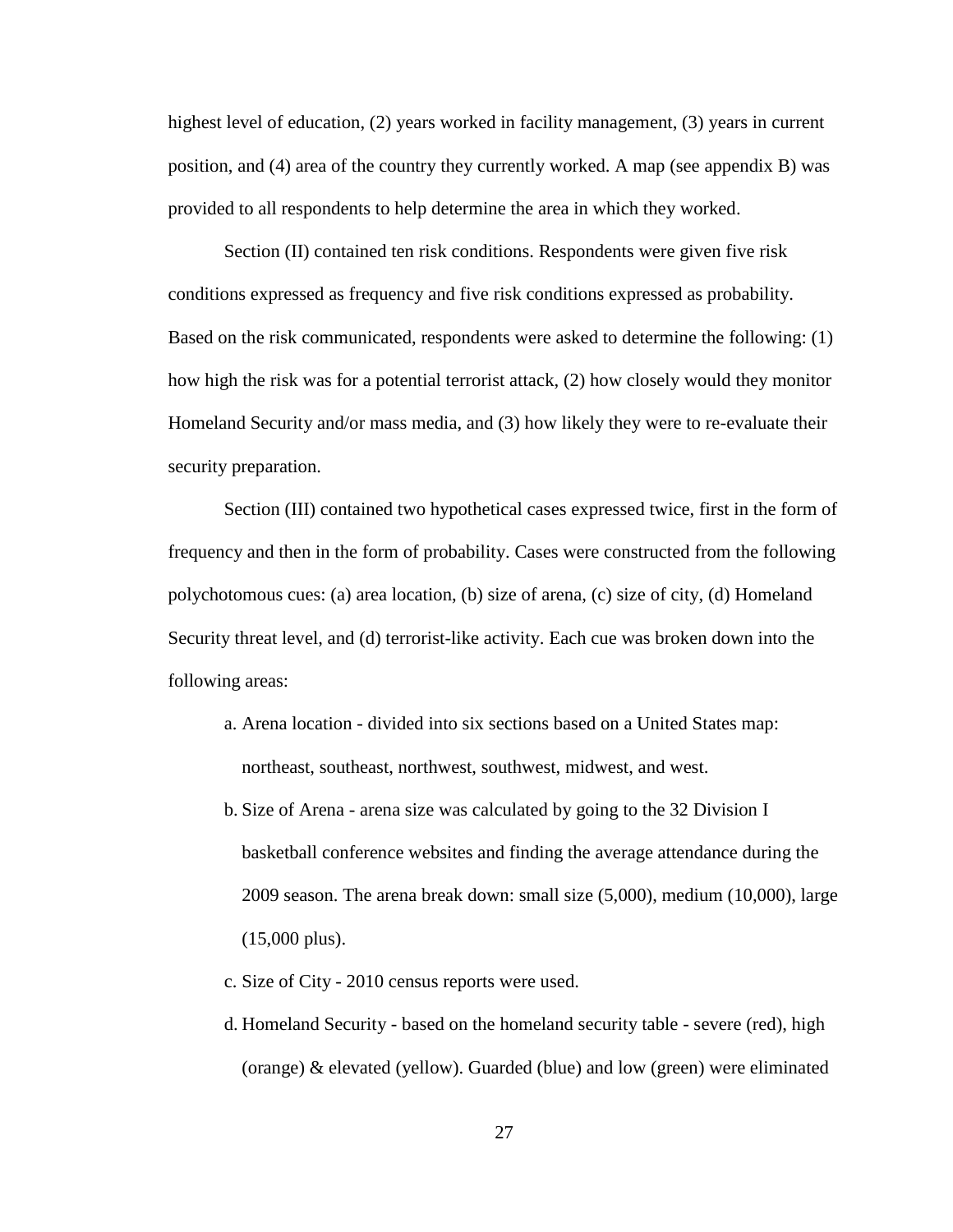highest level of education, (2) years worked in facility management, (3) years in current position, and (4) area of the country they currently worked. A map (see appendix B) was provided to all respondents to help determine the area in which they worked.

Section (II) contained ten risk conditions. Respondents were given five risk conditions expressed as frequency and five risk conditions expressed as probability. Based on the risk communicated, respondents were asked to determine the following: (1) how high the risk was for a potential terrorist attack, (2) how closely would they monitor Homeland Security and/or mass media, and (3) how likely they were to re-evaluate their security preparation.

Section (III) contained two hypothetical cases expressed twice, first in the form of frequency and then in the form of probability. Cases were constructed from the following polychotomous cues: (a) area location, (b) size of arena, (c) size of city, (d) Homeland Security threat level, and (d) terrorist-like activity. Each cue was broken down into the following areas:

- a. Arena location divided into six sections based on a United States map: northeast, southeast, northwest, southwest, midwest, and west.
- b. Size of Arena arena size was calculated by going to the 32 Division I basketball conference websites and finding the average attendance during the 2009 season. The arena break down: small size (5,000), medium (10,000), large (15,000 plus).
- c. Size of City 2010 census reports were used.
- d. Homeland Security based on the homeland security table severe (red), high (orange) & elevated (yellow). Guarded (blue) and low (green) were eliminated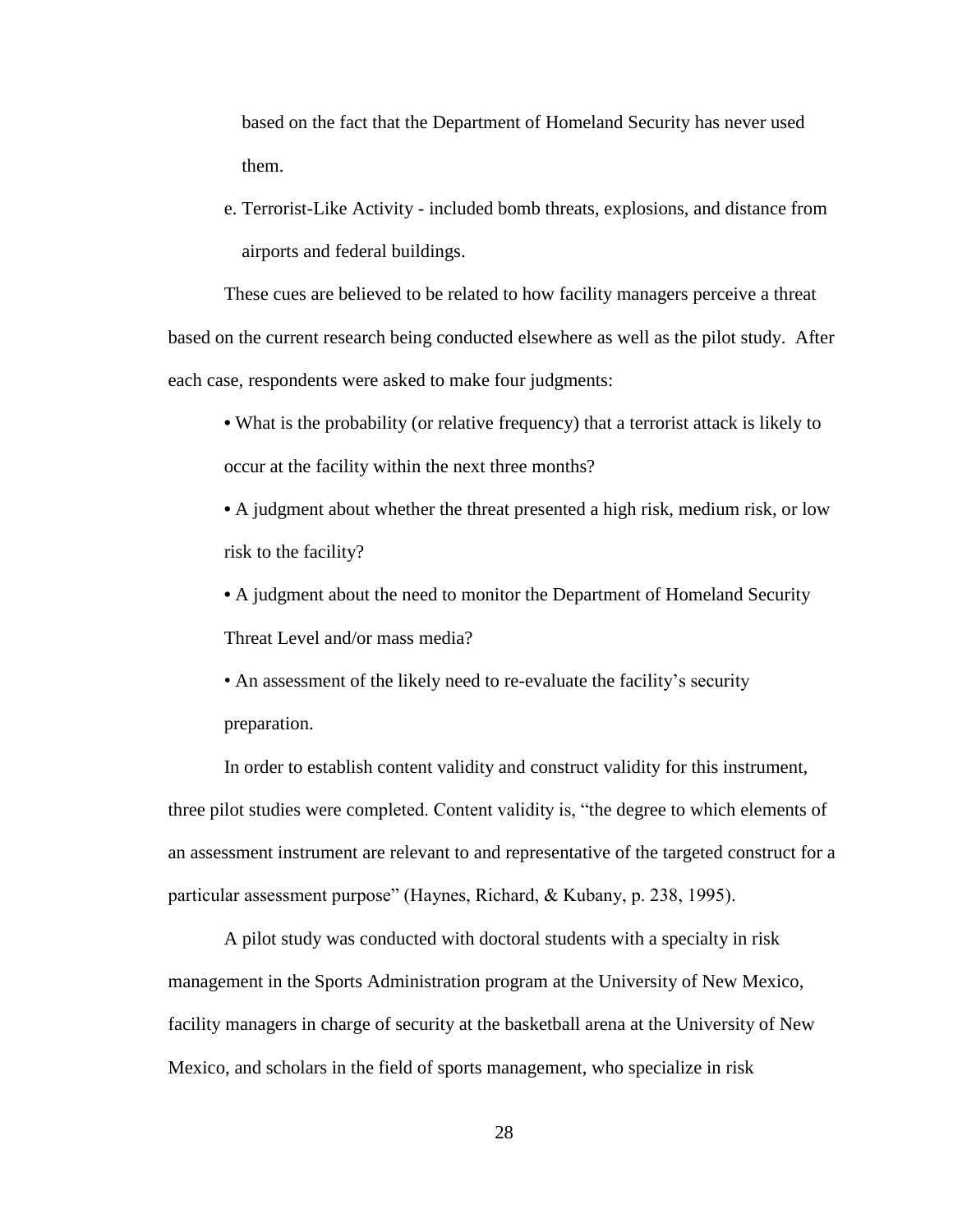based on the fact that the Department of Homeland Security has never used them.

e. Terrorist-Like Activity - included bomb threats, explosions, and distance from airports and federal buildings.

 These cues are believed to be related to how facility managers perceive a threat based on the current research being conducted elsewhere as well as the pilot study. After each case, respondents were asked to make four judgments:

 What is the probability (or relative frequency) that a terrorist attack is likely to occur at the facility within the next three months?

 A judgment about whether the threat presented a high risk, medium risk, or low risk to the facility?

 A judgment about the need to monitor the Department of Homeland Security Threat Level and/or mass media?

• An assessment of the likely need to re-evaluate the facility's security preparation.

 In order to establish content validity and construct validity for this instrument, three pilot studies were completed. Content validity is, "the degree to which elements of an assessment instrument are relevant to and representative of the targeted construct for a particular assessment purpose" (Haynes, Richard,  $\&$  Kubany, p. 238, 1995).

 A pilot study was conducted with doctoral students with a specialty in risk management in the Sports Administration program at the University of New Mexico, facility managers in charge of security at the basketball arena at the University of New Mexico, and scholars in the field of sports management, who specialize in risk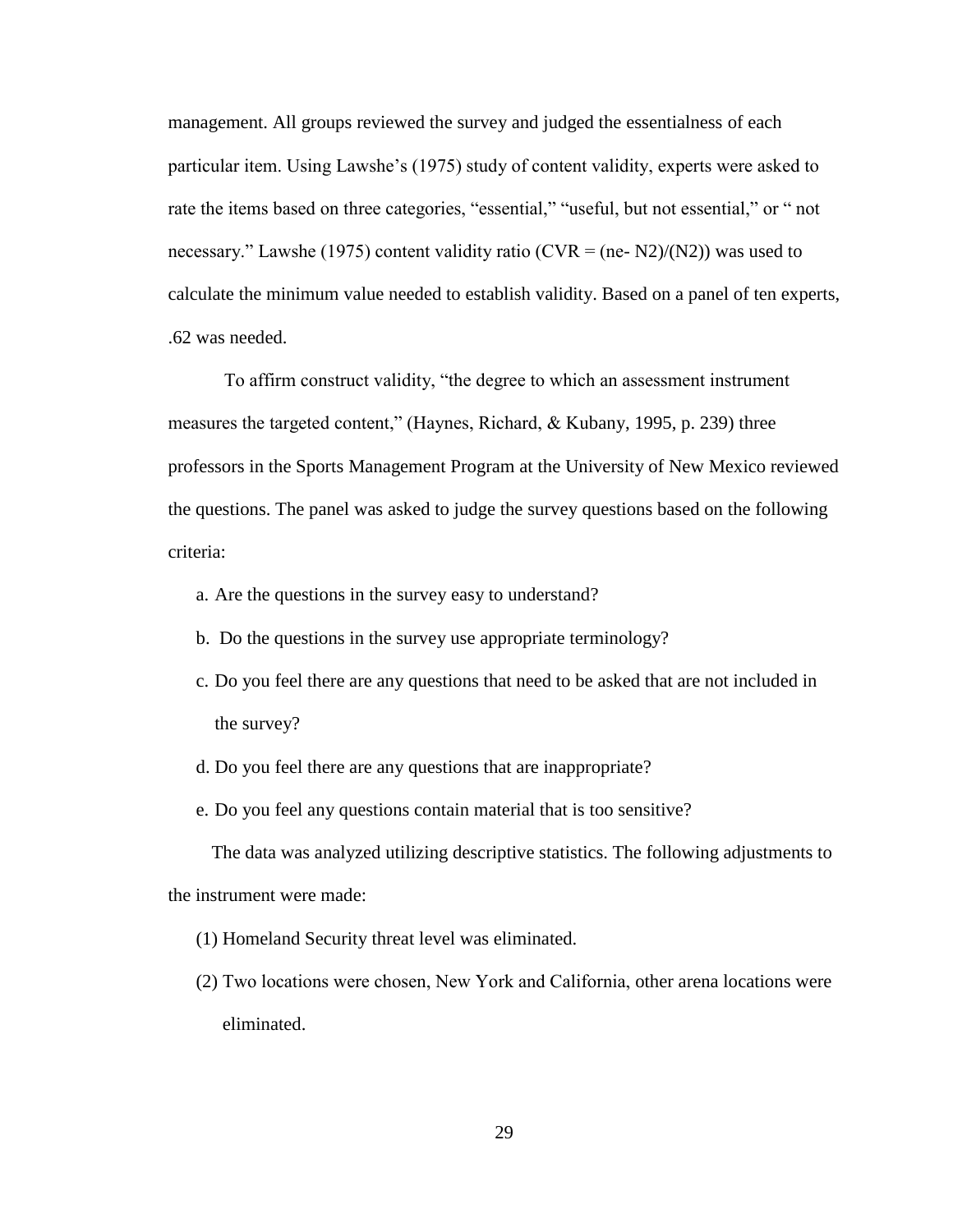management. All groups reviewed the survey and judged the essentialness of each particular item. Using Lawshe's (1975) study of content validity, experts were asked to rate the items based on three categories, "essential," "useful, but not essential," or " not necessary." Lawshe (1975) content validity ratio (CVR = (ne- N2)/(N2)) was used to calculate the minimum value needed to establish validity. Based on a panel of ten experts, .62 was needed.

To affirm construct validity, "the degree to which an assessment instrument measures the targeted content," (Haynes, Richard,  $&$  Kubany, 1995, p. 239) three professors in the Sports Management Program at the University of New Mexico reviewed the questions. The panel was asked to judge the survey questions based on the following criteria:

- a. Are the questions in the survey easy to understand?
- b. Do the questions in the survey use appropriate terminology?
- c. Do you feel there are any questions that need to be asked that are not included in the survey?
- d. Do you feel there are any questions that are inappropriate?
- e. Do you feel any questions contain material that is too sensitive?

 The data was analyzed utilizing descriptive statistics. The following adjustments to the instrument were made:

- (1) Homeland Security threat level was eliminated.
- (2) Two locations were chosen, New York and California, other arena locations were eliminated.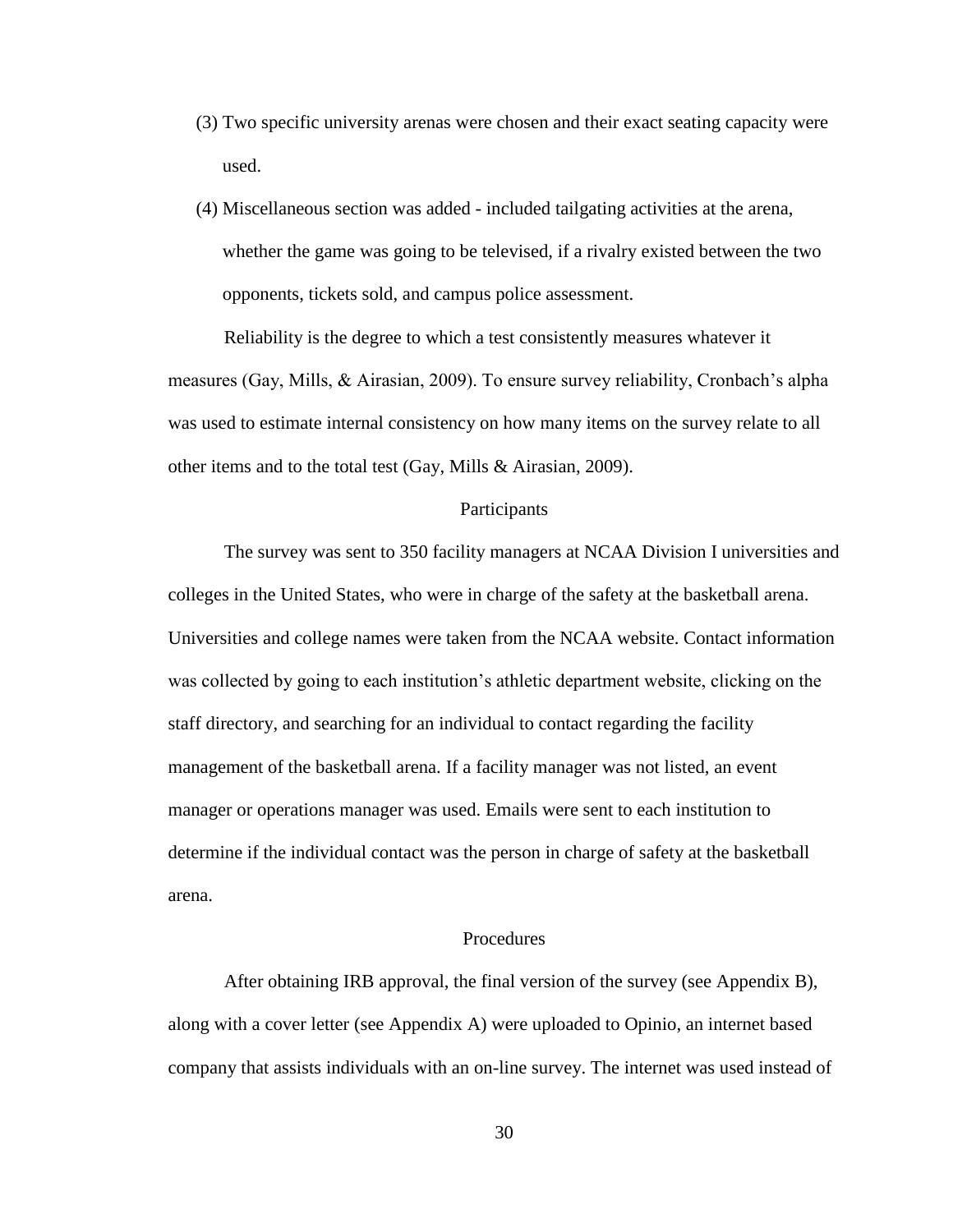- (3) Two specific university arenas were chosen and their exact seating capacity were used.
- (4) Miscellaneous section was added included tailgating activities at the arena, whether the game was going to be televised, if a rivalry existed between the two opponents, tickets sold, and campus police assessment.

 Reliability is the degree to which a test consistently measures whatever it measures (Gay, Mills,  $\&$  Airasian, 2009). To ensure survey reliability, Cronbach's alpha was used to estimate internal consistency on how many items on the survey relate to all other items and to the total test (Gay, Mills & Airasian, 2009).

#### Participants

 The survey was sent to 350 facility managers at NCAA Division I universities and colleges in the United States, who were in charge of the safety at the basketball arena. Universities and college names were taken from the NCAA website. Contact information was collected by going to each institution's athletic department website, clicking on the staff directory, and searching for an individual to contact regarding the facility management of the basketball arena. If a facility manager was not listed, an event manager or operations manager was used. Emails were sent to each institution to determine if the individual contact was the person in charge of safety at the basketball arena.

#### Procedures

 After obtaining IRB approval, the final version of the survey (see Appendix B), along with a cover letter (see Appendix A) were uploaded to Opinio, an internet based company that assists individuals with an on-line survey. The internet was used instead of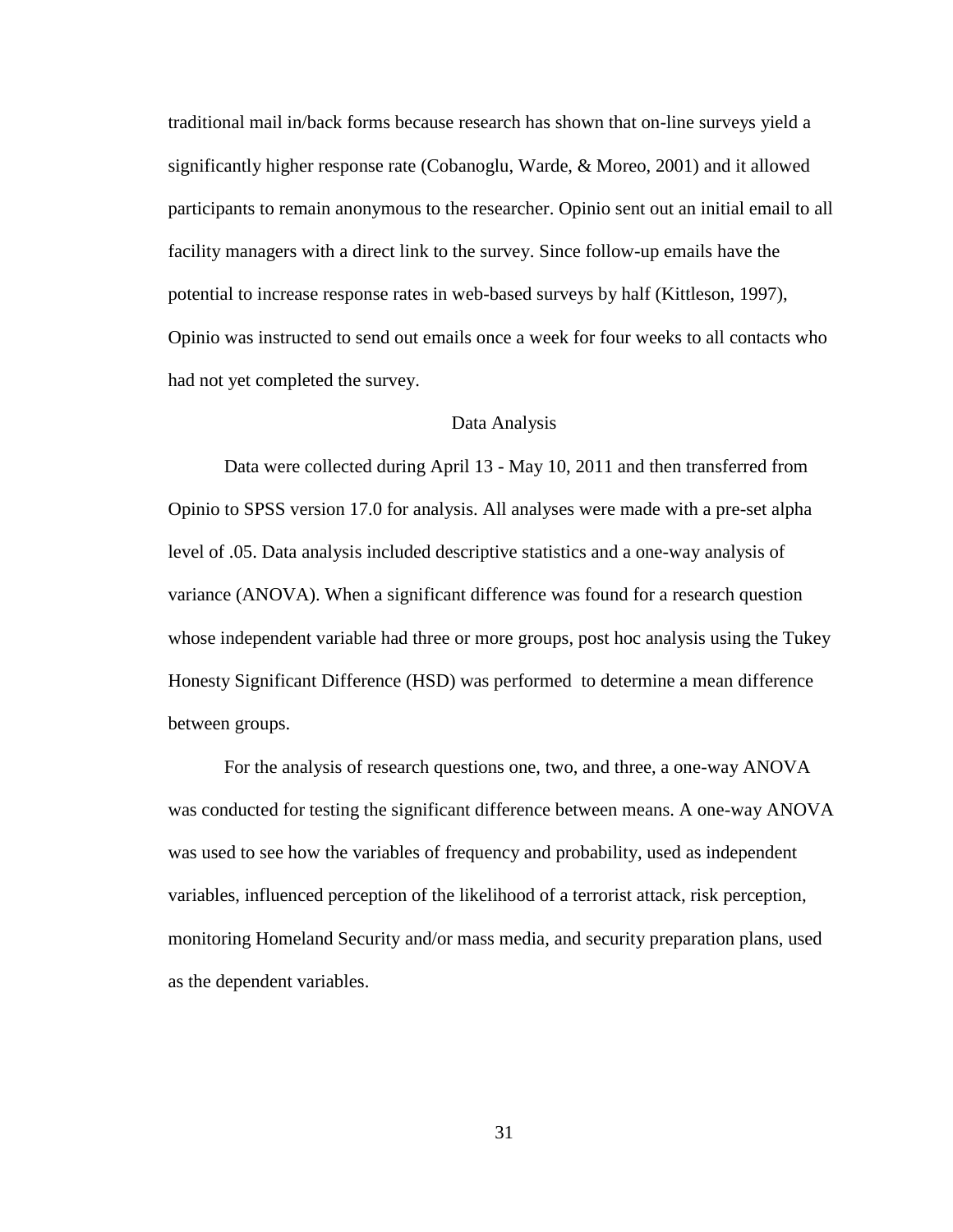traditional mail in/back forms because research has shown that on-line surveys yield a significantly higher response rate (Cobanoglu, Warde, & Moreo, 2001) and it allowed participants to remain anonymous to the researcher. Opinio sent out an initial email to all facility managers with a direct link to the survey. Since follow-up emails have the potential to increase response rates in web-based surveys by half (Kittleson, 1997), Opinio was instructed to send out emails once a week for four weeks to all contacts who had not yet completed the survey.

#### Data Analysis

 Data were collected during April 13 - May 10, 2011 and then transferred from Opinio to SPSS version 17.0 for analysis. All analyses were made with a pre-set alpha level of .05. Data analysis included descriptive statistics and a one-way analysis of variance (ANOVA). When a significant difference was found for a research question whose independent variable had three or more groups, post hoc analysis using the Tukey Honesty Significant Difference (HSD) was performed to determine a mean difference between groups.

 For the analysis of research questions one, two, and three, a one-way ANOVA was conducted for testing the significant difference between means. A one-way ANOVA was used to see how the variables of frequency and probability, used as independent variables, influenced perception of the likelihood of a terrorist attack, risk perception, monitoring Homeland Security and/or mass media, and security preparation plans, used as the dependent variables.

31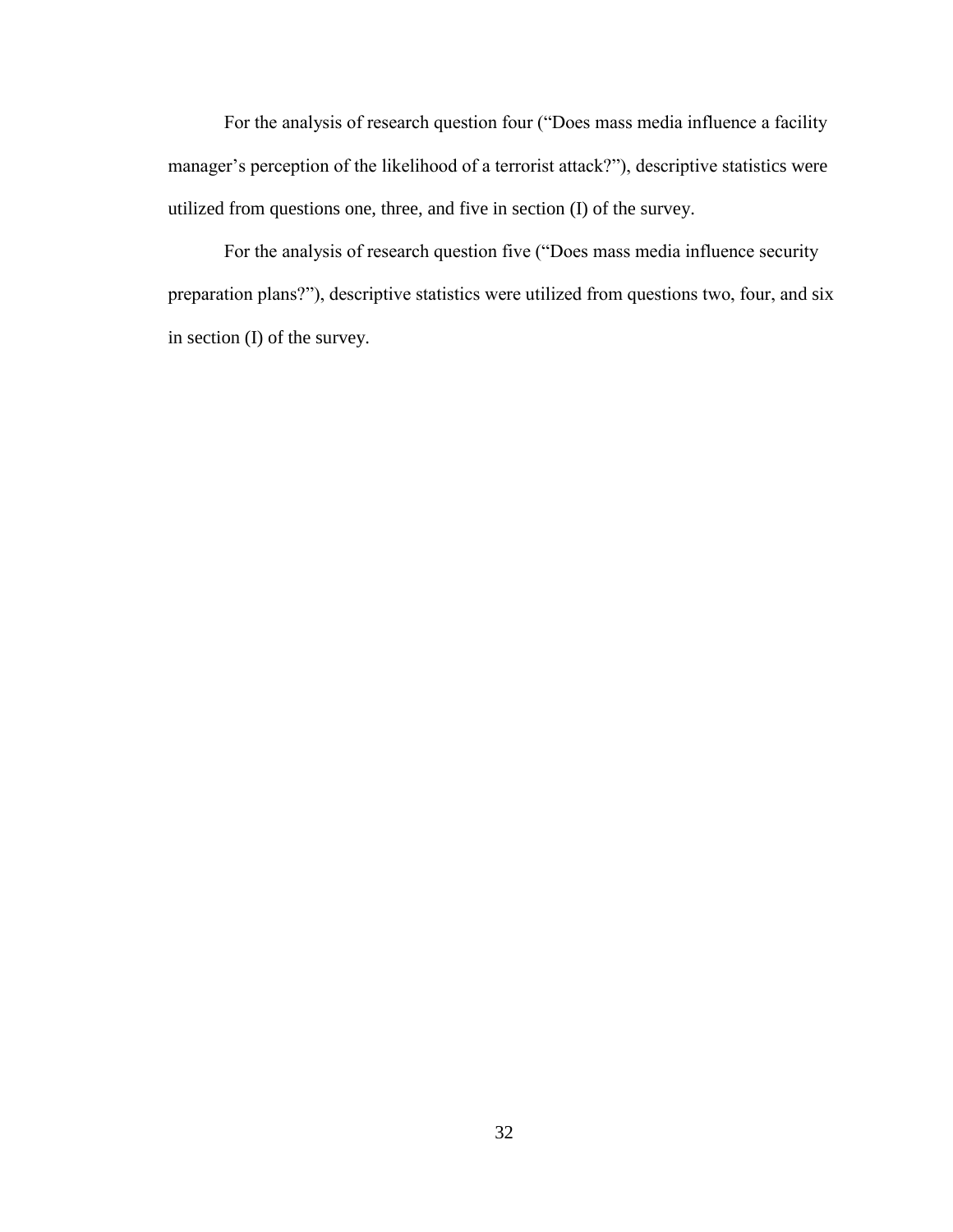For the analysis of research question four ("Does mass media influence a facility manager's perception of the likelihood of a terrorist attack?"), descriptive statistics were utilized from questions one, three, and five in section (I) of the survey.

For the analysis of research question five ("Does mass media influence security preparation plans?"), descriptive statistics were utilized from questions two, four, and six in section (I) of the survey.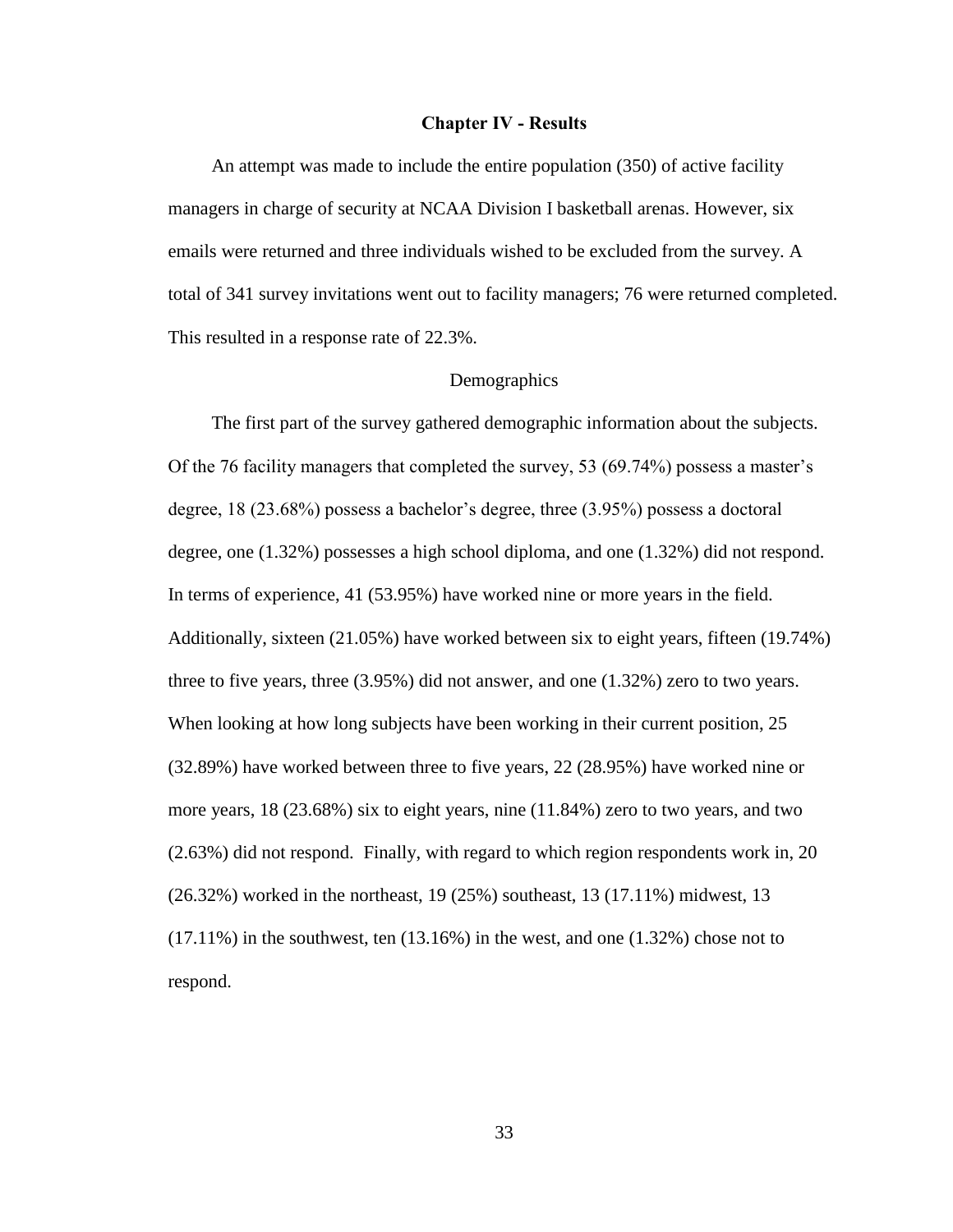#### **Chapter IV - Results**

An attempt was made to include the entire population (350) of active facility managers in charge of security at NCAA Division I basketball arenas. However, six emails were returned and three individuals wished to be excluded from the survey. A total of 341 survey invitations went out to facility managers; 76 were returned completed. This resulted in a response rate of 22.3%.

#### **Demographics**

 The first part of the survey gathered demographic information about the subjects. Of the 76 facility managers that completed the survey, 53  $(69.74\%)$  possess a master's degree,  $18$  (23.68%) possess a bachelor's degree, three (3.95%) possess a doctoral degree, one (1.32%) possesses a high school diploma, and one (1.32%) did not respond. In terms of experience, 41 (53.95%) have worked nine or more years in the field. Additionally, sixteen (21.05%) have worked between six to eight years, fifteen (19.74%) three to five years, three (3.95%) did not answer, and one (1.32%) zero to two years. When looking at how long subjects have been working in their current position, 25 (32.89%) have worked between three to five years, 22 (28.95%) have worked nine or more years, 18 (23.68%) six to eight years, nine (11.84%) zero to two years, and two (2.63%) did not respond. Finally, with regard to which region respondents work in, 20 (26.32%) worked in the northeast, 19 (25%) southeast, 13 (17.11%) midwest, 13  $(17.11\%)$  in the southwest, ten  $(13.16\%)$  in the west, and one  $(1.32\%)$  chose not to respond.

33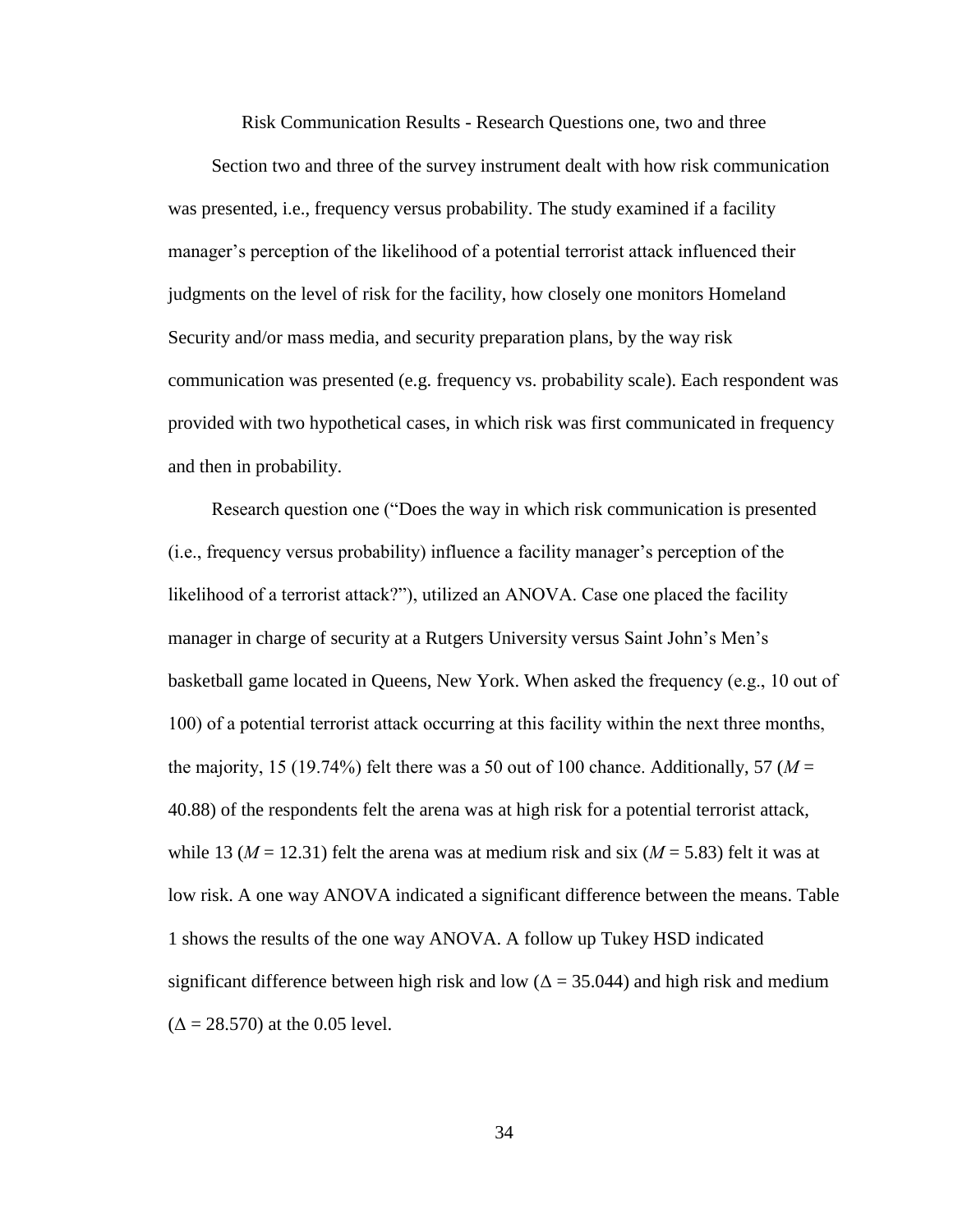Risk Communication Results - Research Questions one, two and three

 Section two and three of the survey instrument dealt with how risk communication was presented, i.e., frequency versus probability. The study examined if a facility manager's perception of the likelihood of a potential terrorist attack influenced their judgments on the level of risk for the facility, how closely one monitors Homeland Security and/or mass media, and security preparation plans, by the way risk communication was presented (e.g. frequency vs. probability scale). Each respondent was provided with two hypothetical cases, in which risk was first communicated in frequency and then in probability.

Research question one ("Does the way in which risk communication is presented  $(i.e., frequency versus probability)$  influence a facility manager's perception of the likelihood of a terrorist attack?"), utilized an ANOVA. Case one placed the facility manager in charge of security at a Rutgers University versus Saint John's Men's basketball game located in Queens, New York. When asked the frequency (e.g.,  $10$  out of 100) of a potential terrorist attack occurring at this facility within the next three months, the majority, 15 (19.74%) felt there was a 50 out of 100 chance. Additionally, 57 ( $M =$ 40.88) of the respondents felt the arena was at high risk for a potential terrorist attack, while 13 ( $M = 12.31$ ) felt the arena was at medium risk and six ( $M = 5.83$ ) felt it was at low risk. A one way ANOVA indicated a significant difference between the means. Table 1 shows the results of the one way ANOVA. A follow up Tukey HSD indicated significant difference between high risk and low ( $\Delta = 35.044$ ) and high risk and medium  $(\Delta = 28.570)$  at the 0.05 level.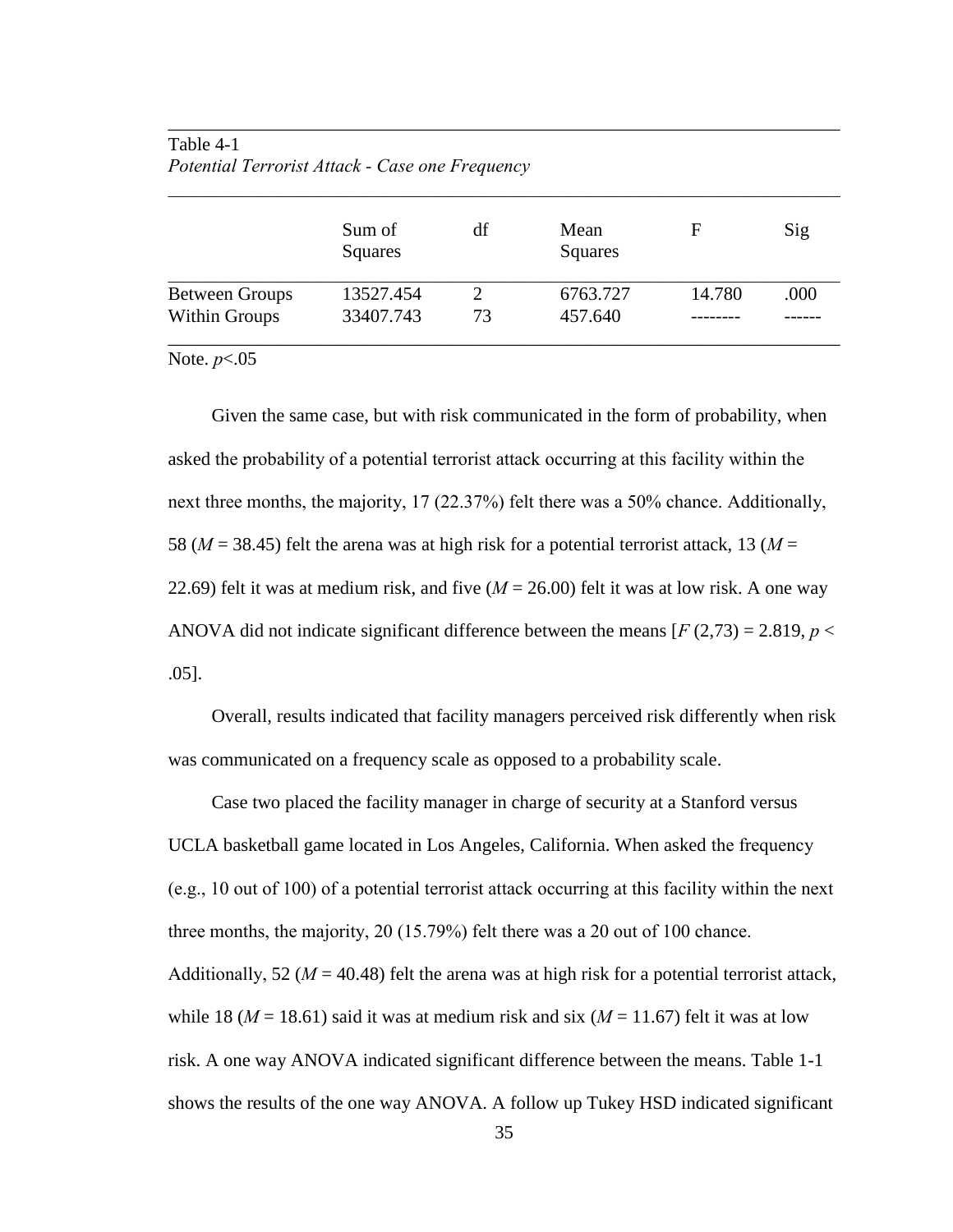## Table 4-1 *Potential Terrorist Attack - Case one Frequency*

|                       | Sum of<br>Squares | df | Mean<br>Squares | F      | Sig  |
|-----------------------|-------------------|----|-----------------|--------|------|
| <b>Between Groups</b> | 13527.454         |    | 6763.727        | 14.780 | .000 |
| <b>Within Groups</b>  | 33407.743         | 73 | 457.640         |        |      |

\_\_\_\_\_\_\_\_\_\_\_\_\_\_\_\_\_\_\_\_\_\_\_\_\_\_\_\_\_\_\_\_\_\_\_\_\_\_\_\_\_\_\_\_\_\_\_\_\_\_\_\_\_\_\_\_\_\_\_\_\_\_\_\_\_\_\_\_\_\_\_\_

Note. *p*<.05

 Given the same case, but with risk communicated in the form of probability, when asked the probability of a potential terrorist attack occurring at this facility within the next three months, the majority, 17 (22.37%) felt there was a 50% chance. Additionally, 58 ( $M = 38.45$ ) felt the arena was at high risk for a potential terrorist attack, 13 ( $M =$ 22.69) felt it was at medium risk, and five (*M* = 26.00) felt it was at low risk. A one way ANOVA did not indicate significant difference between the means  $[F(2,73) = 2.819, p <$ .05].

 Overall, results indicated that facility managers perceived risk differently when risk was communicated on a frequency scale as opposed to a probability scale.

 Case two placed the facility manager in charge of security at a Stanford versus UCLA basketball game located in Los Angeles, California. When asked the frequency (e.g., 10 out of 100) of a potential terrorist attack occurring at this facility within the next" three months, the majority,  $20(15.79%)$  felt there was a  $20$  out of 100 chance. Additionally, 52 ( $M = 40.48$ ) felt the arena was at high risk for a potential terrorist attack, while 18 ( $M = 18.61$ ) said it was at medium risk and six ( $M = 11.67$ ) felt it was at low risk. A one way ANOVA indicated significant difference between the means. Table 1-1 shows the results of the one way ANOVA. A follow up Tukey HSD indicated significant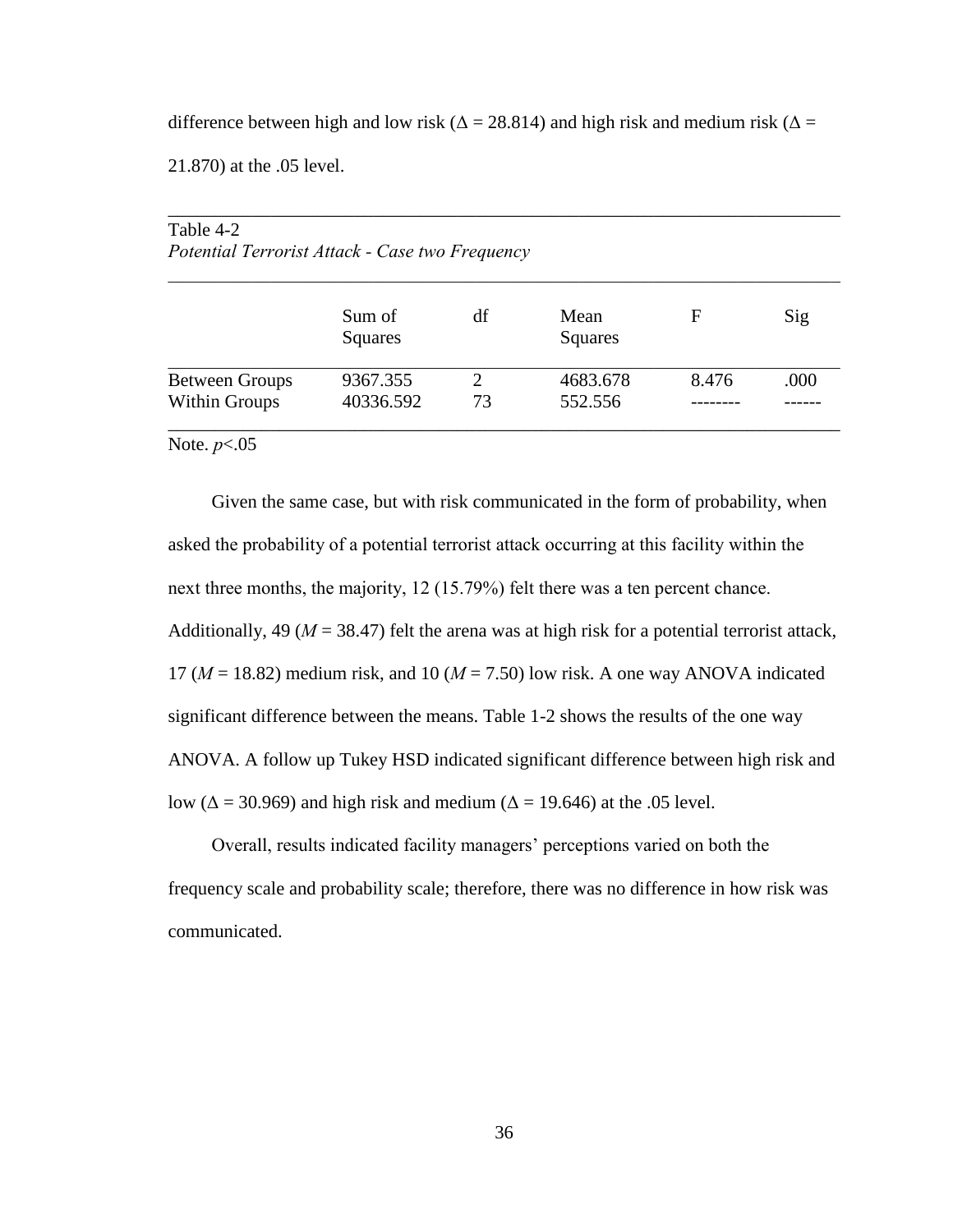difference between high and low risk ( $\Delta = 28.814$ ) and high risk and medium risk ( $\Delta =$ 

21.870) at the .05 level.

| Table 4-2<br>Potential Terrorist Attack - Case two Frequency |                   |                             |                 |       |      |
|--------------------------------------------------------------|-------------------|-----------------------------|-----------------|-------|------|
|                                                              | Sum of<br>Squares | df                          | Mean<br>Squares | F     | Sig  |
| <b>Between Groups</b>                                        | 9367.355          | $\mathcal{D}_{\mathcal{L}}$ | 4683.678        | 8.476 | .000 |
| <b>Within Groups</b>                                         | 40336.592         | 73                          | 552.556         |       |      |

\_\_\_\_\_\_\_\_\_\_\_\_\_\_\_\_\_\_\_\_\_\_\_\_\_\_\_\_\_\_\_\_\_\_\_\_\_\_\_\_\_\_\_\_\_\_\_\_\_\_\_\_\_\_\_\_\_\_\_\_\_\_\_\_\_\_\_\_\_\_\_\_

 $T<sub>a</sub>$   $\overline{1}$ <sub>2</sub>  $\overline{4}$   $\overline{2}$ 

Note. *p*<.05

Given the same case, but with risk communicated in the form of probability, when asked the probability of a potential terrorist attack occurring at this facility within the next three months, the majority, 12 (15.79%) felt there was a ten percent chance. Additionally, 49 ( $M = 38.47$ ) felt the arena was at high risk for a potential terrorist attack, 17 ( $M = 18.82$ ) medium risk, and 10 ( $M = 7.50$ ) low risk. A one way ANOVA indicated significant difference between the means. Table 1-2 shows the results of the one way ANOVA. A follow up Tukey HSD indicated significant difference between high risk and low ( $\Delta$  = 30.969) and high risk and medium ( $\Delta$  = 19.646) at the .05 level.

Overall, results indicated facility managers' perceptions varied on both the frequency scale and probability scale; therefore, there was no difference in how risk was communicated.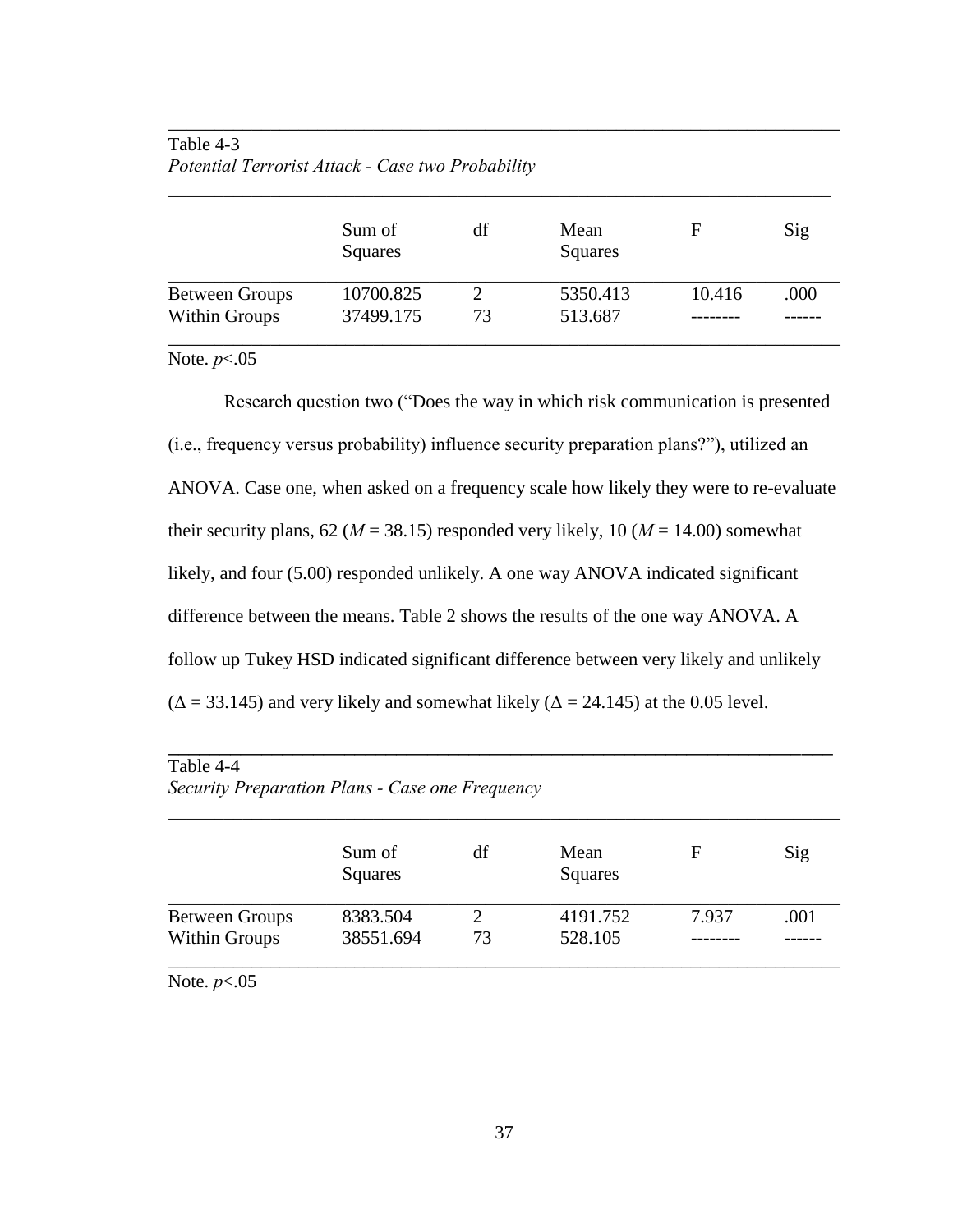## Table 4-3 *Potential Terrorist Attack - Case two Probability*

|                       | Sum of<br>Squares | df | Mean<br>Squares | F      | Sig  |
|-----------------------|-------------------|----|-----------------|--------|------|
| <b>Between Groups</b> | 10700.825         |    | 5350.413        | 10.416 | .000 |
| Within Groups         | 37499.175         | 73 | 513.687         |        |      |

\_\_\_\_\_\_\_\_\_\_\_\_\_\_\_\_\_\_\_\_\_\_\_\_\_\_\_\_\_\_\_\_\_\_\_\_\_\_\_\_\_\_\_\_\_\_\_\_\_\_\_\_\_\_\_\_\_\_\_\_\_\_\_\_\_\_\_\_\_\_\_\_

Note. *p*<.05

Research question two ("Does the way in which risk communication is presented  $(i.e., frequency versus probability)$  influence security preparation plans?"), utilized an ANOVA. Case one, when asked on a frequency scale how likely they were to re-evaluate their security plans,  $62 (M = 38.15)$  responded very likely,  $10 (M = 14.00)$  somewhat likely, and four (5.00) responded unlikely. A one way ANOVA indicated significant difference between the means. Table 2 shows the results of the one way ANOVA. A follow up Tukey HSD indicated significant difference between very likely and unlikely  $(\Delta = 33.145)$  and very likely and somewhat likely  $(\Delta = 24.145)$  at the 0.05 level.

| Table 4-4<br>Security Preparation Plans - Case one Frequency |                       |                                   |                     |       |      |  |
|--------------------------------------------------------------|-----------------------|-----------------------------------|---------------------|-------|------|--|
|                                                              | Sum of<br>Squares     | df                                | Mean<br>Squares     | F     | Sig  |  |
| <b>Between Groups</b><br><b>Within Groups</b>                | 8383.504<br>38551.694 | $\mathcal{D}_{\mathcal{L}}$<br>73 | 4191.752<br>528.105 | 7.937 | .001 |  |

Note. *p*<.05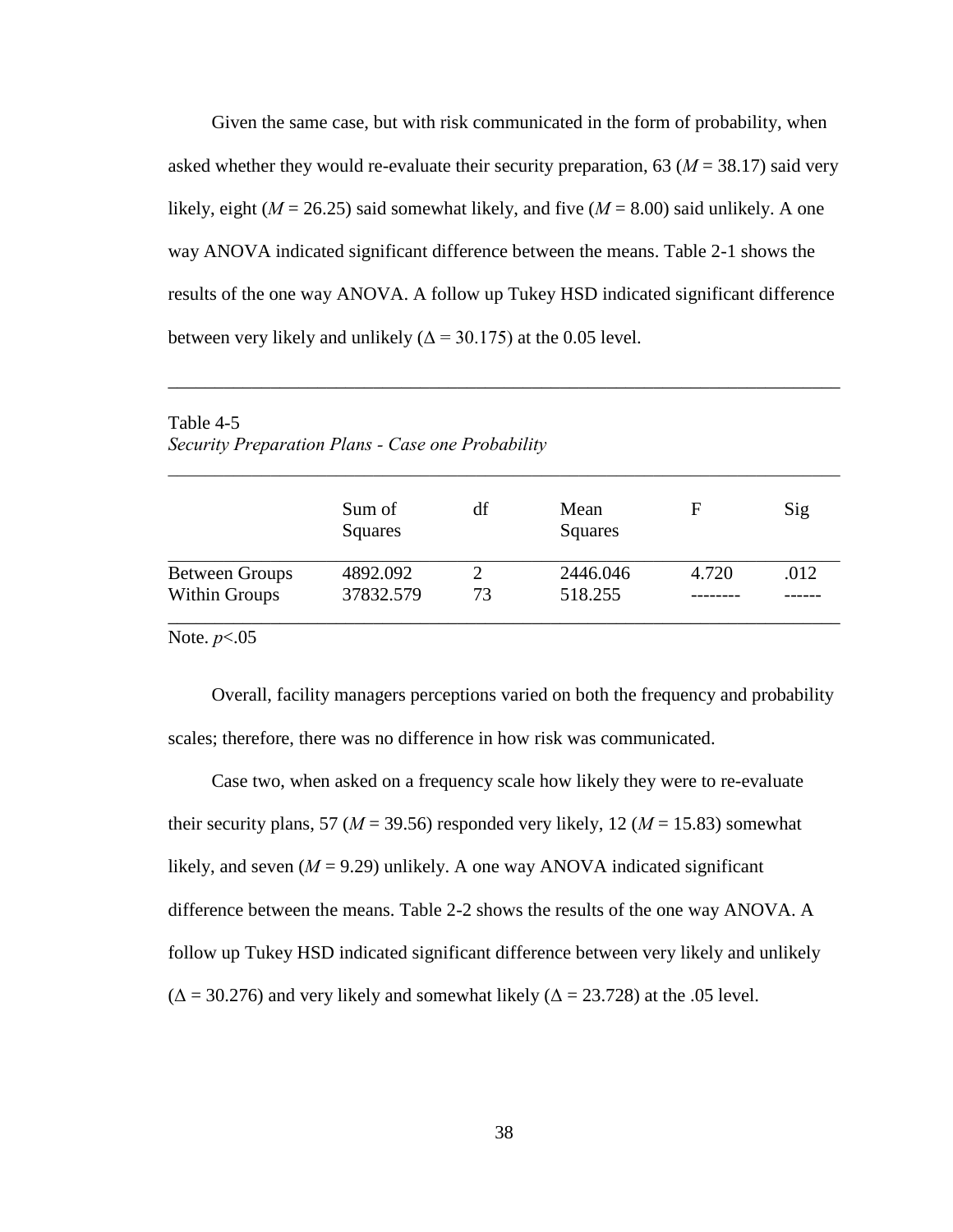Given the same case, but with risk communicated in the form of probability, when asked whether they would re-evaluate their security preparation,  $63 (M = 38.17)$  said very likely, eight ( $M = 26.25$ ) said somewhat likely, and five ( $M = 8.00$ ) said unlikely. A one way ANOVA indicated significant difference between the means. Table 2-1 shows the results of the one way ANOVA. A follow up Tukey HSD indicated significant difference between very likely and unlikely ( $\Delta$  = 30.175) at the 0.05 level.

| <b>Taulu <math>+</math>-</b><br>Security Preparation Plans - Case one Probability |                   |    |                 |       |      |
|-----------------------------------------------------------------------------------|-------------------|----|-----------------|-------|------|
|                                                                                   |                   |    |                 |       |      |
|                                                                                   | Sum of<br>Squares | df | Mean<br>Squares | F     | Sig  |
| <b>Between Groups</b>                                                             | 4892.092          | 2  | 2446.046        | 4.720 | .012 |
| <b>Within Groups</b>                                                              | 37832.579         | 73 | 518.255         |       |      |

\_\_\_\_\_\_\_\_\_\_\_\_\_\_\_\_\_\_\_\_\_\_\_\_\_\_\_\_\_\_\_\_\_\_\_\_\_\_\_\_\_\_\_\_\_\_\_\_\_\_\_\_\_\_\_\_\_\_\_\_\_\_\_\_\_\_\_\_\_\_\_\_

Table  $4-5$ 

Note. *p*<.05

Overall, facility managers perceptions varied on both the frequency and probability scales; therefore, there was no difference in how risk was communicated.

Case two, when asked on a frequency scale how likely they were to re-evaluate their security plans, 57 ( $M = 39.56$ ) responded very likely, 12 ( $M = 15.83$ ) somewhat likely, and seven  $(M = 9.29)$  unlikely. A one way ANOVA indicated significant difference between the means. Table 2-2 shows the results of the one way ANOVA. A follow up Tukey HSD indicated significant difference between very likely and unlikely  $(\Delta = 30.276)$  and very likely and somewhat likely  $(\Delta = 23.728)$  at the .05 level.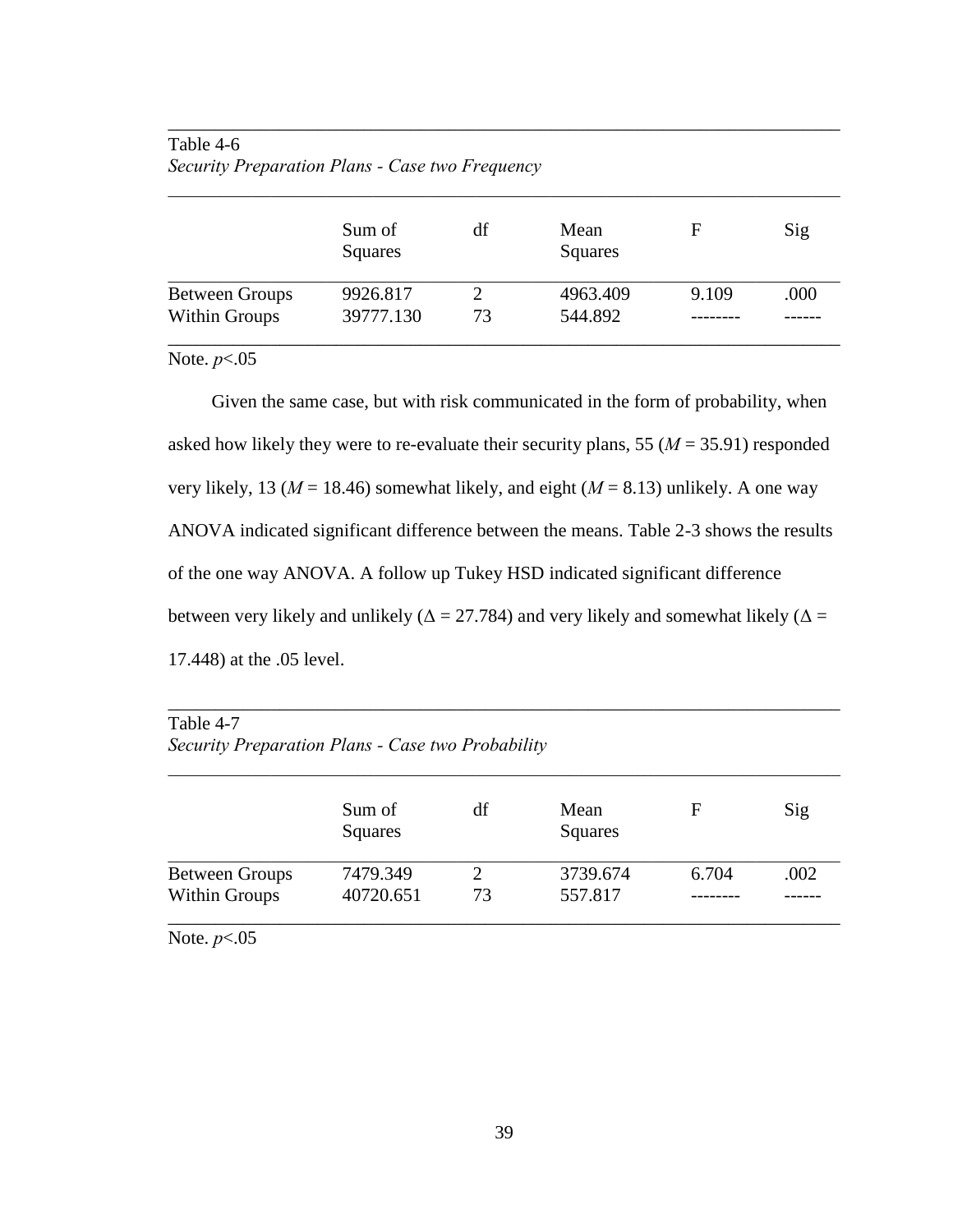## Table 4-6 *Security Preparation Plans - Case two Frequency*

|                       | Sum of<br>Squares | df | Mean<br>Squares | F     | Sig  |
|-----------------------|-------------------|----|-----------------|-------|------|
| <b>Between Groups</b> | 9926.817          |    | 4963.409        | 9.109 | .000 |
| Within Groups         | 39777.130         | 73 | 544.892         |       |      |

\_\_\_\_\_\_\_\_\_\_\_\_\_\_\_\_\_\_\_\_\_\_\_\_\_\_\_\_\_\_\_\_\_\_\_\_\_\_\_\_\_\_\_\_\_\_\_\_\_\_\_\_\_\_\_\_\_\_\_\_\_\_\_\_\_\_\_\_\_\_\_\_

Note. *p*<.05

Given the same case, but with risk communicated in the form of probability, when asked how likely they were to re-evaluate their security plans, 55 (*M* = 35.91) responded very likely, 13 ( $M = 18.46$ ) somewhat likely, and eight ( $M = 8.13$ ) unlikely. A one way ANOVA indicated significant difference between the means. Table 2-3 shows the results of the one way ANOVA. A follow up Tukey HSD indicated significant difference between very likely and unlikely ( $\Delta = 27.784$ ) and very likely and somewhat likely ( $\Delta =$ 17.448) at the .05 level.

## Table 4-7

### *Security Preparation Plans - Case two Probability*

|                       | Sum of<br>Squares | df | Mean<br>Squares | F     | Sig  |
|-----------------------|-------------------|----|-----------------|-------|------|
| <b>Between Groups</b> | 7479.349          |    | 3739.674        | 6.704 | .002 |
| <b>Within Groups</b>  | 40720.651         | 73 | 557.817         |       |      |

\_\_\_\_\_\_\_\_\_\_\_\_\_\_\_\_\_\_\_\_\_\_\_\_\_\_\_\_\_\_\_\_\_\_\_\_\_\_\_\_\_\_\_\_\_\_\_\_\_\_\_\_\_\_\_\_\_\_\_\_\_\_\_\_\_\_\_\_\_\_\_\_

Note. *p*<.05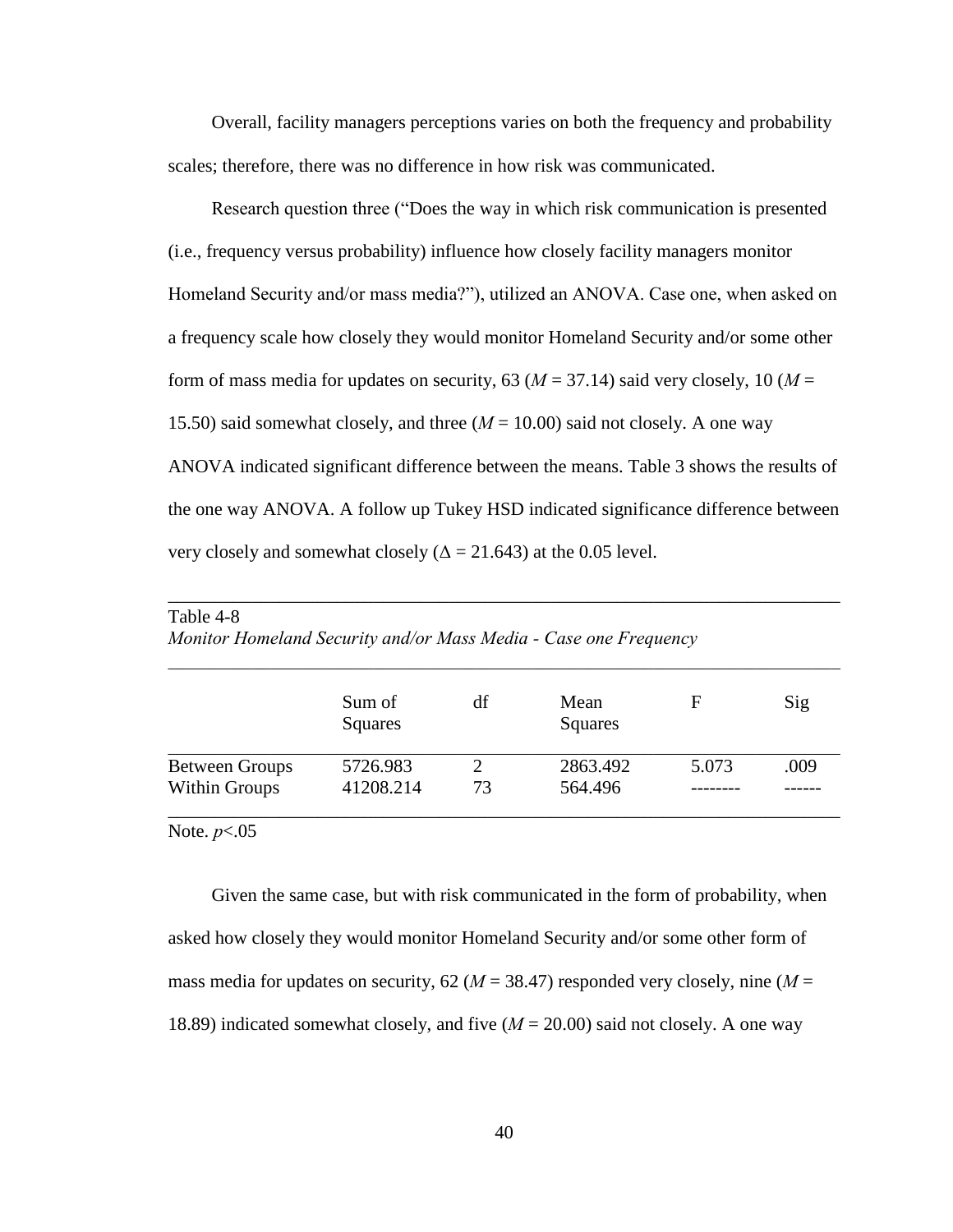Overall, facility managers perceptions varies on both the frequency and probability scales; therefore, there was no difference in how risk was communicated.

Research question three ("Does the way in which risk communication is presented (i.e., frequency versus probability) influence how closely facility managers monitor Homeland Security and/or mass media?"), utilized an ANOVA. Case one, when asked on a frequency scale how closely they would monitor Homeland Security and/or some other form of mass media for updates on security, 63 ( $M = 37.14$ ) said very closely, 10 ( $M =$ 15.50) said somewhat closely, and three (*M* = 10.00) said not closely. A one way ANOVA indicated significant difference between the means. Table 3 shows the results of the one way ANOVA. A follow up Tukey HSD indicated significance difference between very closely and somewhat closely ( $\Delta = 21.643$ ) at the 0.05 level.

|                       | Sum of<br>Squares | df | Mean<br>Squares | F     | Sig  |
|-----------------------|-------------------|----|-----------------|-------|------|
| <b>Between Groups</b> | 5726.983          | 2  | 2863.492        | 5.073 | .009 |
| Within Groups         | 41208.214         | 73 | 564.496         |       |      |

\_\_\_\_\_\_\_\_\_\_\_\_\_\_\_\_\_\_\_\_\_\_\_\_\_\_\_\_\_\_\_\_\_\_\_\_\_\_\_\_\_\_\_\_\_\_\_\_\_\_\_\_\_\_\_\_\_\_\_\_\_\_\_\_\_\_\_\_\_\_\_\_

*Monitor Homeland Security and/or Mass Media - Case one Frequency* 

Note. *p*<.05

Table 4-8

Given the same case, but with risk communicated in the form of probability, when asked how closely they would monitor Homeland Security and/or some other form of mass media for updates on security,  $62 (M = 38.47)$  responded very closely, nine  $(M =$ 18.89) indicated somewhat closely, and five (*M* = 20.00) said not closely. A one way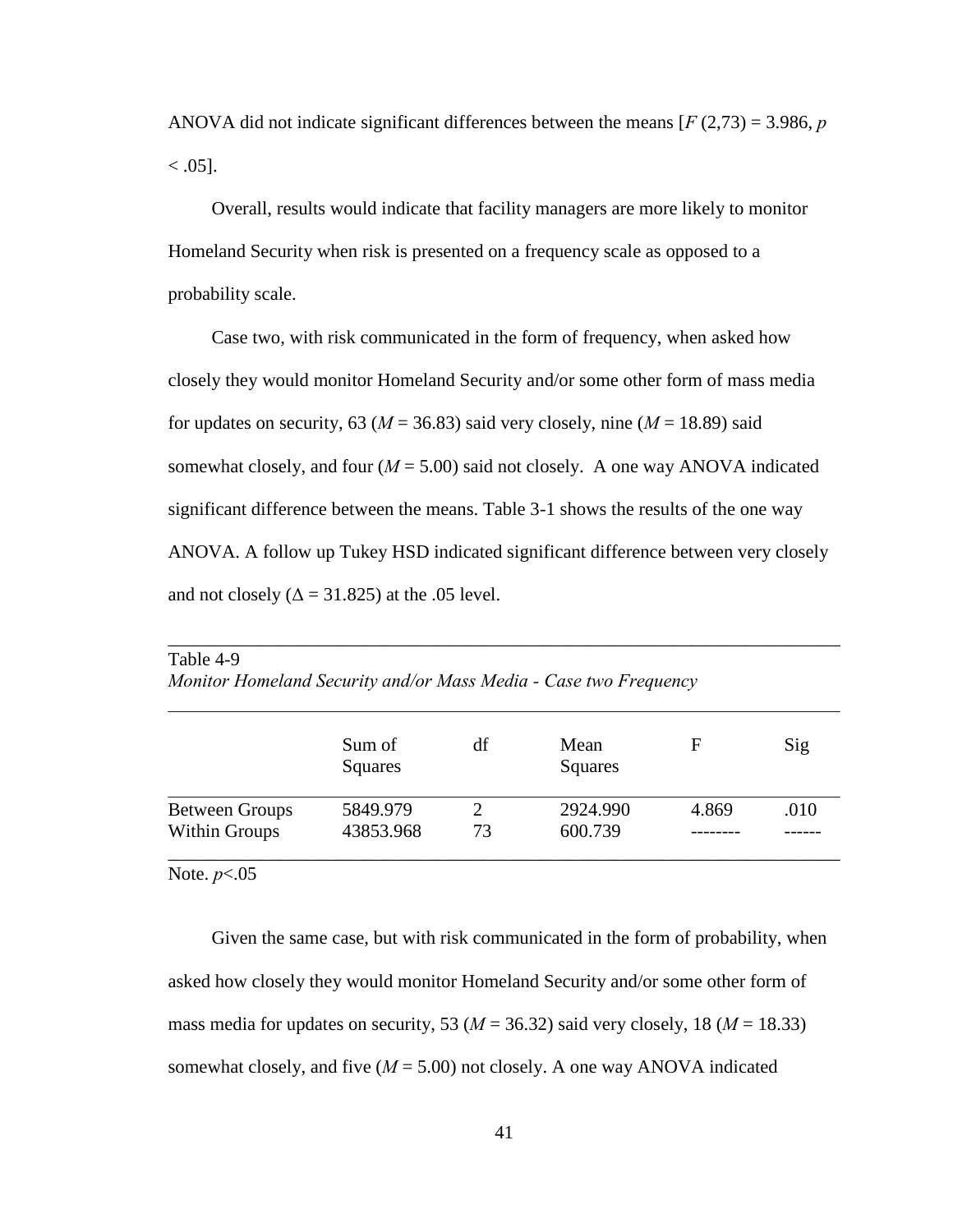ANOVA did not indicate significant differences between the means [*F* (2,73) = 3.986, *p*  $< .05$ ].

 Overall, results would indicate that facility managers are more likely to monitor Homeland Security when risk is presented on a frequency scale as opposed to a probability scale.

 Case two, with risk communicated in the form of frequency, when asked how closely they would monitor Homeland Security and/or some other form of mass media for updates on security, 63 ( $M = 36.83$ ) said very closely, nine ( $M = 18.89$ ) said somewhat closely, and four  $(M = 5.00)$  said not closely. A one way ANOVA indicated significant difference between the means. Table 3-1 shows the results of the one way ANOVA. A follow up Tukey HSD indicated significant difference between very closely and not closely ( $\Delta = 31.825$ ) at the .05 level.

|                       | Sum of<br>Squares | df | Mean<br><b>Squares</b> | F     | Sig  |
|-----------------------|-------------------|----|------------------------|-------|------|
| <b>Between Groups</b> | 5849.979          |    | 2924.990               | 4.869 | .010 |
| <b>Within Groups</b>  | 43853.968         | 73 | 600.739                |       |      |

\_\_\_\_\_\_\_\_\_\_\_\_\_\_\_\_\_\_\_\_\_\_\_\_\_\_\_\_\_\_\_\_\_\_\_\_\_\_\_\_\_\_\_\_\_\_\_\_\_\_\_\_\_\_\_\_\_\_\_\_\_\_\_\_\_\_\_\_\_\_\_\_

Table 4-9 *Monitor Homeland Security and/or Mass Media - Case two Frequency* 

Note. *p*<.05

 Given the same case, but with risk communicated in the form of probability, when asked how closely they would monitor Homeland Security and/or some other form of mass media for updates on security, 53 ( $M = 36.32$ ) said very closely, 18 ( $M = 18.33$ ) somewhat closely, and five  $(M = 5.00)$  not closely. A one way ANOVA indicated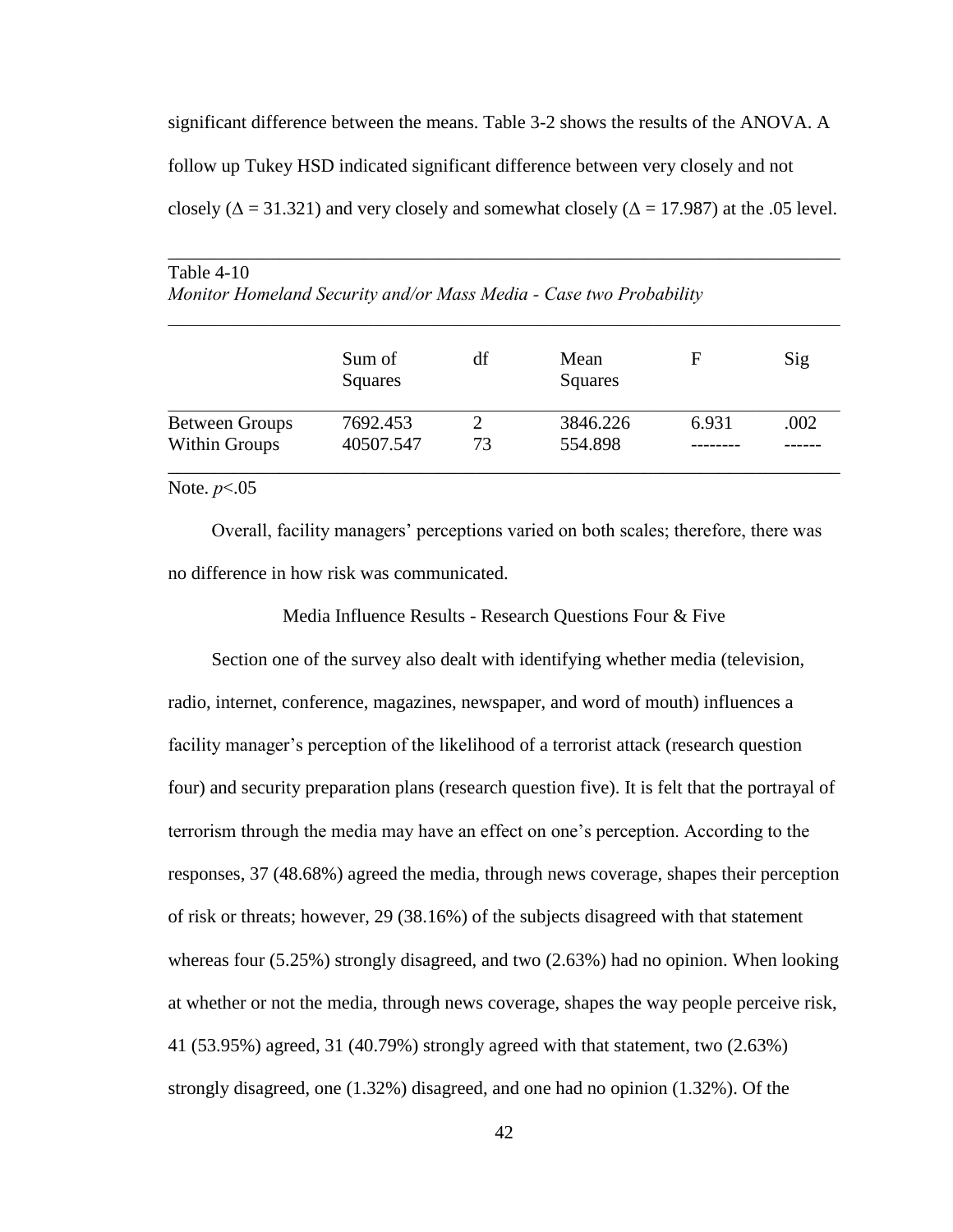significant difference between the means. Table 3-2 shows the results of the ANOVA. A follow up Tukey HSD indicated significant difference between very closely and not closely ( $\Delta$  = 31.321) and very closely and somewhat closely ( $\Delta$  = 17.987) at the .05 level.

\_\_\_\_\_\_\_\_\_\_\_\_\_\_\_\_\_\_\_\_\_\_\_\_\_\_\_\_\_\_\_\_\_\_\_\_\_\_\_\_\_\_\_\_\_\_\_\_\_\_\_\_\_\_\_\_\_\_\_\_\_\_\_\_\_\_\_\_\_\_\_\_

|                       | Sum of<br>Squares | df | Mean<br>Squares | F     | Sig  |
|-----------------------|-------------------|----|-----------------|-------|------|
| <b>Between Groups</b> | 7692.453          |    | 3846.226        | 6.931 | .002 |
| Within Groups         | 40507.547         | 73 | 554.898         |       |      |

| Table $4-10$                                                       |  |  |
|--------------------------------------------------------------------|--|--|
| Monitor Homeland Security and/or Mass Media - Case two Probability |  |  |

#### Note. *p*<.05

Overall, facility managers' perceptions varied on both scales; therefore, there was no difference in how risk was communicated.

Media Influence Results - Research Questions Four & Five

 Section one of the survey also dealt with identifying whether media (television, radio, internet, conference, magazines, newspaper, and word of mouth) influences a facility manager's perception of the likelihood of a terrorist attack (research question four) and security preparation plans (research question five). It is felt that the portrayal of terrorism through the media may have an effect on one's perception. According to the responses, 37 (48.68%) agreed the media, through news coverage, shapes their perception of risk or threats; however, 29 (38.16%) of the subjects disagreed with that statement whereas four (5.25%) strongly disagreed, and two (2.63%) had no opinion. When looking at whether or not the media, through news coverage, shapes the way people perceive risk, 41 (53.95%) agreed, 31 (40.79%) strongly agreed with that statement, two (2.63%) strongly disagreed, one (1.32%) disagreed, and one had no opinion (1.32%). Of the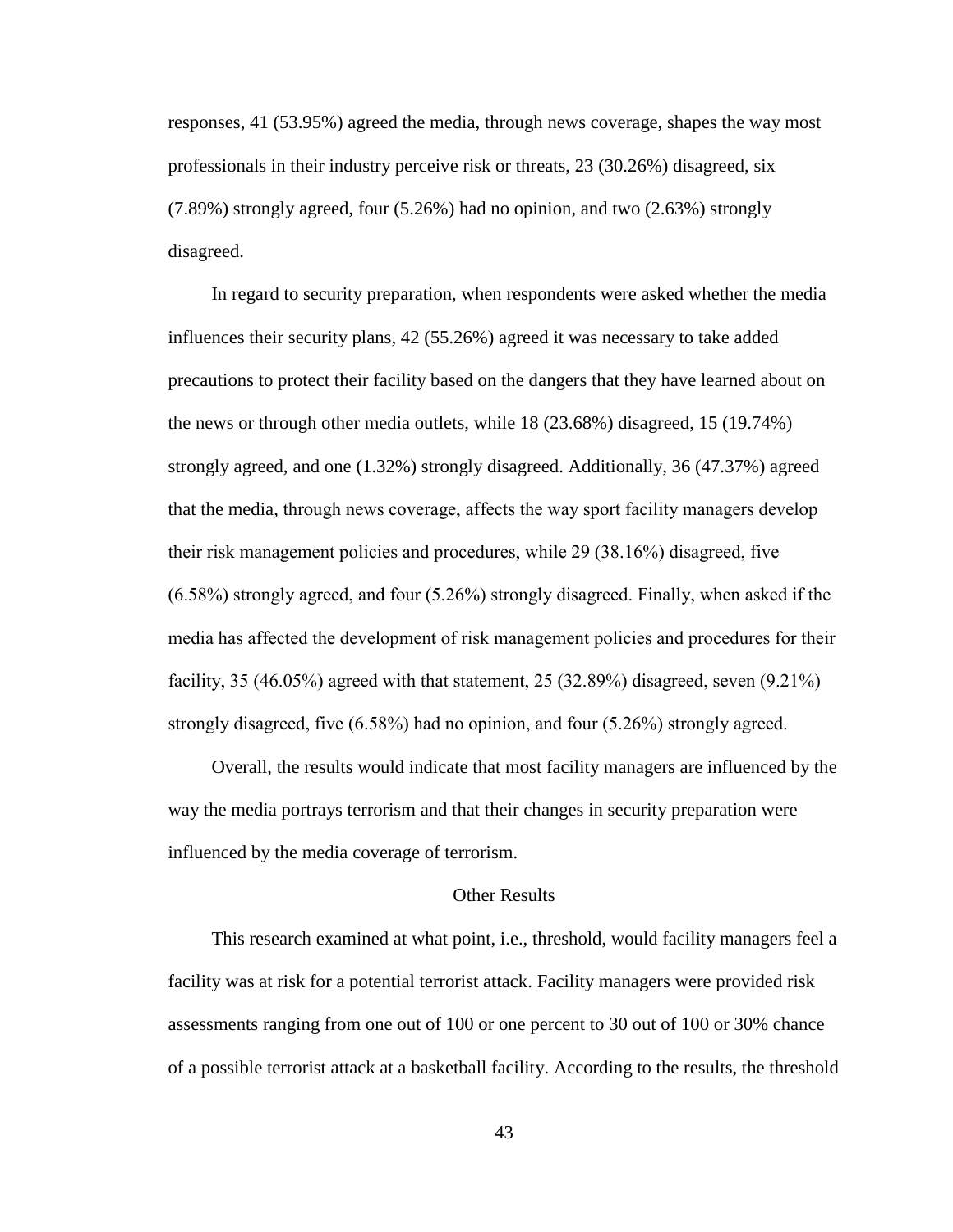responses, 41 (53.95%) agreed the media, through news coverage, shapes the way most professionals in their industry perceive risk or threats, 23 (30.26%) disagreed, six (7.89%) strongly agreed, four (5.26%) had no opinion, and two (2.63%) strongly disagreed.

 In regard to security preparation, when respondents were asked whether the media influences their security plans, 42 (55.26%) agreed it was necessary to take added precautions to protect their facility based on the dangers that they have learned about on the news or through other media outlets, while 18 (23.68%) disagreed, 15 (19.74%) strongly agreed, and one (1.32%) strongly disagreed. Additionally, 36 (47.37%) agreed that the media, through news coverage, affects the way sport facility managers develop their risk management policies and procedures, while 29 (38.16%) disagreed, five  $(6.58\%)$  strongly agreed, and four  $(5.26\%)$  strongly disagreed. Finally, when asked if the media has affected the development of risk management policies and procedures for their facility,  $35 \left(46.05\% \right)$  agreed with that statement,  $25 \left(32.89\% \right)$  disagreed, seven  $(9.21\%)$ strongly disagreed, five  $(6.58\%)$  had no opinion, and four  $(5.26\%)$  strongly agreed.

 Overall, the results would indicate that most facility managers are influenced by the way the media portrays terrorism and that their changes in security preparation were influenced by the media coverage of terrorism.

#### Other Results

 This research examined at what point, i.e., threshold, would facility managers feel a facility was at risk for a potential terrorist attack. Facility managers were provided risk assessments ranging from one out of 100 or one percent to 30 out of 100 or 30% chance of a possible terrorist attack at a basketball facility. According to the results, the threshold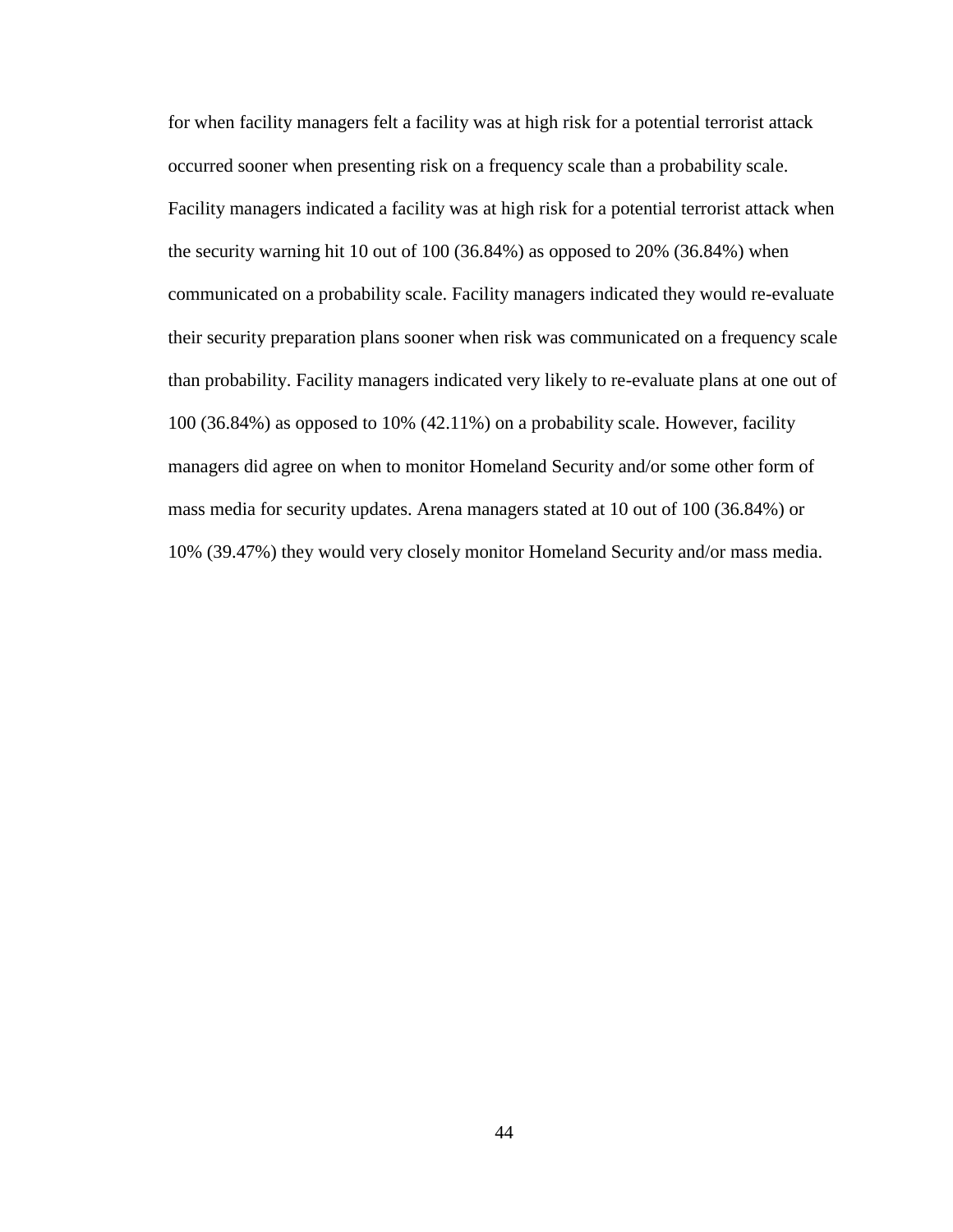for when facility managers felt a facility was at high risk for a potential terrorist attack occurred sooner when presenting risk on a frequency scale than a probability scale. Facility managers indicated a facility was at high risk for a potential terrorist attack when the security warning hit 10 out of 100 (36.84%) as opposed to 20% (36.84%) when communicated on a probability scale. Facility managers indicated they would re-evaluate their security preparation plans sooner when risk was communicated on a frequency scale than probability. Facility managers indicated very likely to re-evaluate plans at one out of 100 (36.84%) as opposed to 10% (42.11%) on a probability scale. However, facility managers did agree on when to monitor Homeland Security and/or some other form of mass media for security updates. Arena managers stated at 10 out of 100 (36.84%) or 10% (39.47%) they would very closely monitor Homeland Security and/or mass media.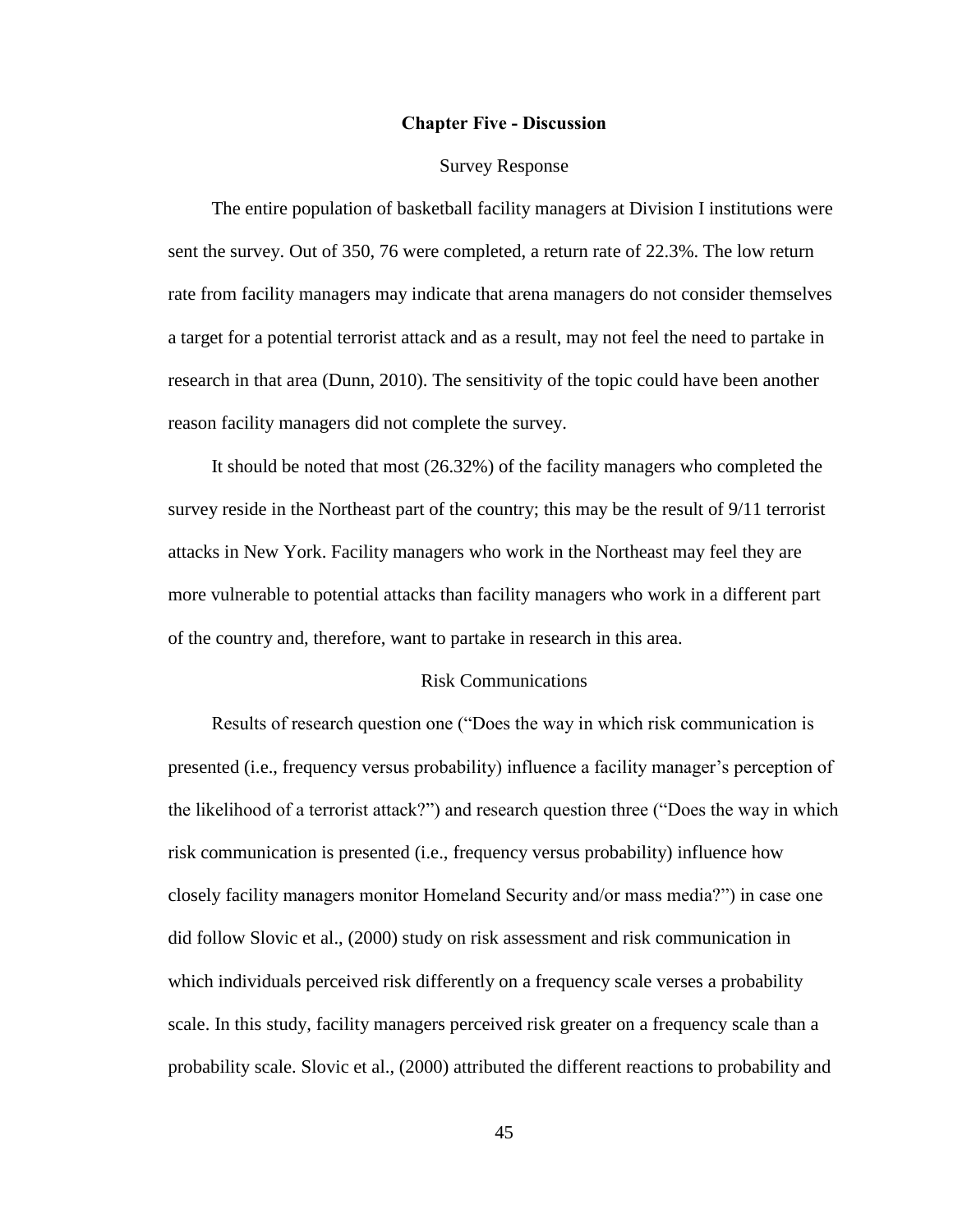#### **Chapter Five - Discussion**

#### Survey Response

 The entire population of basketball facility managers at Division I institutions were sent the survey. Out of 350, 76 were completed, a return rate of 22.3%. The low return rate from facility managers may indicate that arena managers do not consider themselves a target for a potential terrorist attack and as a result, may not feel the need to partake in research in that area (Dunn, 2010). The sensitivity of the topic could have been another reason facility managers did not complete the survey.

 It should be noted that most (26.32%) of the facility managers who completed the survey reside in the Northeast part of the country; this may be the result of 9/11 terrorist attacks in New York. Facility managers who work in the Northeast may feel they are more vulnerable to potential attacks than facility managers who work in a different part of the country and, therefore, want to partake in research in this area.

#### Risk Communications

Results of research question one ("Does the way in which risk communication is presented (i.e., frequency versus probability) influence a facility manager's perception of the likelihood of a terrorist attack?") and research question three ("Does the way in which risk communication is presented (i.e., frequency versus probability) influence how closely facility managers monitor Homeland Security and/or mass media?") in case one did follow Slovic et al., (2000) study on risk assessment and risk communication in which individuals perceived risk differently on a frequency scale verses a probability scale. In this study, facility managers perceived risk greater on a frequency scale than a probability scale. Slovic et al., (2000) attributed the different reactions to probability and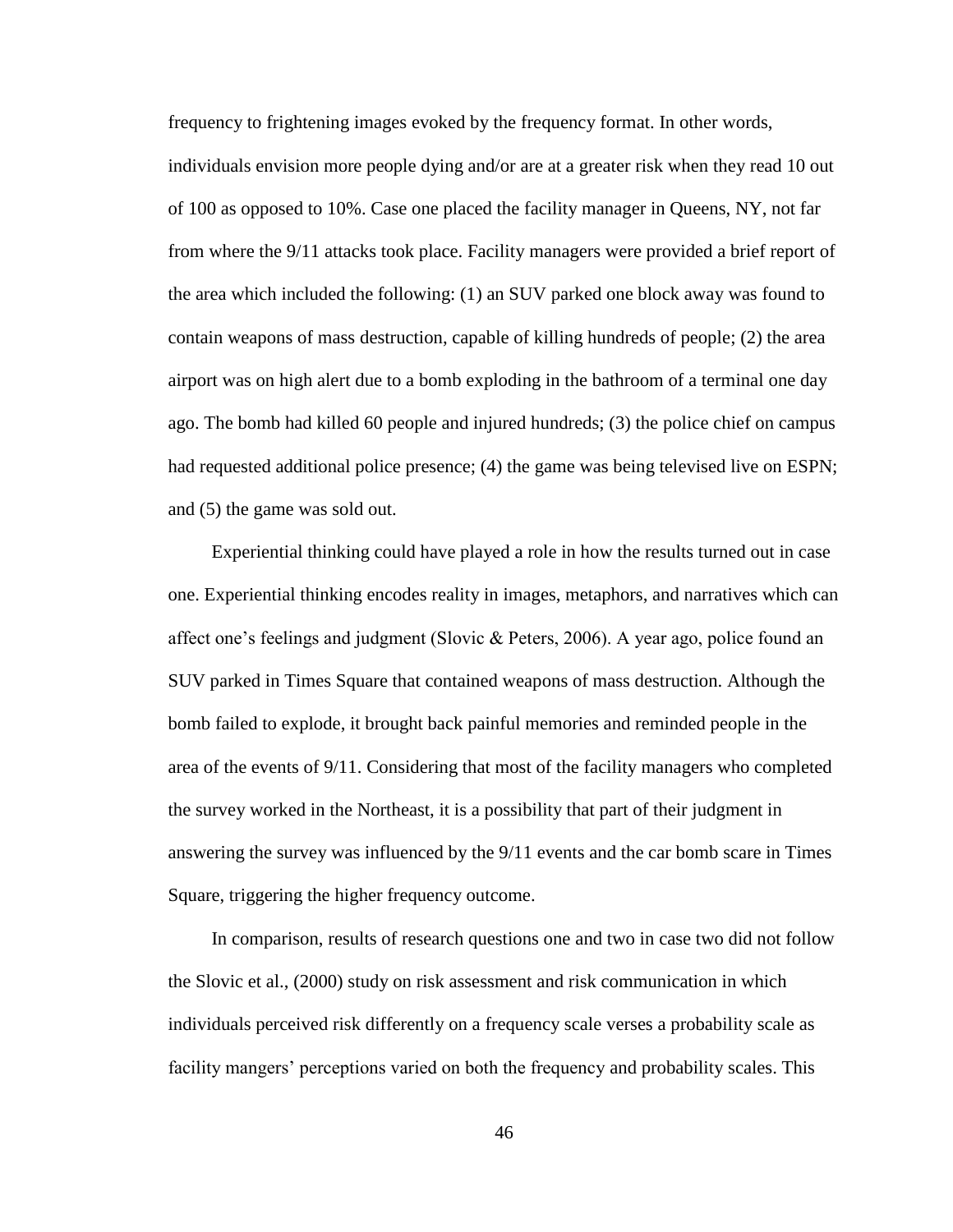frequency to frightening images evoked by the frequency format. In other words, individuals envision more people dying and/or are at a greater risk when they read 10 out of 100 as opposed to 10%. Case one placed the facility manager in Queens, NY, not far from where the 9/11 attacks took place. Facility managers were provided a brief report of the area which included the following: (1) an SUV parked one block away was found to contain weapons of mass destruction, capable of killing hundreds of people; (2) the area airport was on high alert due to a bomb exploding in the bathroom of a terminal one day ago. The bomb had killed 60 people and injured hundreds; (3) the police chief on campus had requested additional police presence; (4) the game was being televised live on ESPN; and (5) the game was sold out.

 Experiential thinking could have played a role in how the results turned out in case one. Experiential thinking encodes reality in images, metaphors, and narratives which can affect one's feelings and judgment (Slovic & Peters, 2006). A year ago, police found an SUV parked in Times Square that contained weapons of mass destruction. Although the bomb failed to explode, it brought back painful memories and reminded people in the area of the events of 9/11. Considering that most of the facility managers who completed the survey worked in the Northeast, it is a possibility that part of their judgment in answering the survey was influenced by the 9/11 events and the car bomb scare in Times Square, triggering the higher frequency outcome.

 In comparison, results of research questions one and two in case two did not follow the Slovic et al., (2000) study on risk assessment and risk communication in which individuals perceived risk differently on a frequency scale verses a probability scale as facility mangers' perceptions varied on both the frequency and probability scales. This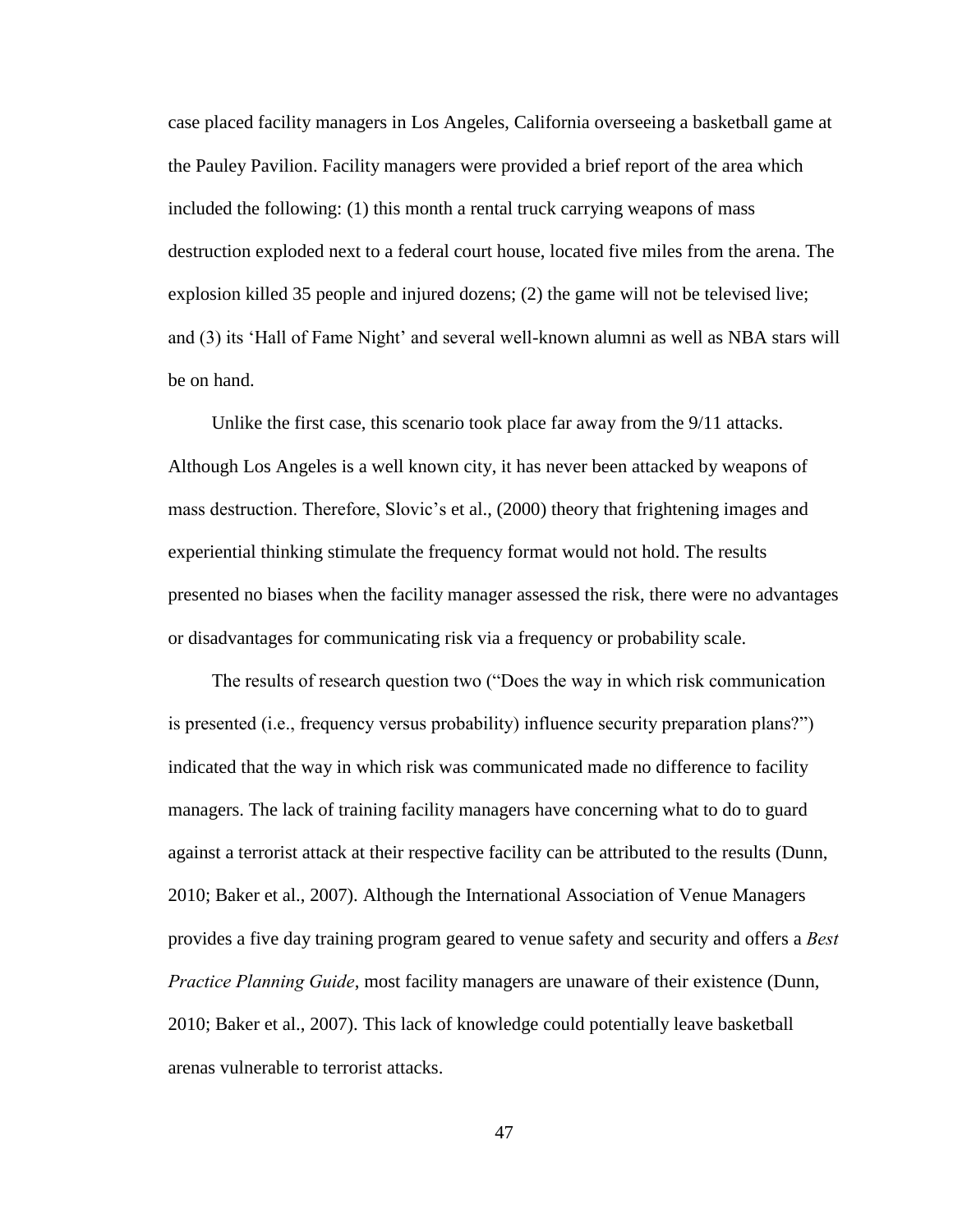case placed facility managers in Los Angeles, California overseeing a basketball game at the Pauley Pavilion. Facility managers were provided a brief report of the area which included the following: (1) this month a rental truck carrying weapons of mass destruction exploded next to a federal court house, located five miles from the arena. The explosion killed 35 people and injured dozens; (2) the game will not be televised live; and (3) its 'Hall of Fame Night' and several well-known alumni as well as NBA stars will be on hand.

 Unlike the first case, this scenario took place far away from the 9/11 attacks. Although Los Angeles is a well known city, it has never been attacked by weapons of mass destruction. Therefore, Slovic's et al., (2000) theory that frightening images and experiential thinking stimulate the frequency format would not hold. The results presented no biases when the facility manager assessed the risk, there were no advantages or disadvantages for communicating risk via a frequency or probability scale.

The results of research question two ("Does the way in which risk communication is presented (i.e., frequency versus probability) influence security preparation plans?" $\rangle$ indicated that the way in which risk was communicated made no difference to facility managers. The lack of training facility managers have concerning what to do to guard against a terrorist attack at their respective facility can be attributed to the results (Dunn, 2010; Baker et al., 2007). Although the International Association of Venue Managers provides a five day training program geared to venue safety and security and offers a *Best# Practice Planning Guide*, most facility managers are unaware of their existence (Dunn, 2010; Baker et al., 2007). This lack of knowledge could potentially leave basketball arenas vulnerable to terrorist attacks.

47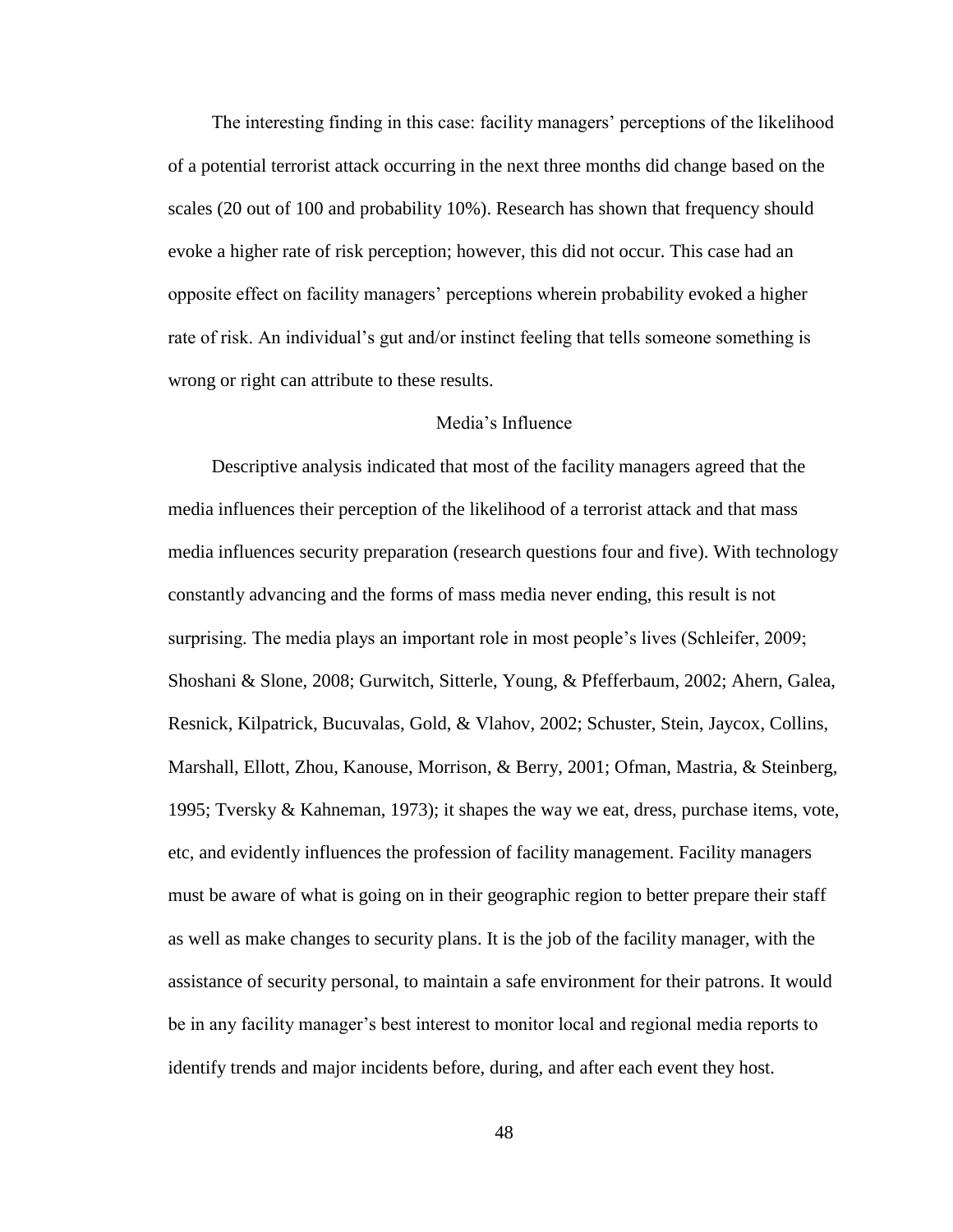The interesting finding in this case: facility managers' perceptions of the likelihood of a potential terrorist attack occurring in the next three months did change based on the scales (20 out of 100 and probability 10%). Research has shown that frequency should evoke a higher rate of risk perception; however, this did not occur. This case had an opposite effect on facility managers' perceptions wherein probability evoked a higher rate of risk. An individual's gut and/or instinct feeling that tells someone something is wrong or right can attribute to these results.

#### Media's Influence

 Descriptive analysis indicated that most of the facility managers agreed that the media influences their perception of the likelihood of a terrorist attack and that mass media influences security preparation (research questions four and five). With technology constantly advancing and the forms of mass media never ending, this result is not surprising. The media plays an important role in most people's lives (Schleifer, 2009; Shoshani & Slone, 2008; Gurwitch, Sitterle, Young, & Pfefferbaum, 2002; Ahern, Galea, Resnick, Kilpatrick, Bucuvalas, Gold, & Vlahov, 2002; Schuster, Stein, Jaycox, Collins, Marshall, Ellott, Zhou, Kanouse, Morrison, & Berry, 2001; Ofman, Mastria, & Steinberg, 1995; Tversky & Kahneman, 1973); it shapes the way we eat, dress, purchase items, vote, etc, and evidently influences the profession of facility management. Facility managers must be aware of what is going on in their geographic region to better prepare their staff as well as make changes to security plans. It is the job of the facility manager, with the assistance of security personal, to maintain a safe environment for their patrons. It would be in any facility manager's best interest to monitor local and regional media reports to identify trends and major incidents before, during, and after each event they host.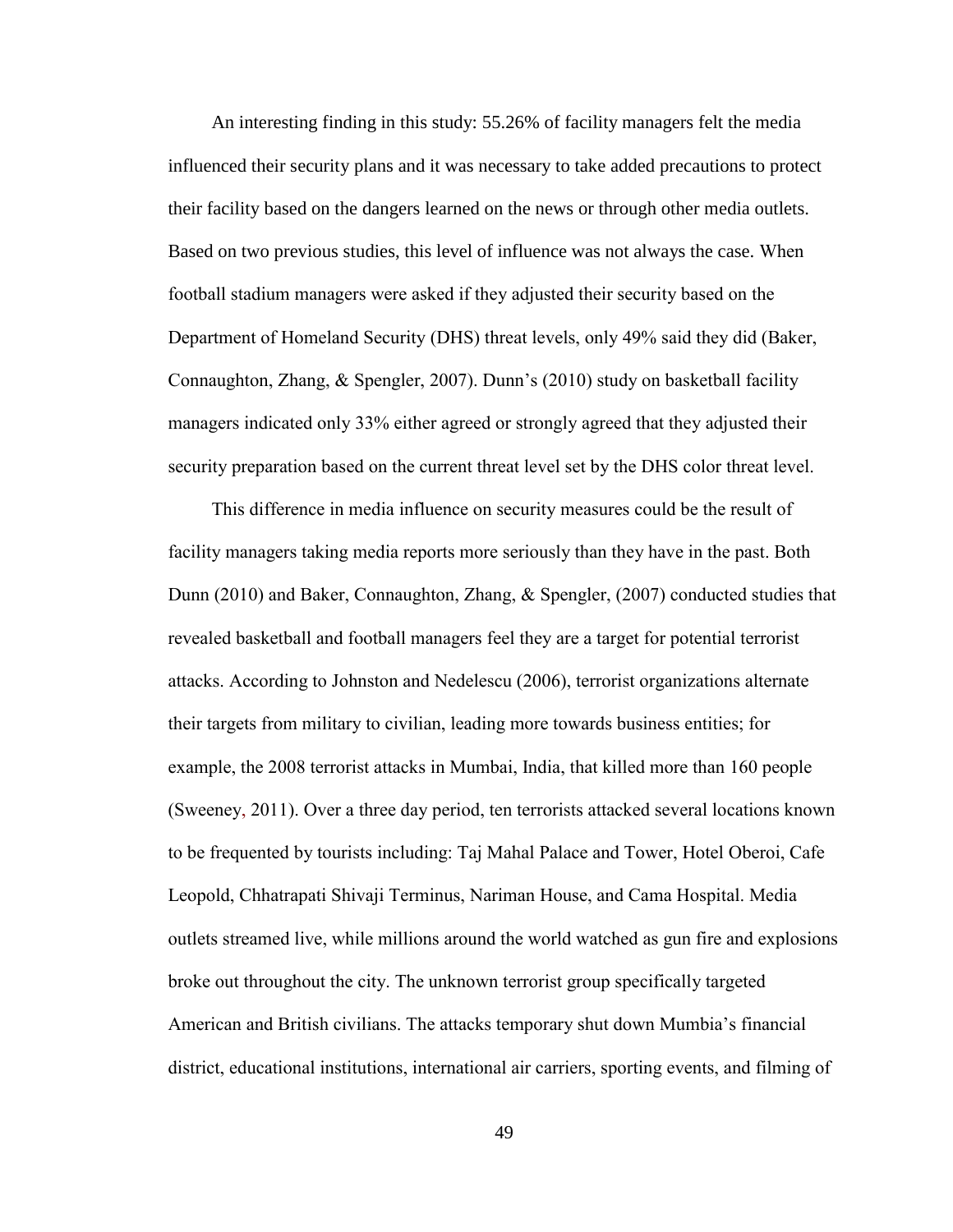An interesting finding in this study: 55.26% of facility managers felt the media influenced their security plans and it was necessary to take added precautions to protect their facility based on the dangers learned on the news or through other media outlets. Based on two previous studies, this level of influence was not always the case. When" football stadium managers were asked if they adjusted their security based on the Department of Homeland Security (DHS) threat levels, only 49% said they did (Baker, Connaughton, Zhang,  $\&$  Spengler, 2007). Dunn's (2010) study on basketball facility managers indicated only 33% either agreed or strongly agreed that they adjusted their security preparation based on the current threat level set by the DHS color threat level.

This difference in media influence on security measures could be the result of facility managers taking media reports more seriously than they have in the past. Both Dunn (2010) and Baker, Connaughton, Zhang,  $\&$  Spengler, (2007) conducted studies that revealed basketball and football managers feel they are a target for potential terrorist attacks. According to Johnston and Nedelescu (2006), terrorist organizations alternate their targets from military to civilian, leading more towards business entities; for example, the 2008 terrorist attacks in Mumbai, India, that killed more than 160 people (Sweeney, 2011). Over a three day period, ten terrorists attacked several locations known to be frequented by tourists including: Taj Mahal Palace and Tower, Hotel Oberoi, Cafe Leopold, Chhatrapati Shivaji Terminus, Nariman House, and Cama Hospital. Media outlets streamed live, while millions around the world watched as gun fire and explosions" broke out throughout the city. The unknown terrorist group specifically targeted American and British civilians. The attacks temporary shut down Mumbia's financial district, educational institutions, international air carriers, sporting events, and filming of

49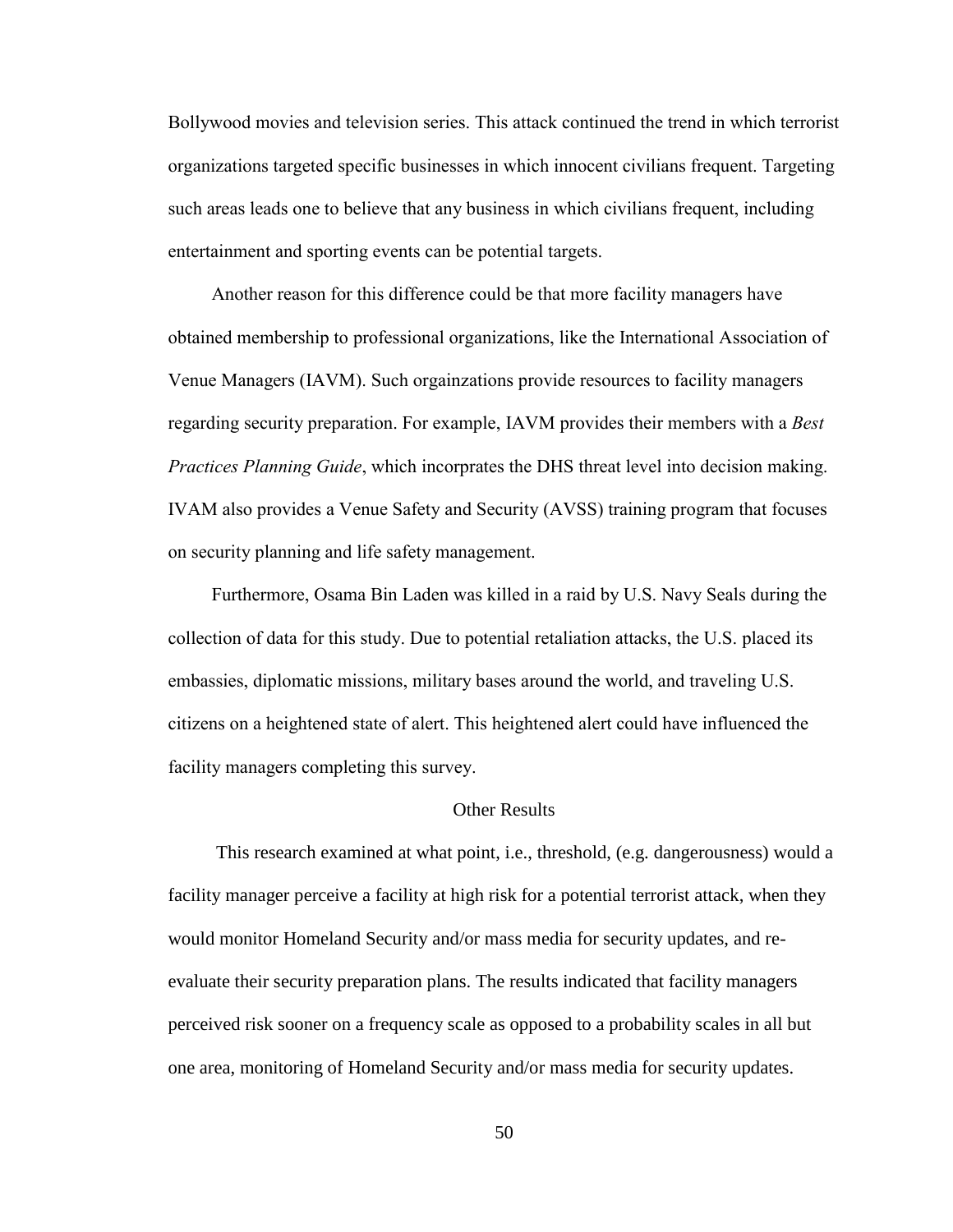Bollywood movies and television series. This attack continued the trend in which terrorist organizations targeted specific businesses in which innocent civilians frequent. Targeting such areas leads one to believe that any business in which civilians frequent, including entertainment and sporting events can be potential targets.

Another reason for this difference could be that more facility managers have obtained membership to professional organizations, like the International Association of Venue Managers (IAVM). Such orgainzations provide resources to facility managers regarding security preparation. For example, IAVM provides their members with a *Best Practices Planning Guide*, which incorprates the DHS threat level into decision making. IVAM also provides a Venue Safety and Security (AVSS) training program that focuses on security planning and life safety management.

Furthermore, Osama Bin Laden was killed in a raid by U.S. Navy Seals during the collection of data for this study. Due to potential retaliation attacks, the U.S. placed its embassies, diplomatic missions, military bases around the world, and traveling U.S. citizens on a heightened state of alert. This heightened alert could have influenced the facility managers completing this survey.

#### Other Results

 This research examined at what point, i.e., threshold, (e.g. dangerousness) would a facility manager perceive a facility at high risk for a potential terrorist attack, when they would monitor Homeland Security and/or mass media for security updates, and reevaluate their security preparation plans. The results indicated that facility managers perceived risk sooner on a frequency scale as opposed to a probability scales in all but one area, monitoring of Homeland Security and/or mass media for security updates.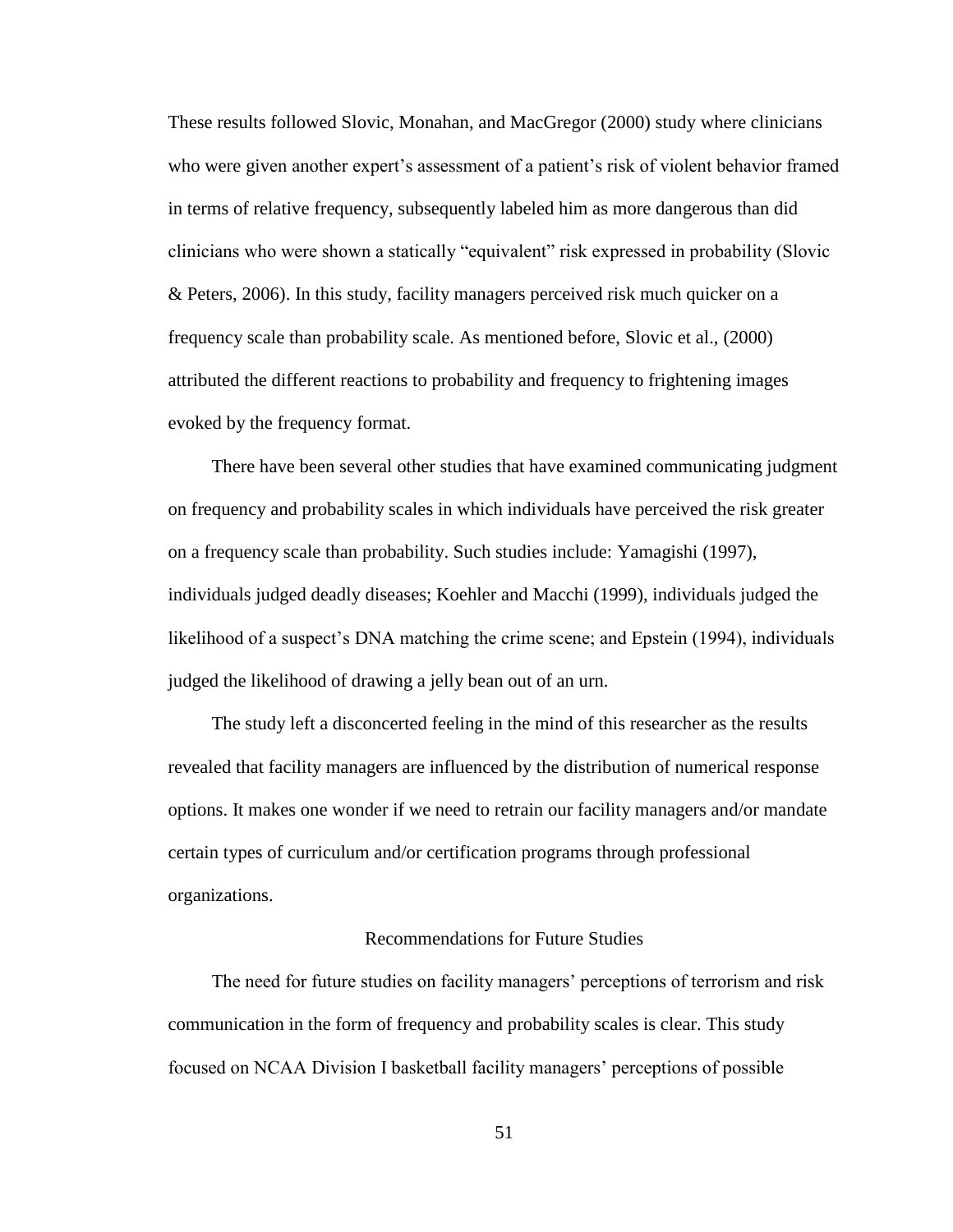These results followed Slovic, Monahan, and MacGregor (2000) study where clinicians who were given another expert's assessment of a patient's risk of violent behavior framed in terms of relative frequency, subsequently labeled him as more dangerous than did clinicians who were shown a statically "equivalent" risk expressed in probability (Slovic & Peters, 2006). In this study, facility managers perceived risk much quicker on a frequency scale than probability scale. As mentioned before, Slovic et al., (2000) attributed the different reactions to probability and frequency to frightening images evoked by the frequency format.

 There have been several other studies that have examined communicating judgment on frequency and probability scales in which individuals have perceived the risk greater on a frequency scale than probability. Such studies include: Yamagishi (1997), individuals judged deadly diseases; Koehler and Macchi (1999), individuals judged the likelihood of a suspect's DNA matching the crime scene; and Epstein (1994), individuals judged the likelihood of drawing a jelly bean out of an urn.

 The study left a disconcerted feeling in the mind of this researcher as the results revealed that facility managers are influenced by the distribution of numerical response options. It makes one wonder if we need to retrain our facility managers and/or mandate certain types of curriculum and/or certification programs through professional organizations.

#### Recommendations for Future Studies

The need for future studies on facility managers' perceptions of terrorism and risk communication in the form of frequency and probability scales is clear. This study focused on NCAA Division I basketball facility managers' perceptions of possible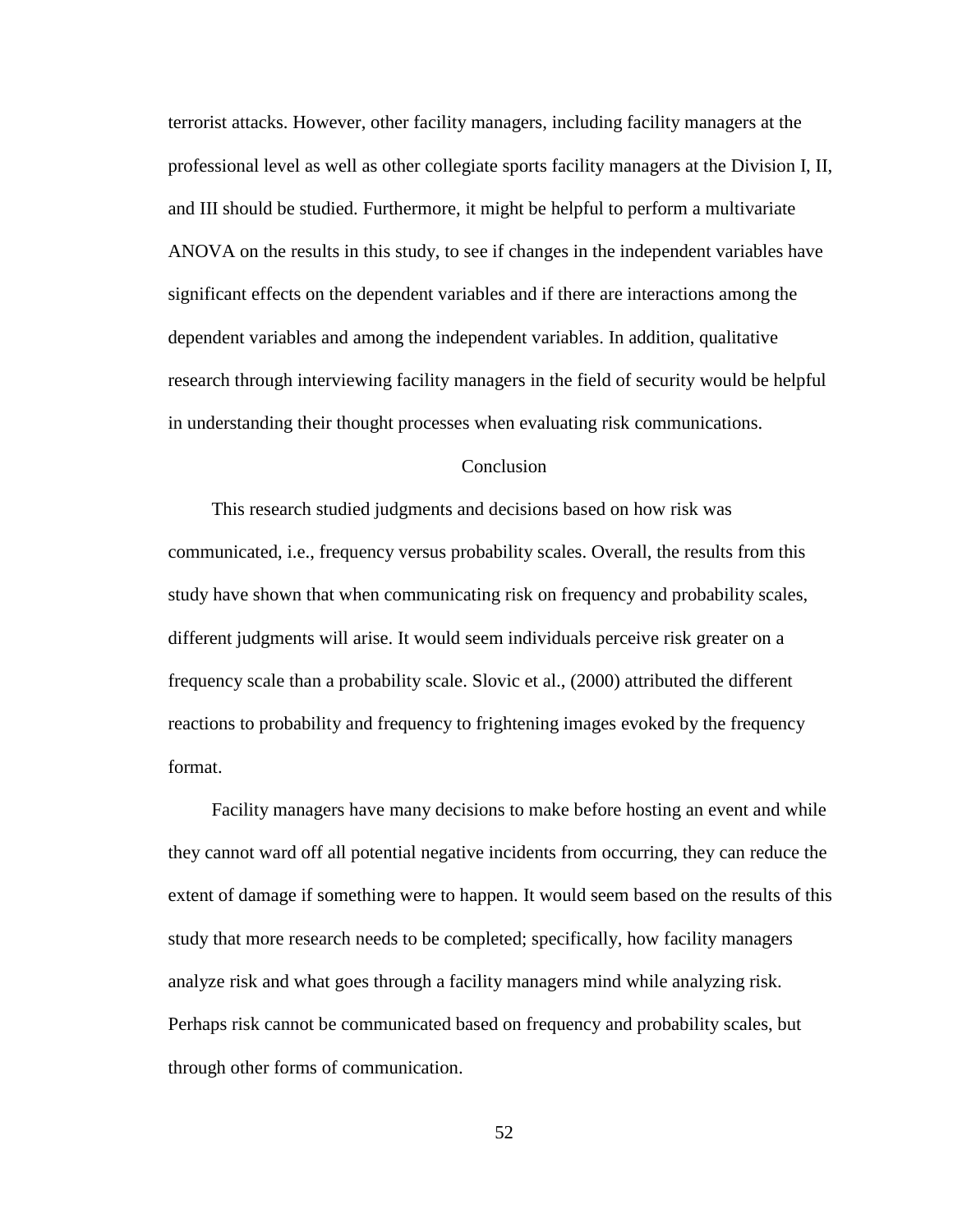terrorist attacks. However, other facility managers, including facility managers at the professional level as well as other collegiate sports facility managers at the Division I, II, and III should be studied. Furthermore, it might be helpful to perform a multivariate ANOVA on the results in this study, to see if changes in the independent variables have significant effects on the dependent variables and if there are interactions among the dependent variables and among the independent variables. In addition, qualitative research through interviewing facility managers in the field of security would be helpful in understanding their thought processes when evaluating risk communications.

#### Conclusion

 This research studied judgments and decisions based on how risk was communicated, i.e., frequency versus probability scales. Overall, the results from this study have shown that when communicating risk on frequency and probability scales, different judgments will arise. It would seem individuals perceive risk greater on a frequency scale than a probability scale. Slovic et al., (2000) attributed the different reactions to probability and frequency to frightening images evoked by the frequency format.

 Facility managers have many decisions to make before hosting an event and while they cannot ward off all potential negative incidents from occurring, they can reduce the extent of damage if something were to happen. It would seem based on the results of this study that more research needs to be completed; specifically, how facility managers analyze risk and what goes through a facility managers mind while analyzing risk. Perhaps risk cannot be communicated based on frequency and probability scales, but through other forms of communication.

52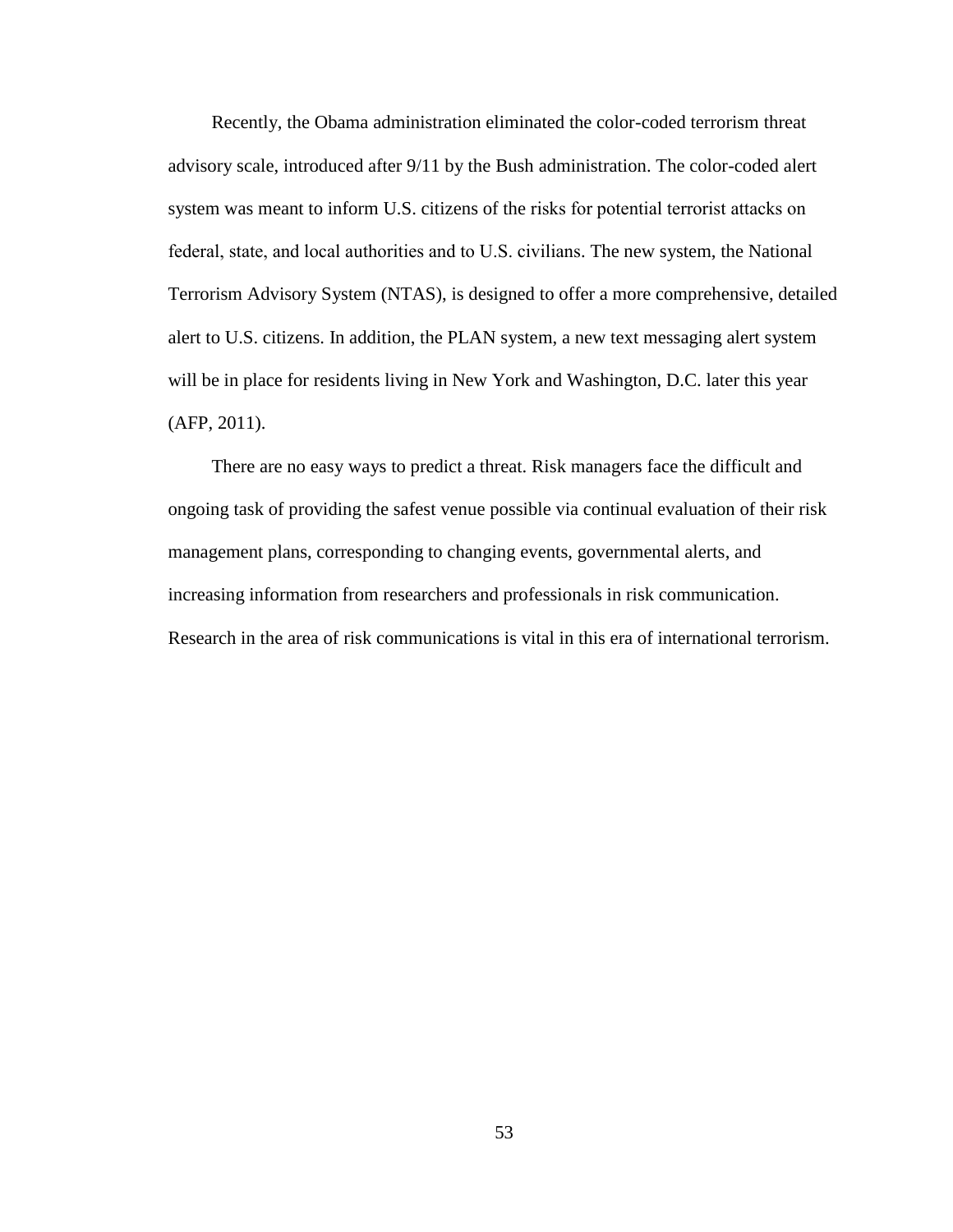Recently, the Obama administration eliminated the color-coded terrorism threat advisory scale, introduced after 9/11 by the Bush administration. The color-coded alert system was meant to inform U.S. citizens of the risks for potential terrorist attacks on federal, state, and local authorities and to U.S. civilians. The new system, the National Terrorism Advisory System (NTAS), is designed to offer a more comprehensive, detailed alert to U.S. citizens. In addition, the PLAN system, a new text messaging alert system will be in place for residents living in New York and Washington, D.C. later this year (AFP, 2011).

 There are no easy ways to predict a threat. Risk managers face the difficult and ongoing task of providing the safest venue possible via continual evaluation of their risk management plans, corresponding to changing events, governmental alerts, and increasing information from researchers and professionals in risk communication. Research in the area of risk communications is vital in this era of international terrorism.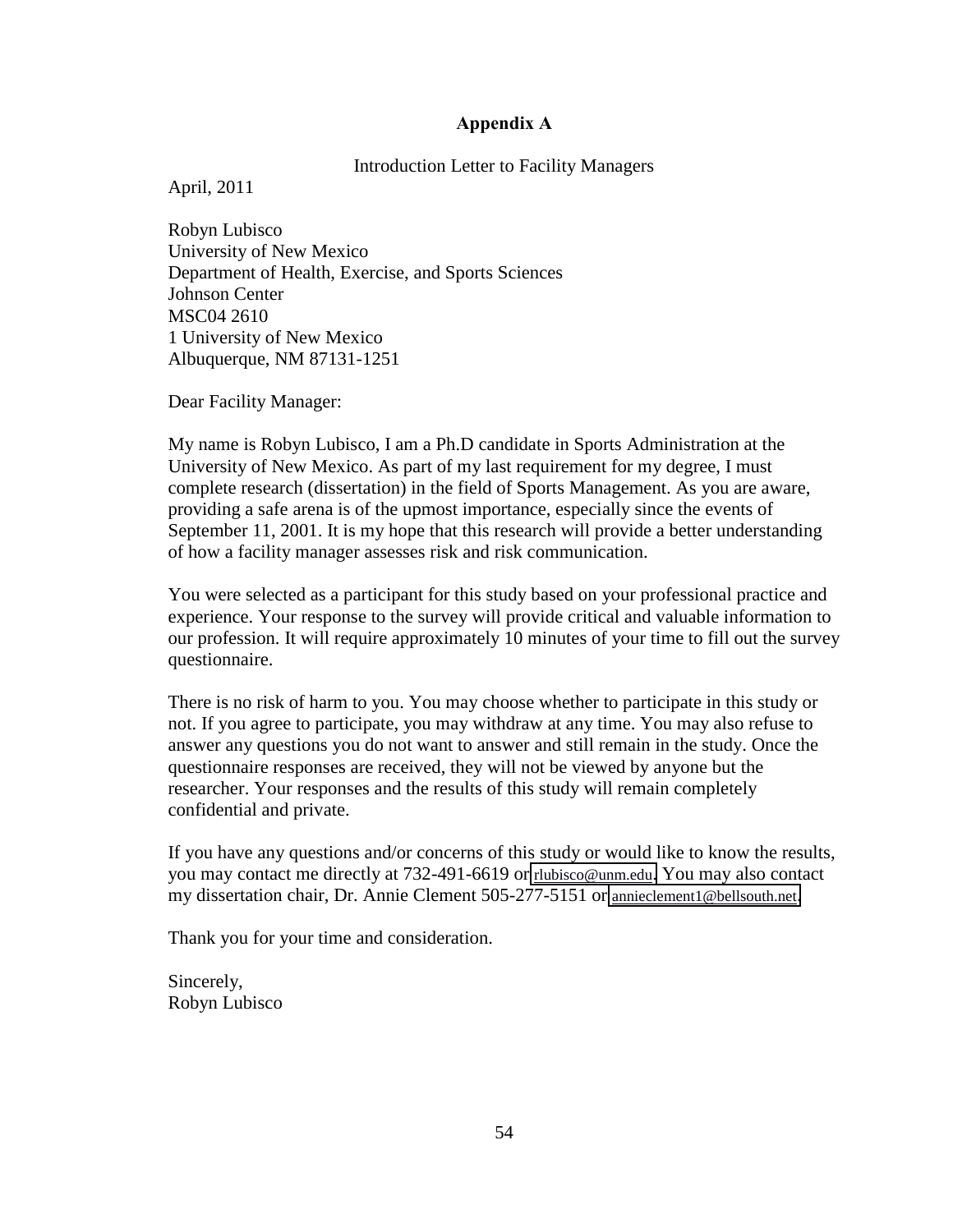### **Appendix!A!**

### Introduction Letter to Facility Managers

April, 2011

Robyn Lubisco University of New Mexico Department of Health, Exercise, and Sports Sciences Johnson Center MSC04 2610 1 University of New Mexico Albuquerque, NM 87131-1251

Dear Facility Manager:

My name is Robyn Lubisco, I am a Ph.D candidate in Sports Administration at the University of New Mexico. As part of my last requirement for my degree, I must complete research (dissertation) in the field of Sports Management. As you are aware, providing a safe arena is of the upmost importance, especially since the events of September 11, 2001. It is my hope that this research will provide a better understanding of how a facility manager assesses risk and risk communication.

You were selected as a participant for this study based on your professional practice and experience. Your response to the survey will provide critical and valuable information to our profession. It will require approximately 10 minutes of your time to fill out the survey questionnaire.

There is no risk of harm to you. You may choose whether to participate in this study or not. If you agree to participate, you may withdraw at any time. You may also refuse to answer any questions you do not want to answer and still remain in the study. Once the questionnaire responses are received, they will not be viewed by anyone but the researcher. Your responses and the results of this study will remain completely confidential and private.

If you have any questions and/or concerns of this study or would like to know the results, you may contact me directly at 732-491-6619 or [rlubisco@unm.edu.](mailto:rlubisco@unm.edu) You may also contact my dissertation chair, Dr. Annie Clement 505-277-5151 or [annieclement1@bellsouth.net.](mailto:annieclement1@bellsouth.net)

Thank you for your time and consideration.

Sincerely, Robyn Lubisco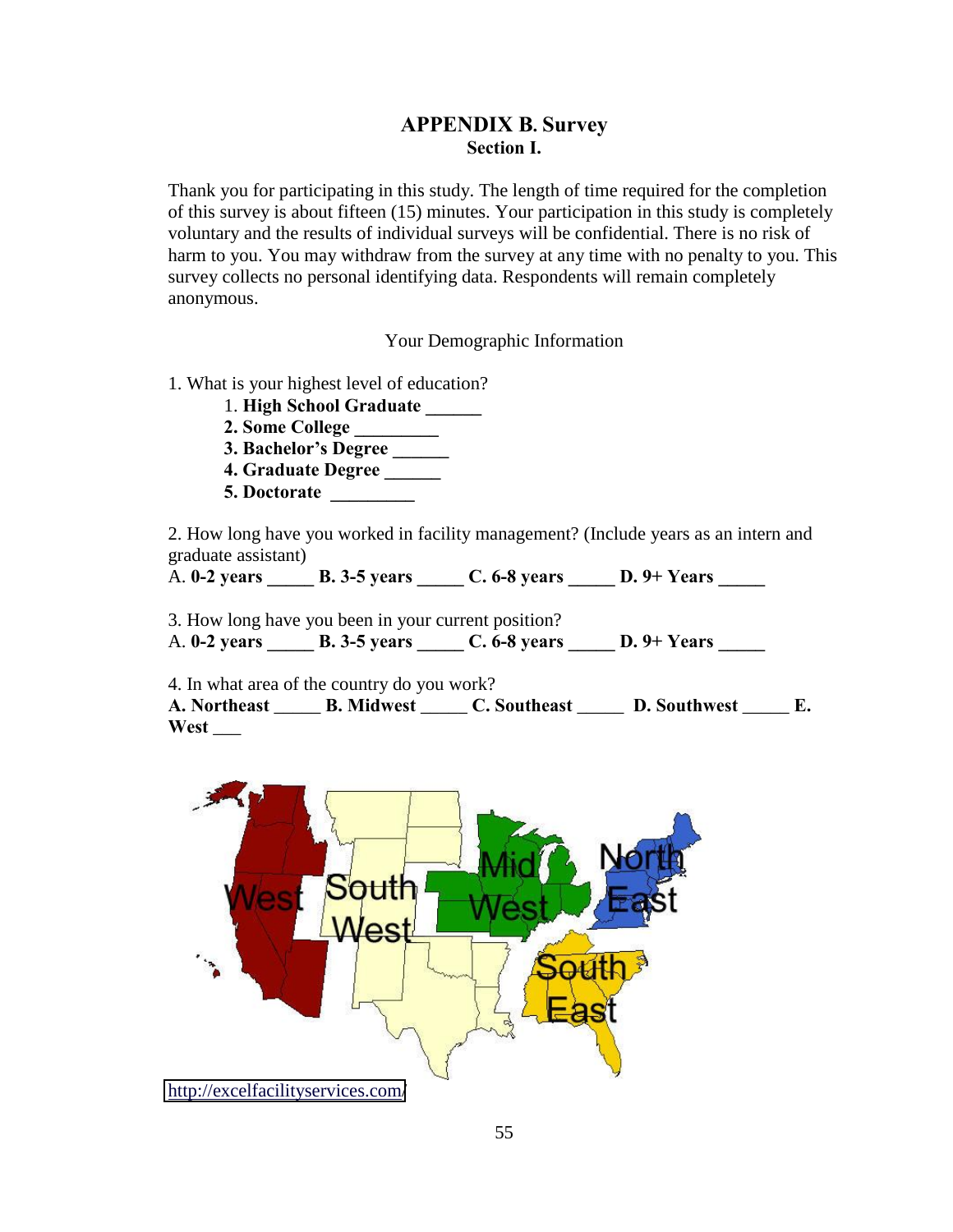## **APPENDIX B. Survey Section I.**

Thank you for participating in this study. The length of time required for the completion of this survey is about fifteen (15) minutes. Your participation in this study is completely voluntary and the results of individual surveys will be confidential. There is no risk of harm to you. You may withdraw from the survey at any time with no penalty to you. This survey collects no personal identifying data. Respondents will remain completely anonymous.

Your Demographic Information

- 1. What is your highest level of education?
	- 1. **High!School!Graduate!\_\_\_\_\_\_!**
	- **2. Some College**
	- 3. Bachelor's Degree
	- **4. Graduate Degree \_\_\_\_\_\_**
	- **5. Doctorate**

2. How long have you worked in facility management? (Include years as an intern and graduate assistant)

A. **0-2 years \_\_\_\_\_\_\_ B. 3-5 years \_\_\_\_\_\_\_ C. 6-8 years \_\_\_\_\_\_ D. 9+ Years \_\_\_\_\_** 

3. How long have you been in your current position? A. **0-2 years \_\_\_\_\_\_\_ B. 3-5 years \_\_\_\_\_\_ C. 6-8 years \_\_\_\_\_\_ D. 9+ Years \_\_\_\_\_** 

4. In what area of the country do you work?

A. Northeast \_\_\_\_\_ **B.** Midwest \_\_\_\_\_ **C.** Southeast \_\_\_\_\_ **D.** Southwest \_\_\_\_ **E. West** \_\_\_

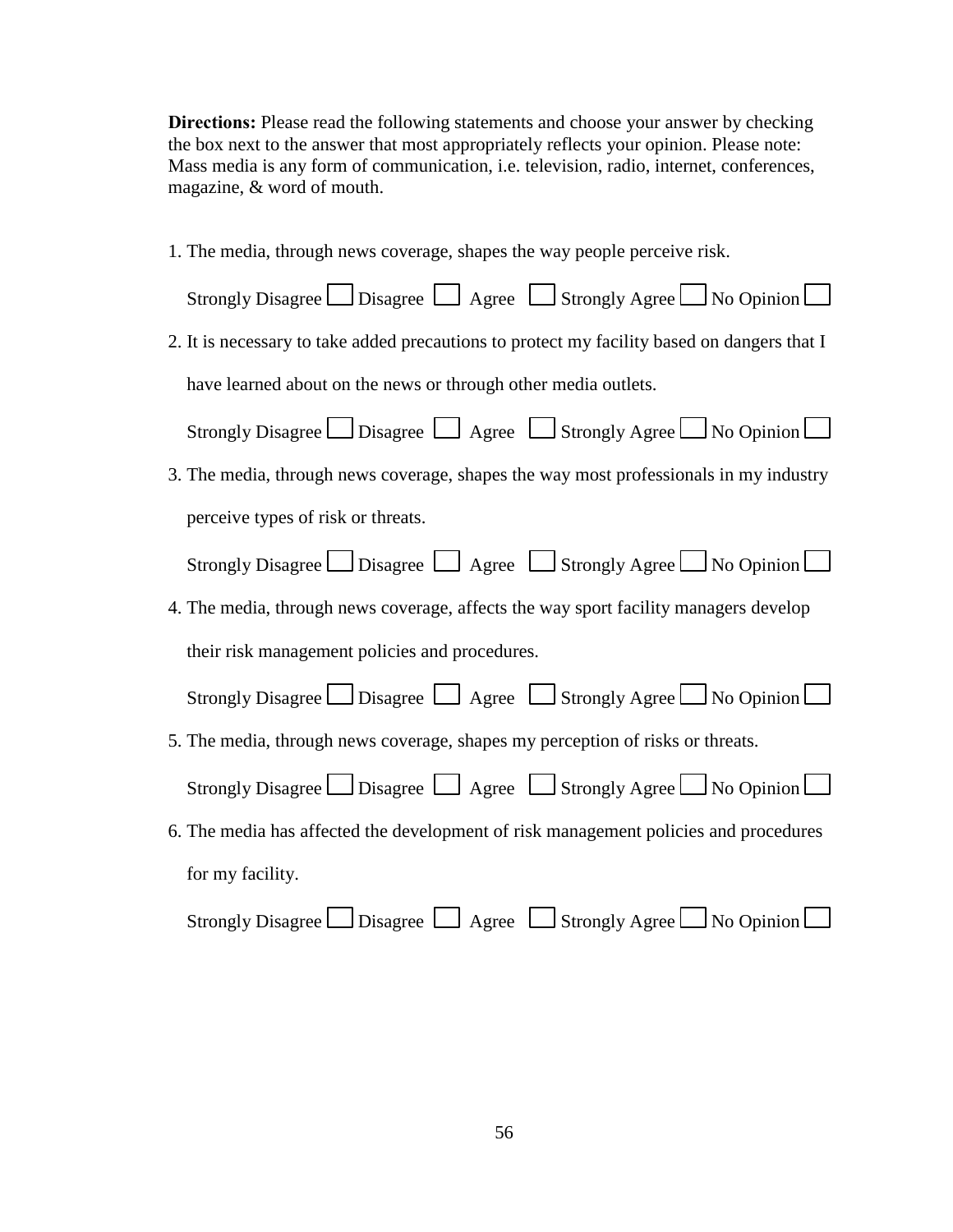**Directions:** Please read the following statements and choose your answer by checking the box next to the answer that most appropriately reflects your opinion. Please note: Mass media is any form of communication, i.e. television, radio, internet, conferences, magazine, & word of mouth.

1. The media, through news coverage, shapes the way people perceive risk. Strongly Disagree  $\Box$  Disagree  $\Box$  Agree  $\Box$  Strongly Agree  $\Box$  No Opinion  $\Box$ 2. It is necessary to take added precautions to protect my facility based on dangers that I have learned about on the news or through other media outlets. Strongly Disagree  $\Box$  Disagree  $\Box$  Agree  $\Box$  Strongly Agree  $\Box$  No Opinion  $\Box$ 3. The media, through news coverage, shapes the way most professionals in my industry perceive types of risk or threats. Strongly Disagree  $\Box$  Disagree  $\Box$  Agree  $\Box$  Strongly Agree  $\Box$  No Opinion  $\Box$ 4. The media, through news coverage, affects the way sport facility managers develop their risk management policies and procedures. Strongly Disagree  $\Box$  Disagree  $\Box$  Agree  $\Box$  Strongly Agree  $\Box$  No Opinion  $\Box$ 5. The media, through news coverage, shapes my perception of risks or threats. Strongly Disagree  $\Box$  Disagree  $\Box$  Agree  $\Box$  Strongly Agree  $\Box$  No Opinion  $\Box$ 6. The media has affected the development of risk management policies and procedures for my facility. Strongly Disagree  $\Box$  Disagree  $\Box$  Agree  $\Box$  Strongly Agree  $\Box$  No Opinion  $\Box$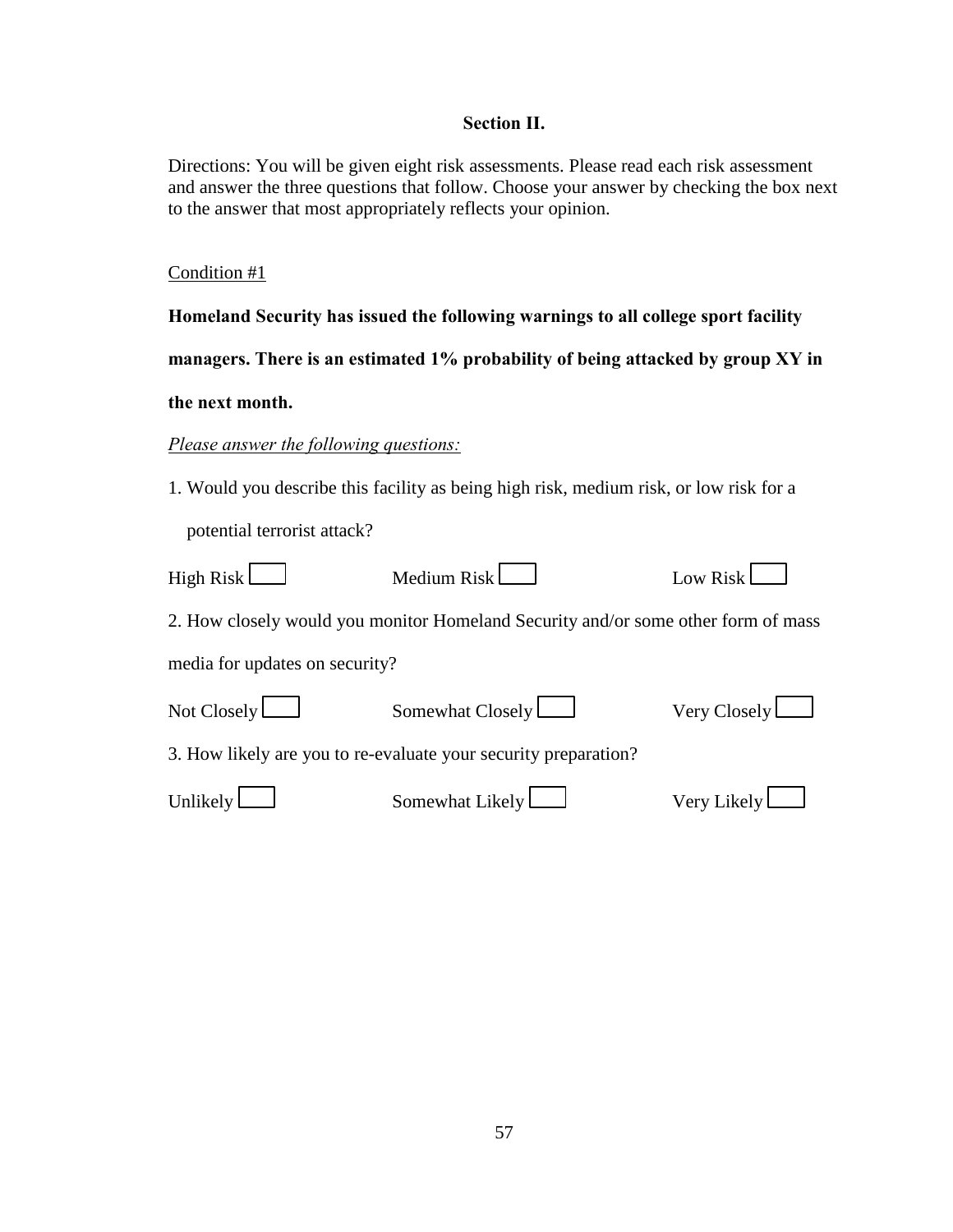## **Section II.**

Directions: You will be given eight risk assessments. Please read each risk assessment and answer the three questions that follow. Choose your answer by checking the box next to the answer that most appropriately reflects your opinion.

## Condition #1

|                                                                                 | Homeland Security has issued the following warnings to all college sport facility      |              |  |  |  |
|---------------------------------------------------------------------------------|----------------------------------------------------------------------------------------|--------------|--|--|--|
| managers. There is an estimated 1% probability of being attacked by group XY in |                                                                                        |              |  |  |  |
| the next month.                                                                 |                                                                                        |              |  |  |  |
| <b>Please answer the following questions:</b>                                   |                                                                                        |              |  |  |  |
|                                                                                 | 1. Would you describe this facility as being high risk, medium risk, or low risk for a |              |  |  |  |
| potential terrorist attack?                                                     |                                                                                        |              |  |  |  |
| High Risk $\Box$                                                                | Medium Risk                                                                            | Low Risk     |  |  |  |
|                                                                                 | 2. How closely would you monitor Homeland Security and/or some other form of mass      |              |  |  |  |
| media for updates on security?                                                  |                                                                                        |              |  |  |  |
| Not Closely $\Box$                                                              | Somewhat Closely                                                                       | Very Closely |  |  |  |
|                                                                                 | 3. How likely are you to re-evaluate your security preparation?                        |              |  |  |  |
| Unlikely                                                                        | Somewhat Likely                                                                        | Very Likely  |  |  |  |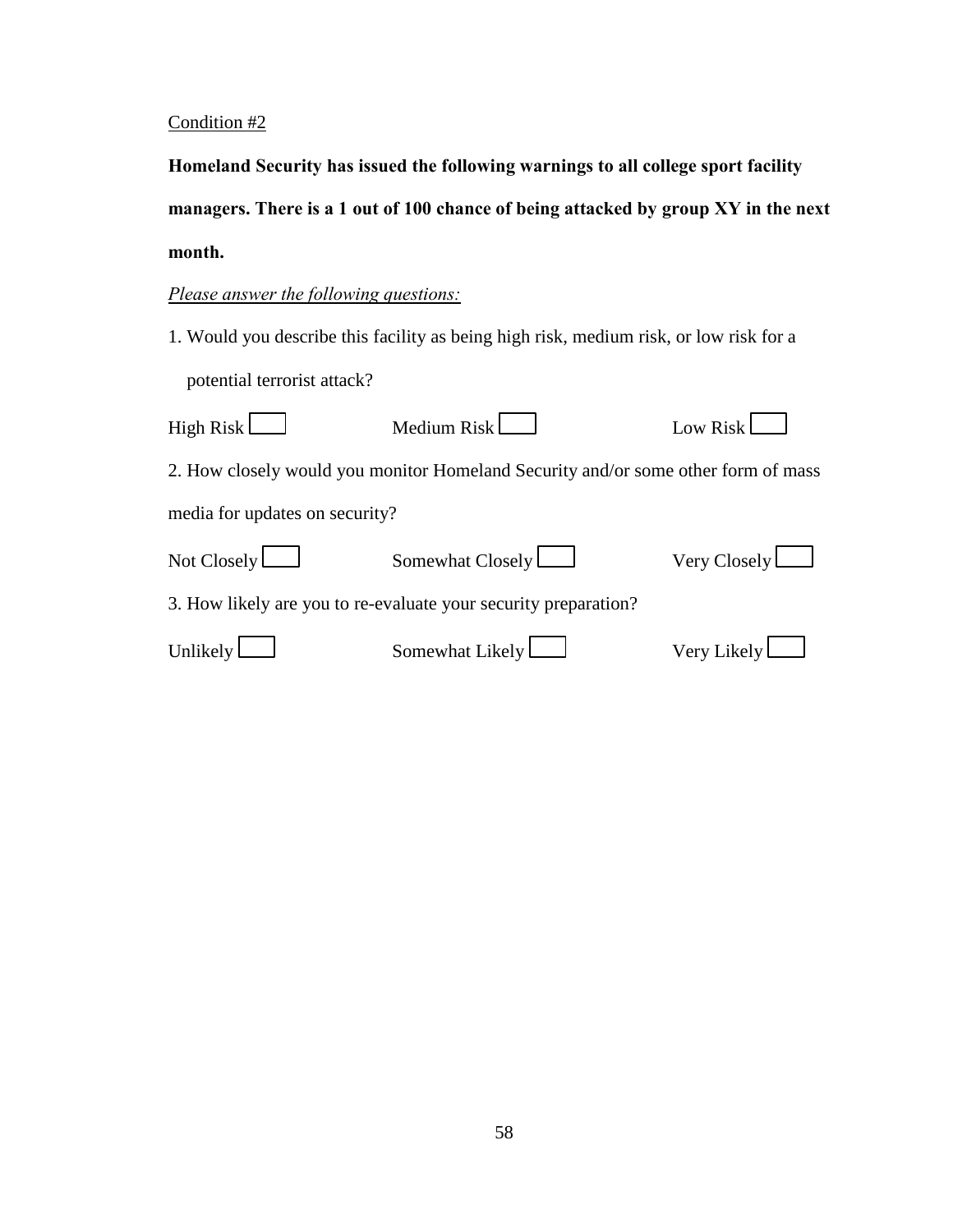Homeland Security has issued the following warnings to all college sport facility managers. There is a 1 out of 100 chance of being attacked by group XY in the next month.

# *Please answer the following questions:*

| High Risk L                                                     | Medium Risk                                                                       | Low Risk     |  |  |
|-----------------------------------------------------------------|-----------------------------------------------------------------------------------|--------------|--|--|
|                                                                 | 2. How closely would you monitor Homeland Security and/or some other form of mass |              |  |  |
| media for updates on security?                                  |                                                                                   |              |  |  |
| Not Closely $\Box$                                              | Somewhat Closely                                                                  | Very Closely |  |  |
| 3. How likely are you to re-evaluate your security preparation? |                                                                                   |              |  |  |
| Unlikely                                                        | Somewhat Likely                                                                   | Very Likely  |  |  |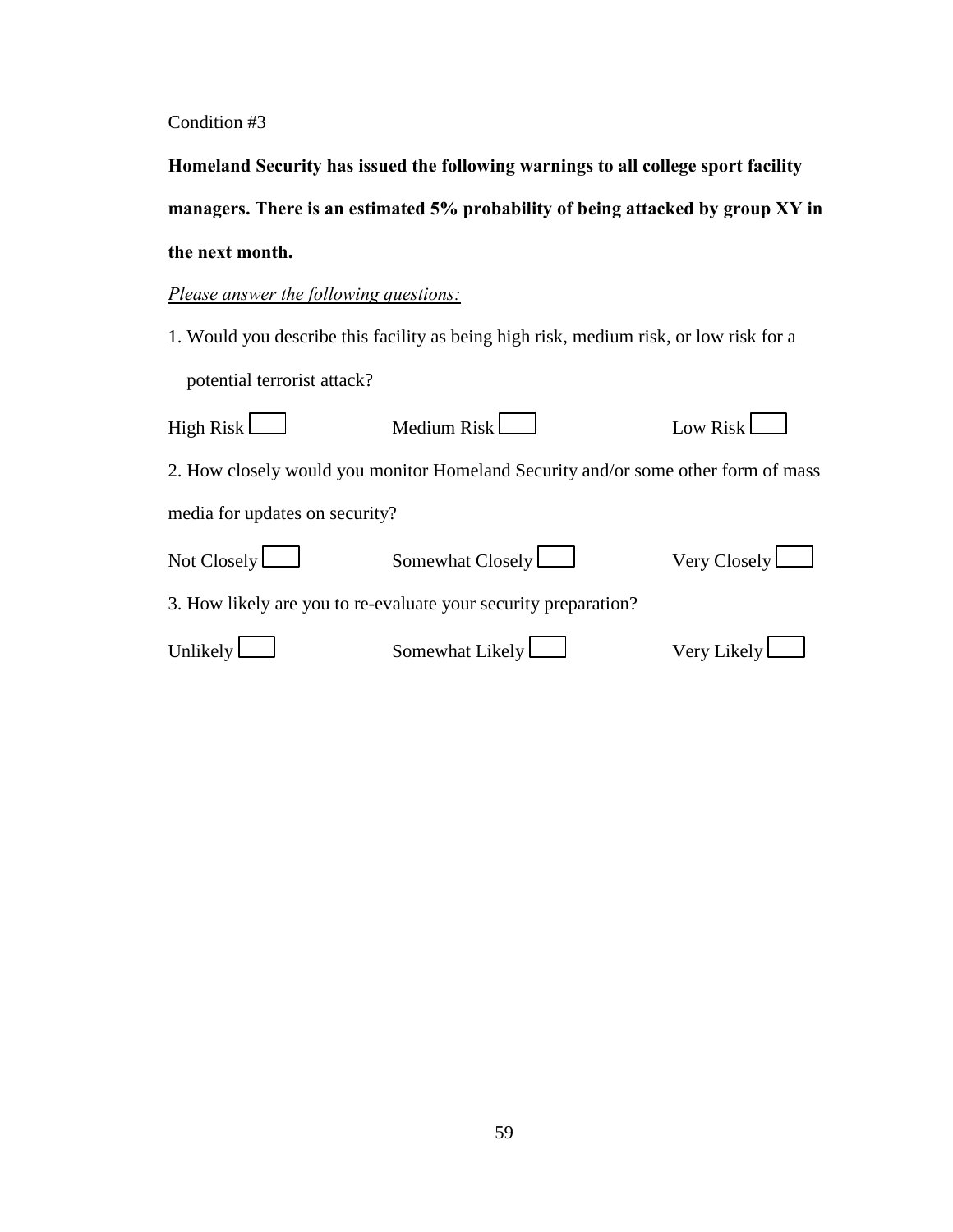Homeland Security has issued the following warnings to all college sport facility managers. There is an estimated 5% probability of being attacked by group XY in the next month.

# *Please answer the following questions:*

| High Risk $\Box$                                                | Medium Risk                                                                       | Low Risk            |  |  |
|-----------------------------------------------------------------|-----------------------------------------------------------------------------------|---------------------|--|--|
|                                                                 | 2. How closely would you monitor Homeland Security and/or some other form of mass |                     |  |  |
| media for updates on security?                                  |                                                                                   |                     |  |  |
| Not Closely $\Box$                                              | Somewhat Closely                                                                  | Very Closely $\Box$ |  |  |
| 3. How likely are you to re-evaluate your security preparation? |                                                                                   |                     |  |  |
| Unlikely                                                        | Somewhat Likely                                                                   | Very Likely $\Box$  |  |  |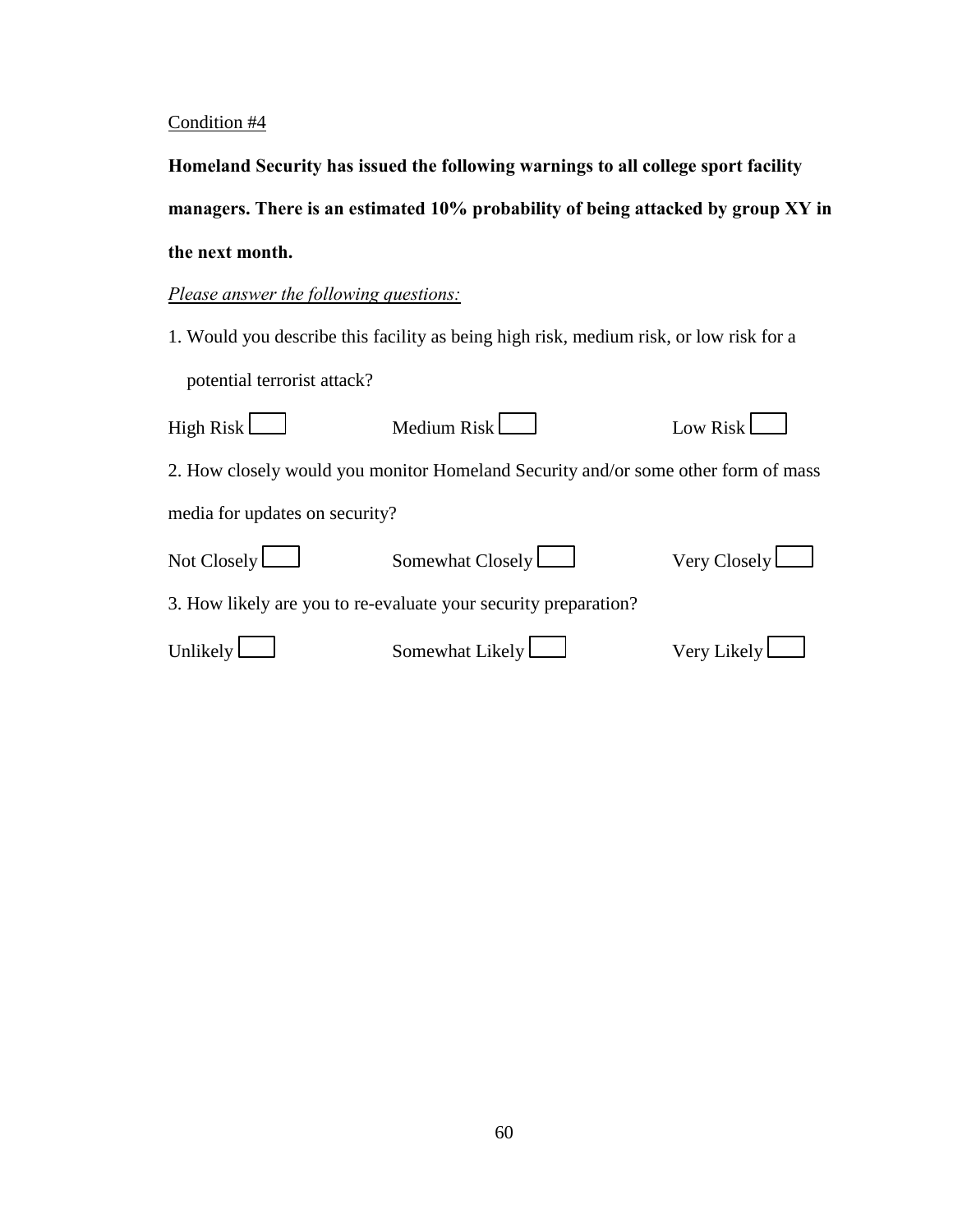Homeland Security has issued the following warnings to all college sport facility managers. There is an estimated 10% probability of being attacked by group XY in the next month.

## *Please answer the following questions:*

| High Risk $\Box$               | Medium Risk                                                                       | Low Risk            |  |  |
|--------------------------------|-----------------------------------------------------------------------------------|---------------------|--|--|
|                                | 2. How closely would you monitor Homeland Security and/or some other form of mass |                     |  |  |
| media for updates on security? |                                                                                   |                     |  |  |
| Not Closely $\Box$             | Somewhat Closely                                                                  | Very Closely $\Box$ |  |  |
|                                | 3. How likely are you to re-evaluate your security preparation?                   |                     |  |  |
| Unlikely $\Box$                | Somewhat Likely                                                                   | Very Likely $\Box$  |  |  |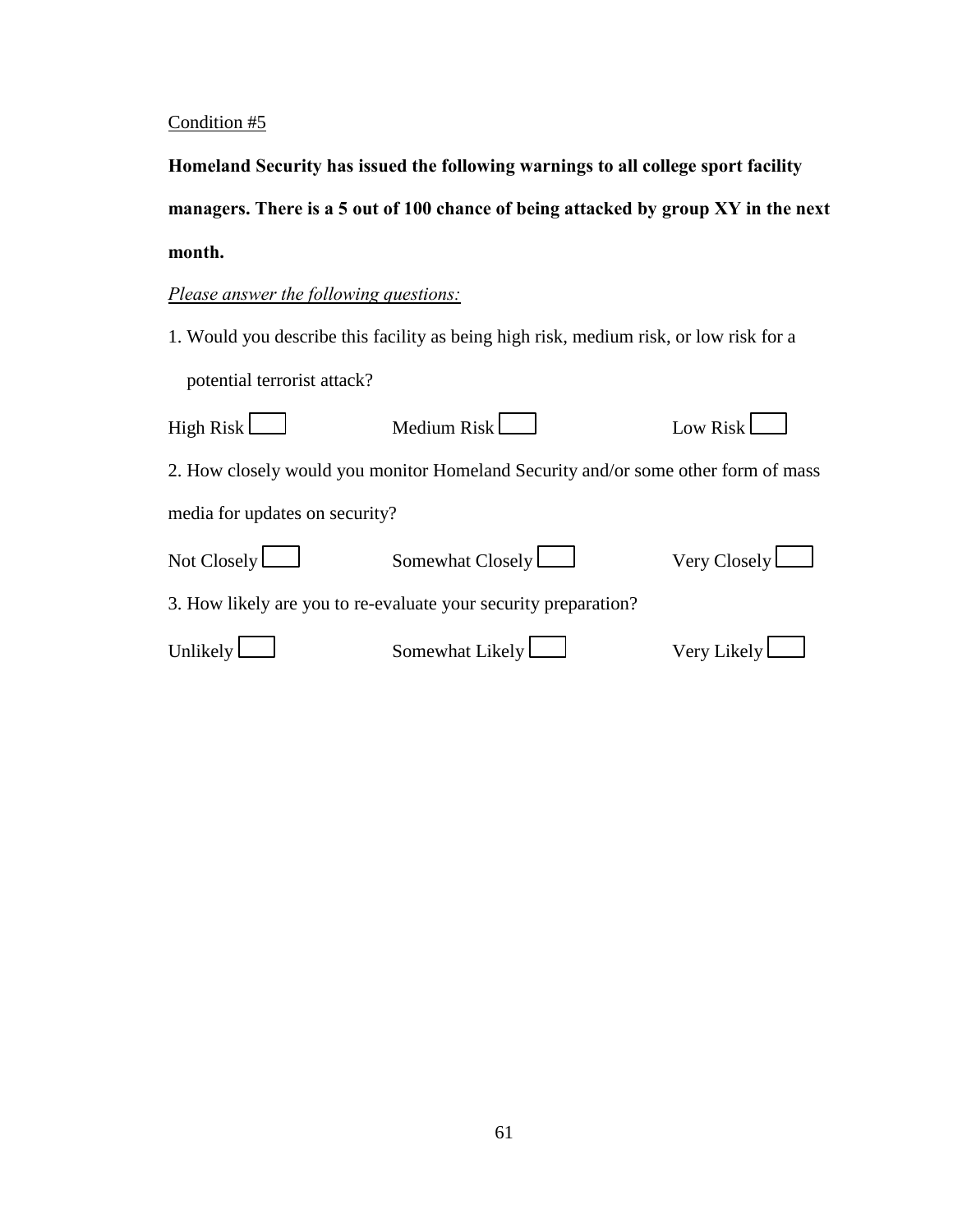Homeland Security has issued the following warnings to all college sport facility managers. There is a 5 out of 100 chance of being attacked by group XY in the next month.

# *Please answer the following questions:*

| High Risk $\Box$               | Medium Risk                                                                       | Low Risk            |  |  |
|--------------------------------|-----------------------------------------------------------------------------------|---------------------|--|--|
|                                | 2. How closely would you monitor Homeland Security and/or some other form of mass |                     |  |  |
| media for updates on security? |                                                                                   |                     |  |  |
| Not Closely $\Box$             | Somewhat Closely                                                                  | Very Closely $\Box$ |  |  |
|                                | 3. How likely are you to re-evaluate your security preparation?                   |                     |  |  |
| Unlikely $\mathsf{\mathsf{L}}$ | Somewhat Likely                                                                   | Very Likely $\Box$  |  |  |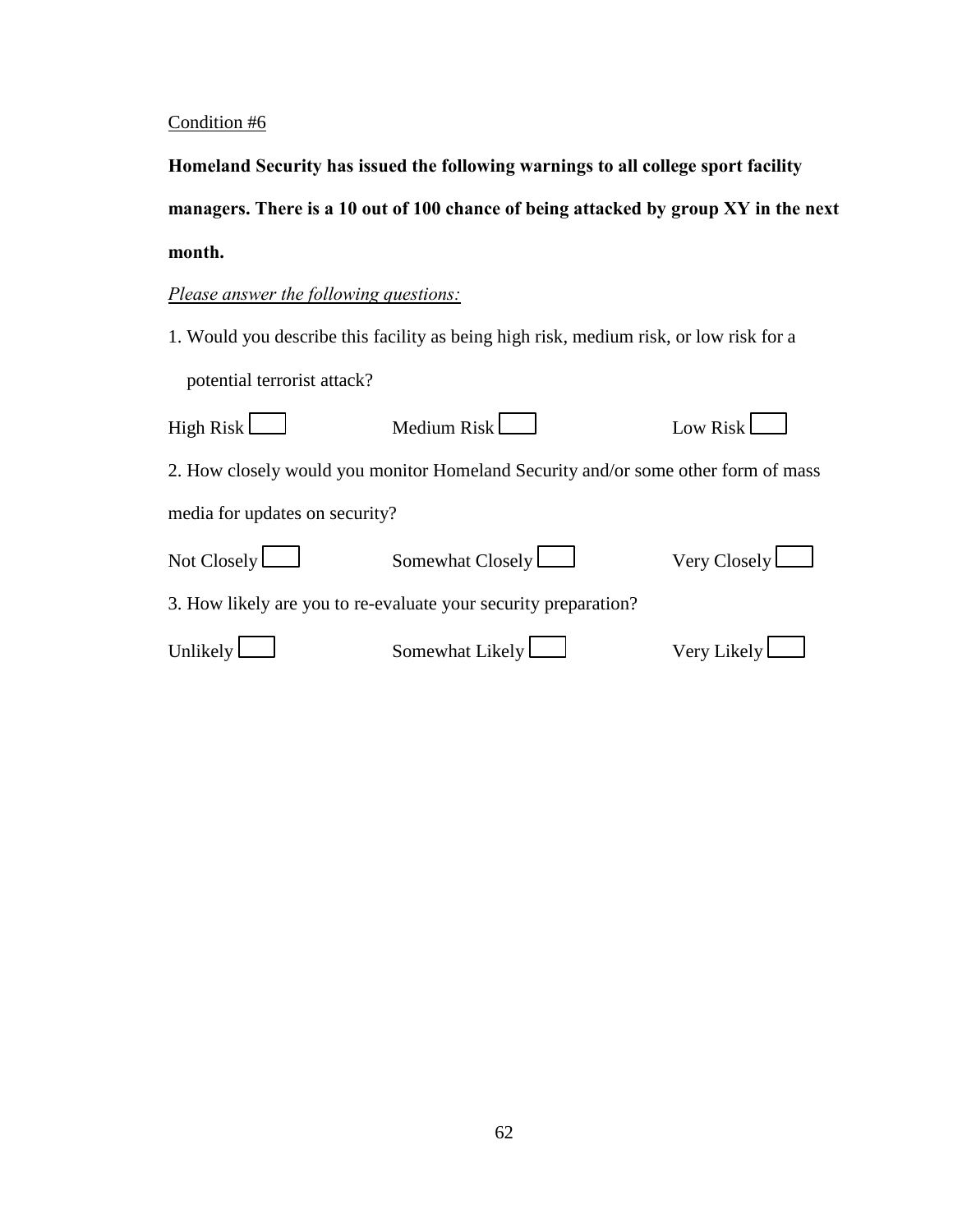Homeland Security has issued the following warnings to all college sport facility managers. There is a 10 out of 100 chance of being attacked by group XY in the next month.

# *Please answer the following questions:*

| High Risk $\Box$                                                | Medium Risk                                                                       | Low Risk           |  |  |
|-----------------------------------------------------------------|-----------------------------------------------------------------------------------|--------------------|--|--|
|                                                                 | 2. How closely would you monitor Homeland Security and/or some other form of mass |                    |  |  |
| media for updates on security?                                  |                                                                                   |                    |  |  |
| Not Closely $\Box$                                              | Somewhat Closely                                                                  | Very Closely       |  |  |
| 3. How likely are you to re-evaluate your security preparation? |                                                                                   |                    |  |  |
| Unlikely                                                        | Somewhat Likely $\Box$                                                            | Very Likely $\Box$ |  |  |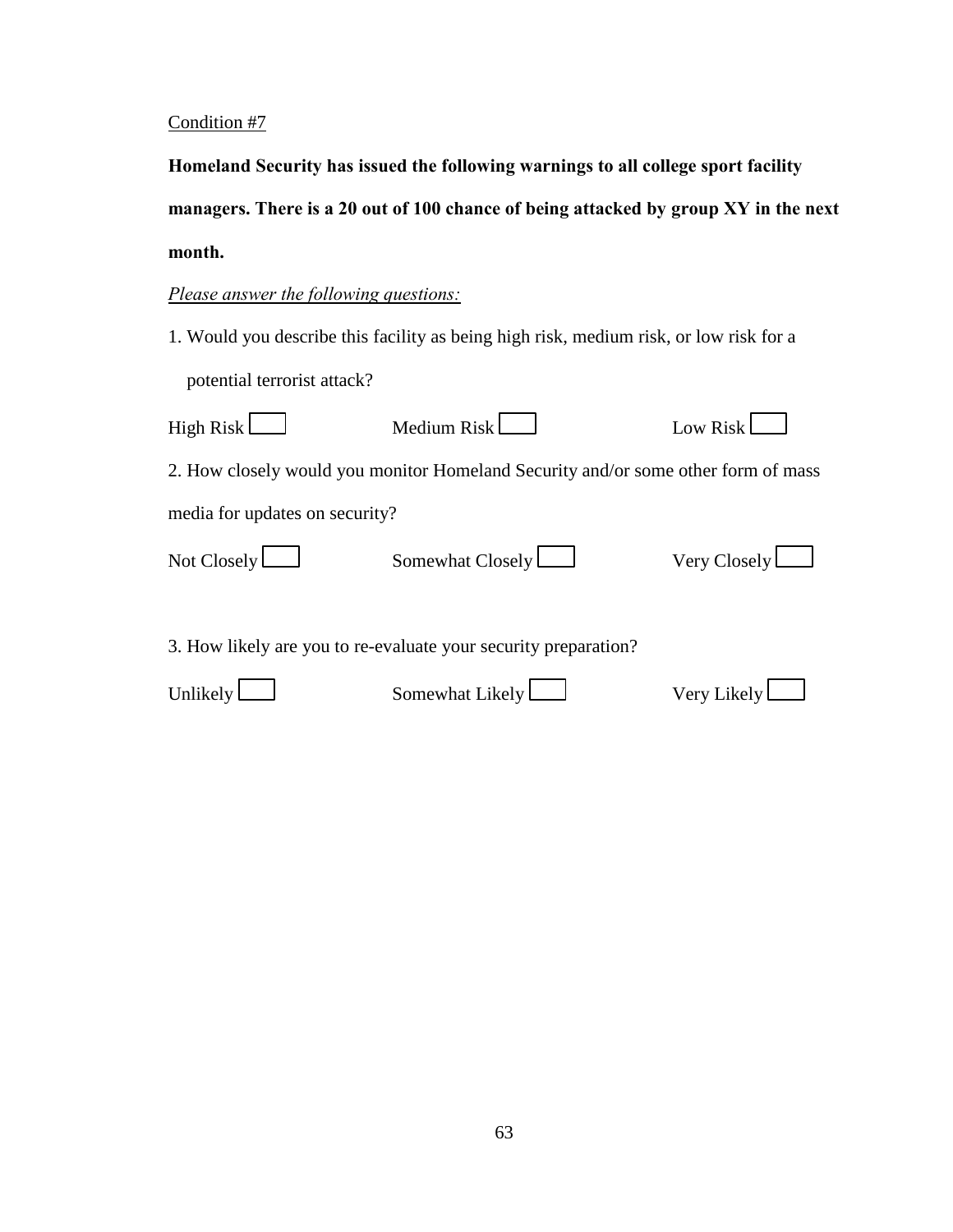Homeland Security has issued the following warnings to all college sport facility managers. There is a 20 out of 100 chance of being attacked by group XY in the next month.

## *Please answer the following questions:*

1. Would you describe this facility as being high risk, medium risk, or low risk for a potential terrorist attack?

| High Risk L                                                     | Medium Risk                                                                       | Low Risk            |  |  |
|-----------------------------------------------------------------|-----------------------------------------------------------------------------------|---------------------|--|--|
|                                                                 | 2. How closely would you monitor Homeland Security and/or some other form of mass |                     |  |  |
| media for updates on security?                                  |                                                                                   |                     |  |  |
| Not Closely $\Box$                                              | Somewhat Closely                                                                  | Very Closely $\Box$ |  |  |
| 3. How likely are you to re-evaluate your security preparation? |                                                                                   |                     |  |  |

Unlikely Somewhat Likely Very Likely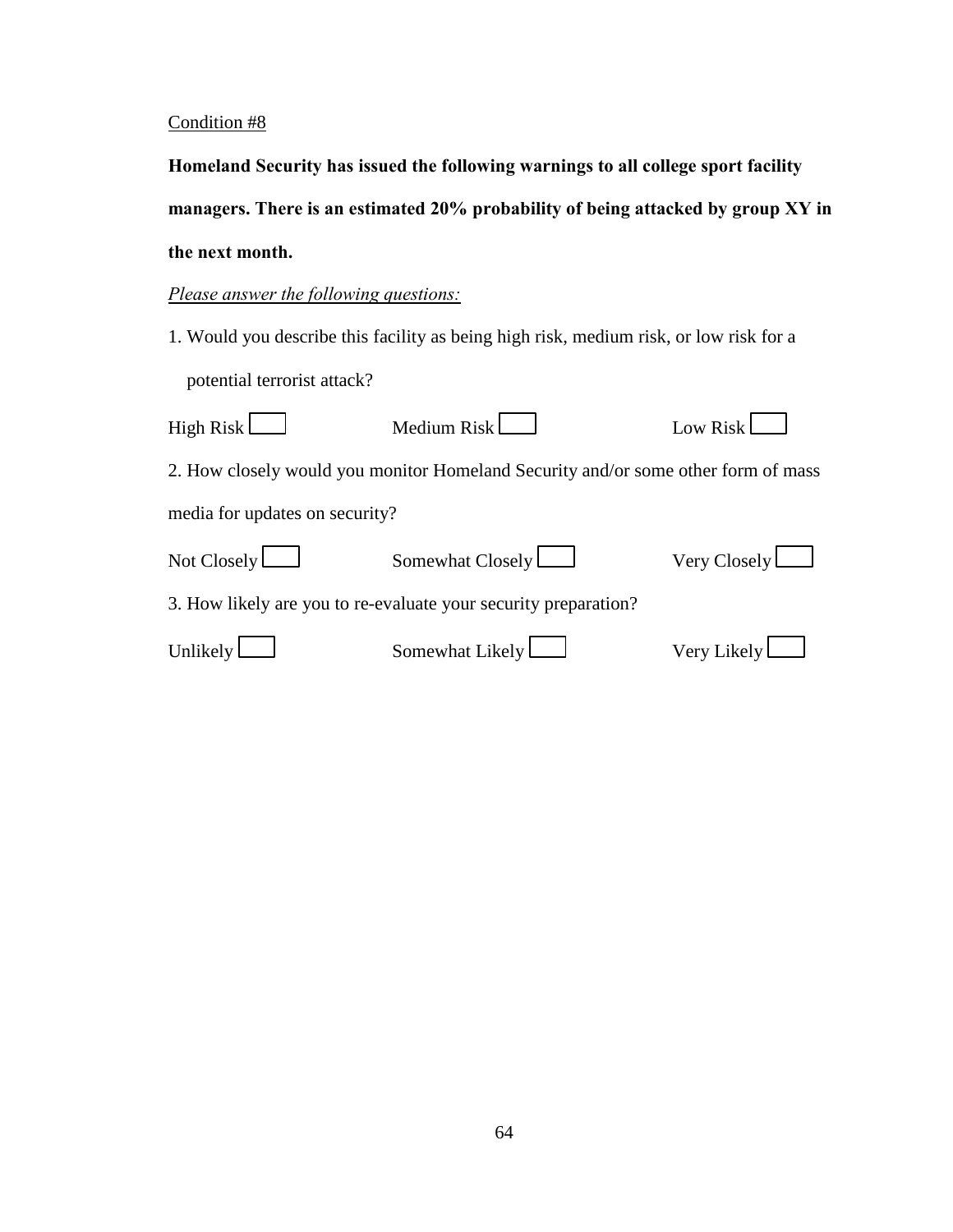Homeland Security has issued the following warnings to all college sport facility managers. There is an estimated 20% probability of being attacked by group XY in **the next month.** 

## *Please answer the following questions:*

1. Would you describe this facility as being high risk, medium risk, or low risk for a potential terrorist attack?

| High Risk $\Box$               | Medium Risk                                                                       | Low Risk            |
|--------------------------------|-----------------------------------------------------------------------------------|---------------------|
|                                | 2. How closely would you monitor Homeland Security and/or some other form of mass |                     |
| media for updates on security? |                                                                                   |                     |
| Not Closely $\Box$             | Somewhat Closely                                                                  | Very Closely $\Box$ |
|                                | 3. How likely are you to re-evaluate your security preparation?                   |                     |
| Unlikely L                     | Somewhat Likely                                                                   | Very Likely $\Box$  |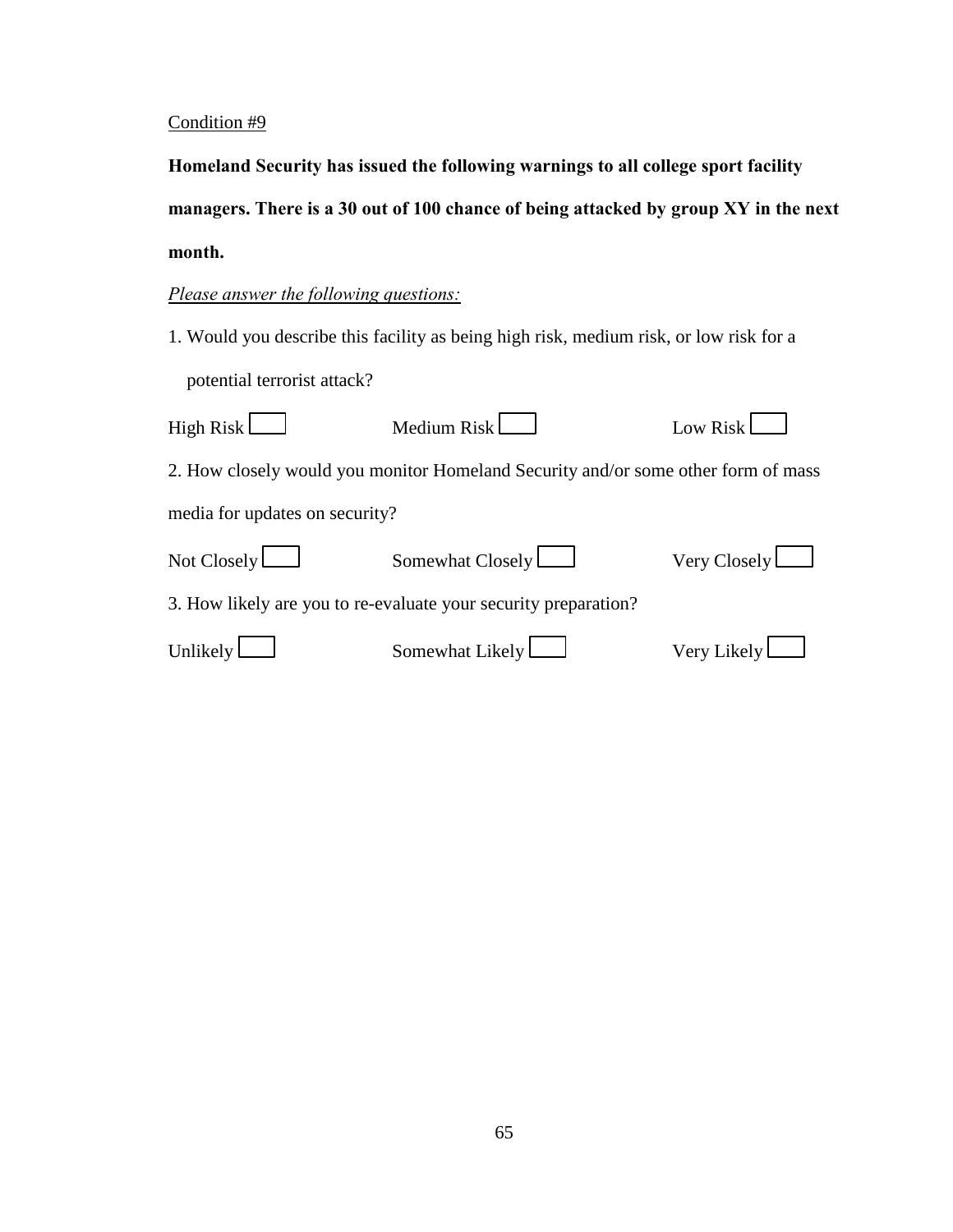Homeland Security has issued the following warnings to all college sport facility managers. There is a 30 out of 100 chance of being attacked by group XY in the next month.

# *Please answer the following questions:*

1. Would you describe this facility as being high risk, medium risk, or low risk for a potential terrorist attack?

| High Risk $\Box$               | Medium Risk                                                                       | Low Risk            |
|--------------------------------|-----------------------------------------------------------------------------------|---------------------|
|                                | 2. How closely would you monitor Homeland Security and/or some other form of mass |                     |
| media for updates on security? |                                                                                   |                     |
| Not Closely $\Box$             | Somewhat Closely                                                                  | Very Closely $\Box$ |
|                                | 3. How likely are you to re-evaluate your security preparation?                   |                     |
| Unlikely $\mathsf{\mathsf{L}}$ | Somewhat Likely                                                                   | Very Likely $\Box$  |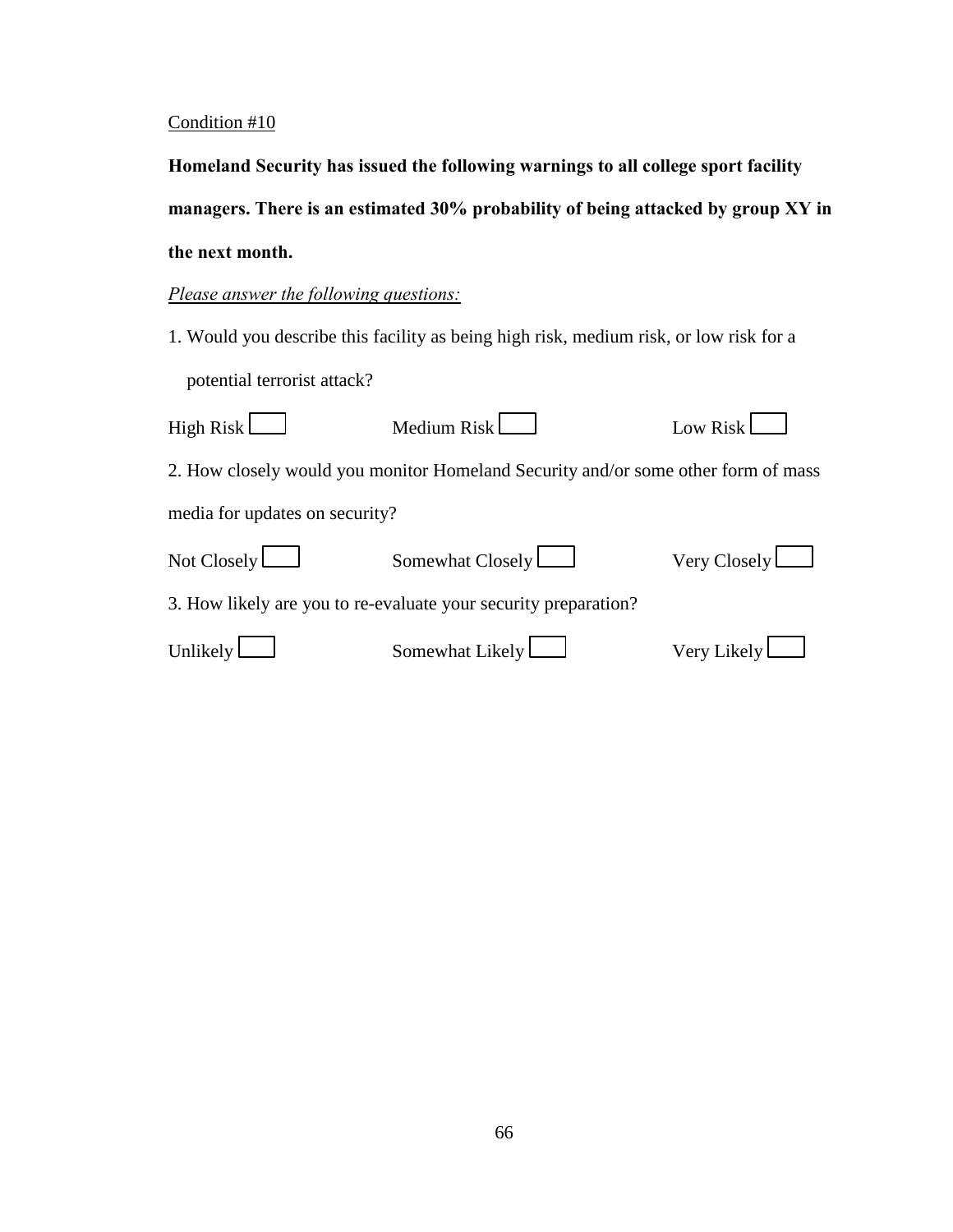Homeland Security has issued the following warnings to all college sport facility managers. There is an estimated 30% probability of being attacked by group XY in **the next month.** 

## *Please answer the following questions:*

1. Would you describe this facility as being high risk, medium risk, or low risk for a potential terrorist attack?

| High Risk $\Box$               | Medium Risk                                                                       | Low Risk           |
|--------------------------------|-----------------------------------------------------------------------------------|--------------------|
|                                | 2. How closely would you monitor Homeland Security and/or some other form of mass |                    |
| media for updates on security? |                                                                                   |                    |
| Not Closely $\Box$             | Somewhat Closely                                                                  | Very Closely       |
|                                | 3. How likely are you to re-evaluate your security preparation?                   |                    |
| Unlikely $\Box$                | Somewhat Likely                                                                   | Very Likely $\Box$ |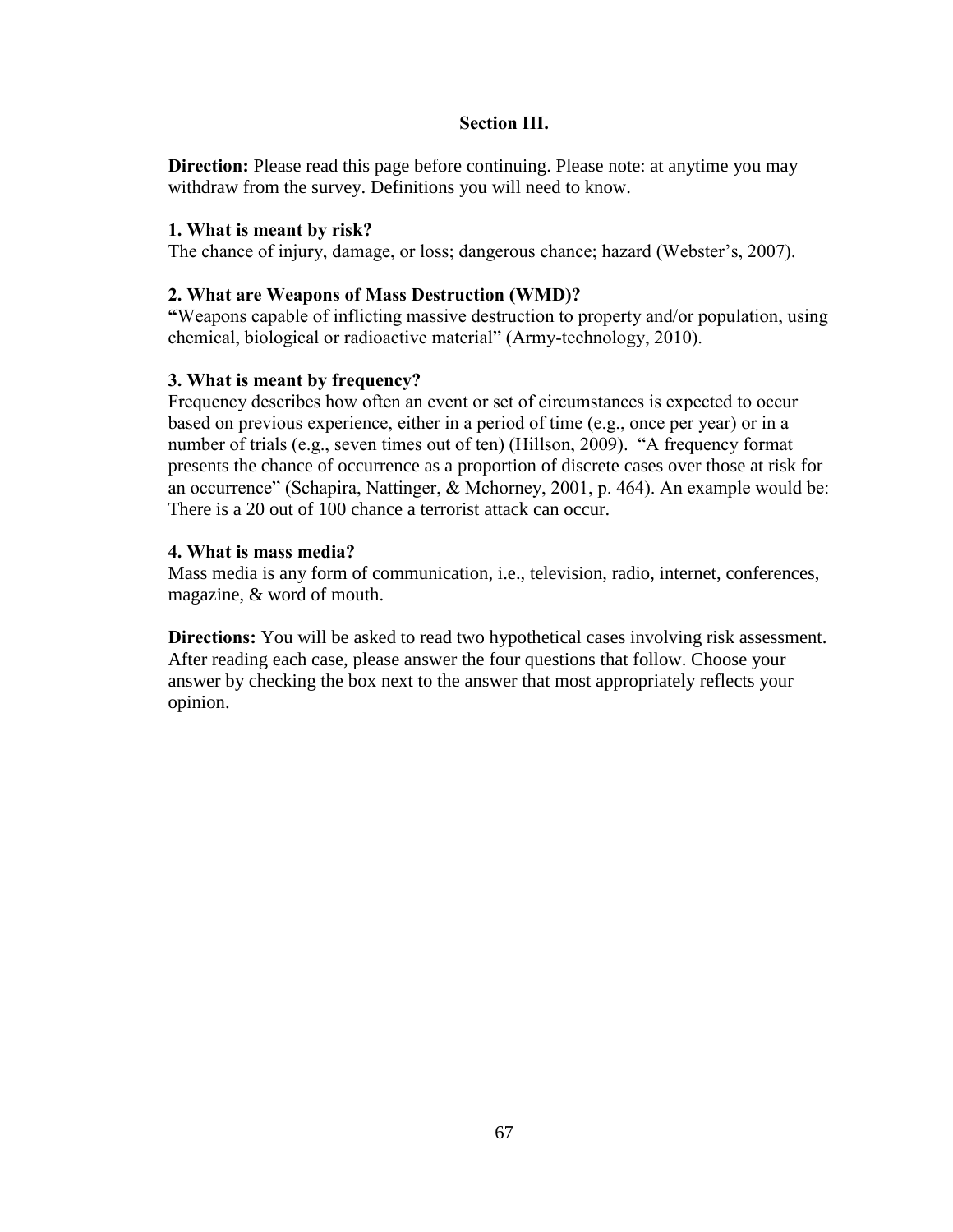### **Section III.**

**Direction:** Please read this page before continuing. Please note: at anytime you may withdraw from the survey. Definitions you will need to know.

### **1.** What is meant by risk?

The chance of injury, damage, or loss; dangerous chance; hazard (Webster's, 2007).

### **2. What are Weapons of Mass Destruction (WMD)?**

**Weapons capable of inflicting massive destruction to property and/or population, using "** chemical, biological or radioactive material" (Army-technology, 2010).

### **3. What is meant by frequency?**

Frequency describes how often an event or set of circumstances is expected to occur based on previous experience, either in a period of time (e.g., once per year) or in a number of trials (e.g., seven times out of ten) (Hillson, 2009). "A frequency format presents the chance of occurrence as a proportion of discrete cases over those at risk for an occurrence" (Schapira, Nattinger, & Mchorney, 2001, p. 464). An example would be: There is a 20 out of 100 chance a terrorist attack can occur.

### **4.** What is mass media?

Mass media is any form of communication, i.e., television, radio, internet, conferences, magazine, & word of mouth.

**Directions:** You will be asked to read two hypothetical cases involving risk assessment. After reading each case, please answer the four questions that follow. Choose your answer by checking the box next to the answer that most appropriately reflects your opinion.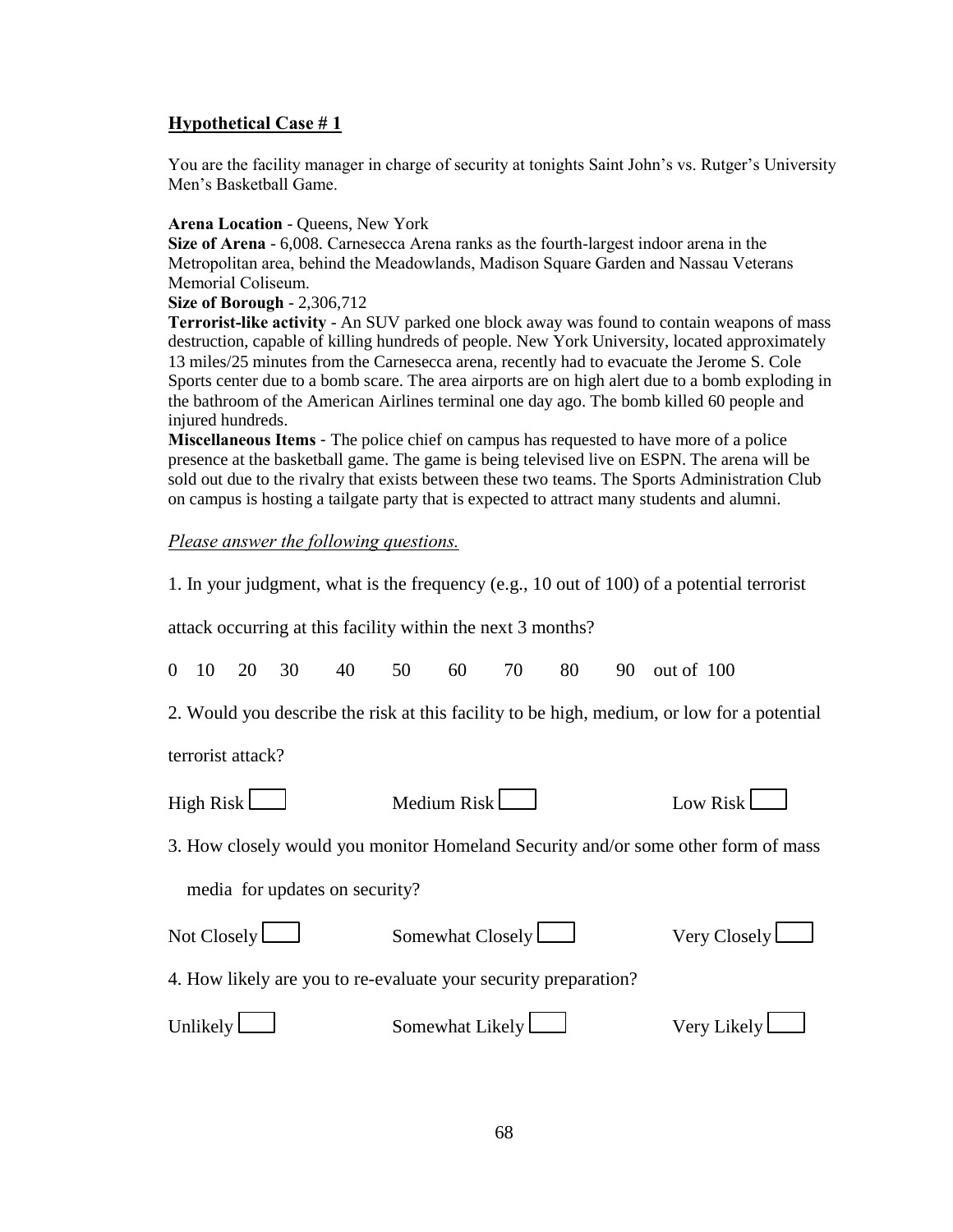You are the facility manager in charge of security at tonights Saint John's vs. Rutger's University Men's Basketball Game.

#### Arena Location - Queens, New York

**Size of Arena** - 6,008. Carnesecca Arena ranks as the fourth-largest indoor arena in the Metropolitan area, behind the Meadowlands, Madison Square Garden and Nassau Veterans Memorial Coliseum.

#### **Size of Borough - 2,306,712**

**Terrorist-like activity** - An SUV parked one block away was found to contain weapons of mass destruction, capable of killing hundreds of people. New York University, located approximately 13 miles/25 minutes from the Carnesecca arena, recently had to evacuate the Jerome S. Cole Sports center due to a bomb scare. The area airports are on high alert due to a bomb exploding in the bathroom of the American Airlines terminal one day ago. The bomb killed 60 people and injured hundreds.

**Miscellaneous Items** - The police chief on campus has requested to have more of a police presence at the basketball game. The game is being televised live on ESPN. The arena will be sold out due to the rivalry that exists between these two teams. The Sports Administration Club on campus is hosting a tailgate party that is expected to attract many students and alumni.

#### *Please answer the following questions.*

1. In your judgment, what is the frequency (e.g., 10 out of 100) of a potential terrorist

attack occurring at this facility within the next 3 months?

0 10 20 30 40 50 60 70 80 90 out of 100

2. Would you describe the risk at this facility to be high, medium, or low for a potential

terrorist attack?

| High Risk $\Box$ | Medium Risk | Low Risk $\Box$ |
|------------------|-------------|-----------------|
|------------------|-------------|-----------------|

3. How closely would you monitor Homeland Security and/or some other form of mass media for updates on security?

| Not Closely $\boxed{\phantom{1}}$ | Somewhat $Closely$                                              | Very Closely |
|-----------------------------------|-----------------------------------------------------------------|--------------|
|                                   | 4. How likely are you to re-evaluate your security preparation? |              |

| Unlikely L | Somewhat Likely L | Very Likely L |
|------------|-------------------|---------------|
|            |                   |               |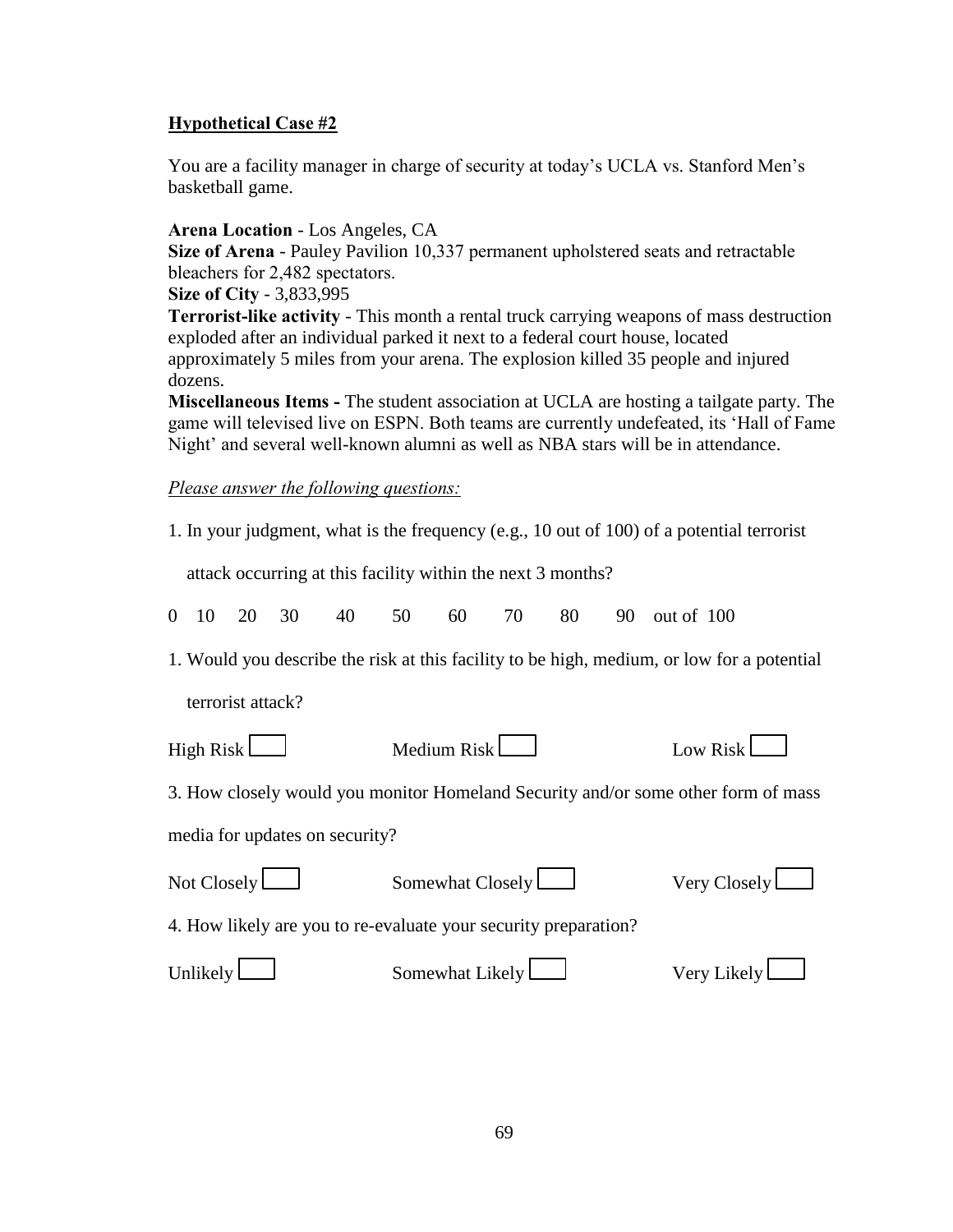You are a facility manager in charge of security at today's UCLA vs. Stanford Men's basketball game.

### **Arena!Location** - Los Angeles, CA

**Size of Arena** - Pauley Pavilion 10,337 permanent upholstered seats and retractable bleachers for 2,482 spectators.

**Size of City - 3,833,995** 

**Terrorist-like activity** - This month a rental truck carrying weapons of mass destruction exploded after an individual parked it next to a federal court house, located approximately 5 miles from your arena. The explosion killed 35 people and injured dozens.

Miscellaneous Items - The student association at UCLA are hosting a tailgate party. The game will televised live on ESPN. Both teams are currently undefeated, its 'Hall of Fame Night' and several well-known alumni as well as NBA stars will be in attendance.

*Please answer the following questions:* 

|  |  | 1. In your judgment, what is the frequency (e.g., 10 out of 100) of a potential terrorist |
|--|--|-------------------------------------------------------------------------------------------|
|  |  |                                                                                           |

attack occurring at this facility within the next 3 months?

|  |  |  |  |  |  |  |  |  |  |  | 0 10 20 30 40 50 60 70 80 90 out of 100 |
|--|--|--|--|--|--|--|--|--|--|--|-----------------------------------------|
|--|--|--|--|--|--|--|--|--|--|--|-----------------------------------------|

1. Would you describe the risk at this facility to be high, medium, or low for a potential

terrorist attack?

| High Risk $\Box$               | Medium $Risk$                                                                     | Low Risk $\Box$ |
|--------------------------------|-----------------------------------------------------------------------------------|-----------------|
|                                | 3. How closely would you monitor Homeland Security and/or some other form of mass |                 |
| media for updates on security? |                                                                                   |                 |
| Not Closely $\Box$             | Somewhat $Closely$                                                                | Very Closely    |
|                                | 4. How likely are you to re-evaluate your security preparation?                   |                 |

| Unlikely l |                   |               |
|------------|-------------------|---------------|
|            | Somewhat Likely L | Verv Likelv l |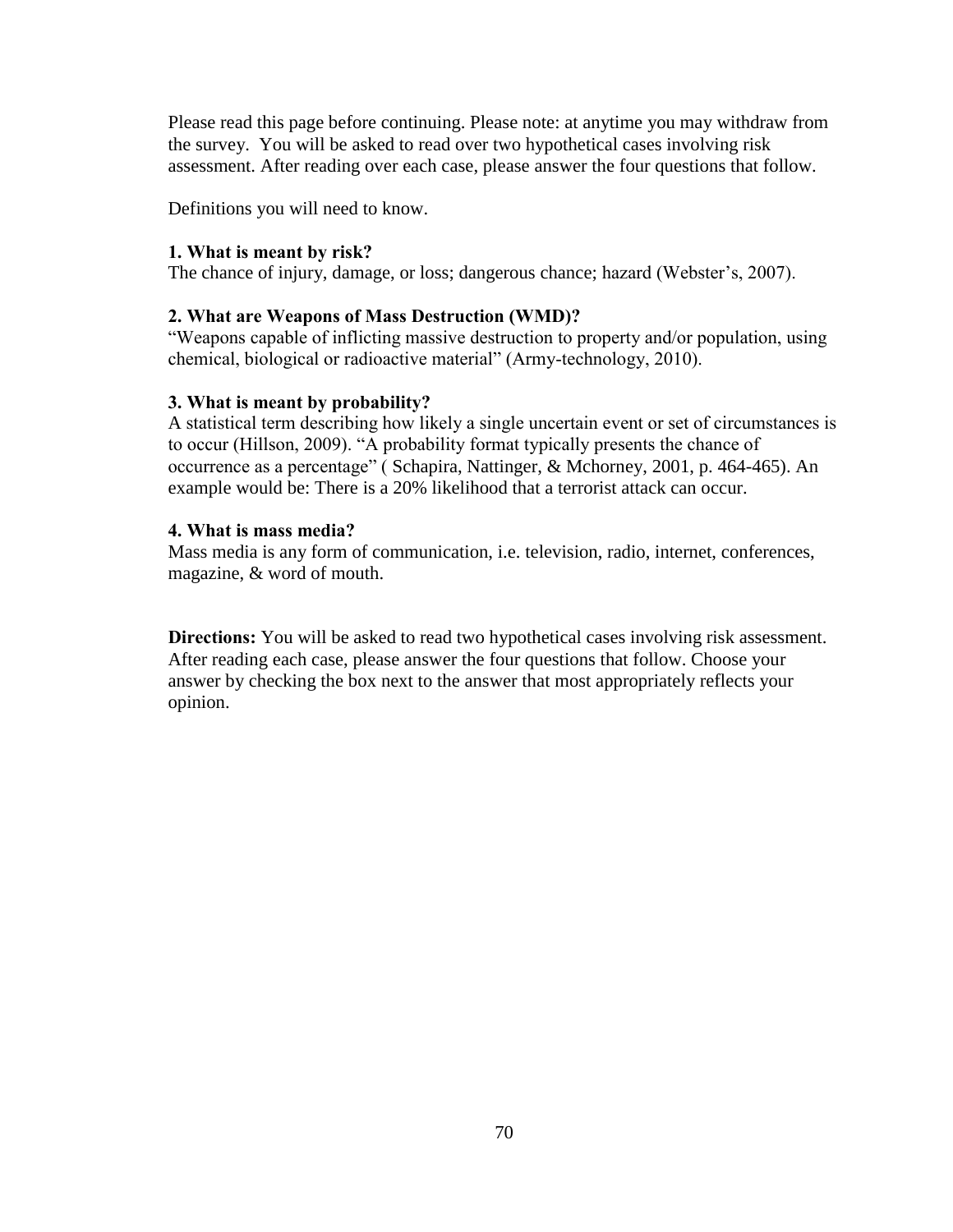Please read this page before continuing. Please note: at anytime you may withdraw from the survey. You will be asked to read over two hypothetical cases involving risk assessment. After reading over each case, please answer the four questions that follow.

Definitions you will need to know.

### **1. What is meant by risk?**

The chance of injury, damage, or loss; dangerous chance; hazard (Webster's, 2007).

### **2. What are Weapons of Mass Destruction (WMD)?**

"Weapons capable of inflicting massive destruction to property and/or population, using chemical, biological or radioactive material" (Army-technology, 2010).

### **3. What is meant by probability?**

A statistical term describing how likely a single uncertain event or set of circumstances is to occur (Hillson, 2009). "A probability format typically presents the chance of occurrence as a percentage" (Schapira, Nattinger, & Mchorney, 2001, p. 464-465). An example would be: There is a 20% likelihood that a terrorist attack can occur.

### **4.** What is mass media?

Mass media is any form of communication, i.e. television, radio, internet, conferences, magazine, & word of mouth.

**Directions:** You will be asked to read two hypothetical cases involving risk assessment. After reading each case, please answer the four questions that follow. Choose your answer by checking the box next to the answer that most appropriately reflects your opinion.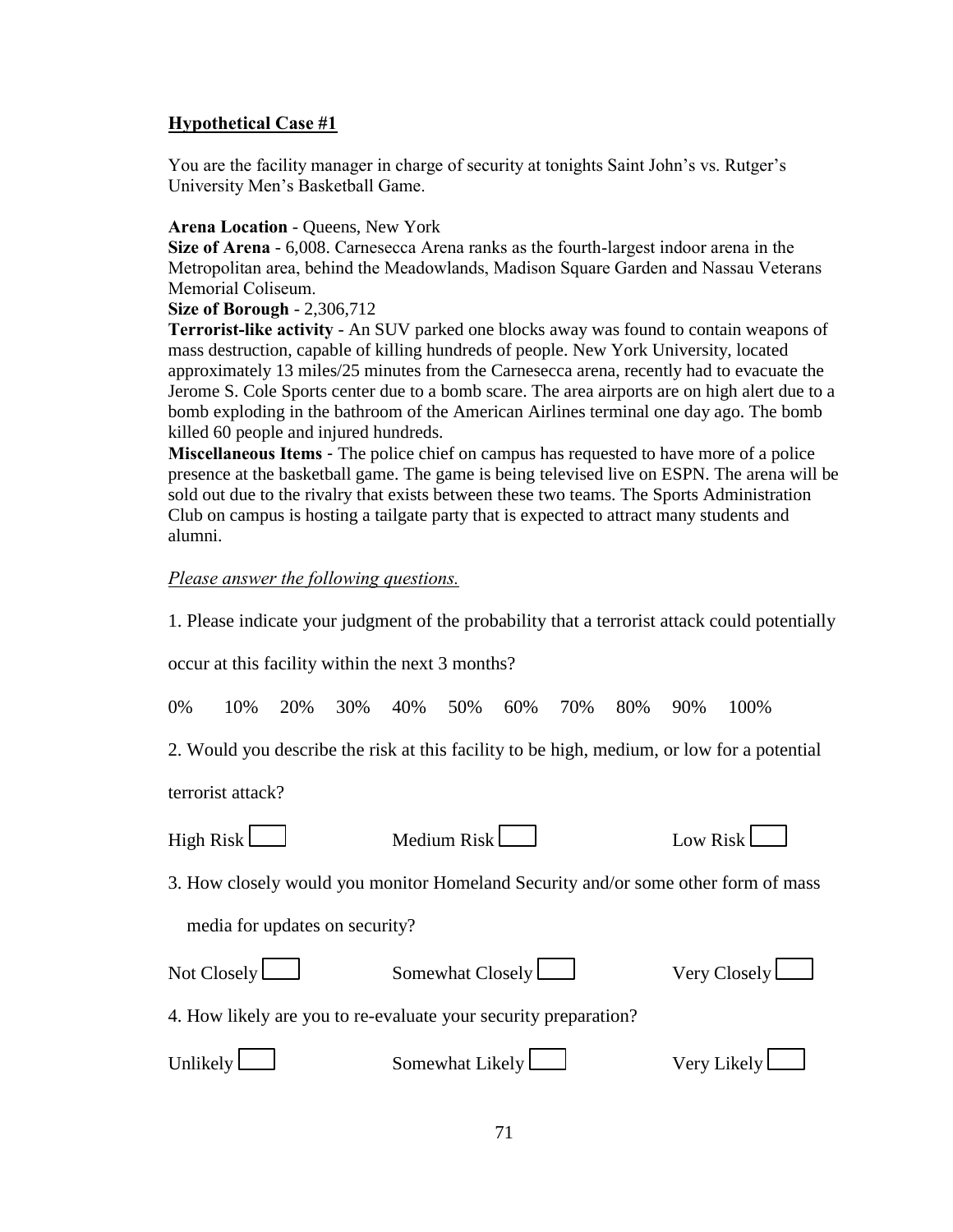You are the facility manager in charge of security at tonights Saint John's vs. Rutger's University Men's Basketball Game.

#### **Arena Location - Queens, New York**

**Size of Arena** - 6,008. Carnesecca Arena ranks as the fourth-largest indoor arena in the Metropolitan area, behind the Meadowlands, Madison Square Garden and Nassau Veterans" Memorial Coliseum.

**Size of Borough - 2,306,712** 

**Terrorist-like activity** - An SUV parked one blocks away was found to contain weapons of mass destruction, capable of killing hundreds of people. New York University, located approximately 13 miles/25 minutes from the Carnesecca arena, recently had to evacuate the Jerome S. Cole Sports center due to a bomb scare. The area airports are on high alert due to a bomb exploding in the bathroom of the American Airlines terminal one day ago. The bomb killed 60 people and injured hundreds.

Miscellaneous Items - The police chief on campus has requested to have more of a police presence at the basketball game. The game is being televised live on ESPN. The arena will be sold out due to the rivalry that exists between these two teams. The Sports Administration Club on campus is hosting a tailgate party that is expected to attract many students and alumni.

### *Please answer the following questions.*

1. Please indicate your judgment of the probability that a terrorist attack could potentially

occur at this facility within the next 3 months?

0% 10% 20% 30% 40% 50% 60% 70% 80% 90% 100%

2. Would you describe the risk at this facility to be high, medium, or low for a potential

terrorist attack?

| High Risk |  |
|-----------|--|
|           |  |

| Medium Risk l | Low Risk |
|---------------|----------|
|               |          |

3. How closely would you monitor Homeland Security and/or some other form of mass

media for updates on security?

| Not Closely $\Box$ | Somewhat $Closely$                                              | Very Closely |
|--------------------|-----------------------------------------------------------------|--------------|
|                    | 4. How likely are you to re-evaluate your security preparation? |              |

| Unlikely l | Somewhat Likely L | Very Likely L |
|------------|-------------------|---------------|
|------------|-------------------|---------------|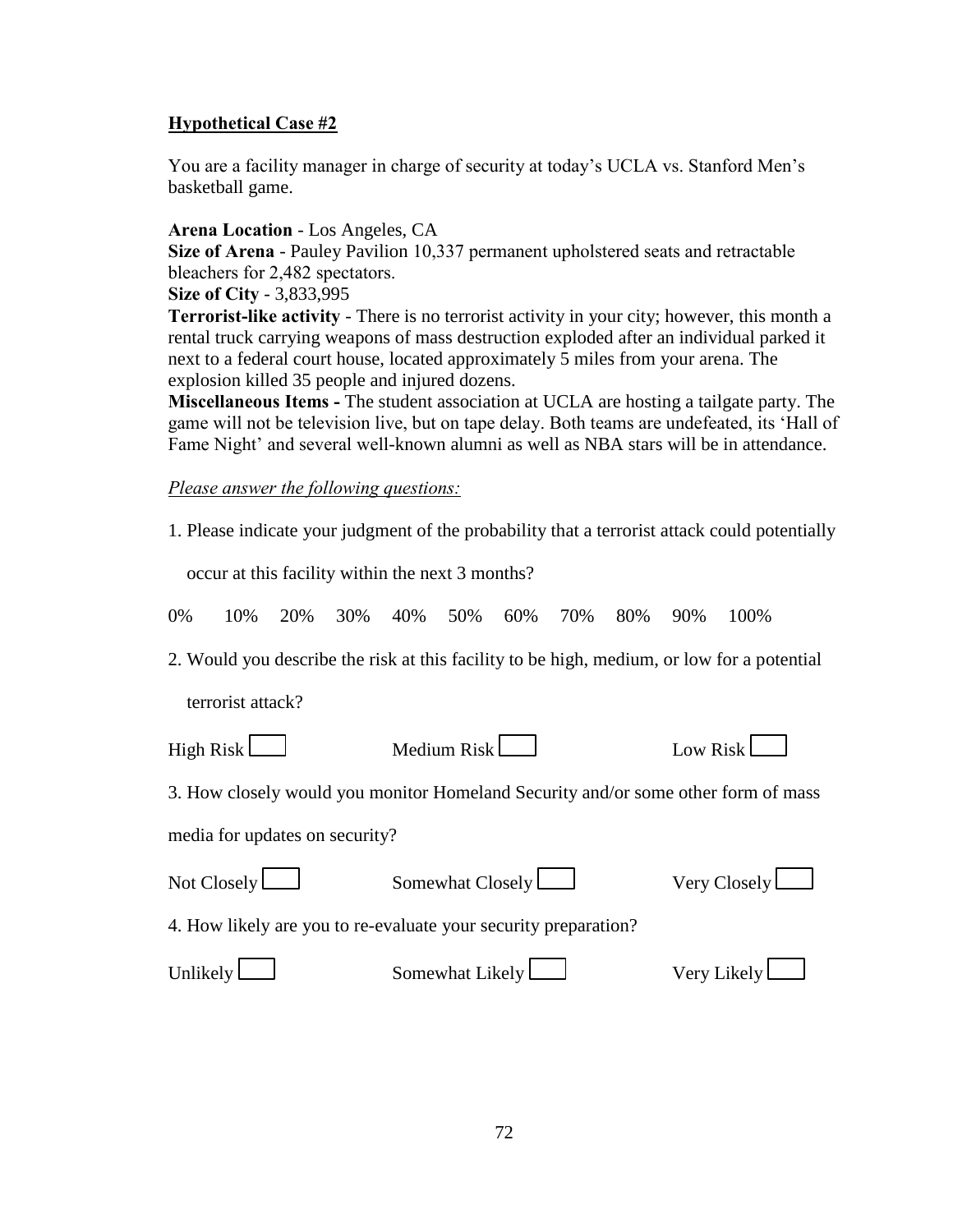You are a facility manager in charge of security at today's UCLA vs. Stanford Men's basketball game.

### **Arena!Location** - Los Angeles, CA

**Size of Arena** - Pauley Pavilion 10,337 permanent upholstered seats and retractable bleachers for 2,482 spectators.

### **Size of City - 3,833,995**

**Terrorist-like activity** - There is no terrorist activity in your city; however, this month a rental truck carrying weapons of mass destruction exploded after an individual parked it next to a federal court house, located approximately 5 miles from your arena. The explosion killed 35 people and injured dozens.

Miscellaneous Items - The student association at UCLA are hosting a tailgate party. The game will not be television live, but on tape delay. Both teams are undefeated, its 'Hall of Fame Night' and several well-known alumni as well as NBA stars will be in attendance.

*Please answer the following questions:* 

1. Please indicate your judgment of the probability that a terrorist attack could potentially

occur at this facility within the next 3 months?

|  |  |  |  |  |  |  |  |  |  | 0% 10% 20% 30% 40% 50% 60% 70% 80% 90% 100% |  |
|--|--|--|--|--|--|--|--|--|--|---------------------------------------------|--|
|--|--|--|--|--|--|--|--|--|--|---------------------------------------------|--|

2. Would you describe the risk at this facility to be high, medium, or low for a potential

terrorist attack?

| High Risk $\Box$               | Medium $Risk$                                                                     | Low Risk            |
|--------------------------------|-----------------------------------------------------------------------------------|---------------------|
|                                | 3. How closely would you monitor Homeland Security and/or some other form of mass |                     |
| media for updates on security? |                                                                                   |                     |
| Not Closely $\Box$             | Somewhat $Closely$                                                                | Very Closely $\Box$ |

4. How likely are you to re-evaluate your security preparation?

| Unlikely l | Somewhat Likely L | Very Likely l |
|------------|-------------------|---------------|
|            |                   |               |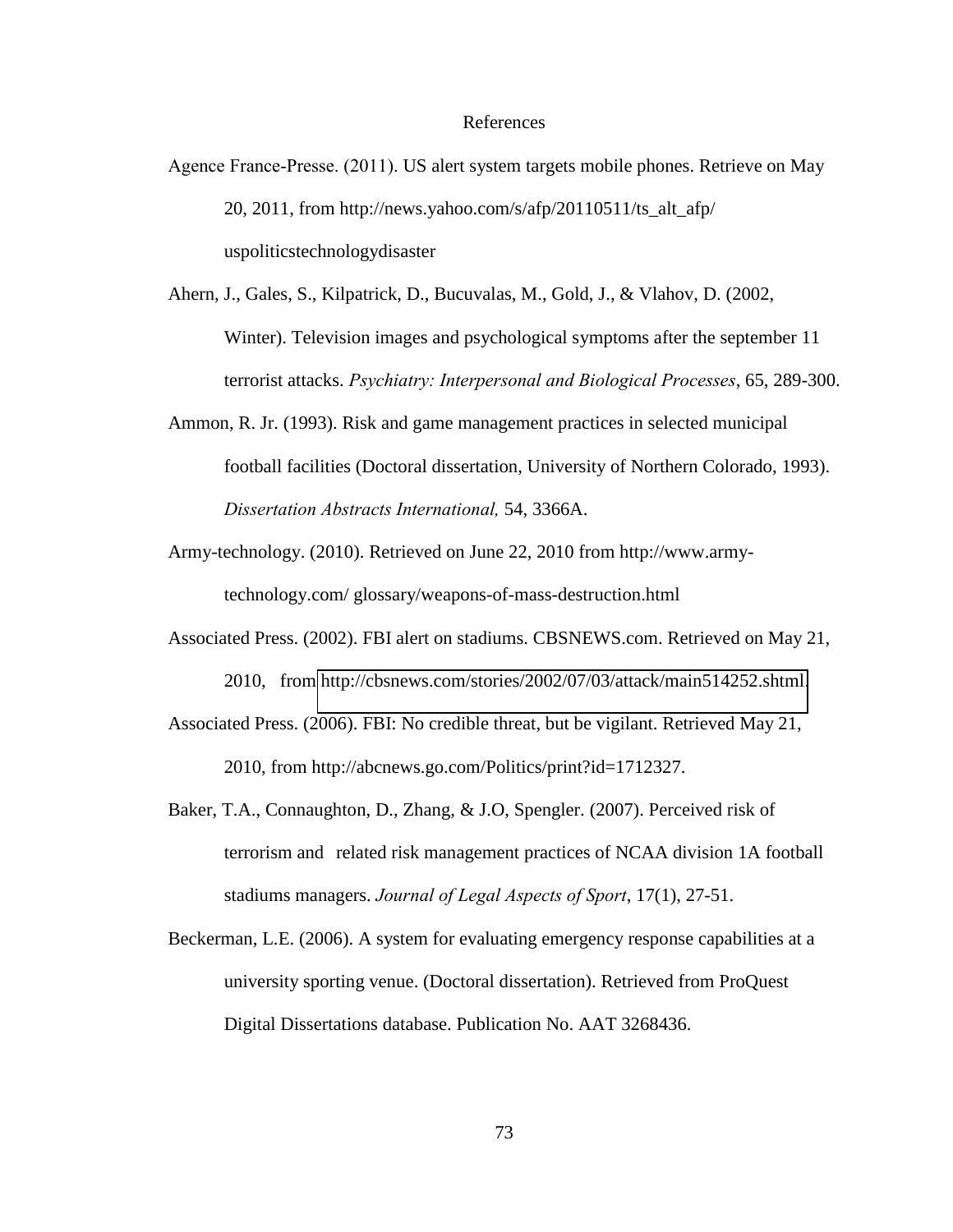#### References

- Agence France-Presse. (2011). US alert system targets mobile phones. Retrieve on May 20, 2011, from http://news.yahoo.com/s/afp/20110511/ts\_alt\_afp/ uspoliticstechnologydisaster
- Ahern, J., Gales, S., Kilpatrick, D., Bucuvalas, M., Gold, J., & Vlahov, D. (2002, Winter). Television images and psychological symptoms after the september 11 terrorist attacks. *Psychiatry: Interpersonal and Biological Processes*, 65, 289-300.
- Ammon, R. Jr. (1993). Risk and game management practices in selected municipal football facilities (Doctoral dissertation, University of Northern Colorado, 1993). *Dissertation#Abstracts#International,#*54, 3366A.
- Army-technology. (2010). Retrieved on June 22, 2010 from http://www.army technology.com/ glossary/weapons-of-mass-destruction.html
- Associated Press. (2002). FBI alert on stadiums. CBSNEWS.com. Retrieved on May 21, 2010, from [http://cbsnews.com/stories/2002/07/03/attack/main514252.shtml.](http://cbsnews.com/stories/2002/07/03/attack/main514252.shtml)
- Associated Press. (2006). FBI: No credible threat, but be vigilant. Retrieved May 21, 2010, from http://abcnews.go.com/Politics/print?id=1712327.
- Baker, T.A., Connaughton, D., Zhang, & J.O, Spengler. (2007). Perceived risk of terrorism and related risk management practices of NCAA division 1A football stadiums managers. *Journal of Legal Aspects of Sport*, 17(1), 27-51.
- Beckerman, L.E. (2006). A system for evaluating emergency response capabilities at a university sporting venue. (Doctoral dissertation). Retrieved from ProQuest Digital Dissertations database. Publication No. AAT 3268436.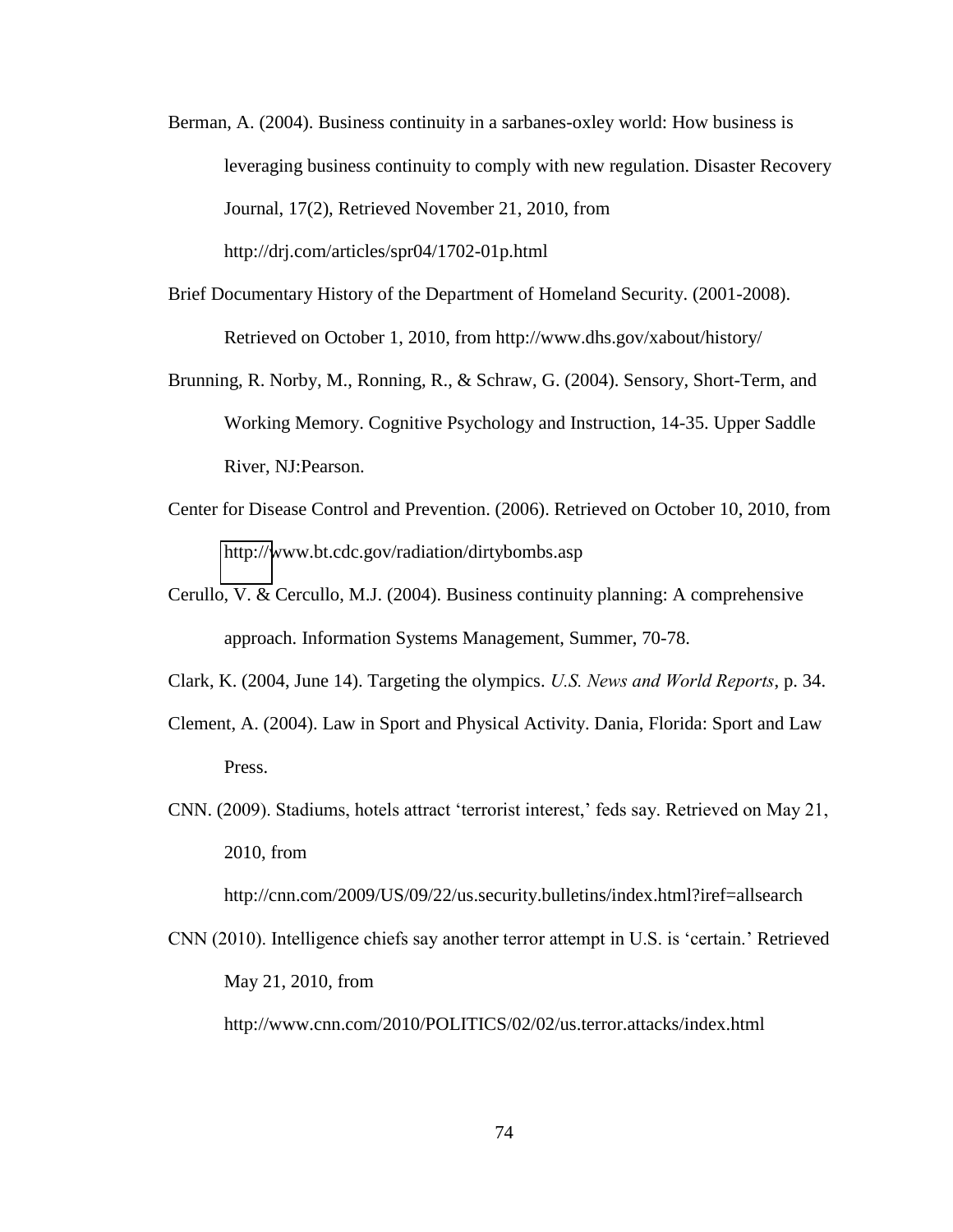- Berman, A. (2004). Business continuity in a sarbanes-oxley world: How business is leveraging business continuity to comply with new regulation. Disaster Recovery Journal, 17(2), Retrieved November 21, 2010, from http://drj.com/articles/spr04/1702-01p.html
- Brief Documentary History of the Department of Homeland Security. (2001-2008). Retrieved on October 1, 2010, from http://www.dhs.gov/xabout/history/
- Brunning, R. Norby, M., Ronning, R., & Schraw, G. (2004). Sensory, Short-Term, and Working Memory. Cognitive Psychology and Instruction, 14-35. Upper Saddle River, NJ:Pearson.
- Center for Disease Control and Prevention. (2006). Retrieved on October 10, 2010, from [http://w](http://www.bt.cdc.gov/radiation/dirtybombs.asp)ww.bt.cdc.gov/radiation/dirtybombs.asp
- Cerullo, V. & Cercullo, M.J. (2004). Business continuity planning: A comprehensive approach. Information Systems Management, Summer, 70-78.
- Clark, K. (2004, June 14). Targeting the olympics. *U.S.#News#and#World#Reports*, p. 34.
- Clement, A. (2004). Law in Sport and Physical Activity. Dania, Florida: Sport and Law Press.
- CNN. (2009). Stadiums, hotels attract 'terrorist interest,' feds say. Retrieved on May 21, 2010, from

http://cnn.com/2009/US/09/22/us.security.bulletins/index.html?iref=allsearch

CNN (2010). Intelligence chiefs say another terror attempt in U.S. is 'certain.' Retrieved May 21, 2010, from

http://www.cnn.com/2010/POLITICS/02/02/us.terror.attacks/index.html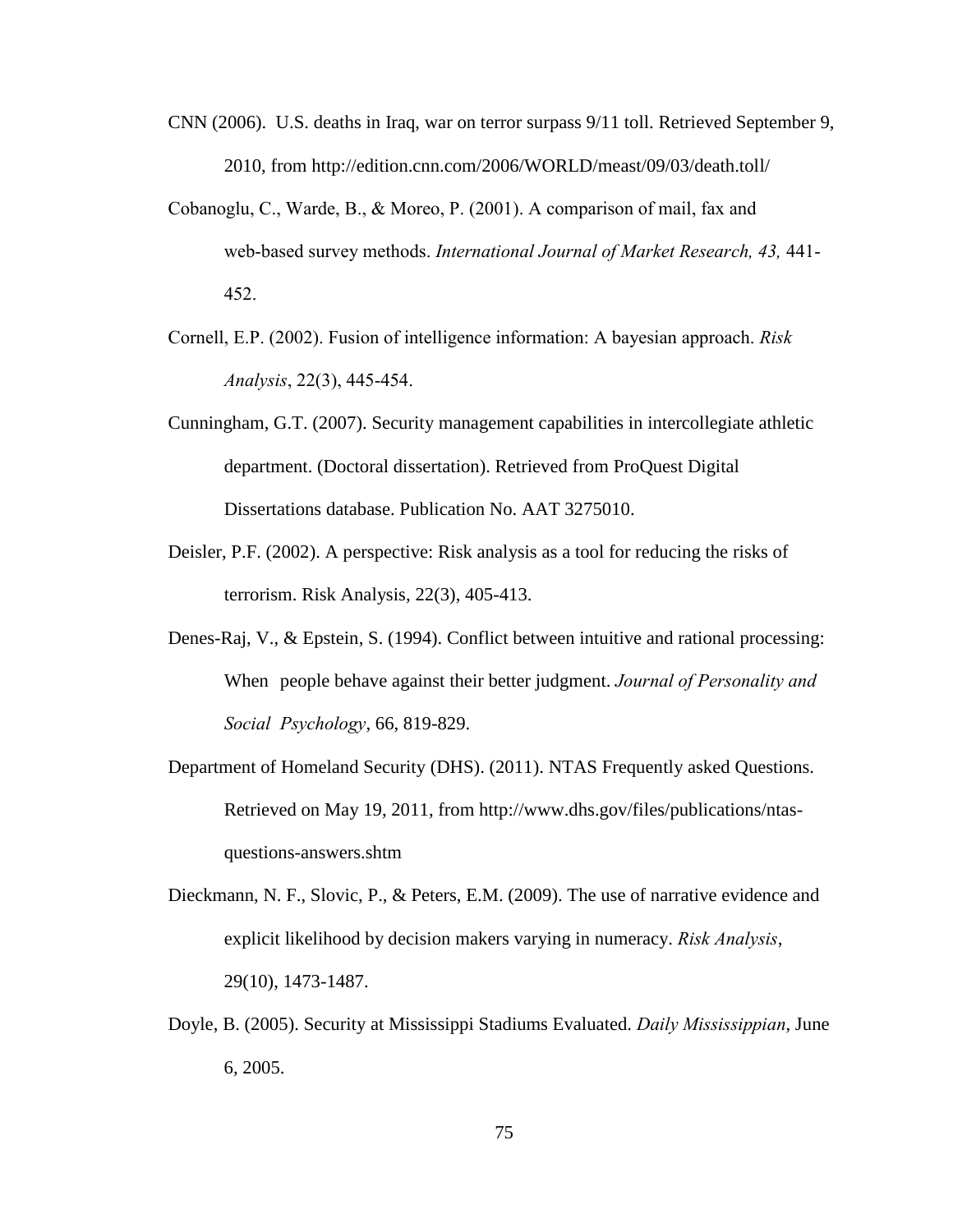- CNN (2006). U.S. deaths in Iraq, war on terror surpass 9/11 toll. Retrieved September 9, 2010, from http://edition.cnn.com/2006/WORLD/meast/09/03/death.toll/
- Cobanoglu, C., Warde, B., & Moreo, P.  $(2001)$ . A comparison of mail, fax and web-based survey methods. *International Journal of Market Research, 43, 441-*452."
- Cornell, E.P. (2002). Fusion of intelligence information: A bayesian approach. *Risk Analysis*, 22(3), 445-454.
- Cunningham, G.T. (2007). Security management capabilities in intercollegiate athletic department. (Doctoral dissertation). Retrieved from ProQuest Digital Dissertations database. Publication No. AAT 3275010.
- Deisler, P.F. (2002). A perspective: Risk analysis as a tool for reducing the risks of terrorism. Risk Analysis, 22(3), 405-413.
- Denes-Raj, V., & Epstein, S. (1994). Conflict between intuitive and rational processing: When people behave against their better judgment. *Journal of Personality and # Social##Psychology*, 66, 819-829.
- Department of Homeland Security (DHS). (2011). NTAS Frequently asked Questions. Retrieved on May 19, 2011, from http://www.dhs.gov/files/publications/ntas questions-answers.shtm
- Dieckmann, N. F., Slovic, P., & Peters, E.M. (2009). The use of narrative evidence and explicit likelihood by decision makers varying in numeracy. *Risk Analysis*, 29(10), 1473-1487.
- Doyle, B. (2005). Security at Mississippi Stadiums Evaluated. *Daily Mississippian*, June 6, 2005.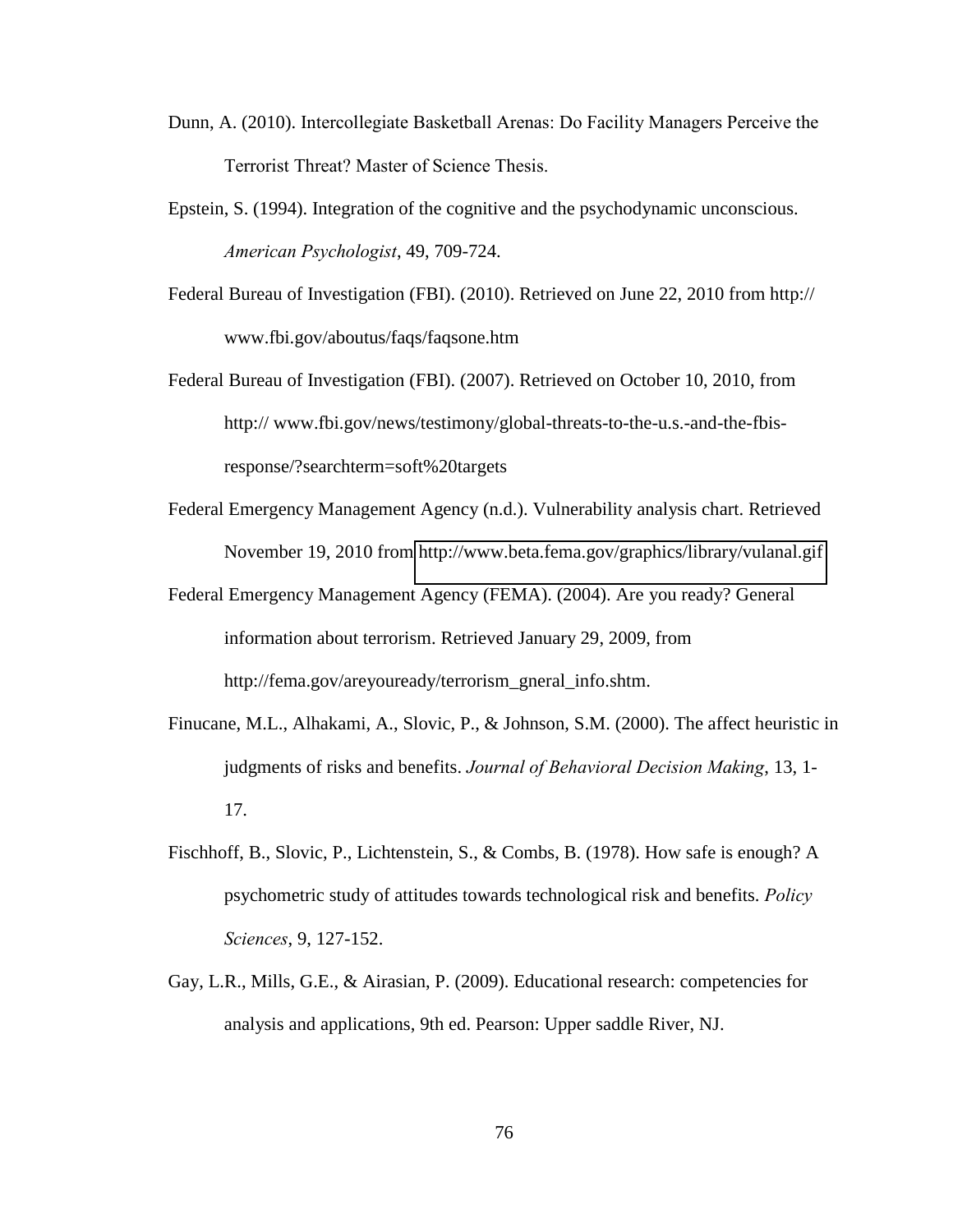- Dunn, A. (2010). Intercollegiate Basketball Arenas: Do Facility Managers Perceive the Terrorist Threat? Master of Science Thesis.
- Epstein, S. (1994). Integration of the cognitive and the psychodynamic unconscious. *American#Psychologist*, 49, 709-724.
- Federal Bureau of Investigation (FBI). (2010). Retrieved on June 22, 2010 from http:// www.fbi.gov/aboutus/faqs/faqsone.htm
- Federal Bureau of Investigation (FBI). (2007). Retrieved on October 10, 2010, from http:// www.fbi.gov/news/testimony/global-threats-to-the-u.s.-and-the-fbisresponse/?searchterm=soft%20targets
- Federal Emergency Management Agency (n.d.). Vulnerability analysis chart. Retrieved November 19, 2010 from<http://www.beta.fema.gov/graphics/library/vulanal.gif>
- Federal Emergency Management Agency (FEMA). (2004). Are you ready? General information about terrorism. Retrieved January 29, 2009, from http://fema.gov/areyouready/terrorism\_gneral\_info.shtm.
- Finucane, M.L., Alhakami, A., Slovic, P., & Johnson, S.M. (2000). The affect heuristic in judgments of risks and benefits. *Journal of Behavioral Decision Making*, 13, 1-17.
- Fischhoff, B., Slovic, P., Lichtenstein, S., & Combs, B. (1978). How safe is enough? A psychometric study of attitudes towards technological risk and benefits. *Policy# # Sciences*, 9, 127-152.
- Gay, L.R., Mills, G.E., & Airasian, P. (2009). Educational research: competencies for analysis and applications, 9th ed. Pearson: Upper saddle River, NJ.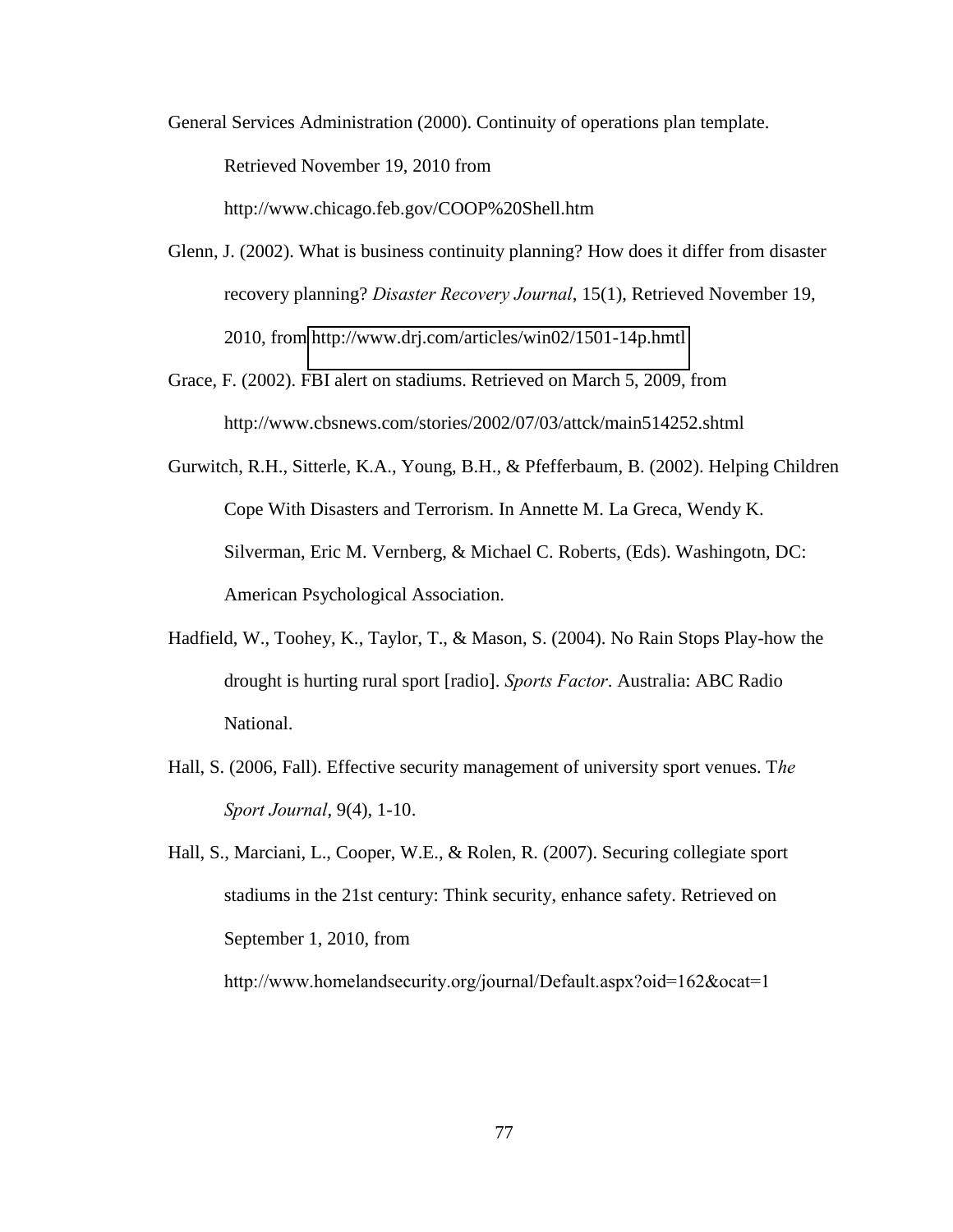General Services Administration (2000). Continuity of operations plan template. Retrieved November 19, 2010 from http://www.chicago.feb.gov/COOP%20Shell.htm

Glenn, J. (2002). What is business continuity planning? How does it differ from disaster recovery planning? *Disaster Recovery Journal*, 15(1), Retrieved November 19, 2010, from<http://www.drj.com/articles/win02/1501-14p.hmtl>

Grace, F. (2002). FBI alert on stadiums. Retrieved on March 5, 2009, from http://www.cbsnews.com/stories/2002/07/03/attck/main514252.shtml

Gurwitch, R.H., Sitterle, K.A., Young, B.H., & Pfefferbaum, B. (2002). Helping Children Cope With Disasters and Terrorism. In Annette M. La Greca, Wendy K. Silverman, Eric M. Vernberg, & Michael C. Roberts, (Eds). Washingotn, DC: American Psychological Association.

- Hadfield, W., Toohey, K., Taylor, T., & Mason, S. (2004). No Rain Stops Play-how the drought is hurting rural sport [radio]. *Sports Factor*. Australia: ABC Radio National.
- Hall, S. (2006, Fall). Effective security management of university sport venues. T*he# Sport Journal*, 9(4), 1-10.

Hall, S., Marciani, L., Cooper, W.E., & Rolen, R. (2007). Securing collegiate sport stadiums in the 21st century: Think security, enhance safety. Retrieved on September 1, 2010, from

http://www.homelandsecurity.org/journal/Default.aspx?oid=162&ocat=1"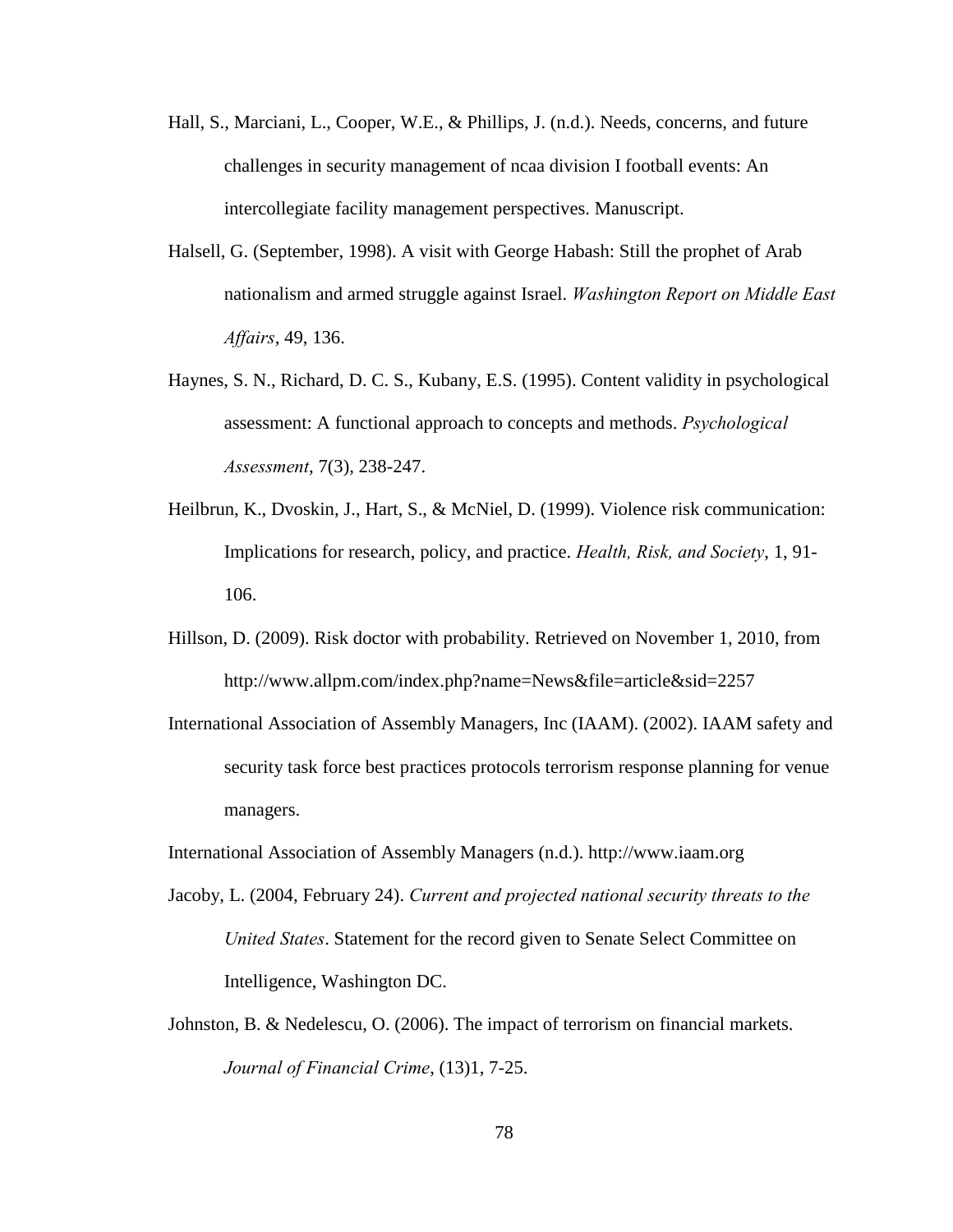- Hall, S., Marciani, L., Cooper, W.E., & Phillips, J. (n.d.). Needs, concerns, and future challenges in security management of ncaa division I football events: An intercollegiate facility management perspectives. Manuscript.
- Halsell, G. (September, 1998). A visit with George Habash: Still the prophet of Arab nationalism and armed struggle against Israel. *Washington Report on Middle East # Affairs*, 49, 136.
- Haynes, S. N., Richard, D. C. S., Kubany, E.S. (1995). Content validity in psychological assessment: A functional approach to concepts and methods. *Psychological Assessment*, 7(3), 238-247.
- Heilbrun, K., Dvoskin, J., Hart, S., & McNiel, D. (1999). Violence risk communication: Implications for research, policy, and practice. *Health, Risk, and Society*, 1, 91-106.
- Hillson, D. (2009). Risk doctor with probability. Retrieved on November 1, 2010, from http://www.allpm.com/index.php?name=News&file=article&sid=2257
- International Association of Assembly Managers, Inc (IAAM). (2002). IAAM safety and security task force best practices protocols terrorism response planning for venue managers.
- International Association of Assembly Managers (n.d.). http://www.iaam.org
- Jacoby, L. (2004, February 24). *Current and projected national security threats to the United States*. Statement for the record given to Senate Select Committee on Intelligence, Washington DC.
- Johnston, B. & Nedelescu, O. (2006). The impact of terrorism on financial markets. *Journal of Financial Crime*, (13)1, 7-25.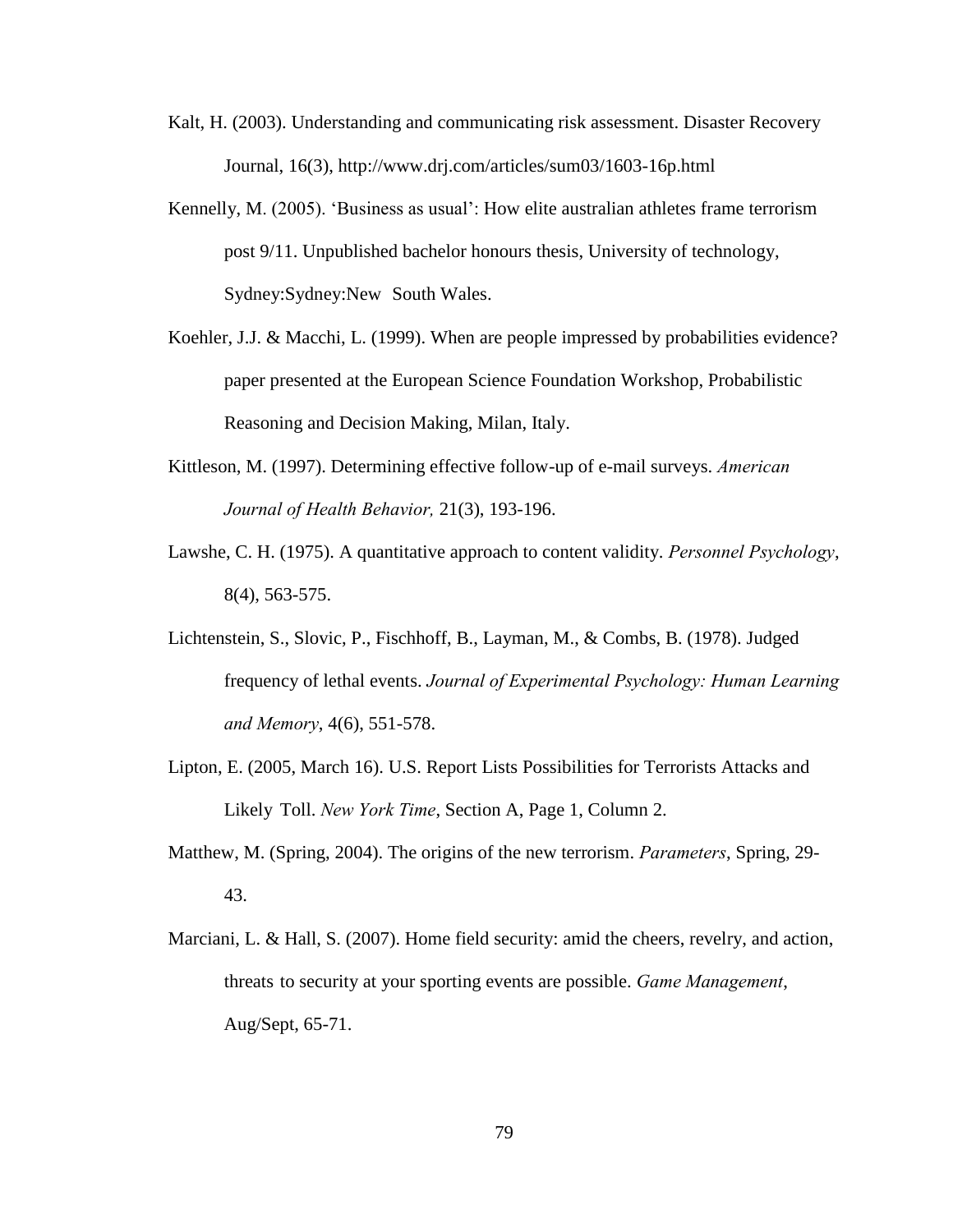- Kalt, H. (2003). Understanding and communicating risk assessment. Disaster Recovery Journal, 16(3), http://www.drj.com/articles/sum03/1603-16p.html
- Kennelly, M.  $(2005)$ . 'Business as usual': How elite australian athletes frame terrorism post 9/11. Unpublished bachelor honours thesis, University of technology, Sydney:Sydney:New South Wales.
- Koehler, J.J. & Macchi, L. (1999). When are people impressed by probabilities evidence? paper presented at the European Science Foundation Workshop, Probabilistic Reasoning and Decision Making, Milan, Italy.
- Kittleson, M. (1997). Determining effective follow-up of e-mail surveys. *American# # Journal#of#Health#Behavior,* 21(3), 193-196.
- Lawshe, C. H. (1975). A quantitative approach to content validity. *Personnel Psychology*, 8(4), 563-575.
- Lichtenstein, S., Slovic, P., Fischhoff, B., Layman, M., & Combs, B. (1978). Judged frequency of lethal events. *Journal of Experimental Psychology: Human Learning and Memory*, 4(6), 551-578.
- Lipton, E. (2005, March 16). U.S. Report Lists Possibilities for Terrorists Attacks and Likely Toll. *New York Time*, Section A, Page 1, Column 2.
- Matthew, M. (Spring, 2004). The origins of the new terrorism. *Parameters*, Spring, 29- 43.
- Marciani, L. & Hall, S. (2007). Home field security: amid the cheers, revelry, and action, threats to security at your sporting events are possible. Game Management, Aug/Sept, 65-71.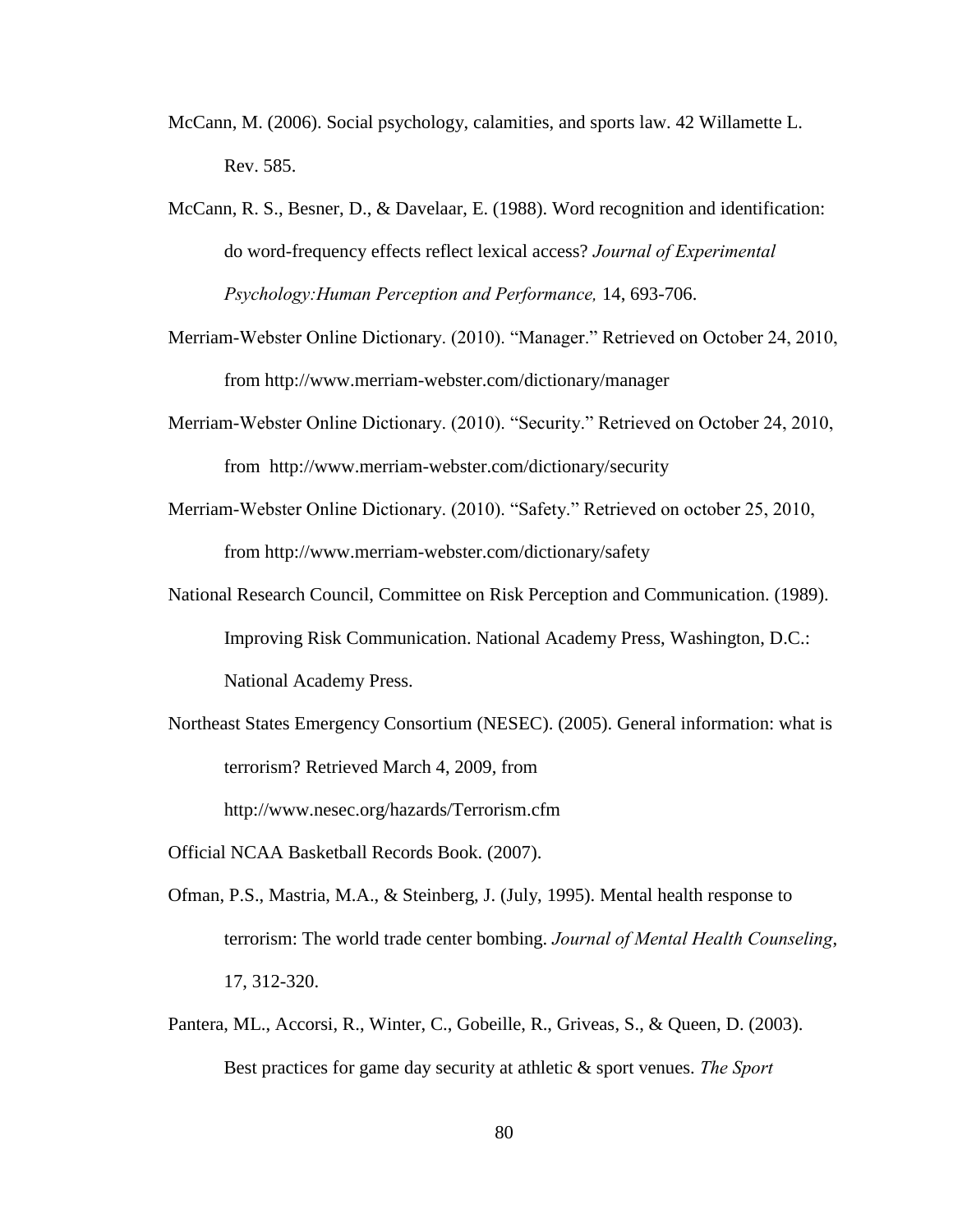- McCann, M. (2006). Social psychology, calamities, and sports law. 42 Willamette L. Rev. 585.
- McCann, R. S., Besner, D., & Davelaar, E. (1988). Word recognition and identification: do word-frequency effects reflect lexical access? *Journal of Experimental Psychology: Human Perception and Performance,* 14, 693-706.
- Merriam-Webster Online Dictionary. (2010). "Manager." Retrieved on October 24, 2010, from http://www.merriam-webster.com/dictionary/manager
- Merriam-Webster Online Dictionary. (2010). "Security." Retrieved on October 24, 2010, from http://www.merriam-webster.com/dictionary/security
- Merriam-Webster Online Dictionary. (2010). "Safety." Retrieved on october 25, 2010, from http://www.merriam-webster.com/dictionary/safety
- National Research Council, Committee on Risk Perception and Communication. (1989). Improving Risk Communication. National Academy Press, Washington, D.C.: National Academy Press.
- Northeast States Emergency Consortium (NESEC). (2005). General information: what is terrorism? Retrieved March 4, 2009, from

http://www.nesec.org/hazards/Terrorism.cfm

- Official NCAA Basketball Records Book. (2007).
- Ofman, P.S., Mastria, M.A., & Steinberg, J. (July, 1995). Mental health response to terrorism: The world trade center bombing. *Journal of Mental Health Counseling*, 17, 312-320.
- Pantera, ML., Accorsi, R., Winter, C., Gobeille, R., Griveas, S., & Queen, D. (2003). Best practices for game day security at athletic & sport venues. *The Sport*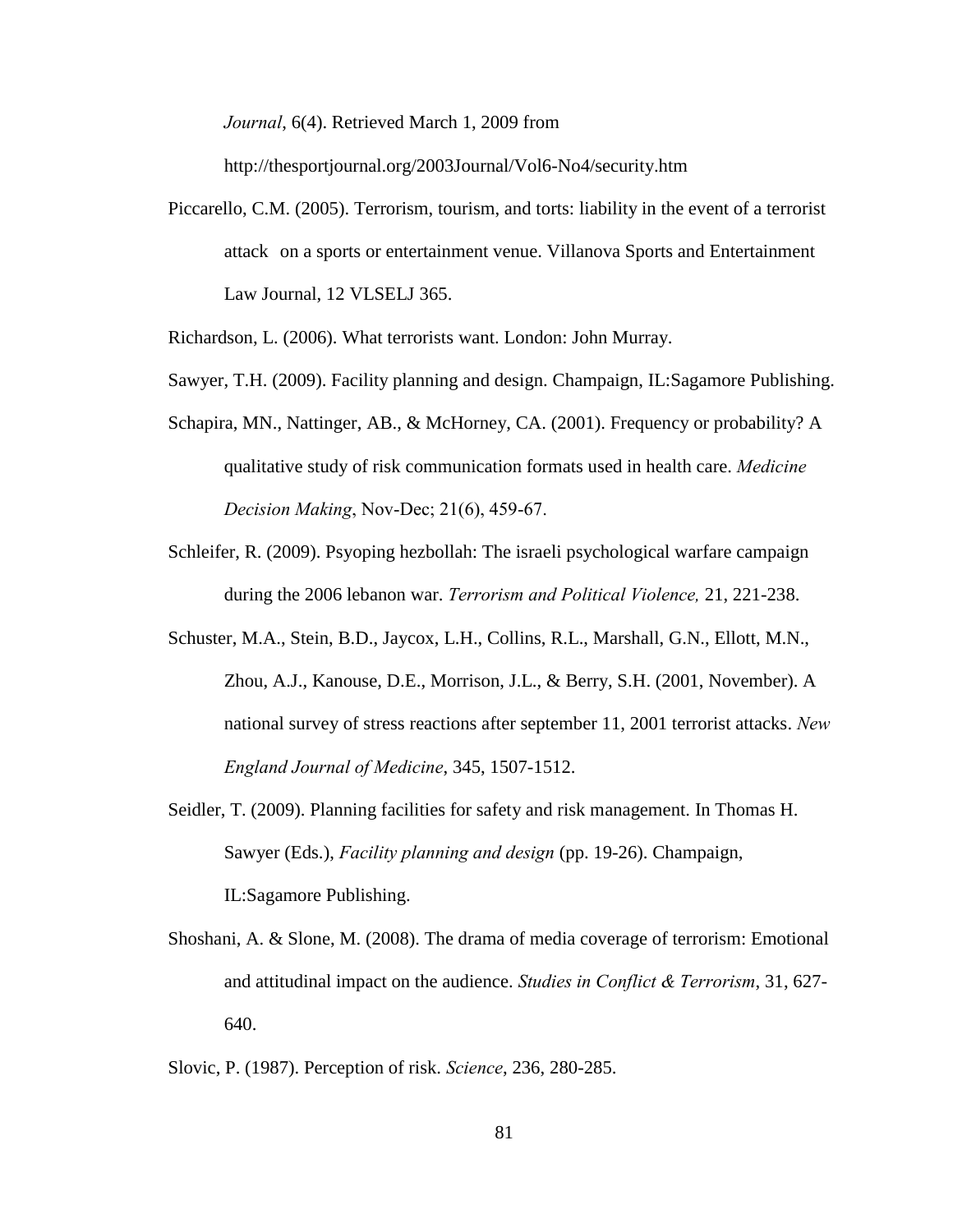*Journal*, 6(4). Retrieved March 1, 2009 from

http://thesportjournal.org/2003Journal/Vol6-No4/security.htm

Piccarello, C.M. (2005). Terrorism, tourism, and torts: liability in the event of a terrorist attack on a sports or entertainment venue. Villanova Sports and Entertainment Law Journal, 12 VLSELJ 365.

Richardson, L. (2006). What terrorists want. London: John Murray.

- Sawyer, T.H. (2009). Facility planning and design. Champaign, IL:Sagamore Publishing.
- Schapira, MN., Nattinger, AB., & McHorney, CA. (2001). Frequency or probability? A qualitative study of risk communication formats used in health care. *Medicine% Decision Making*, Nov-Dec; 21(6), 459-67.
- Schleifer, R. (2009). Psyoping hezbollah: The israeli psychological warfare campaign during the 2006 lebanon war. *Terrorism and Political Violence*, 21, 221-238.
- Schuster, M.A., Stein, B.D., Jaycox, L.H., Collins, R.L., Marshall, G.N., Ellott, M.N., Zhou, A.J., Kanouse, D.E., Morrison, J.L., & Berry, S.H. (2001, November). A national survey of stress reactions after september 11, 2001 terrorist attacks. *New# # England#Journal#of#Medicine*, 345, 1507-1512.
- Seidler, T. (2009). Planning facilities for safety and risk management. In Thomas H. Sawyer (Eds.), *Facility planning and design* (pp. 19-26). Champaign, IL:Sagamore Publishing.
- Shoshani, A. & Slone, M. (2008). The drama of media coverage of terrorism: Emotional and attitudinal impact on the audience. *Studies in Conflict & Terrorism*, 31, 627-640.

Slovic, P. (1987). Perception of risk. *Science*, 236, 280-285.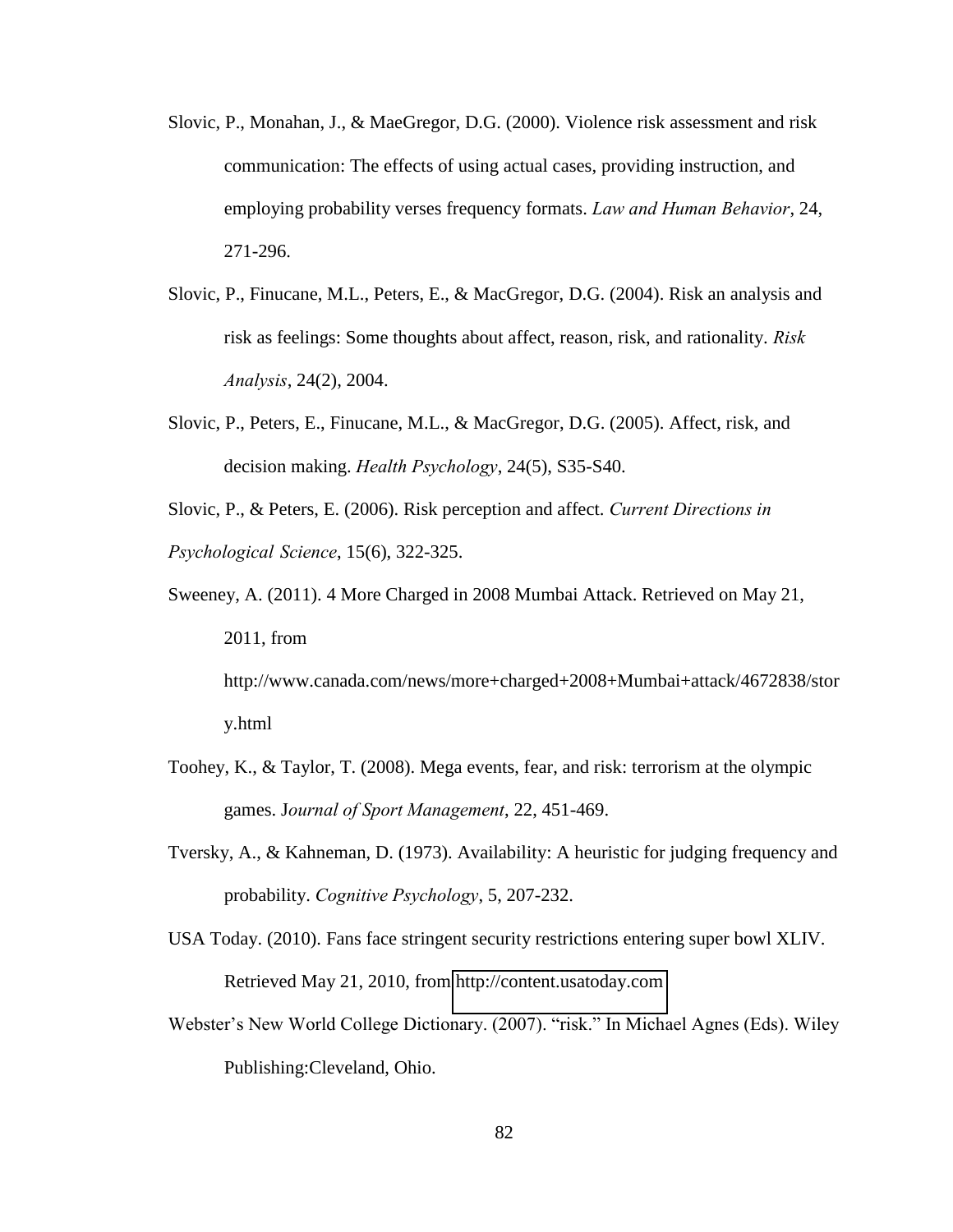- Slovic, P., Monahan, J., & MaeGregor, D.G. (2000). Violence risk assessment and risk communication: The effects of using actual cases, providing instruction, and employing probability verses frequency formats. *Law and Human Behavior*, 24, 271-296.
- Slovic, P., Finucane, M.L., Peters, E., & MacGregor, D.G. (2004). Risk an analysis and risk as feelings: Some thoughts about affect, reason, risk, and rationality. *Risk# # Analysis*, 24(2), 2004.
- Slovic, P., Peters, E., Finucane, M.L., & MacGregor, D.G. (2005). Affect, risk, and decision making. *Health Psychology*, 24(5), S35-S40.

Slovic, P., & Peters, E. (2006). Risk perception and affect. *Current Directions in Psychological##Science*, 15(6), 322-325.

- Sweeney, A. (2011). 4 More Charged in 2008 Mumbai Attack. Retrieved on May 21, 2011, from http://www.canada.com/news/more+charged+2008+Mumbai+attack/4672838/stor y.html
- Toohey, K., & Taylor, T. (2008). Mega events, fear, and risk: terrorism at the olympic games. J*ournal#of#Sport#Management*, 22, 451-469.
- Tversky, A., & Kahneman, D. (1973). Availability: A heuristic for judging frequency and probability. *Cognitive Psychology*, 5, 207-232.
- USA Today. (2010). Fans face stringent security restrictions entering super bowl XLIV. Retrieved May 21, 2010, from [http://content.usatoday.com](http://content.usatoday.com/)
- Webster's New World College Dictionary. (2007). "risk." In Michael Agnes (Eds). Wiley Publishing:Cleveland, Ohio.